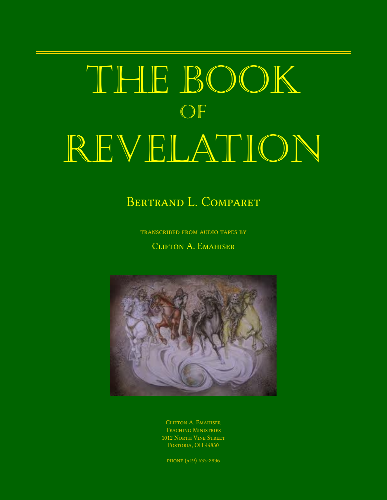## THE BOOK OF REVELATION

## BERTRAND L. COMPARET

**TRANSCRIBED FROM AUDIO TAPES BY** 

**CLIFTON A. EMAHISER** 



CLIFTON A. EMAHISER **TEACHING MINISTRIES** 1012 NORTH VINE STREET FOSTORIA, OH 44830

PHONE (419) 435-2836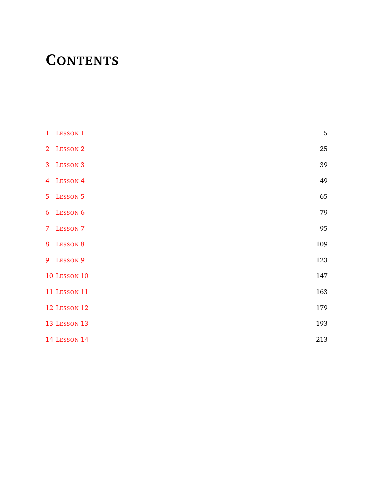## **CONTENTS**

| $\mathbf{1}$   | LESSON 1            | 5   |
|----------------|---------------------|-----|
| 2 <sup>1</sup> | <b>LESSON 2</b>     | 25  |
| 3 <sup>1</sup> | LESSON 3            | 39  |
| $\overline{4}$ | LESSON 4            | 49  |
| 5 <sup>1</sup> | <b>LESSON 5</b>     | 65  |
| 6              | LESSON 6            | 79  |
| 7 <sup>1</sup> | <b>LESSON 7</b>     | 95  |
| 8              | <b>LESSON 8</b>     | 109 |
| 9              | LESSON 9            | 123 |
|                | 10 LESSON 10        | 147 |
|                | <b>11 LESSON 11</b> | 163 |
|                | 12 LESSON 12        | 179 |
|                | 13 LESSON 13        | 193 |
|                | 14 LESSON 14        | 213 |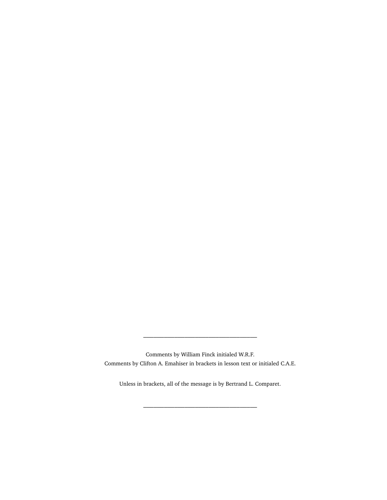Comments by William Finck initialed W.R.F. Comments by Clifton A. Emahiser in brackets in lesson text or initialed C.A.E.

\_\_\_\_\_\_\_\_\_\_\_\_\_\_\_\_\_\_\_\_\_\_\_\_\_\_\_\_\_\_\_\_\_

Unless in brackets, all of the message is by Bertrand L. Comparet.

\_\_\_\_\_\_\_\_\_\_\_\_\_\_\_\_\_\_\_\_\_\_\_\_\_\_\_\_\_\_\_\_\_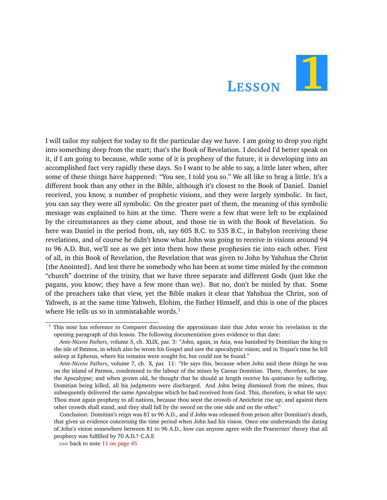

<span id="page-4-0"></span>I will tailor my subject for today to fit the particular day we have. I am going to drop you right into something deep from the start; that's the Book of Revelation. I decided I'd better speak on it, if I am going to because, while some of it is prophesy of the future, it is developing into an accomplished fact very rapidly these days. So I want to be able to say, a little later when, after some of these things have happened: "You see, I told you so." We all like to brag a little. It's a different book than any other in the Bible, although it's closest to the Book of Daniel. Daniel received, you know, a number of prophetic visions, and they were largely symbolic. In fact, you can say they were all symbolic. On the greater part of them, the meaning of this symbolic message was explained to him at the time. There were a few that were left to be explained by the circumstances as they came about, and those tie in with the Book of Revelation. So here was Daniel in the period from, oh, say 605 B.C. to 535 B.C., in Babylon receiving these revelations, and of course he didn't know what John was going to receive in visions around 94 to 96 A.D. But, we'll see as we get into them how these prophesies tie into each other. First of all, in this Book of Revelation, the Revelation that was given to John by Yahshua the Christ [the Anointed]. And lest there be somebody who has been at some time misled by the common "church" doctrine of the trinity, that we have three separate and different Gods (just like the pagans, you know; they have a few more than we). But no, don't be misled by that. Some of the preachers take that view, yet the Bible makes it clear that Yahshua the Christ, son of Yahweh, is at the same time Yahweh, Elohim, the Father Himself, and this is one of the places where He tells us so in unmistakable words. $<sup>1</sup>$  $<sup>1</sup>$  $<sup>1</sup>$ </sup>

<span id="page-4-1"></span><sup>&</sup>lt;sup>1</sup> This note has reference to Comparet discussing the approximate date that John wrote his revelation in the opening paragraph of this lesson. The following documentation gives evidence to that date:

*Ante-Nicene Fathers*, volume 5, ch. XLIX, par. 3: "John, again, in Asia, was banished by Domitian the king to the isle of Patmos, in which also he wrote his Gospel and saw the apocalyptic vision; and in Trajan's time he fell asleep at Ephesus, where his remains were sought for, but could not be found."

*Ante-Nicene Fathers*, volume 7, ch. X, par. 11: "He says this, because when John said these things he was on the island of Patmos, condemned to the labour of the mines by Caesar Domitian. There, therefore, he saw the Apocalypse; and when grown old, he thought that he should at length receive his quittance by suffering, Domitian being killed, all his judgments were discharged. And John being dismissed from the mines, thus subsequently delivered the same Apocalypse which he had received from God. This, therefore, is what He says: Thou must again prophesy to all nations, because thou seest the crowds of Antichrist rise up; and against them other crowds shall stand, and they shall fall by the sword on the one side and on the other."

Conclusion: Domitian's reign was 81 to 96 A.D., and if John was released from prison after Domitian's death, that gives us evidence concerning the time period when John had his vision. Once one understands the dating of John's vision somewhere between 81 to 96 A.D., how can anyone agree with the Praeterists' theory that all prophecy was fulfilled by 70 A.D.? C.A.E

**DDD** back to note [11 on page 45](#page-44-0)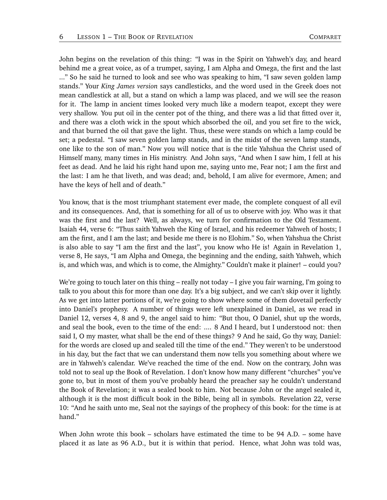John begins on the revelation of this thing: "I was in the Spirit on Yahweh's day, and heard behind me a great voice, as of a trumpet, saying, I am Alpha and Omega, the first and the last ..." So he said he turned to look and see who was speaking to him, "I saw seven golden lamp stands." Your *King James version* says candlesticks, and the word used in the Greek does not mean candlestick at all, but a stand on which a lamp was placed, and we will see the reason for it. The lamp in ancient times looked very much like a modern teapot, except they were very shallow. You put oil in the center pot of the thing, and there was a lid that fitted over it, and there was a cloth wick in the spout which absorbed the oil, and you set fire to the wick, and that burned the oil that gave the light. Thus, these were stands on which a lamp could be set; a pedestal. "I saw seven golden lamp stands, and in the midst of the seven lamp stands, one like to the son of man." Now you will notice that is the title Yahshua the Christ used of Himself many, many times in His ministry. And John says, "And when I saw him, I fell at his feet as dead. And he laid his right hand upon me, saying unto me, Fear not; I am the first and the last: I am he that liveth, and was dead; and, behold, I am alive for evermore, Amen; and have the keys of hell and of death."

You know, that is the most triumphant statement ever made, the complete conquest of all evil and its consequences. And, that is something for all of us to observe with joy. Who was it that was the first and the last? Well, as always, we turn for confirmation to the Old Testament. Isaiah 44, verse 6: "Thus saith Yahweh the King of Israel, and his redeemer Yahweh of hosts; I am the first, and I am the last; and beside me there is no Elohim." So, when Yahshua the Christ is also able to say "I am the first and the last", you know who He is! Again in Revelation 1, verse 8, He says, "I am Alpha and Omega, the beginning and the ending, saith Yahweh, which is, and which was, and which is to come, the Almighty." Couldn't make it plainer! – could you?

We're going to touch later on this thing – really not today – I give you fair warning, I'm going to talk to you about this for more than one day. It's a big subject, and we can't skip over it lightly. As we get into latter portions of it, we're going to show where some of them dovetail perfectly into Daniel's prophesy. A number of things were left unexplained in Daniel, as we read in Daniel 12, verses 4, 8 and 9, the angel said to him: "But thou, O Daniel, shut up the words, and seal the book, even to the time of the end: .... 8 And I heard, but I understood not: then said I, O my master, what shall be the end of these things? 9 And he said, Go thy way, Daniel: for the words are closed up and sealed till the time of the end." They weren't to be understood in his day, but the fact that we can understand them now tells you something about where we are in Yahweh's calendar. We've reached the time of the end. Now on the contrary, John was told not to seal up the Book of Revelation. I don't know how many different "churches" you've gone to, but in most of them you've probably heard the preacher say he couldn't understand the Book of Revelation; it was a sealed book to him. Not because John or the angel sealed it, although it is the most difficult book in the Bible, being all in symbols. Revelation 22, verse 10: "And he saith unto me, Seal not the sayings of the prophecy of this book: for the time is at hand."

When John wrote this book – scholars have estimated the time to be 94 A.D. – some have placed it as late as 96 A.D., but it is within that period. Hence, what John was told was,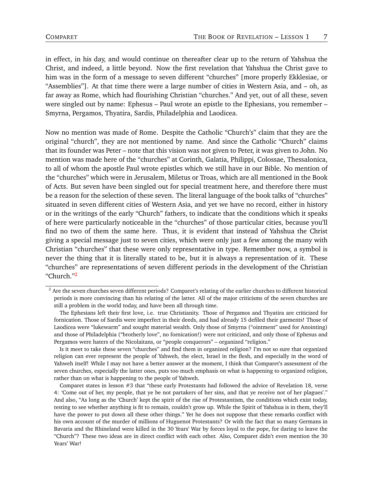in effect, in his day, and would continue on thereafter clear up to the return of Yahshua the Christ, and indeed, a little beyond. Now the first revelation that Yahshua the Christ gave to him was in the form of a message to seven different "churches" [more properly Ekklesiae, or "Assemblies"]. At that time there were a large number of cities in Western Asia, and – oh, as far away as Rome, which had flourishing Christian "churches." And yet, out of all these, seven were singled out by name: Ephesus – Paul wrote an epistle to the Ephesians, you remember – Smyrna, Pergamos, Thyatira, Sardis, Philadelphia and Laodicea.

Now no mention was made of Rome. Despite the Catholic "Church's" claim that they are the original "church", they are not mentioned by name. And since the Catholic "Church" claims that its founder was Peter – note that this vision was not given to Peter, it was given to John. No mention was made here of the "churches" at Corinth, Galatia, Philippi, Colossae, Thessalonica, to all of whom the apostle Paul wrote epistles which we still have in our Bible. No mention of the "churches" which were in Jerusalem, Miletus or Troas, which are all mentioned in the Book of Acts. But seven have been singled out for special treatment here, and therefore there must be a reason for the selection of these seven. The literal language of the book talks of "churches" situated in seven different cities of Western Asia, and yet we have no record, either in history or in the writings of the early "Church" fathers, to indicate that the conditions which it speaks of here were particularly noticeable in the "churches" of those particular cities, because you'll find no two of them the same here. Thus, it is evident that instead of Yahshua the Christ giving a special message just to seven cities, which were only just a few among the many with Christian "churches" that these were only representative in type. Remember now, a symbol is never the thing that it is literally stated to be, but it is always a representation of it. These "churches" are representations of seven different periods in the development of the Christian "Church."[2](#page-6-0)

Is it meet to take these seven "churches" and find them in organized religion? I'm not so sure that organized religion can ever represent the people of Yahweh, the elect, Israel in the flesh, and especially in the word of Yahweh itself! While I may not have a better answer at the moment, I think that Comparet's assessment of the seven churches, especially the latter ones, puts too much emphasis on what is happening to organized religion, rather than on what is happening to the people of Yahweh.

<span id="page-6-0"></span> $^{\rm 2}$  Are the seven churches seven different periods? Comparet's relating of the earlier churches to different historical periods is more convincing than his relating of the latter. All of the major criticisms of the seven churches are still a problem in the world today, and have been all through time.

The Ephesians left their first love, i.e. true Christianity. Those of Pergamos and Thyatira are criticized for fornication. Those of Sardis were imperfect in their deeds, and had already 15 defiled their garments! Those of Laodicea were "lukewarm" and sought material wealth. Only those of Smyrna ("ointment" used for Anointing) and those of Philadelphia ("brotherly love", no fornication!) were not criticized, and only those of Ephesus and Pergamos were haters of the Nicolaitans, or "people conquerors" – organized "religion."

Comparet states in lesson #3 that "these early Protestants had followed the advice of Revelation 18, verse 4: 'Come out of her, my people, that ye be not partakers of her sins, and that ye receive not of her plagues'." And also, "As long as the 'Church' kept the spirit of the rise of Protestantism, the conditions which exist today, testing to see whether anything is fit to remain, couldn't grow up. While the Spirit of Yahshua is in them, they'll have the power to put down all these other things." Yet he does not suppose that these remarks conflict with his own account of the murder of millions of Huguenot Protestants? Or with the fact that so many Germans in Bavaria and the Rhineland were killed in the 30 Years' War by forces loyal to the pope, for daring to leave the "Church"? These two ideas are in direct conflict with each other. Also, Comparet didn't even mention the 30 Years' War!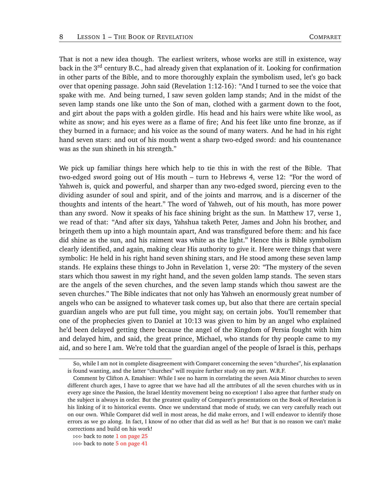That is not a new idea though. The earliest writers, whose works are still in existence, way back in the 3<sup>rd</sup> century B.C., had already given that explanation of it. Looking for confirmation in other parts of the Bible, and to more thoroughly explain the symbolism used, let's go back over that opening passage. John said (Revelation 1:12-16): "And I turned to see the voice that spake with me. And being turned, I saw seven golden lamp stands; And in the midst of the seven lamp stands one like unto the Son of man, clothed with a garment down to the foot, and girt about the paps with a golden girdle. His head and his hairs were white like wool, as white as snow; and his eyes were as a flame of fire; And his feet like unto fine bronze, as if they burned in a furnace; and his voice as the sound of many waters. And he had in his right hand seven stars: and out of his mouth went a sharp two-edged sword: and his countenance was as the sun shineth in his strength."

We pick up familiar things here which help to tie this in with the rest of the Bible. That two-edged sword going out of His mouth – turn to Hebrews 4, verse 12: "For the word of Yahweh is, quick and powerful, and sharper than any two-edged sword, piercing even to the dividing asunder of soul and spirit, and of the joints and marrow, and is a discerner of the thoughts and intents of the heart." The word of Yahweh, out of his mouth, has more power than any sword. Now it speaks of his face shining bright as the sun. In Matthew 17, verse 1, we read of that: "And after six days, Yahshua taketh Peter, James and John his brother, and bringeth them up into a high mountain apart, And was transfigured before them: and his face did shine as the sun, and his raiment was white as the light." Hence this is Bible symbolism clearly identified, and again, making clear His authority to give it. Here were things that were symbolic: He held in his right hand seven shining stars, and He stood among these seven lamp stands. He explains these things to John in Revelation 1, verse 20: "The mystery of the seven stars which thou sawest in my right hand, and the seven golden lamp stands. The seven stars are the angels of the seven churches, and the seven lamp stands which thou sawest are the seven churches." The Bible indicates that not only has Yahweh an enormously great number of angels who can be assigned to whatever task comes up, but also that there are certain special guardian angels who are put full time, you might say, on certain jobs. You'll remember that one of the prophecies given to Daniel at 10:13 was given to him by an angel who explained he'd been delayed getting there because the angel of the Kingdom of Persia fought with him and delayed him, and said, the great prince, Michael, who stands for thy people came to my aid, and so here I am. We're told that the guardian angel of the people of Israel is this, perhaps

So, while I am not in complete disagreement with Comparet concerning the seven "churches", his explanation is found wanting, and the latter "churches" will require further study on my part. W.R.F.

Comment by Clifton A. Emahiser: While I see no harm in correlating the seven Asia Minor churches to seven different church ages, I have to agree that we have had all the attributes of all the seven churches with us in every age since the Passion, the Israel Identity movement being no exception! I also agree that further study on the subject is always in order. But the greatest quality of Comparet's presentations on the Book of Revelation is his linking of it to historical events. Once we understand that mode of study, we can very carefully reach out on our own. While Comparet did well in most areas, he did make errors, and I will endeavor to identify those errors as we go along. In fact, I know of no other that did as well as he! But that is no reason we can't make corrections and build on his work!

**DDD** back to note [1 on page 25](#page-24-1)

**DDD** back to note [5 on page 41](#page-40-0)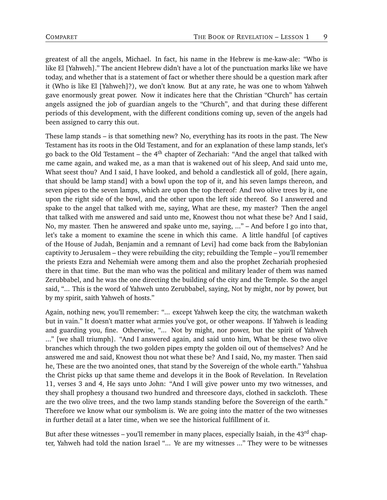greatest of all the angels, Michael. In fact, his name in the Hebrew is me-kaw-ale: "Who is like El [Yahweh]." The ancient Hebrew didn't have a lot of the punctuation marks like we have today, and whether that is a statement of fact or whether there should be a question mark after it (Who is like El [Yahweh]?), we don't know. But at any rate, he was one to whom Yahweh gave enormously great power. Now it indicates here that the Christian "Church" has certain angels assigned the job of guardian angels to the "Church", and that during these different periods of this development, with the different conditions coming up, seven of the angels had been assigned to carry this out.

These lamp stands – is that something new? No, everything has its roots in the past. The New Testament has its roots in the Old Testament, and for an explanation of these lamp stands, let's go back to the Old Testament – the  $4<sup>th</sup>$  chapter of Zechariah: "And the angel that talked with me came again, and waked me, as a man that is wakened out of his sleep, And said unto me, What seest thou? And I said, I have looked, and behold a candlestick all of gold, [here again, that should be lamp stand] with a bowl upon the top of it, and his seven lamps thereon, and seven pipes to the seven lamps, which are upon the top thereof: And two olive trees by it, one upon the right side of the bowl, and the other upon the left side thereof. So I answered and spake to the angel that talked with me, saying, What are these, my master? Then the angel that talked with me answered and said unto me, Knowest thou not what these be? And I said, No, my master. Then he answered and spake unto me, saying, ..." – And before I go into that, let's take a moment to examine the scene in which this came. A little handful [of captives of the House of Judah, Benjamin and a remnant of Levi] had come back from the Babylonian captivity to Jerusalem – they were rebuilding the city; rebuilding the Temple – you'll remember the priests Ezra and Nehemiah were among them and also the prophet Zechariah prophesied there in that time. But the man who was the political and military leader of them was named Zerubbabel, and he was the one directing the building of the city and the Temple. So the angel said, "... This is the word of Yahweh unto Zerubbabel, saying, Not by might, nor by power, but by my spirit, saith Yahweh of hosts."

Again, nothing new, you'll remember: "... except Yahweh keep the city, the watchman waketh but in vain." It doesn't matter what armies you've got, or other weapons. If Yahweh is leading and guarding you, fine. Otherwise, "... Not by might, nor power, but the spirit of Yahweh ..." [we shall triumph]. "And I answered again, and said unto him, What be these two olive branches which through the two golden pipes empty the golden oil out of themselves? And he answered me and said, Knowest thou not what these be? And I said, No, my master. Then said he, These are the two anointed ones, that stand by the Sovereign of the whole earth." Yahshua the Christ picks up that same theme and develops it in the Book of Revelation. In Revelation 11, verses 3 and 4, He says unto John: "And I will give power unto my two witnesses, and they shall prophesy a thousand two hundred and threescore days, clothed in sackcloth. These are the two olive trees, and the two lamp stands standing before the Sovereign of the earth." Therefore we know what our symbolism is. We are going into the matter of the two witnesses in further detail at a later time, when we see the historical fulfillment of it.

But after these witnesses – you'll remember in many places, especially Isaiah, in the  $43<sup>rd</sup>$  chapter, Yahweh had told the nation Israel "... Ye are my witnesses ..." They were to be witnesses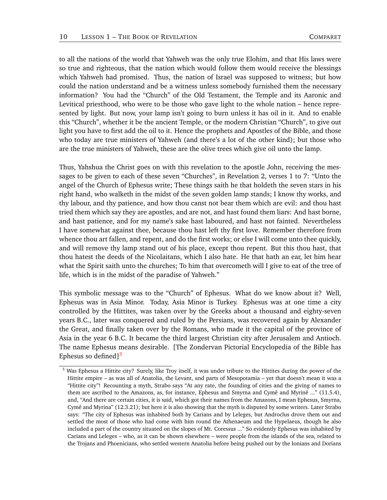to all the nations of the world that Yahweh was the only true Elohim, and that His laws were so true and righteous, that the nation which would follow them would receive the blessings which Yahweh had promised. Thus, the nation of Israel was supposed to witness; but how could the nation understand and be a witness unless somebody furnished them the necessary information? You had the "Church" of the Old Testament, the Temple and its Aaronic and Levitical priesthood, who were to be those who gave light to the whole nation – hence represented by light. But now, your lamp isn't going to burn unless it has oil in it. And to enable this "Church", whether it be the ancient Temple, or the modern Christian "Church", to give out light you have to first add the oil to it. Hence the prophets and Apostles of the Bible, and those who today are true ministers of Yahweh (and there's a lot of the other kind); but those who are the true ministers of Yahweh, these are the olive trees which give oil unto the lamp.

Thus, Yahshua the Christ goes on with this revelation to the apostle John, receiving the messages to be given to each of these seven "Churches", in Revelation 2, verses 1 to 7: "Unto the angel of the Church of Ephesus write; These things saith he that holdeth the seven stars in his right hand, who walketh in the midst of the seven golden lamp stands; I know thy works, and thy labour, and thy patience, and how thou canst not bear them which are evil: and thou hast tried them which say they are apostles, and are not, and hast found them liars: And hast borne, and hast patience, and for my name's sake hast laboured, and hast not fainted. Nevertheless I have somewhat against thee, because thou hast left thy first love. Remember therefore from whence thou art fallen, and repent, and do the first works; or else I will come unto thee quickly, and will remove thy lamp stand out of his place, except thou repent. But this thou hast, that thou hatest the deeds of the Nicolaitans, which I also hate. He that hath an ear, let him hear what the Spirit saith unto the churches; To him that overcometh will I give to eat of the tree of life, which is in the midst of the paradise of Yahweh."

This symbolic message was to the "Church" of Ephesus. What do we know about it? Well, Ephesus was in Asia Minor. Today, Asia Minor is Turkey. Ephesus was at one time a city controlled by the Hittites, was taken over by the Greeks about a thousand and eighty-seven years B.C., later was conquered and ruled by the Persians, was recovered again by Alexander the Great, and finally taken over by the Romans, who made it the capital of the province of Asia in the year 6 B.C. It became the third largest Christian city after Jerusalem and Antioch. The name Ephesus means desirable. [The Zondervan Pictorial Encyclopedia of the Bible has Ephesus so defined<sup>[3](#page-9-0)</sup>

<span id="page-9-0"></span><sup>&</sup>lt;sup>3</sup> Was Ephesus a Hittite city? Surely, like Troy itself, it was under tribute to the Hittites during the power of the Hittite empire – as was all of Anatolia, the Levant, and parts of Mesopotamia – yet that doesn't mean it was a "Hittite city"! Recounting a myth, Strabo says "At any rate, the founding of cities and the giving of names to them are ascribed to the Amazons, as, for instance, Ephesus and Smyrna and Cymê and Myrinê ..." (11.5.4), and, "And there are certain cities, it is said, which got their names from the Amazons, I mean Ephesus, Smyrna, Cymê and Myrina" (12.3.21); but here it is also showing that the myth is disputed by some writers. Later Strabo says: "The city of Ephesus was inhabited both by Carians and by Leleges, but Androclus drove them out and settled the most of those who had come with him round the Athenaeum and the Hypelaeus, though he also included a part of the country situated on the slopes of Mt. Coressus ..." So evidently Ephesus was inhabited by Carians and Leleges – who, as it can be shown elsewhere – were people from the islands of the sea, related to the Trojans and Phoenicians, who settled western Anatolia before being pushed out by the Ionians and Dorians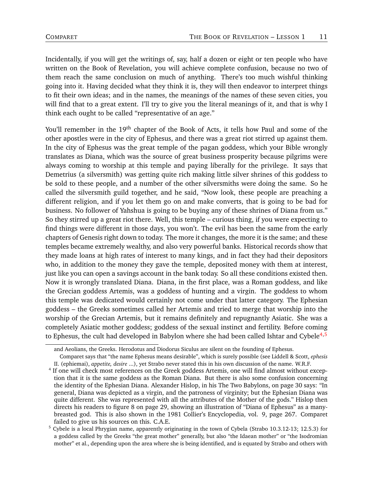Incidentally, if you will get the writings of, say, half a dozen or eight or ten people who have written on the Book of Revelation, you will achieve complete confusion, because no two of them reach the same conclusion on much of anything. There's too much wishful thinking going into it. Having decided what they think it is, they will then endeavor to interpret things to fit their own ideas; and in the names, the meanings of the names of these seven cities, you will find that to a great extent. I'll try to give you the literal meanings of it, and that is why I think each ought to be called "representative of an age."

You'll remember in the 19<sup>th</sup> chapter of the Book of Acts, it tells how Paul and some of the other apostles were in the city of Ephesus, and there was a great riot stirred up against them. In the city of Ephesus was the great temple of the pagan goddess, which your Bible wrongly translates as Diana, which was the source of great business prosperity because pilgrims were always coming to worship at this temple and paying liberally for the privilege. It says that Demetrius (a silversmith) was getting quite rich making little silver shrines of this goddess to be sold to these people, and a number of the other silversmiths were doing the same. So he called the silversmith guild together, and he said, "Now look, these people are preaching a different religion, and if you let them go on and make converts, that is going to be bad for business. No follower of Yahshua is going to be buying any of these shrines of Diana from us." So they stirred up a great riot there. Well, this temple – curious thing, if you were expecting to find things were different in those days, you won't. The evil has been the same from the early chapters of Genesis right down to today. The more it changes, the more it is the same; and these temples became extremely wealthy, and also very powerful banks. Historical records show that they made loans at high rates of interest to many kings, and in fact they had their depositors who, in addition to the money they gave the temple, deposited money with them at interest, just like you can open a savings account in the bank today. So all these conditions existed then. Now it is wrongly translated Diana. Diana, in the first place, was a Roman goddess, and like the Grecian goddess Artemis, was a goddess of hunting and a virgin. The goddess to whom this temple was dedicated would certainly not come under that latter category. The Ephesian goddess – the Greeks sometimes called her Artemis and tried to merge that worship into the worship of the Grecian Artemis, but it remains definitely and repugnantly Asiatic. She was a completely Asiatic mother goddess; goddess of the sexual instinct and fertility. Before coming to Ephesus, the cult had developed in Babylon where she had been called Ishtar and Cybele<sup>[4,](#page-10-0)[5](#page-10-1)</sup>

and Aeolians, the Greeks. Herodotus and Diodorus Siculus are silent on the founding of Ephesus.

Comparet says that "the name Ephesus means desirable", which is surely possible (see Liddell & Scott, *ephesis* II. (ephiemai), *appetite, desire* ...), yet Strabo never stated this in his own discussion of the name. W.R.F.

<span id="page-10-0"></span><sup>&</sup>lt;sup>4</sup> If one will check most references on the Greek goddess Artemis, one will find almost without exception that it is the same goddess as the Roman Diana. But there is also some confusion concerning the identity of the Ephesian Diana. Alexander Hislop, in his The Two Babylons, on page 30 says: "In general, Diana was depicted as a virgin, and the patroness of virginity; but the Ephesian Diana was quite different. She was represented with all the attributes of the Mother of the gods." Hislop then directs his readers to figure 8 on page 29, showing an illustration of "Diana of Ephesus" as a manybreasted god. This is also shown in the 1981 Collier's Encyclopedia, vol. 9, page 267. Comparet failed to give us his sources on this. C.A.E.

<span id="page-10-1"></span> $5$  Cybele is a local Phrygian name, apparently originating in the town of Cybela (Strabo 10.3.12-13; 12.5.3) for a goddess called by the Greeks "the great mother" generally, but also "the Idaean mother" or "the Isodromian mother" et al., depending upon the area where she is being identified, and is equated by Strabo and others with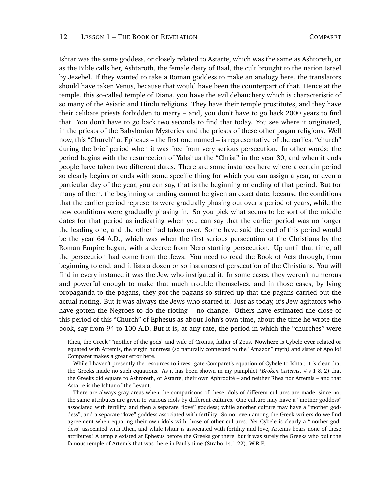Ishtar was the same goddess, or closely related to Astarte, which was the same as Ashtoreth, or as the Bible calls her, Ashtaroth, the female deity of Baal, the cult brought to the nation Israel by Jezebel. If they wanted to take a Roman goddess to make an analogy here, the translators should have taken Venus, because that would have been the counterpart of that. Hence at the temple, this so-called temple of Diana, you have the evil debauchery which is characteristic of so many of the Asiatic and Hindu religions. They have their temple prostitutes, and they have their celibate priests forbidden to marry – and, you don't have to go back 2000 years to find that. You don't have to go back two seconds to find that today. You see where it originated, in the priests of the Babylonian Mysteries and the priests of these other pagan religions. Well now, this "Church" at Ephesus – the first one named – is representative of the earliest "church" during the brief period when it was free from very serious persecution. In other words; the period begins with the resurrection of Yahshua the "Christ" in the year 30, and when it ends people have taken two different dates. There are some instances here where a certain period so clearly begins or ends with some specific thing for which you can assign a year, or even a particular day of the year, you can say, that is the beginning or ending of that period. But for many of them, the beginning or ending cannot be given an exact date, because the conditions that the earlier period represents were gradually phasing out over a period of years, while the new conditions were gradually phasing in. So you pick what seems to be sort of the middle dates for that period as indicating when you can say that the earlier period was no longer the leading one, and the other had taken over. Some have said the end of this period would be the year 64 A.D., which was when the first serious persecution of the Christians by the Roman Empire began, with a decree from Nero starting persecution. Up until that time, all the persecution had come from the Jews. You need to read the Book of Acts through, from beginning to end, and it lists a dozen or so instances of persecution of the Christians. You will find in every instance it was the Jew who instigated it. In some cases, they weren't numerous and powerful enough to make that much trouble themselves, and in those cases, by lying propaganda to the pagans, they got the pagans so stirred up that the pagans carried out the actual rioting. But it was always the Jews who started it. Just as today, it's Jew agitators who have gotten the Negroes to do the rioting – no change. Others have estimated the close of this period of this "Church" of Ephesus as about John's own time, about the time he wrote the book, say from 94 to 100 A.D. But it is, at any rate, the period in which the "churches" were

Rhea, the Greek ""mother of the gods" and wife of Cronus, father of Zeus. **Nowhere** is Cybele **ever** related or equated with Artemis, the virgin huntress (so naturally connected to the "Amazon" myth) and sister of Apollo! Comparet makes a great error here.

While I haven't presently the resources to investigate Comparet's equation of Cybele to Ishtar, it is clear that the Greeks made no such equations. As it has been shown in my pamphlet *(Broken Cisterns*, #'s 1 & 2) that the Greeks did equate to Ashtoreth, or Astarte, their own Aphroditê – and neither Rhea nor Artemis – and that Astarte is the Ishtar of the Levant.

There are always gray areas when the comparisons of these idols of different cultures are made, since not the same attributes are given to various idols by different cultures. One culture may have a "mother goddess" associated with fertility, and then a separate "love" goddess; while another culture may have a "mother goddess", and a separate "love" goddess associated with fertility! So not even among the Greek writers do we find agreement when equating their own idols with those of other cultures. Yet Cybele is clearly a "mother goddess" associated with Rhea, and while Ishtar is associated with fertility and love, Artemis bears none of these attributes! A temple existed at Ephesus before the Greeks got there, but it was surely the Greeks who built the famous temple of Artemis that was there in Paul's time (Strabo 14.1.22). W.R.F.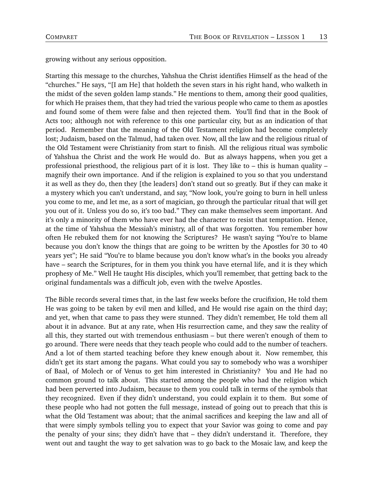growing without any serious opposition.

Starting this message to the churches, Yahshua the Christ identifies Himself as the head of the "churches." He says, "[I am He] that holdeth the seven stars in his right hand, who walketh in the midst of the seven golden lamp stands." He mentions to them, among their good qualities, for which He praises them, that they had tried the various people who came to them as apostles and found some of them were false and then rejected them. You'll find that in the Book of Acts too; although not with reference to this one particular city, but as an indication of that period. Remember that the meaning of the Old Testament religion had become completely lost; Judaism, based on the Talmud, had taken over. Now, all the law and the religious ritual of the Old Testament were Christianity from start to finish. All the religious ritual was symbolic of Yahshua the Christ and the work He would do. But as always happens, when you get a professional priesthood, the religious part of it is lost. They like to – this is human quality – magnify their own importance. And if the religion is explained to you so that you understand it as well as they do, then they [the leaders] don't stand out so greatly. But if they can make it a mystery which you can't understand, and say, "Now look, you're going to burn in hell unless you come to me, and let me, as a sort of magician, go through the particular ritual that will get you out of it. Unless you do so, it's too bad." They can make themselves seem important. And it's only a minority of them who have ever had the character to resist that temptation. Hence, at the time of Yahshua the Messiah's ministry, all of that was forgotten. You remember how often He rebuked them for not knowing the Scriptures? He wasn't saying "You're to blame because you don't know the things that are going to be written by the Apostles for 30 to 40 years yet"; He said "You're to blame because you don't know what's in the books you already have – search the Scriptures, for in them you think you have eternal life, and it is they which prophesy of Me." Well He taught His disciples, which you'll remember, that getting back to the original fundamentals was a difficult job, even with the twelve Apostles.

The Bible records several times that, in the last few weeks before the crucifixion, He told them He was going to be taken by evil men and killed, and He would rise again on the third day; and yet, when that came to pass they were stunned. They didn't remember, He told them all about it in advance. But at any rate, when His resurrection came, and they saw the reality of all this, they started out with tremendous enthusiasm – but there weren't enough of them to go around. There were needs that they teach people who could add to the number of teachers. And a lot of them started teaching before they knew enough about it. Now remember, this didn't get its start among the pagans. What could you say to somebody who was a worshiper of Baal, of Molech or of Venus to get him interested in Christianity? You and He had no common ground to talk about. This started among the people who had the religion which had been perverted into Judaism, because to them you could talk in terms of the symbols that they recognized. Even if they didn't understand, you could explain it to them. But some of these people who had not gotten the full message, instead of going out to preach that this is what the Old Testament was about; that the animal sacrifices and keeping the law and all of that were simply symbols telling you to expect that your Savior was going to come and pay the penalty of your sins; they didn't have that – they didn't understand it. Therefore, they went out and taught the way to get salvation was to go back to the Mosaic law, and keep the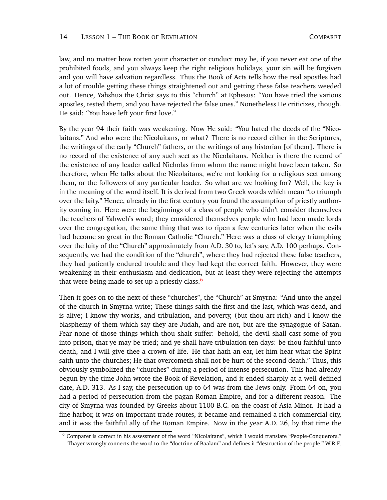law, and no matter how rotten your character or conduct may be, if you never eat one of the prohibited foods, and you always keep the right religious holidays, your sin will be forgiven and you will have salvation regardless. Thus the Book of Acts tells how the real apostles had a lot of trouble getting these things straightened out and getting these false teachers weeded out. Hence, Yahshua the Christ says to this "church" at Ephesus: "You have tried the various apostles, tested them, and you have rejected the false ones." Nonetheless He criticizes, though. He said: "You have left your first love."

By the year 94 their faith was weakening. Now He said: "You hated the deeds of the "Nicolaitans." And who were the Nicolaitans, or what? There is no record either in the Scriptures, the writings of the early "Church" fathers, or the writings of any historian [of them]. There is no record of the existence of any such sect as the Nicolaitans. Neither is there the record of the existence of any leader called Nicholas from whom the name might have been taken. So therefore, when He talks about the Nicolaitans, we're not looking for a religious sect among them, or the followers of any particular leader. So what are we looking for? Well, the key is in the meaning of the word itself. It is derived from two Greek words which mean "to triumph over the laity." Hence, already in the first century you found the assumption of priestly authority coming in. Here were the beginnings of a class of people who didn't consider themselves the teachers of Yahweh's word; they considered themselves people who had been made lords over the congregation, the same thing that was to ripen a few centuries later when the evils had become so great in the Roman Catholic "Church." Here was a class of clergy triumphing over the laity of the "Church" approximately from A.D. 30 to, let's say, A.D. 100 perhaps. Consequently, we had the condition of the "church", where they had rejected these false teachers, they had patiently endured trouble and they had kept the correct faith. However, they were weakening in their enthusiasm and dedication, but at least they were rejecting the attempts that were being made to set up a priestly class.<sup>[6](#page-13-0)</sup>

Then it goes on to the next of these "churches", the "Church" at Smyrna: "And unto the angel of the church in Smyrna write; These things saith the first and the last, which was dead, and is alive; I know thy works, and tribulation, and poverty, (but thou art rich) and I know the blasphemy of them which say they are Judah, and are not, but are the synagogue of Satan. Fear none of those things which thou shalt suffer: behold, the devil shall cast some of you into prison, that ye may be tried; and ye shall have tribulation ten days: be thou faithful unto death, and I will give thee a crown of life. He that hath an ear, let him hear what the Spirit saith unto the churches; He that overcometh shall not be hurt of the second death." Thus, this obviously symbolized the "churches" during a period of intense persecution. This had already begun by the time John wrote the Book of Revelation, and it ended sharply at a well defined date, A.D. 313. As I say, the persecution up to 64 was from the Jews only. From 64 on, you had a period of persecution from the pagan Roman Empire, and for a different reason. The city of Smyrna was founded by Greeks about 1100 B.C. on the coast of Asia Minor. It had a fine harbor, it was on important trade routes, it became and remained a rich commercial city, and it was the faithful ally of the Roman Empire. Now in the year A.D. 26, by that time the

<span id="page-13-0"></span><sup>6</sup> Comparet is correct in his assessment of the word "Nicolaitans", which I would translate "People-Conquerors." Thayer wrongly connects the word to the "doctrine of Baalam" and defines it "destruction of the people." W.R.F.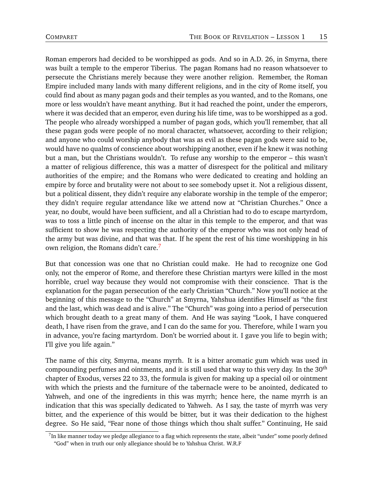Roman emperors had decided to be worshipped as gods. And so in A.D. 26, in Smyrna, there was built a temple to the emperor Tiberius. The pagan Romans had no reason whatsoever to persecute the Christians merely because they were another religion. Remember, the Roman Empire included many lands with many different religions, and in the city of Rome itself, you could find about as many pagan gods and their temples as you wanted, and to the Romans, one more or less wouldn't have meant anything. But it had reached the point, under the emperors, where it was decided that an emperor, even during his life time, was to be worshipped as a god. The people who already worshipped a number of pagan gods, which you'll remember, that all these pagan gods were people of no moral character, whatsoever, according to their religion; and anyone who could worship anybody that was as evil as these pagan gods were said to be, would have no qualms of conscience about worshipping another, even if he knew it was nothing but a man, but the Christians wouldn't. To refuse any worship to the emperor – this wasn't a matter of religious difference, this was a matter of disrespect for the political and military authorities of the empire; and the Romans who were dedicated to creating and holding an empire by force and brutality were not about to see somebody upset it. Not a religious dissent, but a political dissent, they didn't require any elaborate worship in the temple of the emperor; they didn't require regular attendance like we attend now at "Christian Churches." Once a year, no doubt, would have been sufficient, and all a Christian had to do to escape martyrdom, was to toss a little pinch of incense on the altar in this temple to the emperor, and that was sufficient to show he was respecting the authority of the emperor who was not only head of the army but was divine, and that was that. If he spent the rest of his time worshipping in his own religion, the Romans didn't care.[7](#page-14-0)

But that concession was one that no Christian could make. He had to recognize one God only, not the emperor of Rome, and therefore these Christian martyrs were killed in the most horrible, cruel way because they would not compromise with their conscience. That is the explanation for the pagan persecution of the early Christian "Church." Now you'll notice at the beginning of this message to the "Church" at Smyrna, Yahshua identifies Himself as "the first and the last, which was dead and is alive." The "Church" was going into a period of persecution which brought death to a great many of them. And He was saying "Look, I have conquered death, I have risen from the grave, and I can do the same for you. Therefore, while I warn you in advance, you're facing martyrdom. Don't be worried about it. I gave you life to begin with; I'll give you life again."

The name of this city, Smyrna, means myrrh. It is a bitter aromatic gum which was used in compounding perfumes and ointments, and it is still used that way to this very day. In the 30<sup>th</sup> chapter of Exodus, verses 22 to 33, the formula is given for making up a special oil or ointment with which the priests and the furniture of the tabernacle were to be anointed, dedicated to Yahweh, and one of the ingredients in this was myrrh; hence here, the name myrrh is an indication that this was specially dedicated to Yahweh. As I say, the taste of myrrh was very bitter, and the experience of this would be bitter, but it was their dedication to the highest degree. So He said, "Fear none of those things which thou shalt suffer." Continuing, He said

<span id="page-14-0"></span> $^7$ In like manner today we pledge allegiance to a flag which represents the state, albeit "under" some poorly defined "God" when in truth our only allegiance should be to Yahshua Christ. W.R.F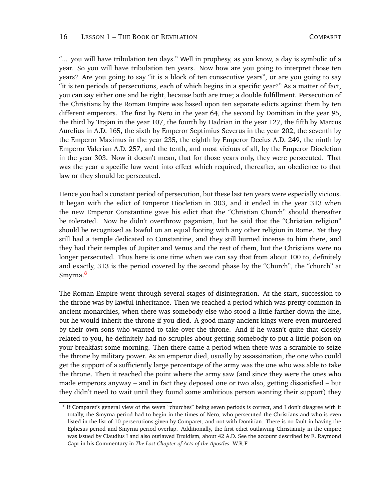"... you will have tribulation ten days." Well in prophesy, as you know, a day is symbolic of a year. So you will have tribulation ten years. Now how are you going to interpret those ten years? Are you going to say "it is a block of ten consecutive years", or are you going to say "it is ten periods of persecutions, each of which begins in a specific year?" As a matter of fact, you can say either one and be right, because both are true; a double fulfillment. Persecution of the Christians by the Roman Empire was based upon ten separate edicts against them by ten different emperors. The first by Nero in the year 64, the second by Domitian in the year 95, the third by Trajan in the year 107, the fourth by Hadrian in the year 127, the fifth by Marcus Aurelius in A.D. 165, the sixth by Emperor Septimius Severus in the year 202, the seventh by the Emperor Maximus in the year 235, the eighth by Emperor Decius A.D. 249, the ninth by Emperor Valerian A.D. 257, and the tenth, and most vicious of all, by the Emperor Diocletian in the year 303. Now it doesn't mean, that for those years only, they were persecuted. That was the year a specific law went into effect which required, thereafter, an obedience to that law or they should be persecuted.

Hence you had a constant period of persecution, but these last ten years were especially vicious. It began with the edict of Emperor Diocletian in 303, and it ended in the year 313 when the new Emperor Constantine gave his edict that the "Christian Church" should thereafter be tolerated. Now he didn't overthrow paganism, but he said that the "Christian religion" should be recognized as lawful on an equal footing with any other religion in Rome. Yet they still had a temple dedicated to Constantine, and they still burned incense to him there, and they had their temples of Jupiter and Venus and the rest of them, but the Christians were no longer persecuted. Thus here is one time when we can say that from about 100 to, definitely and exactly, 313 is the period covered by the second phase by the "Church", the "church" at Smyrna.<sup>[8](#page-15-0)</sup>

The Roman Empire went through several stages of disintegration. At the start, succession to the throne was by lawful inheritance. Then we reached a period which was pretty common in ancient monarchies, when there was somebody else who stood a little farther down the line, but he would inherit the throne if you died. A good many ancient kings were even murdered by their own sons who wanted to take over the throne. And if he wasn't quite that closely related to you, he definitely had no scruples about getting somebody to put a little poison on your breakfast some morning. Then there came a period when there was a scramble to seize the throne by military power. As an emperor died, usually by assassination, the one who could get the support of a sufficiently large percentage of the army was the one who was able to take the throne. Then it reached the point where the army saw (and since they were the ones who made emperors anyway – and in fact they deposed one or two also, getting dissatisfied – but they didn't need to wait until they found some ambitious person wanting their support) they

<span id="page-15-0"></span><sup>&</sup>lt;sup>8</sup> If Comparet's general view of the seven "churches" being seven periods is correct, and I don't disagree with it totally, the Smyrna period had to begin in the times of Nero, who persecuted the Christians and who is even listed in the list of 10 persecutions given by Comparet, and not with Domitian. There is no fault in having the Ephesus period and Smyrna period overlap. Additionally, the first edict outlawing Christianity in the empire was issued by Claudius I and also outlawed Druidism, about 42 A.D. See the account described by E. Raymond Capt in his Commentary in *The Lost Chapter of Acts of the Apostles*. W.R.F.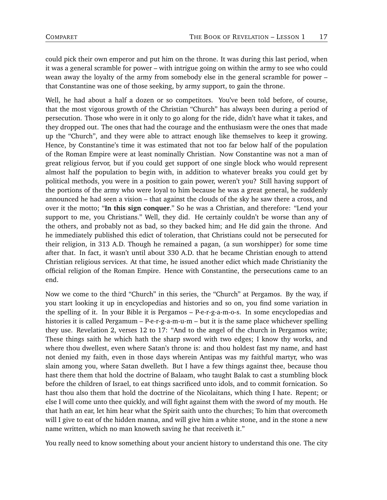could pick their own emperor and put him on the throne. It was during this last period, when it was a general scramble for power – with intrigue going on within the army to see who could wean away the loyalty of the army from somebody else in the general scramble for power – that Constantine was one of those seeking, by army support, to gain the throne.

Well, he had about a half a dozen or so competitors. You've been told before, of course, that the most vigorous growth of the Christian "Church" has always been during a period of persecution. Those who were in it only to go along for the ride, didn't have what it takes, and they dropped out. The ones that had the courage and the enthusiasm were the ones that made up the "Church", and they were able to attract enough like themselves to keep it growing. Hence, by Constantine's time it was estimated that not too far below half of the population of the Roman Empire were at least nominally Christian. Now Constantine was not a man of great religious fervor, but if you could get support of one single block who would represent almost half the population to begin with, in addition to whatever breaks you could get by political methods, you were in a position to gain power, weren't you? Still having support of the portions of the army who were loyal to him because he was a great general, he suddenly announced he had seen a vision – that against the clouds of the sky he saw there a cross, and over it the motto; "**In this sign conquer**." So he was a Christian, and therefore: "Lend your support to me, you Christians." Well, they did. He certainly couldn't be worse than any of the others, and probably not as bad, so they backed him; and He did gain the throne. And he immediately published this edict of toleration, that Christians could not be persecuted for their religion, in 313 A.D. Though he remained a pagan, (a sun worshipper) for some time after that. In fact, it wasn't until about 330 A.D. that he became Christian enough to attend Christian religious services. At that time, he issued another edict which made Christianity the official religion of the Roman Empire. Hence with Constantine, the persecutions came to an end.

Now we come to the third "Church" in this series, the "Church" at Pergamos. By the way, if you start looking it up in encyclopedias and histories and so on, you find some variation in the spelling of it. In your Bible it is Pergamos – P-e-r-g-a-m-o-s. In some encyclopedias and histories it is called Pergamum  $-$  P-e-r-g-a-m-u-m  $-$  but it is the same place whichever spelling they use. Revelation 2, verses 12 to 17: "And to the angel of the church in Pergamos write; These things saith he which hath the sharp sword with two edges; I know thy works, and where thou dwellest, even where Satan's throne is: and thou holdest fast my name, and hast not denied my faith, even in those days wherein Antipas was my faithful martyr, who was slain among you, where Satan dwelleth. But I have a few things against thee, because thou hast there them that hold the doctrine of Balaam, who taught Balak to cast a stumbling block before the children of Israel, to eat things sacrificed unto idols, and to commit fornication. So hast thou also them that hold the doctrine of the Nicolaitans, which thing I hate. Repent; or else I will come unto thee quickly, and will fight against them with the sword of my mouth. He that hath an ear, let him hear what the Spirit saith unto the churches; To him that overcometh will I give to eat of the hidden manna, and will give him a white stone, and in the stone a new name written, which no man knoweth saving he that receiveth it."

You really need to know something about your ancient history to understand this one. The city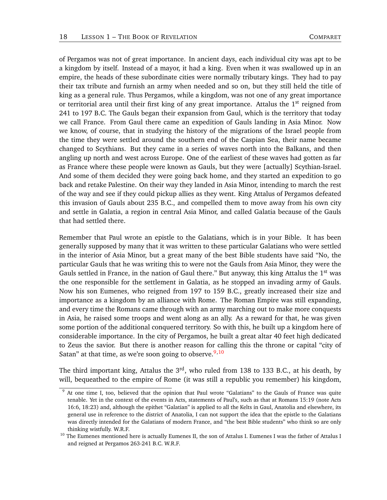of Pergamos was not of great importance. In ancient days, each individual city was apt to be a kingdom by itself. Instead of a mayor, it had a king. Even when it was swallowed up in an empire, the heads of these subordinate cities were normally tributary kings. They had to pay their tax tribute and furnish an army when needed and so on, but they still held the title of king as a general rule. Thus Pergamos, while a kingdom, was not one of any great importance or territorial area until their first king of any great importance. Attalus the 1<sup>st</sup> reigned from 241 to 197 B.C. The Gauls began their expansion from Gaul, which is the territory that today we call France. From Gaul there came an expedition of Gauls landing in Asia Minor. Now we know, of course, that in studying the history of the migrations of the Israel people from the time they were settled around the southern end of the Caspian Sea, their name became changed to Scythians. But they came in a series of waves north into the Balkans, and then angling up north and west across Europe. One of the earliest of these waves had gotten as far as France where these people were known as Gauls, but they were [actually] Scythian-Israel. And some of them decided they were going back home, and they started an expedition to go back and retake Palestine. On their way they landed in Asia Minor, intending to march the rest of the way and see if they could pickup allies as they went. King Attalus of Pergamos defeated this invasion of Gauls about 235 B.C., and compelled them to move away from his own city and settle in Galatia, a region in central Asia Minor, and called Galatia because of the Gauls that had settled there.

Remember that Paul wrote an epistle to the Galatians, which is in your Bible. It has been generally supposed by many that it was written to these particular Galatians who were settled in the interior of Asia Minor, but a great many of the best Bible students have said "No, the particular Gauls that he was writing this to were not the Gauls from Asia Minor, they were the Gauls settled in France, in the nation of Gaul there." But anyway, this king Attalus the 1<sup>st</sup> was the one responsible for the settlement in Galatia, as he stopped an invading army of Gauls. Now his son Eumenes, who reigned from 197 to 159 B.C., greatly increased their size and importance as a kingdom by an alliance with Rome. The Roman Empire was still expanding, and every time the Romans came through with an army marching out to make more conquests in Asia, he raised some troops and went along as an ally. As a reward for that, he was given some portion of the additional conquered territory. So with this, he built up a kingdom here of considerable importance. In the city of Pergamos, he built a great altar 40 feet high dedicated to Zeus the savior. But there is another reason for calling this the throne or capital "city of Satan" at that time, as we're soon going to observe.  $9,10$  $9,10$ 

The third important king, Attalus the  $3<sup>rd</sup>$ , who ruled from 138 to 133 B.C., at his death, by will, bequeathed to the empire of Rome (it was still a republic you remember) his kingdom,

<span id="page-17-0"></span><sup>&</sup>lt;sup>9</sup> At one time I, too, believed that the opinion that Paul wrote "Galatians" to the Gauls of France was quite tenable. Yet in the context of the events in Acts, statements of Paul's, such as that at Romans 15:19 (note Acts 16:6, 18:23) and, although the epithet "Galatian" is applied to all the Kelts in Gaul, Anatolia and elsewhere, its general use in reference to the district of Anatolia, I can not support the idea that the epistle to the Galatians was directly intended for the Galatians of modern France, and "the best Bible students" who think so are only thinking wistfully. W.R.F.

<span id="page-17-1"></span> $10$  The Eumenes mentioned here is actually Eumenes II, the son of Attalus I. Eumenes I was the father of Attalus I and reigned at Pergamos 263-241 B.C. W.R.F.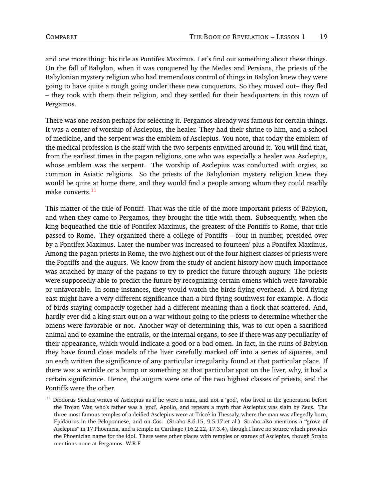and one more thing: his title as Pontifex Maximus. Let's find out something about these things. On the fall of Babylon, when it was conquered by the Medes and Persians, the priests of the Babylonian mystery religion who had tremendous control of things in Babylon knew they were going to have quite a rough going under these new conquerors. So they moved out– they fled – they took with them their religion, and they settled for their headquarters in this town of Pergamos.

There was one reason perhaps for selecting it. Pergamos already was famous for certain things. It was a center of worship of Asclepius, the healer. They had their shrine to him, and a school of medicine, and the serpent was the emblem of Asclepius. You note, that today the emblem of the medical profession is the staff with the two serpents entwined around it. You will find that, from the earliest times in the pagan religions, one who was especially a healer was Asclepius, whose emblem was the serpent. The worship of Asclepius was conducted with orgies, so common in Asiatic religions. So the priests of the Babylonian mystery religion knew they would be quite at home there, and they would find a people among whom they could readily make converts.<sup>[11](#page-18-0)</sup>

This matter of the title of Pontiff. That was the title of the more important priests of Babylon, and when they came to Pergamos, they brought the title with them. Subsequently, when the king bequeathed the title of Pontifex Maximus, the greatest of the Pontiffs to Rome, that title passed to Rome. They organized there a college of Pontiffs – four in number, presided over by a Pontifex Maximus. Later the number was increased to fourteen' plus a Pontifex Maximus. Among the pagan priests in Rome, the two highest out of the four highest classes of priests were the Pontiffs and the augurs. We know from the study of ancient history how much importance was attached by many of the pagans to try to predict the future through augury. The priests were supposedly able to predict the future by recognizing certain omens which were favorable or unfavorable. In some instances, they would watch the birds flying overhead. A bird flying east might have a very different significance than a bird flying southwest for example. A flock of birds staying compactly together had a different meaning than a flock that scattered. And, hardly ever did a king start out on a war without going to the priests to determine whether the omens were favorable or not. Another way of determining this, was to cut open a sacrificed animal and to examine the entrails, or the internal organs, to see if there was any peculiarity of their appearance, which would indicate a good or a bad omen. In fact, in the ruins of Babylon they have found close models of the liver carefully marked off into a series of squares, and on each written the significance of any particular irregularity found at that particular place. If there was a wrinkle or a bump or something at that particular spot on the liver, why, it had a certain significance. Hence, the augurs were one of the two highest classes of priests, and the Pontiffs were the other.

<span id="page-18-0"></span> $11$  Diodorus Siculus writes of Asclepius as if he were a man, and not a 'god', who lived in the generation before the Trojan War, who's father was a 'god', Apollo, and repeats a myth that Asclepius was slain by Zeus. The three most famous temples of a deified Asclepius were at Triccê in Thessaly, where the man was allegedly born, Epidaurus in the Peloponnese, and on Cos. (Strabo 8.6.15, 9.5.17 et al.) Strabo also mentions a "grove of Asclepius" in 17 Phoenicia, and a temple in Carthage (16.2.22, 17.3.4), though I have no source which provides the Phoenician name for the idol. There were other places with temples or statues of Asclepius, though Strabo mentions none at Pergamos. W.R.F.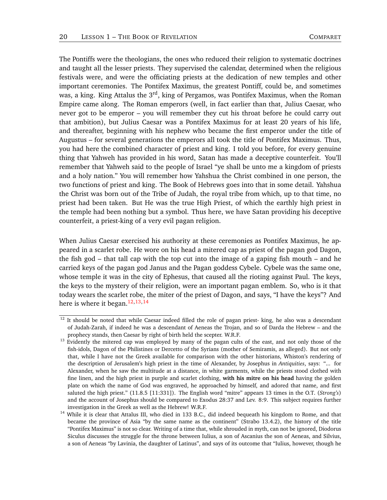The Pontiffs were the theologians, the ones who reduced their religion to systematic doctrines and taught all the lesser priests. They supervised the calendar, determined when the religious festivals were, and were the officiating priests at the dedication of new temples and other important ceremonies. The Pontifex Maximus, the greatest Pontiff, could be, and sometimes was, a king. King Attalus the 3<sup>rd</sup>, king of Pergamos, was Pontifex Maximus, when the Roman Empire came along. The Roman emperors (well, in fact earlier than that, Julius Caesar, who never got to be emperor – you will remember they cut his throat before he could carry out that ambition), but Julius Caesar was a Pontifex Maximus for at least 20 years of his life, and thereafter, beginning with his nephew who became the first emperor under the title of Augustus – for several generations the emperors all took the title of Pontifex Maximus. Thus, you had here the combined character of priest and king. I told you before, for every genuine thing that Yahweh has provided in his word, Satan has made a deceptive counterfeit. You'll remember that Yahweh said to the people of Israel "ye shall be unto me a kingdom of priests and a holy nation." You will remember how Yahshua the Christ combined in one person, the two functions of priest and king. The Book of Hebrews goes into that in some detail. Yahshua the Christ was born out of the Tribe of Judah, the royal tribe from which, up to that time, no priest had been taken. But He was the true High Priest, of which the earthly high priest in the temple had been nothing but a symbol. Thus here, we have Satan providing his deceptive counterfeit, a priest-king of a very evil pagan religion.

When Julius Caesar exercised his authority at these ceremonies as Pontifex Maximus, he appeared in a scarlet robe. He wore on his head a mitered cap as priest of the pagan god Dagon, the fish god – that tall cap with the top cut into the image of a gaping fish mouth – and he carried keys of the pagan god Janus and the Pagan goddess Cybele. Cybele was the same one, whose temple it was in the city of Ephesus, that caused all the rioting against Paul. The keys, the keys to the mystery of their religion, were an important pagan emblem. So, who is it that today wears the scarlet robe, the miter of the priest of Dagon, and says, "I have the keys"? And here is where it began.<sup>[12,](#page-19-0)[13](#page-19-1)[,14](#page-19-2)</sup>

<span id="page-19-0"></span> $\frac{12}{12}$  It should be noted that while Caesar indeed filled the role of pagan priest- king, he also was a descendant of Judah-Zarah, if indeed he was a descendant of Aeneas the Trojan, and so of Darda the Hebrew – and the prophecy stands, then Caesar by right of birth held the scepter. W.R.F.

<span id="page-19-1"></span><sup>&</sup>lt;sup>13</sup> Evidently the mitered cap was employed by many of the pagan cults of the east, and not only those of the fish-idols, Dagon of the Philistines or Dercetto of the Syrians (mother of Semiramis, as alleged). But not only that, while I have not the Greek available for comparison with the other historians, Whiston's rendering of the description of Jerusalem's high priest in the time of Alexander, by Josephus in *Antiquities*, says: "... for Alexander, when he saw the multitude at a distance, in white garments, while the priests stood clothed with fine linen, and the high priest in purple and scarlet clothing, **with his mitre on his head** having the golden plate on which the name of God was engraved, he approached by himself, and adored that name, and first saluted the high priest." (11.8.5 [11:331]). The English word "mitre" appears 13 times in the O.T. (*Strong's*) and the account of Josephus should be compared to Exodus 28:37 and Lev. 8:9. This subject requires further investigation in the Greek as well as the Hebrew! W.R.F.

<span id="page-19-2"></span><sup>14</sup> While it is clear that Attalus III, who died in 133 B.C., did indeed bequeath his kingdom to Rome, and that became the province of Asia "by the same name as the continent" (Strabo 13.4.2), the history of the title "Pontifex Maximus" is not so clear. Writing of a time that, while shrouded in myth, can not be ignored, Diodorus Siculus discusses the struggle for the throne between Iulius, a son of Ascanius the son of Aeneas, and Silvius, a son of Aeneas "by Lavinia, the daughter of Latinus", and says of its outcome that "Iulius, however, though he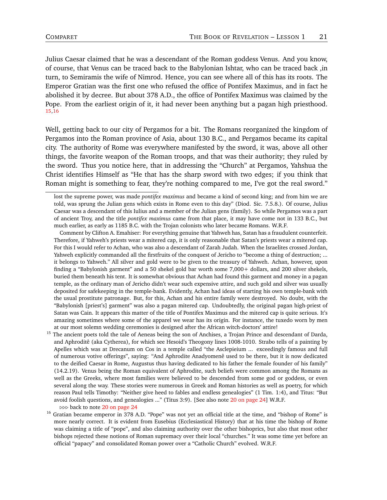Julius Caesar claimed that he was a descendant of the Roman goddess Venus. And you know, of course, that Venus can be traced back to the Babylonian Ishtar, who can be traced back ,in turn, to Semiramis the wife of Nimrod. Hence, you can see where all of this has its roots. The Emperor Gratian was the first one who refused the office of Pontifex Maximus, and in fact he abolished it by decree. But about 378 A.D., the office of Pontifex Maximus was claimed by the Pope. From the earliest origin of it, it had never been anything but a pagan high priesthood. [15,](#page-20-0)[16](#page-20-1)

Well, getting back to our city of Pergamos for a bit. The Romans reorganized the kingdom of Pergamos into the Roman province of Asia, about 130 B.C., and Pergamos became its capital city. The authority of Rome was everywhere manifested by the sword, it was, above all other things, the favorite weapon of the Roman troops, and that was their authority; they ruled by the sword. Thus you notice here, that in addressing the "Church" at Pergamos, Yahshua the Christ identifies Himself as "He that has the sharp sword with two edges; if you think that Roman might is something to fear, they're nothing compared to me, I've got the real sword."

Comment by Clifton A. Emahiser: For everything genuine that Yahweh has, Satan has a fraudulent counterfeit. Therefore, if Yahweh's priests wear a mitered cap, it is only reasonable that Satan's priests wear a mitered cap. For this I would refer to Achan, who was also a descendant of Zarah Judah. When the Israelites crossed Jordan, Yahweh explicitly commanded all the firstfruits of the conquest of Jericho to "become a thing of destruction; ... it belongs to Yahweh." All silver and gold were to be given to the treasury of Yahweh. Achan, however, upon finding a "Babylonish garment" and a 50 shekel gold bar worth some 7,000+ dollars, and 200 silver shekels, buried them beneath his tent. It is somewhat obvious that Achan had found this garment and money in a pagan temple, as the ordinary man of Jericho didn't wear such expensive attire, and such gold and silver was usually deposited for safekeeping in the temple-bank. Evidently, Achan had ideas of starting his own temple-bank with the usual prostitute patronage. But, for this, Achan and his entire family were destroyed. No doubt, with the "Babylonish [priest's] garment" was also a pagan mitered cap. Undoubtedly, the original pagan high-priest of Satan was Cain. It appears this matter of the title of Pontifex Maximus and the mitered cap is quite serious. It's amazing sometimes where some of the apparel we wear has its origin. For instance, the tuxedo worn by men at our most solemn wedding ceremonies is designed after the African witch-doctors' attire!

<span id="page-20-0"></span><sup>15</sup> The ancient poets told the tale of Aeneas being the son of Anchises, a Trojan Prince and descendant of Darda, and Aphroditê (aka Cytherea), for which see Hesoid's Theogony lines 1008-1010. Strabo tells of a painting by Apelles which was at Drecanum on Cos in a temple called "the Asclepieium ... exceedingly famous and full of numerous votive offerings", saying: "And Aphrodite Anadyomenê used to be there, but it is now dedicated to the deified Caesar in Rome, Augustus thus having dedicated to his father the female founder of his family" (14.2.19). Venus being the Roman equivalent of Aphrodite, such beliefs were common among the Romans as well as the Greeks, where most families were believed to be descended from some god or goddess, or even several along the way. These stories were numerous in Greek and Roman histories as well as poetry, for which reason Paul tells Timothy: "Neither give heed to fables and endless genealogies" (1 Tim. 1:4), and Titus: "But avoid foolish questions, and genealogies ..." (Titus 3:9). [See also note [20 on page 24\]](#page-23-0) W.R.F.

**DDD** back to note [20 on page 24](#page-23-0)

lost the supreme power, was made *pontifex maximus* and became a kind of second king; and from him we are told, was sprung the Julian gens which exists in Rome even to this day" (Diod. Sic. 7.5.8.). Of course, Julius Caesar was a descendant of this Iulius and a member of the Julian gens (family). So while Pergamos was a part of ancient Troy, and the title *pontifex maximus* came from that place, it may have come not in 133 B.C., but much earlier, as early as 1185 B.C. with the Trojan colonists who later became Romans. W.R.F.

<span id="page-20-1"></span><sup>&</sup>lt;sup>16</sup> Gratian became emperor in 378 A.D. "Pope" was not yet an official title at the time, and "bishop of Rome" is more nearly correct. It is evident from Eusebius (Ecclesiastical History) that at his time the bishop of Rome was claiming a title of "pope", and also claiming authority over the other bishoprics, but also that most other bishops rejected these notions of Roman supremacy over their local "churches." It was some time yet before an official "papacy" and consolidated Roman power over a "Catholic Church" evolved. W.R.F.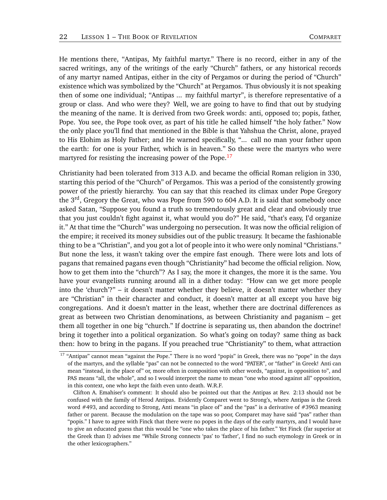He mentions there, "Antipas, My faithful martyr." There is no record, either in any of the sacred writings, any of the writings of the early "Church" fathers, or any historical records of any martyr named Antipas, either in the city of Pergamos or during the period of "Church" existence which was symbolized by the "Church" at Pergamos. Thus obviously it is not speaking then of some one individual; "Antipas ... my faithful martyr", is therefore representative of a group or class. And who were they? Well, we are going to have to find that out by studying the meaning of the name. It is derived from two Greek words: anti, opposed to; popis, father, Pope. You see, the Pope took over, as part of his title he called himself "the holy father." Now the only place you'll find that mentioned in the Bible is that Yahshua the Christ, alone, prayed to His Elohim as Holy Father; and He warned specifically, "... call no man your father upon the earth: for one is your Father, which is in heaven." So these were the martyrs who were martyred for resisting the increasing power of the Pope.<sup>[17](#page-21-0)</sup>

Christianity had been tolerated from 313 A.D. and became the official Roman religion in 330, starting this period of the "Church" of Pergamos. This was a period of the consistently growing power of the priestly hierarchy. You can say that this reached its climax under Pope Gregory the 3<sup>rd</sup>, Gregory the Great, who was Pope from 590 to 604 A.D. It is said that somebody once asked Satan, "Suppose you found a truth so tremendously great and clear and obviously true that you just couldn't fight against it, what would you do?" He said, "that's easy, I'd organize it." At that time the "Church" was undergoing no persecution. It was now the official religion of the empire; it received its money subsidies out of the public treasury. It became the fashionable thing to be a "Christian", and you got a lot of people into it who were only nominal "Christians." But none the less, it wasn't taking over the empire fast enough. There were lots and lots of pagans that remained pagans even though "Christianity" had become the official religion. Now, how to get them into the "church"? As I say, the more it changes, the more it is the same. You have your evangelists running around all in a dither today: "How can we get more people into the 'church'?" – it doesn't matter whether they believe, it doesn't matter whether they are "Christian" in their character and conduct, it doesn't matter at all except you have big congregations. And it doesn't matter in the least, whether there are doctrinal differences as great as between two Christian denominations, as between Christianity and paganism – get them all together in one big "church." If doctrine is separating us, then abandon the doctrine! bring it together into a political organization. So what's going on today? same thing as back then: how to bring in the pagans. If you preached true "Christianity" to them, what attraction

<span id="page-21-0"></span><sup>&</sup>lt;sup>17</sup> "Antipas" cannot mean "against the Pope." There is no word "popis" in Greek, there was no "pope" in the days of the martyrs, and the syllable "pas" can not be connected to the word "PATER", or "father" in Greek! Anti can mean "instead, in the place of" or, more often in composition with other words, "against, in opposition to", and PAS means "all, the whole", and so I would interpret the name to mean "one who stood against all" opposition, in this context, one who kept the faith even unto death. W.R.F.

Clifton A. Emahiser's comment: It should also be pointed out that the Antipas at Rev. 2:13 should not be confused with the family of Herod Antipas. Evidently Comparet went to Strong's, where Antipas is the Greek word #493, and according to Strong, Anti means "in place of" and the "pas" is a derivative of #3963 meaning father or parent. Because the modulation on the tape was so poor, Comparet may have said "pas" rather than "popis." I have to agree with Finck that there were no popes in the days of the early martyrs, and I would have to give an educated guess that this would be "one who takes the place of his father." Yet Finck (far superior at the Greek than I) advises me "While Strong connects 'pas' to 'father', I find no such etymology in Greek or in the other lexicographers."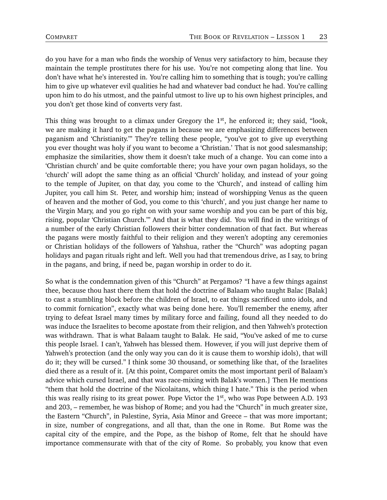do you have for a man who finds the worship of Venus very satisfactory to him, because they maintain the temple prostitutes there for his use. You're not competing along that line. You don't have what he's interested in. You're calling him to something that is tough; you're calling him to give up whatever evil qualities he had and whatever bad conduct he had. You're calling upon him to do his utmost, and the painful utmost to live up to his own highest principles, and you don't get those kind of converts very fast.

This thing was brought to a climax under Gregory the  $1<sup>st</sup>$ , he enforced it; they said, "look, we are making it hard to get the pagans in because we are emphasizing differences between paganism and 'Christianity.'" They're telling these people, "you've got to give up everything you ever thought was holy if you want to become a 'Christian.' That is not good salesmanship; emphasize the similarities, show them it doesn't take much of a change. You can come into a 'Christian church' and be quite comfortable there; you have your own pagan holidays, so the 'church' will adopt the same thing as an official 'Church' holiday, and instead of your going to the temple of Jupiter, on that day, you come to the 'Church', and instead of calling him Jupiter, you call him St. Peter, and worship him; instead of worshipping Venus as the queen of heaven and the mother of God, you come to this 'church', and you just change her name to the Virgin Mary, and you go right on with your same worship and you can be part of this big, rising, popular 'Christian Church.'" And that is what they did. You will find in the writings of a number of the early Christian followers their bitter condemnation of that fact. But whereas the pagans were mostly faithful to their religion and they weren't adopting any ceremonies or Christian holidays of the followers of Yahshua, rather the "Church" was adopting pagan holidays and pagan rituals right and left. Well you had that tremendous drive, as I say, to bring in the pagans, and bring, if need be, pagan worship in order to do it.

So what is the condemnation given of this "Church" at Pergamos? "I have a few things against thee, because thou hast there them that hold the doctrine of Balaam who taught Balac [Balak] to cast a stumbling block before the children of Israel, to eat things sacrificed unto idols, and to commit fornication", exactly what was being done here. You'll remember the enemy, after trying to defeat Israel many times by military force and failing, found all they needed to do was induce the Israelites to become apostate from their religion, and then Yahweh's protection was withdrawn. That is what Balaam taught to Balak. He said, "You've asked of me to curse this people Israel. I can't, Yahweh has blessed them. However, if you will just deprive them of Yahweh's protection (and the only way you can do it is cause them to worship idols), that will do it; they will be cursed." I think some 30 thousand, or something like that, of the Israelites died there as a result of it. [At this point, Comparet omits the most important peril of Balaam's advice which cursed Israel, and that was race-mixing with Balak's women.] Then He mentions "them that hold the doctrine of the Nicolaitans, which thing I hate." This is the period when this was really rising to its great power. Pope Victor the  $1<sup>st</sup>$ , who was Pope between A.D. 193 and 203, – remember, he was bishop of Rome; and you had the "Church" in much greater size, the Eastern "Church", in Palestine, Syria, Asia Minor and Greece – that was more important; in size, number of congregations, and all that, than the one in Rome. But Rome was the capital city of the empire, and the Pope, as the bishop of Rome, felt that he should have importance commensurate with that of the city of Rome. So probably, you know that even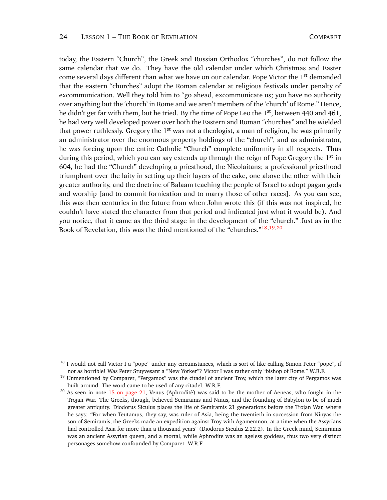today, the Eastern "Church", the Greek and Russian Orthodox "churches", do not follow the same calendar that we do. They have the old calendar under which Christmas and Easter come several days different than what we have on our calendar. Pope Victor the 1<sup>st</sup> demanded that the eastern "churches" adopt the Roman calendar at religious festivals under penalty of excommunication. Well they told him to "go ahead, excommunicate us; you have no authority over anything but the 'church' in Rome and we aren't members of the 'church' of Rome." Hence, he didn't get far with them, but he tried. By the time of Pope Leo the 1<sup>st</sup>, between 440 and 461, he had very well developed power over both the Eastern and Roman "churches" and he wielded that power ruthlessly. Gregory the  $1<sup>st</sup>$  was not a theologist, a man of religion, he was primarily an administrator over the enormous property holdings of the "church", and as administrator, he was forcing upon the entire Catholic "Church" complete uniformity in all respects. Thus during this period, which you can say extends up through the reign of Pope Gregory the  $1<sup>st</sup>$  in 604, he had the "Church" developing a priesthood, the Nicolaitans; a professional priesthood triumphant over the laity in setting up their layers of the cake, one above the other with their greater authority, and the doctrine of Balaam teaching the people of Israel to adopt pagan gods and worship [and to commit fornication and to marry those of other races]. As you can see, this was then centuries in the future from when John wrote this (if this was not inspired, he couldn't have stated the character from that period and indicated just what it would be). And you notice, that it came as the third stage in the development of the "church." Just as in the Book of Revelation, this was the third mentioned of the "churches."<sup>[18,](#page-23-1)[19,](#page-23-2)[20](#page-23-0)</sup>

<span id="page-23-1"></span><sup>&</sup>lt;sup>18</sup> I would not call Victor I a "pope" under any circumstances, which is sort of like calling Simon Peter "pope", if not as horrible! Was Peter Stuyvesant a "New Yorker"? Victor I was rather only "bishop of Rome." W.R.F.

<span id="page-23-2"></span><sup>&</sup>lt;sup>19</sup> Unmentioned by Comparet, "Pergamos" was the citadel of ancient Troy, which the later city of Pergamos was built around. The word came to be used of any citadel. W.R.F.

<span id="page-23-0"></span><sup>&</sup>lt;sup>20</sup> As seen in note [15 on page 21,](#page-20-0) Venus (Aphroditê) was said to be the mother of Aeneas, who fought in the Trojan War. The Greeks, though, believed Semiramis and Ninus, and the founding of Babylon to be of much greater antiquity. Diodorus Siculus places the life of Semiramis 21 generations before the Trojan War, where he says: "For when Teutamus, they say, was ruler of Asia, being the twentieth in succession from Ninyas the son of Semiramis, the Greeks made an expedition against Troy with Agamemnon, at a time when the Assyrians had controlled Asia for more than a thousand years" (Diodorus Siculus 2.22.2). In the Greek mind, Semiramis was an ancient Assyrian queen, and a mortal, while Aphrodite was an ageless goddess, thus two very distinct personages somehow confounded by Comparet. W.R.F.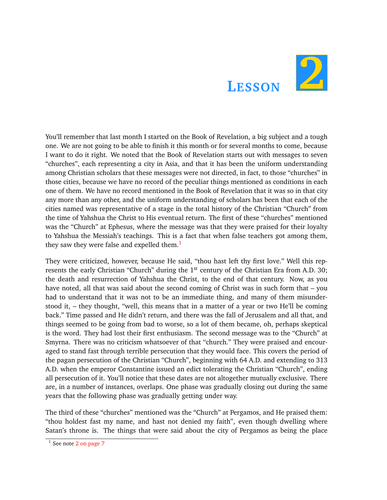

<span id="page-24-0"></span>You'll remember that last month I started on the Book of Revelation, a big subject and a tough one. We are not going to be able to finish it this month or for several months to come, because I want to do it right. We noted that the Book of Revelation starts out with messages to seven "churches", each representing a city in Asia, and that it has been the uniform understanding among Christian scholars that these messages were not directed, in fact, to those "churches" in those cities, because we have no record of the peculiar things mentioned as conditions in each one of them. We have no record mentioned in the Book of Revelation that it was so in that city any more than any other, and the uniform understanding of scholars has been that each of the cities named was representative of a stage in the total history of the Christian "Church" from the time of Yahshua the Christ to His eventual return. The first of these "churches" mentioned was the "Church" at Ephesus, where the message was that they were praised for their loyalty to Yahshua the Messiah's teachings. This is a fact that when false teachers got among them, they saw they were false and expelled them.<sup>[1](#page-24-1)</sup>

They were criticized, however, because He said, "thou hast left thy first love." Well this represents the early Christian "Church" during the 1<sup>st</sup> century of the Christian Era from A.D. 30; the death and resurrection of Yahshua the Christ, to the end of that century. Now, as you have noted, all that was said about the second coming of Christ was in such form that – you had to understand that it was not to be an immediate thing, and many of them misunderstood it, – they thought, "well, this means that in a matter of a year or two He'll be coming back." Time passed and He didn't return, and there was the fall of Jerusalem and all that, and things seemed to be going from bad to worse, so a lot of them became, oh, perhaps skeptical is the word. They had lost their first enthusiasm. The second message was to the "Church" at Smyrna. There was no criticism whatsoever of that "church." They were praised and encouraged to stand fast through terrible persecution that they would face. This covers the period of the pagan persecution of the Christian "Church", beginning with 64 A.D. and extending to 313 A.D. when the emperor Constantine issued an edict tolerating the Christian "Church", ending all persecution of it. You'll notice that these dates are not altogether mutually exclusive. There are, in a number of instances, overlaps. One phase was gradually closing out during the same years that the following phase was gradually getting under way.

The third of these "churches" mentioned was the "Church" at Pergamos, and He praised them: "thou holdest fast my name, and hast not denied my faith", even though dwelling where Satan's throne is. The things that were said about the city of Pergamos as being the place

<span id="page-24-1"></span> $<sup>1</sup>$  See note [2 on page 7](#page-6-0)</sup>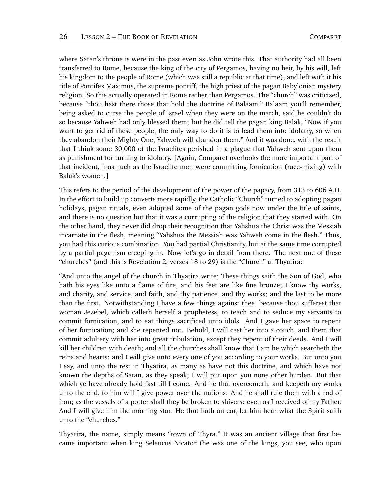where Satan's throne is were in the past even as John wrote this. That authority had all been transferred to Rome, because the king of the city of Pergamos, having no heir, by his will, left his kingdom to the people of Rome (which was still a republic at that time), and left with it his title of Pontifex Maximus, the supreme pontiff, the high priest of the pagan Babylonian mystery religion. So this actually operated in Rome rather than Pergamos. The "church" was criticized, because "thou hast there those that hold the doctrine of Balaam." Balaam you'll remember, being asked to curse the people of Israel when they were on the march, said he couldn't do so because Yahweh had only blessed them; but he did tell the pagan king Balak, "Now if you want to get rid of these people, the only way to do it is to lead them into idolatry, so when they abandon their Mighty One, Yahweh will abandon them." And it was done, with the result that I think some 30,000 of the Israelites perished in a plague that Yahweh sent upon them as punishment for turning to idolatry. [Again, Comparet overlooks the more important part of that incident, inasmuch as the Israelite men were committing fornication (race-mixing) with Balak's women.]

This refers to the period of the development of the power of the papacy, from 313 to 606 A.D. In the effort to build up converts more rapidly, the Catholic "Church" turned to adopting pagan holidays, pagan rituals, even adopted some of the pagan gods now under the title of saints, and there is no question but that it was a corrupting of the religion that they started with. On the other hand, they never did drop their recognition that Yahshua the Christ was the Messiah incarnate in the flesh, meaning "Yahshua the Messiah was Yahweh come in the flesh." Thus, you had this curious combination. You had partial Christianity, but at the same time corrupted by a partial paganism creeping in. Now let's go in detail from there. The next one of these "churches" (and this is Revelation 2, verses 18 to 29) is the "Church" at Thyatira:

"And unto the angel of the church in Thyatira write; These things saith the Son of God, who hath his eyes like unto a flame of fire, and his feet are like fine bronze; I know thy works, and charity, and service, and faith, and thy patience, and thy works; and the last to be more than the first. Notwithstanding I have a few things against thee, because thou sufferest that woman Jezebel, which calleth herself a prophetess, to teach and to seduce my servants to commit fornication, and to eat things sacrificed unto idols. And I gave her space to repent of her fornication; and she repented not. Behold, I will cast her into a couch, and them that commit adultery with her into great tribulation, except they repent of their deeds. And I will kill her children with death; and all the churches shall know that I am he which searcheth the reins and hearts: and I will give unto every one of you according to your works. But unto you I say, and unto the rest in Thyatira, as many as have not this doctrine, and which have not known the depths of Satan, as they speak; I will put upon you none other burden. But that which ye have already hold fast till I come. And he that overcometh, and keepeth my works unto the end, to him will I give power over the nations: And he shall rule them with a rod of iron; as the vessels of a potter shall they be broken to shivers: even as I received of my Father. And I will give him the morning star. He that hath an ear, let him hear what the Spirit saith unto the "churches."

Thyatira, the name, simply means "town of Thyra." It was an ancient village that first became important when king Seleucus Nicator (he was one of the kings, you see, who upon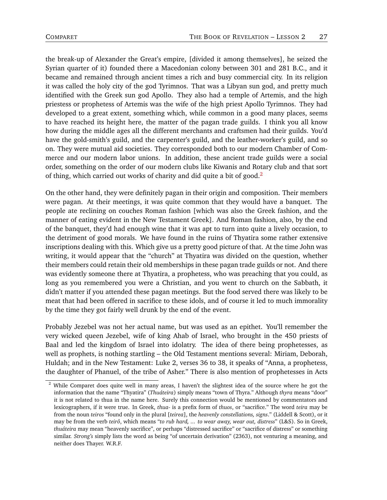the break-up of Alexander the Great's empire, [divided it among themselves], he seized the Syrian quarter of it) founded there a Macedonian colony between 301 and 281 B.C., and it became and remained through ancient times a rich and busy commercial city. In its religion it was called the holy city of the god Tyrimnos. That was a Libyan sun god, and pretty much identified with the Greek sun god Apollo. They also had a temple of Artemis, and the high priestess or prophetess of Artemis was the wife of the high priest Apollo Tyrimnos. They had developed to a great extent, something which, while common in a good many places, seems to have reached its height here, the matter of the pagan trade guilds. I think you all know how during the middle ages all the different merchants and craftsmen had their guilds. You'd have the gold-smith's guild, and the carpenter's guild, and the leather-worker's guild, and so on. They were mutual aid societies. They corresponded both to our modern Chamber of Commerce and our modern labor unions. In addition, these ancient trade guilds were a social order, something on the order of our modern clubs like Kiwanis and Rotary club and that sort of thing, which carried out works of charity and did quite a bit of good.<sup>[2](#page-26-0)</sup>

On the other hand, they were definitely pagan in their origin and composition. Their members were pagan. At their meetings, it was quite common that they would have a banquet. The people ate reclining on couches Roman fashion [which was also the Greek fashion, and the manner of eating evident in the New Testament Greek]. And Roman fashion, also, by the end of the banquet, they'd had enough wine that it was apt to turn into quite a lively occasion, to the detriment of good morals. We have found in the ruins of Thyatira some rather extensive inscriptions dealing with this. Which give us a pretty good picture of that. At the time John was writing, it would appear that the "church" at Thyatira was divided on the question, whether their members could retain their old memberships in these pagan trade guilds or not. And there was evidently someone there at Thyatira, a prophetess, who was preaching that you could, as long as you remembered you were a Christian, and you went to church on the Sabbath, it didn't matter if you attended these pagan meetings. But the food served there was likely to be meat that had been offered in sacrifice to these idols, and of course it led to much immorality by the time they got fairly well drunk by the end of the event.

Probably Jezebel was not her actual name, but was used as an epithet. You'll remember the very wicked queen Jezebel, wife of king Ahab of Israel, who brought in the 450 priests of Baal and led the kingdom of Israel into idolatry. The idea of there being prophetesses, as well as prophets, is nothing startling – the Old Testament mentions several: Miriam, Deborah, Huldah; and in the New Testament: Luke 2, verses 36 to 38, it speaks of "Anna, a prophetess, the daughter of Phanuel, of the tribe of Asher." There is also mention of prophetesses in Acts

<span id="page-26-0"></span><sup>&</sup>lt;sup>2</sup> While Comparet does quite well in many areas, I haven't the slightest idea of the source where he got the information that the name "Thyatira" (*Thuáteira*) simply means "town of Thyra." Although *thyra* means "door" it is not related to thua in the name here. Surely this connection would be mentioned by commentators and lexicographers, if it were true. In Greek, *thua*- is a prefix form of *thuos*, or "sacrifice." The word *teira* may be from the noun *teiros* "found only in the plural [*teirea*], the *heavenly constellations, signs*." (Liddell & Scott), or it may be from the verb *teirô*, which means "*to rub hard, ... to wear away, wear out, distress*" (L&S). So in Greek, *thuáteira* may mean "heavenly sacrifice", or perhaps "distressed sacrifice" or "sacrifice of distress" or something similar. *Strong's* simply lists the word as being "of uncertain derivation" (2363), not venturing a meaning, and neither does Thayer. W.R.F.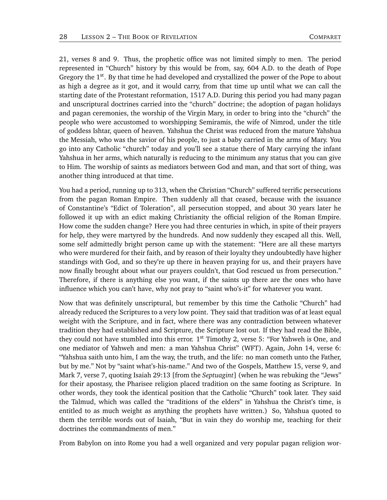21, verses 8 and 9. Thus, the prophetic office was not limited simply to men. The period represented in "Church" history by this would be from, say, 604 A.D. to the death of Pope Gregory the 1<sup>st</sup>. By that time he had developed and crystallized the power of the Pope to about as high a degree as it got, and it would carry, from that time up until what we can call the starting date of the Protestant reformation, 1517 A.D. During this period you had many pagan and unscriptural doctrines carried into the "church" doctrine; the adoption of pagan holidays and pagan ceremonies, the worship of the Virgin Mary, in order to bring into the "church" the people who were accustomed to worshipping Semiramis, the wife of Nimrod, under the title of goddess Ishtar, queen of heaven. Yahshua the Christ was reduced from the mature Yahshua the Messiah, who was the savior of his people, to just a baby carried in the arms of Mary. You go into any Catholic "church" today and you'll see a statue there of Mary carrying the infant Yahshua in her arms, which naturally is reducing to the minimum any status that you can give to Him. The worship of saints as mediators between God and man, and that sort of thing, was another thing introduced at that time.

You had a period, running up to 313, when the Christian "Church" suffered terrific persecutions from the pagan Roman Empire. Then suddenly all that ceased, because with the issuance of Constantine's "Edict of Toleration", all persecution stopped, and about 30 years later he followed it up with an edict making Christianity the official religion of the Roman Empire. How come the sudden change? Here you had three centuries in which, in spite of their prayers for help, they were martyred by the hundreds. And now suddenly they escaped all this. Well, some self admittedly bright person came up with the statement: "Here are all these martyrs who were murdered for their faith, and by reason of their loyalty they undoubtedly have higher standings with God, and so they're up there in heaven praying for us, and their prayers have now finally brought about what our prayers couldn't, that God rescued us from persecution." Therefore, if there is anything else you want, if the saints up there are the ones who have influence which you can't have, why not pray to "saint who's-it" for whatever you want.

Now that was definitely unscriptural, but remember by this time the Catholic "Church" had already reduced the Scriptures to a very low point. They said that tradition was of at least equal weight with the Scripture, and in fact, where there was any contradiction between whatever tradition they had established and Scripture, the Scripture lost out. If they had read the Bible, they could not have stumbled into this error.  $1<sup>st</sup>$  Timothy 2, verse 5: "For Yahweh is One, and one mediator of Yahweh and men: a man Yahshua Christ" (WFT). Again, John 14, verse 6: "Yahshua saith unto him, I am the way, the truth, and the life: no man cometh unto the Father, but by me." Not by "saint what's-his-name." And two of the Gospels, Matthew 15, verse 9, and Mark 7, verse 7, quoting Isaiah 29:13 [from the *Septuagint*] (when he was rebuking the "Jews" for their apostasy, the Pharisee religion placed tradition on the same footing as Scripture. In other words, they took the identical position that the Catholic "Church" took later. They said the Talmud, which was called the "traditions of the elders" in Yahshua the Christ's time, is entitled to as much weight as anything the prophets have written.) So, Yahshua quoted to them the terrible words out of Isaiah, "But in vain they do worship me, teaching for their doctrines the commandments of men."

From Babylon on into Rome you had a well organized and very popular pagan religion wor-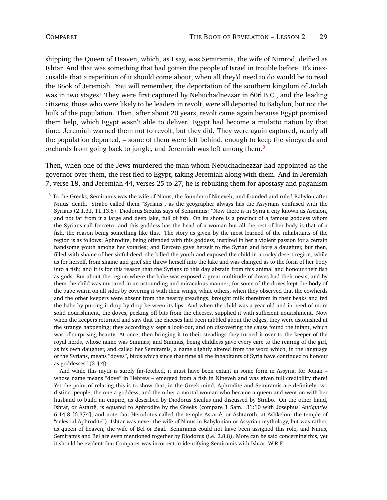shipping the Queen of Heaven, which, as I say, was Semiramis, the wife of Nimrod, deified as Ishtar. And that was something that had gotten the people of Israel in trouble before. It's inexcusable that a repetition of it should come about, when all they'd need to do would be to read the Book of Jeremiah. You will remember, the deportation of the southern kingdom of Judah was in two stages! They were first captured by Nebuchadnezzar in 606 B.C., and the leading citizens, those who were likely to be leaders in revolt, were all deported to Babylon, but not the bulk of the population. Then, after about 20 years, revolt came again because Egypt promised them help, which Egypt wasn't able to deliver. Egypt had become a mulatto nation by that time. Jeremiah warned them not to revolt, but they did. They were again captured, nearly all the population deported, – some of them were left behind, enough to keep the vineyards and orchards from going back to jungle, and Jeremiah was left among them.<sup>[3](#page-28-0)</sup>

Then, when one of the Jews murdered the man whom Nebuchadnezzar had appointed as the governor over them, the rest fled to Egypt, taking Jeremiah along with them. And in Jeremiah 7, verse 18, and Jeremiah 44, verses 25 to 27, he is rebuking them for apostasy and paganism

And while this myth is surely far-fetched, it must have been extant in some form in Assyria, for Jonah – whose name means "dove" in Hebrew – emerged from a fish in Nineveh and was given full credibility there! Yet the point of relating this is to show that, in the Greek mind, Aphrodite and Semiramis are definitely two distinct people, the one a goddess, and the other a mortal woman who became a queen and went on with her husband to build an empire, as described by Diodorus Siculus and discussed by Strabo. On the other hand, Ishtar, or Astartê, is equated to Aphrodite by the Greeks (compare 1 Sam. 31:10 with Josephus' *Antiquities* 6:14:8 [6:374], and note that Herodotus called the temple Astartê, or Ashtaroth, at Ashkelon, the temple of "celestial Aphrodite"). Ishtar was never the wife of Ninus in Babylonian or Assyrian mythology, but was rather, as queen of heaven, the wife of Bel or Baal. Semiramis could not have been assigned this role, and Ninus, Semiramis and Bel are even mentioned together by Diodorus (i.e. 2.8.8). More can be said concerning this, yet it should be evident that Comparet was incorrect in identifying Semiramis with Ishtar. W.R.F.

<span id="page-28-0"></span><sup>&</sup>lt;sup>3</sup> To the Greeks, Semiramis was the wife of Ninus, the founder of Nineveh, and founded and ruled Babylon after Ninus' death. Strabo called them "Syrians", as the geographer always has the Assyrians confused with the Syrians (2.1.31, 11.13.5). Diodorus Siculus says of Semiramis: "Now there is in Syria a city known as Ascalon, and not far from it a large and deep lake, full of fish. On its shore is a precinct of a famous goddess whom the Syrians call Derceto; and this goddess has the head of a woman but all the rest of her body is that of a fish, the reason being something like this. The story as given by the most learned of the inhabitants of the region is as follows: Aphrodite, being offended with this goddess, inspired in her a violent passion for a certain handsome youth among her votaries; and Derceto gave herself to the Syrian and bore a daughter, but then, filled with shame of her sinful deed, she killed the youth and exposed the child in a rocky desert region, while as for herself, from shame and grief she threw herself into the lake and was changed as to the form of her body into a fish; and it is for this reason that the Syrians to this day abstain from this animal and honour their fish as gods. But about the region where the babe was exposed a great multitude of doves had their nests, and by them the child was nurtured in an astounding and miraculous manner; for some of the doves kept the body of the babe warm on all sides by covering it with their wings, while others, when they observed that the cowherds and the other keepers were absent from the nearby steadings, brought milk therefrom in their beaks and fed the babe by putting it drop by drop between its lips. And when the child was a year old and in need of more solid nourishment, the doves, pecking off bits from the cheeses, supplied it with sufficient nourishment. Now when the keepers returned and saw that the cheeses had been nibbled about the edges, they were astonished at the strange happening; they accordingly kept a look-out, and on discovering the cause found the infant, which was of surprising beauty. At once, then bringing it to their steadings they turned it over to the keeper of the royal herds, whose name was Simmas; and Simmas, being childless gave every care to the rearing of the girl, as his own daughter, and called her Semiramis, a name slightly altered from the word which, in the language of the Syrians, means "doves", birds which since that time all the inhabitants of Syria have continued to honour as goddesses" (2.4.4).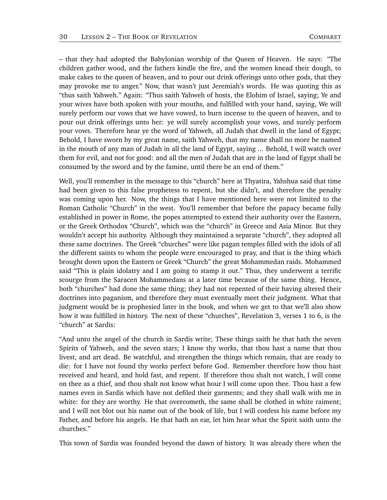– that they had adopted the Babylonian worship of the Queen of Heaven. He says: "The children gather wood, and the fathers kindle the fire, and the women knead their dough, to make cakes to the queen of heaven, and to pour out drink offerings unto other gods, that they may provoke me to anger." Now, that wasn't just Jeremiah's words. He was quoting this as "thus saith Yahweh." Again: "Thus saith Yahweh of hosts, the Elohim of Israel, saying; Ye and your wives have both spoken with your mouths, and fulfilled with your hand, saying, We will surely perform our vows that we have vowed, to burn incense to the queen of heaven, and to pour out drink offerings unto her: ye will surely accomplish your vows, and surely perform your vows. Therefore hear ye the word of Yahweh, all Judah that dwell in the land of Egypt; Behold, I have sworn by my great name, saith Yahweh, that my name shall no more be named in the mouth of any man of Judah in all the land of Egypt, saying ... Behold, I will watch over them for evil, and not for good: and all the men of Judah that are in the land of Egypt shall be consumed by the sword and by the famine, until there be an end of them."

Well, you'll remember in the message to this "church" here at Thyatira, Yahshua said that time had been given to this false prophetess to repent, but she didn't, and therefore the penalty was coming upon her. Now, the things that I have mentioned here were not limited to the Roman Catholic "Church" in the west. You'll remember that before the papacy became fully established in power in Rome, the popes attempted to extend their authority over the Eastern, or the Greek Orthodox "Church", which was the "church" in Greece and Asia Minor. But they wouldn't accept his authority. Although they maintained a separate "church", they adopted all these same doctrines. The Greek "churches" were like pagan temples filled with the idols of all the different saints to whom the people were encouraged to pray, and that is the thing which brought down upon the Eastern or Greek "Church" the great Mohammedan raids. Mohammed said "This is plain idolatry and I am going to stamp it out." Thus, they underwent a terrific scourge from the Saracen Mohammedans at a later time because of the same thing. Hence, both "churches" had done the same thing; they had not repented of their having altered their doctrines into paganism, and therefore they must eventually meet their judgment. What that judgment would be is prophesied later in the book, and when we get to that we'll also show how it was fulfilled in history. The next of these "churches", Revelation 3, verses 1 to 6, is the "church" at Sardis:

"And unto the angel of the church in Sardis write; These things saith he that hath the seven Spirits of Yahweh, and the seven stars; I know thy works, that thou hast a name that thou livest, and art dead. Be watchful, and strengthen the things which remain, that are ready to die: for I have not found thy works perfect before God. Remember therefore how thou hast received and heard, and hold fast, and repent. If therefore thou shalt not watch, I will come on thee as a thief, and thou shalt not know what hour I will come upon thee. Thou hast a few names even in Sardis which have not defiled their garments; and they shall walk with me in white: for they are worthy. He that overcometh, the same shall be clothed in white raiment; and I will not blot out his name out of the book of life, but I will confess his name before my Father, and before his angels. He that hath an ear, let him hear what the Spirit saith unto the churches."

This town of Sardis was founded beyond the dawn of history. It was already there when the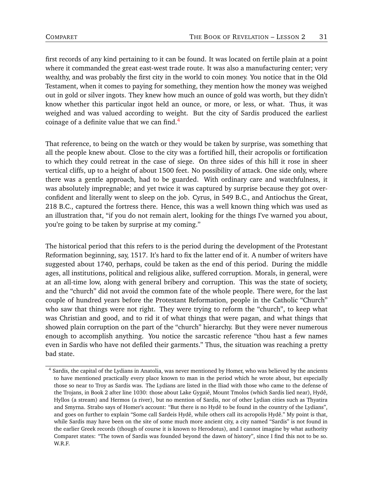first records of any kind pertaining to it can be found. It was located on fertile plain at a point where it commanded the great east-west trade route. It was also a manufacturing center; very wealthy, and was probably the first city in the world to coin money. You notice that in the Old Testament, when it comes to paying for something, they mention how the money was weighed out in gold or silver ingots. They knew how much an ounce of gold was worth, but they didn't know whether this particular ingot held an ounce, or more, or less, or what. Thus, it was weighed and was valued according to weight. But the city of Sardis produced the earliest coinage of a definite value that we can find.[4](#page-30-0)

That reference, to being on the watch or they would be taken by surprise, was something that all the people knew about. Close to the city was a fortified hill, their acropolis or fortification to which they could retreat in the case of siege. On three sides of this hill it rose in sheer vertical cliffs, up to a height of about 1500 feet. No possibility of attack. One side only, where there was a gentle approach, had to be guarded. With ordinary care and watchfulness, it was absolutely impregnable; and yet twice it was captured by surprise because they got overconfident and literally went to sleep on the job. Cyrus, in 549 B.C., and Antiochus the Great, 218 B.C., captured the fortress there. Hence, this was a well known thing which was used as an illustration that, "if you do not remain alert, looking for the things I've warned you about, you're going to be taken by surprise at my coming."

The historical period that this refers to is the period during the development of the Protestant Reformation beginning, say, 1517. It's hard to fix the latter end of it. A number of writers have suggested about 1740, perhaps, could be taken as the end of this period. During the middle ages, all institutions, political and religious alike, suffered corruption. Morals, in general, were at an all-time low, along with general bribery and corruption. This was the state of society, and the "church" did not avoid the common fate of the whole people. There were, for the last couple of hundred years before the Protestant Reformation, people in the Catholic "Church" who saw that things were not right. They were trying to reform the "church", to keep what was Christian and good, and to rid it of what things that were pagan, and what things that showed plain corruption on the part of the "church" hierarchy. But they were never numerous enough to accomplish anything. You notice the sarcastic reference "thou hast a few names even in Sardis who have not defiled their garments." Thus, the situation was reaching a pretty bad state.

<span id="page-30-0"></span><sup>4</sup> Sardis, the capital of the Lydians in Anatolia, was never mentioned by Homer, who was believed by the ancients to have mentioned practically every place known to man in the period which he wrote about, but especially those so near to Troy as Sardis was. The Lydians are listed in the Iliad with those who came to the defense of the Trojans, in Book 2 after line 1030: those about Lake Gygaiê, Mount Tmolos (which Sardis lied near), Hydê, Hyllos (a stream) and Hermos (a river), but no mention of Sardis, nor of other Lydian cities such as Thyatira and Smyrna. Strabo says of Homer's account: "But there is no Hydê to be found in the country of the Lydians", and goes on further to explain "Some call Sardeis Hydê, while others call its acropolis Hydê." My point is that, while Sardis may have been on the site of some much more ancient city, a city named "Sardis" is not found in the earlier Greek records (though of course it is known to Herodotus), and I cannot imagine by what authority Comparet states: "The town of Sardis was founded beyond the dawn of history", since I find this not to be so. W.R.F.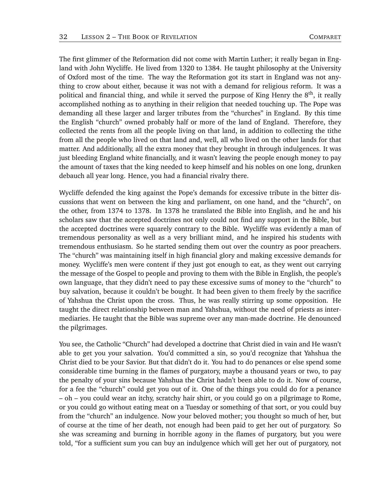The first glimmer of the Reformation did not come with Martin Luther; it really began in England with John Wycliffe. He lived from 1320 to 1384. He taught philosophy at the University of Oxford most of the time. The way the Reformation got its start in England was not anything to crow about either, because it was not with a demand for religious reform. It was a political and financial thing, and while it served the purpose of King Henry the  $8<sup>th</sup>$ , it really accomplished nothing as to anything in their religion that needed touching up. The Pope was demanding all these larger and larger tributes from the "churches" in England. By this time the English "church" owned probably half or more of the land of England. Therefore, they collected the rents from all the people living on that land, in addition to collecting the tithe from all the people who lived on that land and, well, all who lived on the other lands for that matter. And additionally, all the extra money that they brought in through indulgences. It was just bleeding England white financially, and it wasn't leaving the people enough money to pay the amount of taxes that the king needed to keep himself and his nobles on one long, drunken debauch all year long. Hence, you had a financial rivalry there.

Wycliffe defended the king against the Pope's demands for excessive tribute in the bitter discussions that went on between the king and parliament, on one hand, and the "church", on the other, from 1374 to 1378. In 1378 he translated the Bible into English, and he and his scholars saw that the accepted doctrines not only could not find any support in the Bible, but the accepted doctrines were squarely contrary to the Bible. Wycliffe was evidently a man of tremendous personality as well as a very brilliant mind, and he inspired his students with tremendous enthusiasm. So he started sending them out over the country as poor preachers. The "church" was maintaining itself in high financial glory and making excessive demands for money. Wycliffe's men were content if they just got enough to eat, as they went out carrying the message of the Gospel to people and proving to them with the Bible in English, the people's own language, that they didn't need to pay these excessive sums of money to the "church" to buy salvation, because it couldn't be bought. It had been given to them freely by the sacrifice of Yahshua the Christ upon the cross. Thus, he was really stirring up some opposition. He taught the direct relationship between man and Yahshua, without the need of priests as intermediaries. He taught that the Bible was supreme over any man-made doctrine. He denounced the pilgrimages.

You see, the Catholic "Church" had developed a doctrine that Christ died in vain and He wasn't able to get you your salvation. You'd committed a sin, so you'd recognize that Yahshua the Christ died to be your Savior. But that didn't do it. You had to do penances or else spend some considerable time burning in the flames of purgatory, maybe a thousand years or two, to pay the penalty of your sins because Yahshua the Christ hadn't been able to do it. Now of course, for a fee the "church" could get you out of it. One of the things you could do for a penance – oh – you could wear an itchy, scratchy hair shirt, or you could go on a pilgrimage to Rome, or you could go without eating meat on a Tuesday or something of that sort, or you could buy from the "church" an indulgence. Now your beloved mother; you thought so much of her, but of course at the time of her death, not enough had been paid to get her out of purgatory. So she was screaming and burning in horrible agony in the flames of purgatory, but you were told, "for a sufficient sum you can buy an indulgence which will get her out of purgatory, not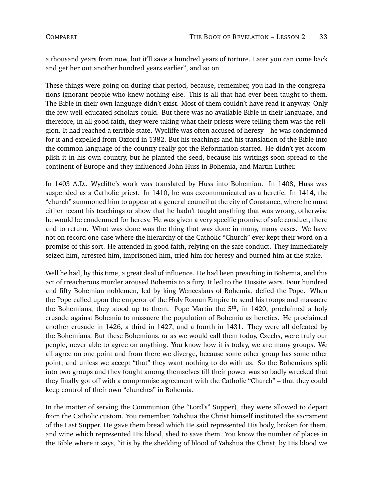a thousand years from now, but it'll save a hundred years of torture. Later you can come back and get her out another hundred years earlier", and so on.

These things were going on during that period, because, remember, you had in the congregations ignorant people who knew nothing else. This is all that had ever been taught to them. The Bible in their own language didn't exist. Most of them couldn't have read it anyway. Only the few well-educated scholars could. But there was no available Bible in their language, and therefore, in all good faith, they were taking what their priests were telling them was the religion. It had reached a terrible state. Wycliffe was often accused of heresy – he was condemned for it and expelled from Oxford in 1382. But his teachings and his translation of the Bible into the common language of the country really got the Reformation started. He didn't yet accomplish it in his own country, but he planted the seed, because his writings soon spread to the continent of Europe and they influenced John Huss in Bohemia, and Martin Luther.

In 1403 A.D., Wycliffe's work was translated by Huss into Bohemian. In 1408, Huss was suspended as a Catholic priest. In 1410, he was excommunicated as a heretic. In 1414, the "church" summoned him to appear at a general council at the city of Constance, where he must either recant his teachings or show that he hadn't taught anything that was wrong, otherwise he would be condemned for heresy. He was given a very specific promise of safe conduct, there and to return. What was done was the thing that was done in many, many cases. We have not on record one case where the hierarchy of the Catholic "Church" ever kept their word on a promise of this sort. He attended in good faith, relying on the safe conduct. They immediately seized him, arrested him, imprisoned him, tried him for heresy and burned him at the stake.

Well he had, by this time, a great deal of influence. He had been preaching in Bohemia, and this act of treacherous murder aroused Bohemia to a fury. It led to the Hussite wars. Four hundred and fifty Bohemian noblemen, led by king Wenceslaus of Bohemia, defied the Pope. When the Pope called upon the emperor of the Holy Roman Empire to send his troops and massacre the Bohemians, they stood up to them. Pope Martin the  $5<sup>th</sup>$ , in 1420, proclaimed a holy crusade against Bohemia to massacre the population of Bohemia as heretics. He proclaimed another crusade in 1426, a third in 1427, and a fourth in 1431. They were all defeated by the Bohemians. But these Bohemians, or as we would call them today, Czechs, were truly our people, never able to agree on anything. You know how it is today, we are many groups. We all agree on one point and from there we diverge, because some other group has some other point, and unless we accept "that" they want nothing to do with us. So the Bohemians split into two groups and they fought among themselves till their power was so badly wrecked that they finally got off with a compromise agreement with the Catholic "Church" – that they could keep control of their own "churches" in Bohemia.

In the matter of serving the Communion (the "Lord's" Supper), they were allowed to depart from the Catholic custom. You remember, Yahshua the Christ himself instituted the sacrament of the Last Supper. He gave them bread which He said represented His body, broken for them, and wine which represented His blood, shed to save them. You know the number of places in the Bible where it says, "it is by the shedding of blood of Yahshua the Christ, by His blood we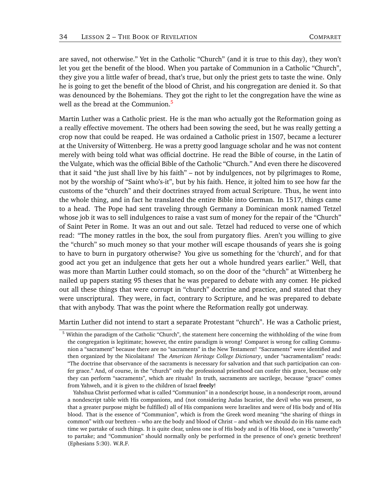are saved, not otherwise." Yet in the Catholic "Church" (and it is true to this day), they won't let you get the benefit of the blood. When you partake of Communion in a Catholic "Church", they give you a little wafer of bread, that's true, but only the priest gets to taste the wine. Only he is going to get the benefit of the blood of Christ, and his congregation are denied it. So that was denounced by the Bohemians. They got the right to let the congregation have the wine as well as the bread at the Communion.<sup>[5](#page-33-0)</sup>

Martin Luther was a Catholic priest. He is the man who actually got the Reformation going as a really effective movement. The others had been sowing the seed, but he was really getting a crop now that could be reaped. He was ordained a Catholic priest in 1507, became a lecturer at the University of Wittenberg. He was a pretty good language scholar and he was not content merely with being told what was official doctrine. He read the Bible of course, in the Latin of the Vulgate, which was the official Bible of the Catholic "Church." And even there he discovered that it said "the just shall live by his faith" – not by indulgences, not by pilgrimages to Rome, not by the worship of "Saint who's-it", but by his faith. Hence, it jolted him to see how far the customs of the "church" and their doctrines strayed from actual Scripture. Thus, he went into the whole thing, and in fact he translated the entire Bible into German. In 1517, things came to a head. The Pope had sent traveling through Germany a Dominican monk named Tetzel whose job it was to sell indulgences to raise a vast sum of money for the repair of the "Church" of Saint Peter in Rome. It was an out and out sale. Tetzel had reduced to verse one of which read: "The money rattles in the box, the soul from purgatory flies. Aren't you willing to give the "church" so much money so that your mother will escape thousands of years she is going to have to burn in purgatory otherwise? You give us something for the 'church', and for that good act you get an indulgence that gets her out a whole hundred years earlier." Well, that was more than Martin Luther could stomach, so on the door of the "church" at Wittenberg he nailed up papers stating 95 theses that he was prepared to debate with any comer. He picked out all these things that were corrupt in "church" doctrine and practice, and stated that they were unscriptural. They were, in fact, contrary to Scripture, and he was prepared to debate that with anybody. That was the point where the Reformation really got underway.

Martin Luther did not intend to start a separate Protestant "church". He was a Catholic priest,

<span id="page-33-0"></span><sup>5</sup> Within the paradigm of the Catholic "Church", the statement here concerning the withholding of the wine from the congregation is legitimate; however, the entire paradigm is wrong! Comparet is wrong for calling Communion a "sacrament" because there are no "sacraments" in the New Testament! "Sacraments" were identified and then organized by the Nicolaitans! The *American Heritage College Dictionary*, under "sacramentalism" reads: "The doctrine that observance of the sacraments is necessary for salvation and that such participation can confer grace." And, of course, in the "church" only the professional priesthood can confer this grace, because only they can perform "sacraments", which are rituals! In truth, sacraments are sacrilege, because "grace" comes from Yahweh, and it is given to the children of Israel **freely**!

Yahshua Christ performed what is called "Communion" in a nondescript house, in a nondescript room, around a nondescript table with His companions, and (not considering Judas Iscariot, the devil who was present, so that a greater purpose might be fulfilled) all of His companions were Israelites and were of His body and of His blood. That is the essence of "Communion", which is from the Greek word meaning "the sharing of things in common" with our brethren – who are the body and blood of Christ – and which we should do in His name each time we partake of such things. It is quite clear, unless one is of His body and is of His blood, one is "unworthy" to partake; and "Communion" should normally only be performed in the presence of one's genetic brethren! (Ephesians 5:30). W.R.F.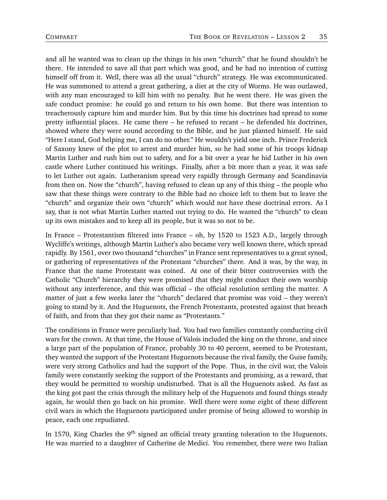and all he wanted was to clean up the things in his own "church" that he found shouldn't be there. He intended to save all that part which was good, and he had no intention of cutting himself off from it. Well, there was all the usual "church" strategy. He was excommunicated. He was summoned to attend a great gathering, a diet at the city of Worms. He was outlawed, with any man encouraged to kill him with no penalty. But he went there. He was given the safe conduct promise: he could go and return to his own home. But there was intention to treacherously capture him and murder him. But by this time his doctrines had spread to some pretty influential places. He came there – he refused to recant – he defended his doctrines, showed where they were sound according to the Bible, and he just planted himself. He said "Here I stand, God helping me, I can do no other." He wouldn't yield one inch. Prince Frederick of Saxony knew of the plot to arrest and murder him, so he had some of his troops kidnap Martin Luther and rush him out to safety, and for a bit over a year he hid Luther in his own castle where Luther continued his writings. Finally, after a bit more than a year, it was safe to let Luther out again. Lutheranism spread very rapidly through Germany and Scandinavia from then on. Now the "church", having refused to clean up any of this thing – the people who saw that these things were contrary to the Bible had no choice left to them but to leave the "church" and organize their own "church" which would not have these doctrinal errors. As I say, that is not what Martin Luther started out trying to do. He wanted the "church" to clean up its own mistakes and to keep all its people, but it was so not to be.

In France – Protestantism filtered into France – oh, by 1520 to 1523 A.D., largely through Wycliffe's writings, although Martin Luther's also became very well known there, which spread rapidly. By 1561, over two thousand "churches" in France sent representatives to a great synod, or gathering of representatives of the Protestant "churches" there. And it was, by the way, in France that the name Protestant was coined. At one of their bitter controversies with the Catholic "Church" hierarchy they were promised that they might conduct their own worship without any interference, and this was official – the official resolution settling the matter. A matter of just a few weeks later the "church" declared that promise was void – they weren't going to stand by it. And the Huguenots, the French Protestants, protested against that breach of faith, and from that they got their name as "Protestants."

The conditions in France were peculiarly bad. You had two families constantly conducting civil wars for the crown. At that time, the House of Valois included the king on the throne, and since a large part of the population of France, probably 30 to 40 percent, seemed to be Protestant, they wanted the support of the Protestant Huguenots because the rival family, the Guise family, were very strong Catholics and had the support of the Pope. Thus, in the civil war, the Valois family were constantly seeking the support of the Protestants and promising, as a reward, that they would be permitted to worship undisturbed. That is all the Huguenots asked. As fast as the king got past the crisis through the military help of the Huguenots and found things steady again, he would then go back on his promise. Well there were some eight of these different civil wars in which the Huguenots participated under promise of being allowed to worship in peace, each one repudiated.

In 1570, King Charles the  $9<sup>th</sup>$  signed an official treaty granting toleration to the Huguenots. He was married to a daughter of Catherine de Medici. You remember, there were two Italian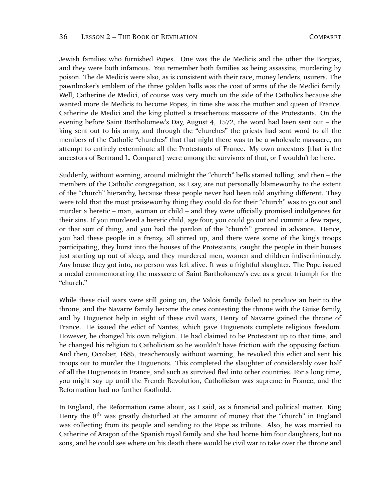Jewish families who furnished Popes. One was the de Medicis and the other the Borgias, and they were both infamous. You remember both families as being assassins, murdering by poison. The de Medicis were also, as is consistent with their race, money lenders, usurers. The pawnbroker's emblem of the three golden balls was the coat of arms of the de Medici family. Well, Catherine de Medici, of course was very much on the side of the Catholics because she wanted more de Medicis to become Popes, in time she was the mother and queen of France. Catherine de Medici and the king plotted a treacherous massacre of the Protestants. On the evening before Saint Bartholomew's Day, August 4, 1572, the word had been sent out – the king sent out to his army, and through the "churches" the priests had sent word to all the members of the Catholic "churches" that that night there was to be a wholesale massacre, an attempt to entirely exterminate all the Protestants of France. My own ancestors [that is the ancestors of Bertrand L. Comparet] were among the survivors of that, or I wouldn't be here.

Suddenly, without warning, around midnight the "church" bells started tolling, and then – the members of the Catholic congregation, as I say, are not personally blameworthy to the extent of the "church" hierarchy, because these people never had been told anything different. They were told that the most praiseworthy thing they could do for their "church" was to go out and murder a heretic – man, woman or child – and they were officially promised indulgences for their sins. If you murdered a heretic child, age four, you could go out and commit a few rapes, or that sort of thing, and you had the pardon of the "church" granted in advance. Hence, you had these people in a frenzy, all stirred up, and there were some of the king's troops participating, they burst into the houses of the Protestants, caught the people in their houses just starting up out of sleep, and they murdered men, women and children indiscriminately. Any house they got into, no person was left alive. It was a frightful slaughter. The Pope issued a medal commemorating the massacre of Saint Bartholomew's eve as a great triumph for the "church."

While these civil wars were still going on, the Valois family failed to produce an heir to the throne, and the Navarre family became the ones contesting the throne with the Guise family, and by Huguenot help in eight of these civil wars, Henry of Navarre gained the throne of France. He issued the edict of Nantes, which gave Huguenots complete religious freedom. However, he changed his own religion. He had claimed to be Protestant up to that time, and he changed his religion to Catholicism so he wouldn't have friction with the opposing faction. And then, October, 1685, treacherously without warning, he revoked this edict and sent his troops out to murder the Huguenots. This completed the slaughter of considerably over half of all the Huguenots in France, and such as survived fled into other countries. For a long time, you might say up until the French Revolution, Catholicism was supreme in France, and the Reformation had no further foothold.

In England, the Reformation came about, as I said, as a financial and political matter. King Henry the  $8<sup>th</sup>$  was greatly disturbed at the amount of money that the "church" in England was collecting from its people and sending to the Pope as tribute. Also, he was married to Catherine of Aragon of the Spanish royal family and she had borne him four daughters, but no sons, and he could see where on his death there would be civil war to take over the throne and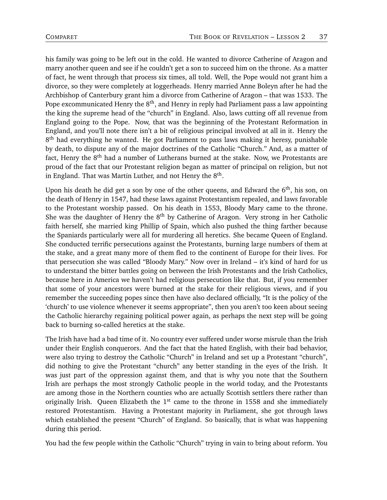his family was going to be left out in the cold. He wanted to divorce Catherine of Aragon and marry another queen and see if he couldn't get a son to succeed him on the throne. As a matter of fact, he went through that process six times, all told. Well, the Pope would not grant him a divorce, so they were completely at loggerheads. Henry married Anne Boleyn after he had the Archbishop of Canterbury grant him a divorce from Catherine of Aragon – that was 1533. The Pope excommunicated Henry the 8<sup>th</sup>, and Henry in reply had Parliament pass a law appointing the king the supreme head of the "church" in England. Also, laws cutting off all revenue from England going to the Pope. Now, that was the beginning of the Protestant Reformation in England, and you'll note there isn't a bit of religious principal involved at all in it. Henry the 8<sup>th</sup> had everything he wanted. He got Parliament to pass laws making it heresy, punishable by death, to dispute any of the major doctrines of the Catholic "Church." And, as a matter of fact, Henry the 8<sup>th</sup> had a number of Lutherans burned at the stake. Now, we Protestants are proud of the fact that our Protestant religion began as matter of principal on religion, but not in England. That was Martin Luther, and not Henry the  $8<sup>th</sup>$ .

Upon his death he did get a son by one of the other queens, and Edward the  $6<sup>th</sup>$ , his son, on the death of Henry in 1547, had these laws against Protestantism repealed, and laws favorable to the Protestant worship passed. On his death in 1553, Bloody Mary came to the throne. She was the daughter of Henry the  $8<sup>th</sup>$  by Catherine of Aragon. Very strong in her Catholic faith herself, she married king Phillip of Spain, which also pushed the thing farther because the Spaniards particularly were all for murdering all heretics. She became Queen of England. She conducted terrific persecutions against the Protestants, burning large numbers of them at the stake, and a great many more of them fled to the continent of Europe for their lives. For that persecution she was called "Bloody Mary." Now over in Ireland – it's kind of hard for us to understand the bitter battles going on between the Irish Protestants and the Irish Catholics, because here in America we haven't had religious persecution like that. But, if you remember that some of your ancestors were burned at the stake for their religious views, and if you remember the succeeding popes since then have also declared officially, "It is the policy of the 'church' to use violence whenever it seems appropriate", then you aren't too keen about seeing the Catholic hierarchy regaining political power again, as perhaps the next step will be going back to burning so-called heretics at the stake.

The Irish have had a bad time of it. No country ever suffered under worse misrule than the Irish under their English conquerors. And the fact that the hated English, with their bad behavior, were also trying to destroy the Catholic "Church" in Ireland and set up a Protestant "church", did nothing to give the Protestant "church" any better standing in the eyes of the Irish. It was just part of the oppression against them, and that is why you note that the Southern Irish are perhaps the most strongly Catholic people in the world today, and the Protestants are among those in the Northern counties who are actually Scottish settlers there rather than originally Irish. Queen Elizabeth the  $1<sup>st</sup>$  came to the throne in 1558 and she immediately restored Protestantism. Having a Protestant majority in Parliament, she got through laws which established the present "Church" of England. So basically, that is what was happening during this period.

You had the few people within the Catholic "Church" trying in vain to bring about reform. You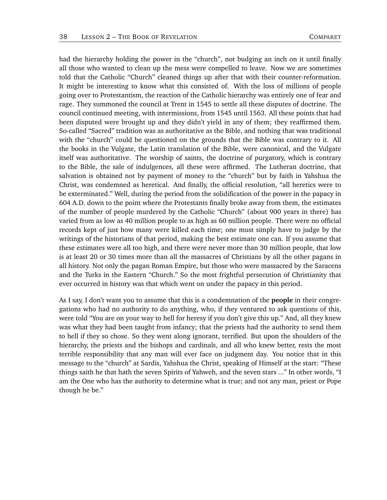had the hierarchy holding the power in the "church", not budging an inch on it until finally all those who wanted to clean up the mess were compelled to leave. Now we are sometimes told that the Catholic "Church" cleaned things up after that with their counter-reformation. It might be interesting to know what this consisted of. With the loss of millions of people going over to Protestantism, the reaction of the Catholic hierarchy was entirely one of fear and rage. They summoned the council at Trent in 1545 to settle all these disputes of doctrine. The council continued meeting, with intermissions, from 1545 until 1563. All these points that had been disputed were brought up and they didn't yield in any of them; they reaffirmed them. So-called "Sacred" tradition was as authoritative as the Bible, and nothing that was traditional with the "church" could be questioned on the grounds that the Bible was contrary to it. All the books in the Vulgate, the Latin translation of the Bible, were canonical, and the Vulgate itself was authoritative. The worship of saints, the doctrine of purgatory, which is contrary to the Bible, the sale of indulgences, all these were affirmed. The Lutheran doctrine, that salvation is obtained not by payment of money to the "church" but by faith in Yahshua the Christ, was condemned as heretical. And finally, the official resolution, "all heretics were to be exterminated." Well, during the period from the solidification of the power in the papacy in 604 A.D. down to the point where the Protestants finally broke away from them, the estimates of the number of people murdered by the Catholic "Church" (about 900 years in there) has varied from as low as 40 million people to as high as 60 million people. There were no official records kept of just how many were killed each time; one must simply have to judge by the writings of the historians of that period, making the best estimate one can. If you assume that these estimates were all too high, and there were never more than 30 million people, that low is at least 20 or 30 times more than all the massacres of Christians by all the other pagans in all history. Not only the pagan Roman Empire, but those who were massacred by the Saracens and the Turks in the Eastern "Church." So the most frightful persecution of Christianity that ever occurred in history was that which went on under the papacy in this period.

As I say, I don't want you to assume that this is a condemnation of the **people** in their congregations who had no authority to do anything, who, if they ventured to ask questions of this, were told "You are on your way to hell for heresy if you don't give this up." And, all they knew was what they had been taught from infancy; that the priests had the authority to send them to hell if they so chose. So they went along ignorant, terrified. But upon the shoulders of the hierarchy, the priests and the bishops and cardinals, and all who knew better, rests the most terrible responsibility that any man will ever face on judgment day. You notice that in this message to the "church" at Sardis, Yahshua the Christ, speaking of Himself at the start: "These things saith he that hath the seven Spirits of Yahweh, and the seven stars ..." In other words, "I am the One who has the authority to determine what is true; and not any man, priest or Pope though he be."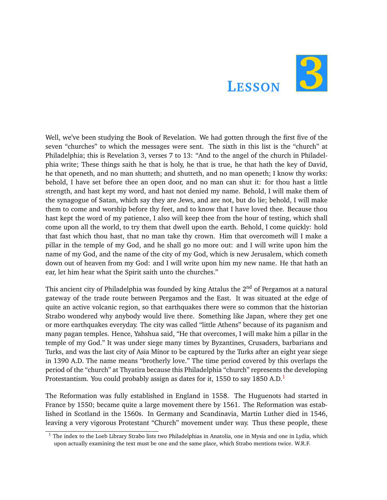

Well, we've been studying the Book of Revelation. We had gotten through the first five of the seven "churches" to which the messages were sent. The sixth in this list is the "church" at Philadelphia; this is Revelation 3, verses 7 to 13: "And to the angel of the church in Philadelphia write; These things saith he that is holy, he that is true, he that hath the key of David, he that openeth, and no man shutteth; and shutteth, and no man openeth; I know thy works: behold, I have set before thee an open door, and no man can shut it: for thou hast a little strength, and hast kept my word, and hast not denied my name. Behold, I will make them of the synagogue of Satan, which say they are Jews, and are not, but do lie; behold, I will make them to come and worship before thy feet, and to know that I have loved thee. Because thou hast kept the word of my patience, I also will keep thee from the hour of testing, which shall come upon all the world, to try them that dwell upon the earth. Behold, I come quickly: hold that fast which thou hast, that no man take thy crown. Him that overcometh will I make a pillar in the temple of my God, and he shall go no more out: and I will write upon him the name of my God, and the name of the city of my God, which is new Jerusalem, which cometh down out of heaven from my God: and I will write upon him my new name. He that hath an ear, let him hear what the Spirit saith unto the churches."

This ancient city of Philadelphia was founded by king Attalus the  $2<sup>nd</sup>$  of Pergamos at a natural gateway of the trade route between Pergamos and the East. It was situated at the edge of quite an active volcanic region, so that earthquakes there were so common that the historian Strabo wondered why anybody would live there. Something like Japan, where they get one or more earthquakes everyday. The city was called "little Athens" because of its paganism and many pagan temples. Hence, Yahshua said, "He that overcomes, I will make him a pillar in the temple of my God." It was under siege many times by Byzantines, Crusaders, barbarians and Turks, and was the last city of Asia Minor to be captured by the Turks after an eight year siege in 1390 A.D. The name means "brotherly love." The time period covered by this overlaps the period of the "church" at Thyatira because this Philadelphia "church" represents the developing Protestantism. You could probably assign as dates for it, [1](#page-38-0)550 to say 1850 A.D.<sup>1</sup>

The Reformation was fully established in England in 1558. The Huguenots had started in France by 1550; became quite a large movement there by 1561. The Reformation was established in Scotland in the 1560s. In Germany and Scandinavia, Martin Luther died in 1546, leaving a very vigorous Protestant "Church" movement under way. Thus these people, these

<span id="page-38-0"></span> $1$  The index to the Loeb Library Strabo lists two Philadelphias in Anatolia, one in Mysia and one in Lydia, which upon actually examining the text must be one and the same place, which Strabo mentions twice. W.R.F.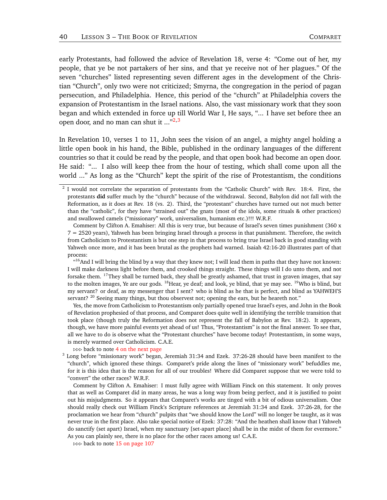early Protestants, had followed the advice of Revelation 18, verse 4: "Come out of her, my people, that ye be not partakers of her sins, and that ye receive not of her plagues." Of the seven "churches" listed representing seven different ages in the development of the Christian "Church", only two were not criticized; Smyrna, the congregation in the period of pagan persecution, and Philadelphia. Hence, this period of the "church" at Philadelphia covers the expansion of Protestantism in the Israel nations. Also, the vast missionary work that they soon began and which extended in force up till World War I, He says, "... I have set before thee an open door, and no man can shut it  $\ldots$ <sup>[2,](#page-39-0)[3](#page-39-1)</sup>

In Revelation 10, verses 1 to 11, John sees the vision of an angel, a mighty angel holding a little open book in his hand, the Bible, published in the ordinary languages of the different countries so that it could be read by the people, and that open book had become an open door. He said: "... I also will keep thee from the hour of testing, which shall come upon all the world ..." As long as the "Church" kept the spirit of the rise of Protestantism, the conditions

" <sup>16</sup>And I will bring the blind by a way that they knew not; I will lead them in paths that they have not known: I will make darkness light before them, and crooked things straight. These things will I do unto them, and not forsake them. <sup>17</sup>They shall be turned back, they shall be greatly ashamed, that trust in graven images, that say to the molten images, Ye are our gods. <sup>18</sup>Hear, ye deaf; and look, ye blind, that ye may see. <sup>19</sup>Who is blind, but my servant? or deaf, as my messenger that I sent? who is blind as he that is perfect, and blind as YAHWEH'S servant?<sup>20</sup> Seeing many things, but thou observest not; opening the ears, but he heareth not."

Yes, the move from Catholicism to Protestantism only partially opened true Israel's eyes, and John in the Book of Revelation prophesied of that process, and Comparet does quite well in identifying the terrible transition that took place (though truly the Reformation does not represent the fall of Babylon at Rev. 18:2). It appears, though, we have more painful events yet ahead of us! Thus, "Protestantism" is not the final answer. To see that, all we have to do is observe what the "Protestant churches" have become today! Protestantism, in some ways, is merely warmed over Catholicism. C.A.E.

 $\triangleright$  back to note [4 on the next page](#page-40-0)

<span id="page-39-1"></span>3 Long before "missionary work" began, Jeremiah 31:34 and Ezek. 37:26-28 should have been manifest to the "church", which ignored these things. Comparet's pride along the lines of "missionary work" befuddles me, for it is this idea that is the reason for all of our troubles! Where did Comparet suppose that we were told to "convert" the other races? W.R.F.

Comment by Clifton A. Emahiser: I must fully agree with William Finck on this statement. It only proves that as well as Comparet did in many areas, he was a long way from being perfect, and it is justified to point out his misjudgments. So it appears that Comparet's works are tinged with a bit of odious universalism. One should really check out William Finck's Scripture references at Jeremiah 31:34 and Ezek. 37:26-28, for the proclamation we hear from "church" pulpits that "we should know the Lord" will no longer be taught, as it was never true in the first place. Also take special notice of Ezek: 37:28: "And the heathen shall know that I Yahweh do sanctify (set apart) Israel, when my sanctuary [set-apart place] shall be in the midst of them for evermore." As you can plainly see, there is no place for the other races among us! C.A.E.

**DDD** back to note [15 on page 107](#page-106-0)

<span id="page-39-0"></span> $^2$  I would not correlate the separation of protestants from the "Catholic Church" with Rev. 18:4. First, the protestants **did** suffer much by the "church" because of the withdrawal. Second, Babylon did not fall with the Reformation, as it does at Rev. 18 (vs. 2). Third, the "protestant" churches have turned out not much better than the "catholic", for they have "strained out" the gnats (most of the idols, some rituals & other practices) and swallowed camels ("missionary" work, universalism, humanism etc.)!!! W.R.F.

Comment by Clifton A. Emahiser: All this is very true, but because of Israel's seven times punishment (360 x 7 = 2520 years), Yahweh has been bringing Israel through a process in that punishment. Therefore, the switch from Catholicism to Protestantism is but one step in that process to bring true Israel back in good standing with Yahweh once more, and it has been brutal as the prophets had warned. Isaiah 42:16-20 illustrates part of that process: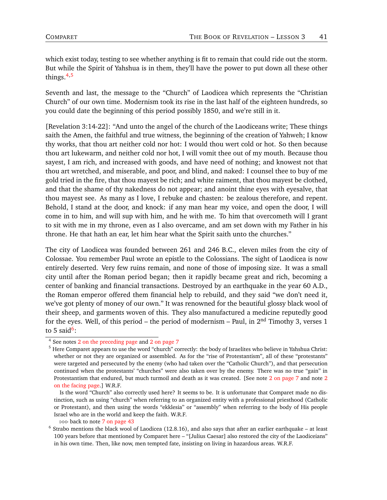which exist today, testing to see whether anything is fit to remain that could ride out the storm. But while the Spirit of Yahshua is in them, they'll have the power to put down all these other things. $4,5$  $4,5$ 

Seventh and last, the message to the "Church" of Laodicea which represents the "Christian Church" of our own time. Modernism took its rise in the last half of the eighteen hundreds, so you could date the beginning of this period possibly 1850, and we're still in it.

[Revelation 3:14-22]: "And unto the angel of the church of the Laodiceans write; These things saith the Amen, the faithful and true witness, the beginning of the creation of Yahweh; I know thy works, that thou art neither cold nor hot: I would thou wert cold or hot. So then because thou art lukewarm, and neither cold nor hot, I will vomit thee out of my mouth. Because thou sayest, I am rich, and increased with goods, and have need of nothing; and knowest not that thou art wretched, and miserable, and poor, and blind, and naked: I counsel thee to buy of me gold tried in the fire, that thou mayest be rich; and white raiment, that thou mayest be clothed, and that the shame of thy nakedness do not appear; and anoint thine eyes with eyesalve, that thou mayest see. As many as I love, I rebuke and chasten: be zealous therefore, and repent. Behold, I stand at the door, and knock: if any man hear my voice, and open the door, I will come in to him, and will sup with him, and he with me. To him that overcometh will I grant to sit with me in my throne, even as I also overcame, and am set down with my Father in his throne. He that hath an ear, let him hear what the Spirit saith unto the churches."

The city of Laodicea was founded between 261 and 246 B.C., eleven miles from the city of Colossae. You remember Paul wrote an epistle to the Colossians. The sight of Laodicea is now entirely deserted. Very few ruins remain, and none of those of imposing size. It was a small city until after the Roman period began; then it rapidly became great and rich, becoming a center of banking and financial transactions. Destroyed by an earthquake in the year 60 A.D., the Roman emperor offered them financial help to rebuild, and they said "we don't need it, we've got plenty of money of our own." It was renowned for the beautiful glossy black wool of their sheep, and garments woven of this. They also manufactured a medicine reputedly good for the eyes. Well, of this period – the period of modernism – Paul, in  $2<sup>nd</sup>$  Timothy 3, verses 1 to 5 said<sup>[6](#page-40-2)</sup>:

**DDD** back to note [7 on page 43](#page-42-0)

<span id="page-40-0"></span><sup>&</sup>lt;sup>4</sup> See notes [2 on the preceding page](#page-39-0) and [2 on page 7](#page-6-0)

<span id="page-40-1"></span><sup>5</sup> Here Comparet appears to use the word "church" correctly: the body of Israelites who believe in Yahshua Christ: whether or not they are organized or assembled. As for the "rise of Protestantism", all of these "protestants" were targeted and persecuted by the enemy (who had taken over the "Catholic Church"), and that persecution continued when the protestants' "churches" were also taken over by the enemy. There was no true "gain" in Protestantism that endured, but much turmoil and death as it was created. [See note [2 on page 7](#page-6-0) and note [2](#page-39-0) [on the facing page.](#page-39-0)] W.R.F.

Is the word "Church" also correctly used here? It seems to be. It is unfortunate that Comparet made no distinction, such as using "church" when referring to an organized entity with a professional priesthood (Catholic or Protestant), and then using the words "ekklesia" or "assembly" when referring to the body of His people Israel who are in the world and keep the faith. W.R.F.

<span id="page-40-2"></span><sup>&</sup>lt;sup>6</sup> Strabo mentions the black wool of Laodicea (12.8.16), and also says that after an earlier earthquake – at least 100 years before that mentioned by Comparet here – "[Julius Caesar] also restored the city of the Laodiceians" in his own time. Then, like now, men tempted fate, insisting on living in hazardous areas. W.R.F.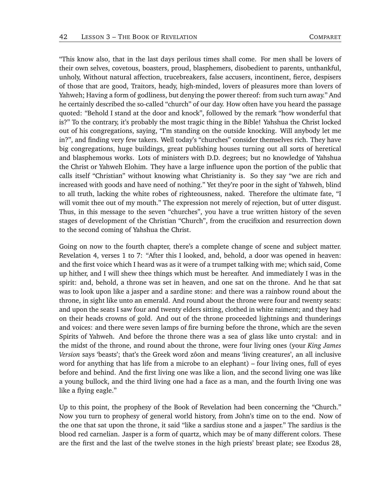"This know also, that in the last days perilous times shall come. For men shall be lovers of their own selves, covetous, boasters, proud, blasphemers, disobedient to parents, unthankful, unholy, Without natural affection, trucebreakers, false accusers, incontinent, fierce, despisers of those that are good, Traitors, heady, high-minded, lovers of pleasures more than lovers of Yahweh; Having a form of godliness, but denying the power thereof: from such turn away." And he certainly described the so-called "church" of our day. How often have you heard the passage quoted: "Behold I stand at the door and knock", followed by the remark "how wonderful that is?" To the contrary, it's probably the most tragic thing in the Bible! Yahshua the Christ locked out of his congregations, saying, "I'm standing on the outside knocking. Will anybody let me in?", and finding very few takers. Well today's "churches" consider themselves rich. They have big congregations, huge buildings, great publishing houses turning out all sorts of heretical and blasphemous works. Lots of ministers with D.D. degrees; but no knowledge of Yahshua the Christ or Yahweh Elohim. They have a large influence upon the portion of the public that calls itself "Christian" without knowing what Christianity is. So they say "we are rich and increased with goods and have need of nothing." Yet they're poor in the sight of Yahweh, blind to all truth, lacking the white robes of righteousness, naked. Therefore the ultimate fate, "I will vomit thee out of my mouth." The expression not merely of rejection, but of utter disgust. Thus, in this message to the seven "churches", you have a true written history of the seven stages of development of the Christian "Church", from the crucifixion and resurrection down to the second coming of Yahshua the Christ.

Going on now to the fourth chapter, there's a complete change of scene and subject matter. Revelation 4, verses 1 to 7: "After this I looked, and, behold, a door was opened in heaven: and the first voice which I heard was as it were of a trumpet talking with me; which said, Come up hither, and I will shew thee things which must be hereafter. And immediately I was in the spirit: and, behold, a throne was set in heaven, and one sat on the throne. And he that sat was to look upon like a jasper and a sardine stone: and there was a rainbow round about the throne, in sight like unto an emerald. And round about the throne were four and twenty seats: and upon the seats I saw four and twenty elders sitting, clothed in white raiment; and they had on their heads crowns of gold. And out of the throne proceeded lightnings and thunderings and voices: and there were seven lamps of fire burning before the throne, which are the seven Spirits of Yahweh. And before the throne there was a sea of glass like unto crystal: and in the midst of the throne, and round about the throne, were four living ones (your *King James Version* says 'beasts'; that's the Greek word zôon and means 'living creatures', an all inclusive word for anything that has life from a microbe to an elephant) – four living ones, full of eyes before and behind. And the first living one was like a lion, and the second living one was like a young bullock, and the third living one had a face as a man, and the fourth living one was like a flying eagle."

Up to this point, the prophesy of the Book of Revelation had been concerning the "Church." Now you turn to prophesy of general world history, from John's time on to the end. Now of the one that sat upon the throne, it said "like a sardius stone and a jasper." The sardius is the blood red carnelian. Jasper is a form of quartz, which may be of many different colors. These are the first and the last of the twelve stones in the high priests' breast plate; see Exodus 28,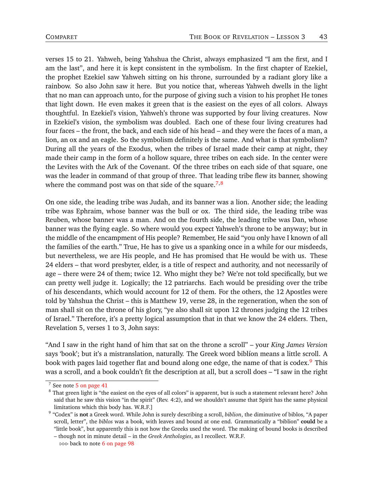verses 15 to 21. Yahweh, being Yahshua the Christ, always emphasized "I am the first, and I am the last", and here it is kept consistent in the symbolism. In the first chapter of Ezekiel, the prophet Ezekiel saw Yahweh sitting on his throne, surrounded by a radiant glory like a rainbow. So also John saw it here. But you notice that, whereas Yahweh dwells in the light that no man can approach unto, for the purpose of giving such a vision to his prophet He tones that light down. He even makes it green that is the easiest on the eyes of all colors. Always thoughtful. In Ezekiel's vision, Yahweh's throne was supported by four living creatures. Now in Ezekiel's vision, the symbolism was doubled. Each one of these four living creatures had four faces – the front, the back, and each side of his head – and they were the faces of a man, a lion, an ox and an eagle. So the symbolism definitely is the same. And what is that symbolism? During all the years of the Exodus, when the tribes of Israel made their camp at night, they made their camp in the form of a hollow square, three tribes on each side. In the center were the Levites with the Ark of the Covenant. Of the three tribes on each side of that square, one was the leader in command of that group of three. That leading tribe flew its banner, showing where the command post was on that side of the square.<sup>[7,](#page-42-0)[8](#page-42-1)</sup>

On one side, the leading tribe was Judah, and its banner was a lion. Another side; the leading tribe was Ephraim, whose banner was the bull or ox. The third side, the leading tribe was Reuben, whose banner was a man. And on the fourth side, the leading tribe was Dan, whose banner was the flying eagle. So where would you expect Yahweh's throne to be anyway; but in the middle of the encampment of His people? Remember, He said "you only have I known of all the families of the earth." True, He has to give us a spanking once in a while for our misdeeds, but nevertheless, we are His people, and He has promised that He would be with us. These 24 elders – that word presbyter, elder, is a title of respect and authority, and not necessarily of age – there were 24 of them; twice 12. Who might they be? We're not told specifically, but we can pretty well judge it. Logically; the 12 patriarchs. Each would be presiding over the tribe of his descendants, which would account for 12 of them. For the others, the 12 Apostles were told by Yahshua the Christ – this is Matthew 19, verse 28, in the regeneration, when the son of man shall sit on the throne of his glory, "ye also shall sit upon 12 thrones judging the 12 tribes of Israel." Therefore, it's a pretty logical assumption that in that we know the 24 elders. Then, Revelation 5, verses 1 to 3, John says:

"And I saw in the right hand of him that sat on the throne a scroll" – your *King James Version* says 'book'; but it's a mistranslation, naturally. The Greek word biblíon means a little scroll. A book with pages laid together flat and bound along one edge, the name of that is codex.<sup>[9](#page-42-2)</sup> This was a scroll, and a book couldn't fit the description at all, but a scroll does – "I saw in the right

<span id="page-42-0"></span> $7$  See note [5 on page 41](#page-40-1)

<span id="page-42-1"></span><sup>&</sup>lt;sup>8</sup> That green light is "the easiest on the eyes of all colors" is apparent, but is such a statement relevant here? John said that he saw this vision "in the spirit" (Rev. 4:2), and we shouldn't assume that Spirit has the same physical limitations which this body has. W.R.F.]

<span id="page-42-2"></span><sup>9</sup> "Codex" is **not** a Greek word. While John is surely describing a scroll, *biblion*, the diminutive of biblos, "A paper scroll, letter", the *biblos* was a book, with leaves and bound at one end. Grammatically a "biblion" **could** be a "little book", but apparently this is not how the Greeks used the word. The making of bound books is described – though not in minute detail – in the *Greek Anthologies*, as I recollect. W.R.F.

**DDD** back to note [6 on page 98](#page-97-0)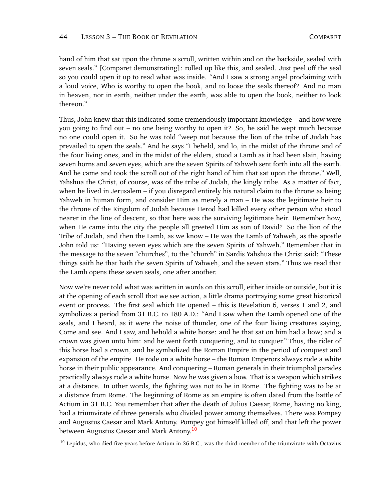hand of him that sat upon the throne a scroll, written within and on the backside, sealed with seven seals." [Comparet demonstrating]: rolled up like this, and sealed. Just peel off the seal so you could open it up to read what was inside. "And I saw a strong angel proclaiming with a loud voice, Who is worthy to open the book, and to loose the seals thereof? And no man in heaven, nor in earth, neither under the earth, was able to open the book, neither to look thereon."

Thus, John knew that this indicated some tremendously important knowledge – and how were you going to find out – no one being worthy to open it? So, he said he wept much because no one could open it. So he was told "weep not because the lion of the tribe of Judah has prevailed to open the seals." And he says "I beheld, and lo, in the midst of the throne and of the four living ones, and in the midst of the elders, stood a Lamb as it had been slain, having seven horns and seven eyes, which are the seven Spirits of Yahweh sent forth into all the earth. And he came and took the scroll out of the right hand of him that sat upon the throne." Well, Yahshua the Christ, of course, was of the tribe of Judah, the kingly tribe. As a matter of fact, when he lived in Jerusalem – if you disregard entirely his natural claim to the throne as being Yahweh in human form, and consider Him as merely a man – He was the legitimate heir to the throne of the Kingdom of Judah because Herod had killed every other person who stood nearer in the line of descent, so that here was the surviving legitimate heir. Remember how, when He came into the city the people all greeted Him as son of David? So the lion of the Tribe of Judah, and then the Lamb, as we know – He was the Lamb of Yahweh, as the apostle John told us: "Having seven eyes which are the seven Spirits of Yahweh." Remember that in the message to the seven "churches", to the "church" in Sardis Yahshua the Christ said: "These things saith he that hath the seven Spirits of Yahweh, and the seven stars." Thus we read that the Lamb opens these seven seals, one after another.

Now we're never told what was written in words on this scroll, either inside or outside, but it is at the opening of each scroll that we see action, a little drama portraying some great historical event or process. The first seal which He opened – this is Revelation 6, verses 1 and 2, and symbolizes a period from 31 B.C. to 180 A.D.: "And I saw when the Lamb opened one of the seals, and I heard, as it were the noise of thunder, one of the four living creatures saying, Come and see. And I saw, and behold a white horse: and he that sat on him had a bow; and a crown was given unto him: and he went forth conquering, and to conquer." Thus, the rider of this horse had a crown, and he symbolized the Roman Empire in the period of conquest and expansion of the empire. He rode on a white horse – the Roman Emperors always rode a white horse in their public appearance. And conquering – Roman generals in their triumphal parades practically always rode a white horse. Now he was given a bow. That is a weapon which strikes at a distance. In other words, the fighting was not to be in Rome. The fighting was to be at a distance from Rome. The beginning of Rome as an empire is often dated from the battle of Actium in 31 B.C. You remember that after the death of Julius Caesar, Rome, having no king, had a triumvirate of three generals who divided power among themselves. There was Pompey and Augustus Caesar and Mark Antony. Pompey got himself killed off, and that left the power between Augustus Caesar and Mark Antony.<sup>[10](#page-43-0)</sup>

<span id="page-43-0"></span> $10$  Lepidus, who died five years before Actium in 36 B.C., was the third member of the triumvirate with Octavius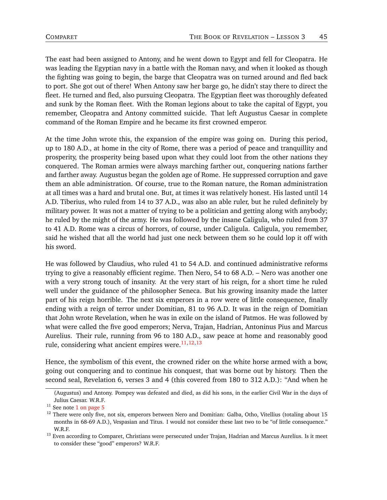The east had been assigned to Antony, and he went down to Egypt and fell for Cleopatra. He was leading the Egyptian navy in a battle with the Roman navy, and when it looked as though the fighting was going to begin, the barge that Cleopatra was on turned around and fled back to port. She got out of there! When Antony saw her barge go, he didn't stay there to direct the fleet. He turned and fled, also pursuing Cleopatra. The Egyptian fleet was thoroughly defeated and sunk by the Roman fleet. With the Roman legions about to take the capital of Egypt, you remember, Cleopatra and Antony committed suicide. That left Augustus Caesar in complete command of the Roman Empire and he became its first crowned emperor.

At the time John wrote this, the expansion of the empire was going on. During this period, up to 180 A.D., at home in the city of Rome, there was a period of peace and tranquillity and prosperity, the prosperity being based upon what they could loot from the other nations they conquered. The Roman armies were always marching farther out, conquering nations farther and farther away. Augustus began the golden age of Rome. He suppressed corruption and gave them an able administration. Of course, true to the Roman nature, the Roman administration at all times was a hard and brutal one. But, at times it was relatively honest. His lasted until 14 A.D. Tiberius, who ruled from 14 to 37 A.D., was also an able ruler, but he ruled definitely by military power. It was not a matter of trying to be a politician and getting along with anybody; he ruled by the might of the army. He was followed by the insane Caligula, who ruled from 37 to 41 A.D. Rome was a circus of horrors, of course, under Caligula. Caligula, you remember, said he wished that all the world had just one neck between them so he could lop it off with his sword.

He was followed by Claudius, who ruled 41 to 54 A.D. and continued administrative reforms trying to give a reasonably efficient regime. Then Nero, 54 to 68 A.D. – Nero was another one with a very strong touch of insanity. At the very start of his reign, for a short time he ruled well under the guidance of the philosopher Seneca. But his growing insanity made the latter part of his reign horrible. The next six emperors in a row were of little consequence, finally ending with a reign of terror under Domitian, 81 to 96 A.D. It was in the reign of Domitian that John wrote Revelation, when he was in exile on the island of Patmos. He was followed by what were called the five good emperors; Nerva, Trajan, Hadrian, Antoninus Pius and Marcus Aurelius. Their rule, running from 96 to 180 A.D., saw peace at home and reasonably good rule, considering what ancient empires were. $11,12,13$  $11,12,13$  $11,12,13$ 

Hence, the symbolism of this event, the crowned rider on the white horse armed with a bow, going out conquering and to continue his conquest, that was borne out by history. Then the second seal, Revelation 6, verses 3 and 4 (this covered from 180 to 312 A.D.): "And when he

<sup>(</sup>Augustus) and Antony. Pompey was defeated and died, as did his sons, in the earlier Civil War in the days of Julius Caesar. W.R.F.

<span id="page-44-0"></span> $^{11}$  See note [1 on page 5](#page-4-0)  $\,$ 

<span id="page-44-1"></span> $12$  There were only five, not six, emperors between Nero and Domitian: Galba, Otho, Vitellius (totaling about 15 months in 68-69 A.D.), Vespasian and Titus. I would not consider these last two to be "of little consequence." W.R.F.

<span id="page-44-2"></span> $^{13}$  Even according to Comparet, Christians were persecuted under Trajan, Hadrian and Marcus Aurelius. Is it meet to consider these "good" emperors? W.R.F.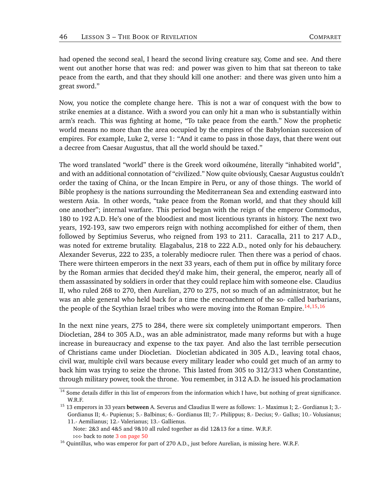had opened the second seal, I heard the second living creature say, Come and see. And there went out another horse that was red: and power was given to him that sat thereon to take peace from the earth, and that they should kill one another: and there was given unto him a great sword."

Now, you notice the complete change here. This is not a war of conquest with the bow to strike enemies at a distance. With a sword you can only hit a man who is substantially within arm's reach. This was fighting at home, "To take peace from the earth." Now the prophetic world means no more than the area occupied by the empires of the Babylonian succession of empires. For example, Luke 2, verse 1: "And it came to pass in those days, that there went out a decree from Caesar Augustus, that all the world should be taxed."

The word translated "world" there is the Greek word oikouméne, literally "inhabited world", and with an additional connotation of "civilized." Now quite obviously, Caesar Augustus couldn't order the taxing of China, or the Incan Empire in Peru, or any of those things. The world of Bible prophesy is the nations surrounding the Mediterranean Sea and extending eastward into western Asia. In other words, "take peace from the Roman world, and that they should kill one another"; internal warfare. This period began with the reign of the emperor Commodus, 180 to 192 A.D. He's one of the bloodiest and most licentious tyrants in history. The next two years, 192-193, saw two emperors reign with nothing accomplished for either of them, then followed by Septimius Severus, who reigned from 193 to 211. Caracalla, 211 to 217 A.D., was noted for extreme brutality. Elagabalus, 218 to 222 A.D., noted only for his debauchery. Alexander Severus, 222 to 235, a tolerably mediocre ruler. Then there was a period of chaos. There were thirteen emperors in the next 33 years, each of them put in office by military force by the Roman armies that decided they'd make him, their general, the emperor, nearly all of them assassinated by soldiers in order that they could replace him with someone else. Claudius II, who ruled 268 to 270, then Aurelian, 270 to 275, not so much of an administrator, but he was an able general who held back for a time the encroachment of the so- called barbarians, the people of the Scythian Israel tribes who were moving into the Roman Empire.<sup>[14,](#page-45-0)[15,](#page-45-1)[16](#page-45-2)</sup>

In the next nine years, 275 to 284, there were six completely unimportant emperors. Then Diocletian, 284 to 305 A.D., was an able administrator, made many reforms but with a huge increase in bureaucracy and expense to the tax payer. And also the last terrible persecution of Christians came under Diocletian. Diocletian abdicated in 305 A.D., leaving total chaos, civil war, multiple civil wars because every military leader who could get much of an army to back him was trying to seize the throne. This lasted from 305 to 312/313 when Constantine, through military power, took the throne. You remember, in 312 A.D. he issued his proclamation

<span id="page-45-0"></span><sup>&</sup>lt;sup>14</sup> Some details differ in this list of emperors from the information which I have, but nothing of great significance. W.R.F.

<span id="page-45-1"></span><sup>15</sup> 13 emperors in 33 years **between** A. Severus and Claudius II were as follows: 1.- Maximus I; 2.- Gordianus I; 3.- Gordianus II; 4.- Pupienus; 5.- Balbinus; 6.- Gordianus III; 7.- Philippus; 8.- Decius; 9.- Gallus; 10.- Volusianus; 11.- Aemilianus; 12.- Valerianus; 13.- Gallienus.

Note: 2&3 and 4&5 and 9&10 all ruled together as did 12&13 for a time. W.R.F. **DDD** back to note [3 on page 50](#page-49-0)

<span id="page-45-2"></span><sup>&</sup>lt;sup>16</sup> Quintillus, who was emperor for part of 270 A.D., just before Aurelian, is missing here. W.R.F.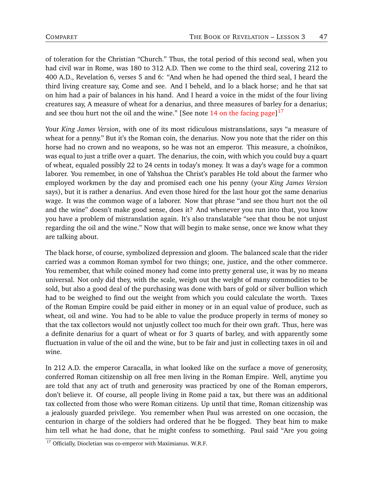of toleration for the Christian "Church." Thus, the total period of this second seal, when you had civil war in Rome, was 180 to 312 A.D. Then we come to the third seal, covering 212 to 400 A.D., Revelation 6, verses 5 and 6: "And when he had opened the third seal, I heard the third living creature say, Come and see. And I beheld, and lo a black horse; and he that sat on him had a pair of balances in his hand. And I heard a voice in the midst of the four living creatures say, A measure of wheat for a denarius, and three measures of barley for a denarius; and see thou hurt not the oil and the wine." [See note  $14$  on the facing page]<sup>[17](#page-46-0)</sup>

Your *King James Version*, with one of its most ridiculous mistranslations, says "a measure of wheat for a penny." But it's the Roman coin, the denarius. Now you note that the rider on this horse had no crown and no weapons, so he was not an emperor. This measure, a choínikos, was equal to just a trifle over a quart. The denarius, the coin, with which you could buy a quart of wheat, equaled possibly 22 to 24 cents in today's money. It was a day's wage for a common laborer. You remember, in one of Yahshua the Christ's parables He told about the farmer who employed workmen by the day and promised each one his penny (your *King James Version* says), but it is rather a denarius. And even those hired for the last hour got the same denarius wage. It was the common wage of a laborer. Now that phrase "and see thou hurt not the oil and the wine" doesn't make good sense, does it? And whenever you run into that, you know you have a problem of mistranslation again. It's also translatable "see that thou be not unjust regarding the oil and the wine." Now that will begin to make sense, once we know what they are talking about.

The black horse, of course, symbolized depression and gloom. The balanced scale that the rider carried was a common Roman symbol for two things; one, justice, and the other commerce. You remember, that while coined money had come into pretty general use, it was by no means universal. Not only did they, with the scale, weigh out the weight of many commodities to be sold, but also a good deal of the purchasing was done with bars of gold or silver bullion which had to be weighed to find out the weight from which you could calculate the worth. Taxes of the Roman Empire could be paid either in money or in an equal value of produce, such as wheat, oil and wine. You had to be able to value the produce properly in terms of money so that the tax collectors would not unjustly collect too much for their own graft. Thus, here was a definite denarius for a quart of wheat or for 3 quarts of barley, and with apparently some fluctuation in value of the oil and the wine, but to be fair and just in collecting taxes in oil and wine.

In 212 A.D. the emperor Caracalla, in what looked like on the surface a move of generosity, conferred Roman citizenship on all free men living in the Roman Empire. Well, anytime you are told that any act of truth and generosity was practiced by one of the Roman emperors, don't believe it. Of course, all people living in Rome paid a tax, but there was an additional tax collected from those who were Roman citizens. Up until that time, Roman citizenship was a jealously guarded privilege. You remember when Paul was arrested on one occasion, the centurion in charge of the soldiers had ordered that he be flogged. They beat him to make him tell what he had done, that he might confess to something. Paul said "Are you going

<span id="page-46-0"></span> $17$  Officially, Diocletian was co-emperor with Maximianus. W.R.F.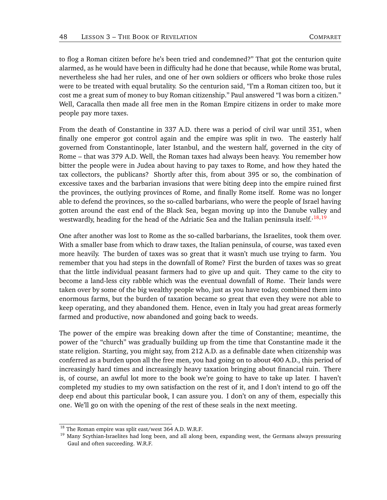to flog a Roman citizen before he's been tried and condemned?" That got the centurion quite alarmed, as he would have been in difficulty had he done that because, while Rome was brutal, nevertheless she had her rules, and one of her own soldiers or officers who broke those rules were to be treated with equal brutality. So the centurion said, "I'm a Roman citizen too, but it cost me a great sum of money to buy Roman citizenship." Paul answered "I was born a citizen." Well, Caracalla then made all free men in the Roman Empire citizens in order to make more people pay more taxes.

From the death of Constantine in 337 A.D. there was a period of civil war until 351, when finally one emperor got control again and the empire was split in two. The easterly half governed from Constantinople, later Istanbul, and the western half, governed in the city of Rome – that was 379 A.D. Well, the Roman taxes had always been heavy. You remember how bitter the people were in Judea about having to pay taxes to Rome, and how they hated the tax collectors, the publicans? Shortly after this, from about 395 or so, the combination of excessive taxes and the barbarian invasions that were biting deep into the empire ruined first the provinces, the outlying provinces of Rome, and finally Rome itself. Rome was no longer able to defend the provinces, so the so-called barbarians, who were the people of Israel having gotten around the east end of the Black Sea, began moving up into the Danube valley and westwardly, heading for the head of the Adriatic Sea and the Italian peninsula itself.<sup>18[,19](#page-47-1)</sup>

One after another was lost to Rome as the so-called barbarians, the Israelites, took them over. With a smaller base from which to draw taxes, the Italian peninsula, of course, was taxed even more heavily. The burden of taxes was so great that it wasn't much use trying to farm. You remember that you had steps in the downfall of Rome? First the burden of taxes was so great that the little individual peasant farmers had to give up and quit. They came to the city to become a land-less city rabble which was the eventual downfall of Rome. Their lands were taken over by some of the big wealthy people who, just as you have today, combined them into enormous farms, but the burden of taxation became so great that even they were not able to keep operating, and they abandoned them. Hence, even in Italy you had great areas formerly farmed and productive, now abandoned and going back to weeds.

The power of the empire was breaking down after the time of Constantine; meantime, the power of the "church" was gradually building up from the time that Constantine made it the state religion. Starting, you might say, from 212 A.D. as a definable date when citizenship was conferred as a burden upon all the free men, you had going on to about 400 A.D., this period of increasingly hard times and increasingly heavy taxation bringing about financial ruin. There is, of course, an awful lot more to the book we're going to have to take up later. I haven't completed my studies to my own satisfaction on the rest of it, and I don't intend to go off the deep end about this particular book, I can assure you. I don't on any of them, especially this one. We'll go on with the opening of the rest of these seals in the next meeting.

<span id="page-47-0"></span><sup>&</sup>lt;sup>18</sup> The Roman empire was split east/west 364 A.D. W.R.F.

<span id="page-47-1"></span><sup>&</sup>lt;sup>19</sup> Many Scythian-Israelites had long been, and all along been, expanding west, the Germans always pressuring Gaul and often succeeding. W.R.F.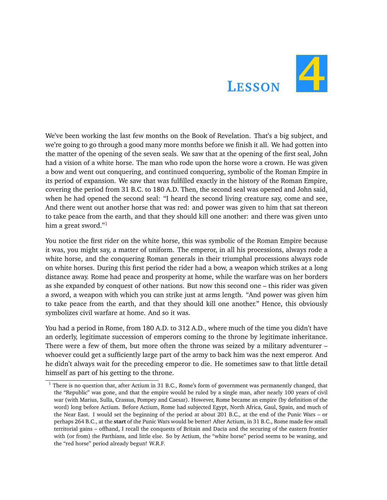

We've been working the last few months on the Book of Revelation. That's a big subject, and we're going to go through a good many more months before we finish it all. We had gotten into the matter of the opening of the seven seals. We saw that at the opening of the first seal, John had a vision of a white horse. The man who rode upon the horse wore a crown. He was given a bow and went out conquering, and continued conquering, symbolic of the Roman Empire in its period of expansion. We saw that was fulfilled exactly in the history of the Roman Empire, covering the period from 31 B.C. to 180 A.D. Then, the second seal was opened and John said, when he had opened the second seal: "I heard the second living creature say, come and see, And there went out another horse that was red: and power was given to him that sat thereon to take peace from the earth, and that they should kill one another: and there was given unto him a great sword."<sup>[1](#page-48-0)</sup>

You notice the first rider on the white horse, this was symbolic of the Roman Empire because it was, you might say, a matter of uniform. The emperor, in all his processions, always rode a white horse, and the conquering Roman generals in their triumphal processions always rode on white horses. During this first period the rider had a bow, a weapon which strikes at a long distance away. Rome had peace and prosperity at home, while the warfare was on her borders as she expanded by conquest of other nations. But now this second one – this rider was given a sword, a weapon with which you can strike just at arms length. "And power was given him to take peace from the earth, and that they should kill one another." Hence, this obviously symbolizes civil warfare at home. And so it was.

You had a period in Rome, from 180 A.D. to 312 A.D., where much of the time you didn't have an orderly, legitimate succession of emperors coming to the throne by legitimate inheritance. There were a few of them, but more often the throne was seized by a military adventurer – whoever could get a sufficiently large part of the army to back him was the next emperor. And he didn't always wait for the preceding emperor to die. He sometimes saw to that little detail himself as part of his getting to the throne.

<span id="page-48-0"></span> $1$  There is no question that, after Actium in 31 B.C., Rome's form of government was permanently changed, that the "Republic" was gone, and that the empire would be ruled by a single man, after nearly 100 years of civil war (with Marius, Sulla, Crassus, Pompey and Caesar). However, Rome became an empire (by definition of the word) long before Actium. Before Actium, Rome had subjected Egypt, North Africa, Gaul, Spain, and much of the Near East. I would set the beginning of the period at about 201 B.C., at the end of the Punic Wars – or perhaps 264 B.C., at the **start** of the Punic Wars would be better! After Actium, in 31 B.C., Rome made few small territorial gains – offhand, I recall the conquests of Britain and Dacia and the securing of the eastern frontier with (or from) the Parthians, and little else. So by Actium, the "white horse" period seems to be waning, and the "red horse" period already begun! W.R.F.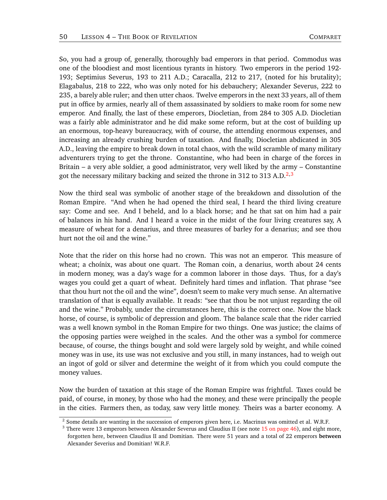So, you had a group of, generally, thoroughly bad emperors in that period. Commodus was one of the bloodiest and most licentious tyrants in history. Two emperors in the period 192- 193; Septimius Severus, 193 to 211 A.D.; Caracalla, 212 to 217, (noted for his brutality); Elagabalus, 218 to 222, who was only noted for his debauchery; Alexander Severus, 222 to 235, a barely able ruler; and then utter chaos. Twelve emperors in the next 33 years, all of them put in office by armies, nearly all of them assassinated by soldiers to make room for some new emperor. And finally, the last of these emperors, Diocletian, from 284 to 305 A.D. Diocletian was a fairly able administrator and he did make some reform, but at the cost of building up an enormous, top-heavy bureaucracy, with of course, the attending enormous expenses, and increasing an already crushing burden of taxation. And finally, Diocletian abdicated in 305 A.D., leaving the empire to break down in total chaos, with the wild scramble of many military adventurers trying to get the throne. Constantine, who had been in charge of the forces in Britain – a very able soldier, a good administrator, very well liked by the army – Constantine got the necessary military backing and seized the throne in 312 to 313 A.D.<sup>[2,](#page-49-1)[3](#page-49-0)</sup>

Now the third seal was symbolic of another stage of the breakdown and dissolution of the Roman Empire. "And when he had opened the third seal, I heard the third living creature say: Come and see. And I beheld, and lo a black horse; and he that sat on him had a pair of balances in his hand. And I heard a voice in the midst of the four living creatures say, A measure of wheat for a denarius, and three measures of barley for a denarius; and see thou hurt not the oil and the wine."

Note that the rider on this horse had no crown. This was not an emperor. This measure of wheat; a choínix, was about one quart. The Roman coin, a denarius, worth about 24 cents in modern money, was a day's wage for a common laborer in those days. Thus, for a day's wages you could get a quart of wheat. Definitely hard times and inflation. That phrase "see that thou hurt not the oil and the wine", doesn't seem to make very much sense. An alternative translation of that is equally available. It reads: "see that thou be not unjust regarding the oil and the wine." Probably, under the circumstances here, this is the correct one. Now the black horse, of course, is symbolic of depression and gloom. The balance scale that the rider carried was a well known symbol in the Roman Empire for two things. One was justice; the claims of the opposing parties were weighed in the scales. And the other was a symbol for commerce because, of course, the things bought and sold were largely sold by weight, and while coined money was in use, its use was not exclusive and you still, in many instances, had to weigh out an ingot of gold or silver and determine the weight of it from which you could compute the money values.

Now the burden of taxation at this stage of the Roman Empire was frightful. Taxes could be paid, of course, in money, by those who had the money, and these were principally the people in the cities. Farmers then, as today, saw very little money. Theirs was a barter economy. A

<span id="page-49-1"></span> $^2$  Some details are wanting in the succession of emperors given here, i.e. Macrinus was omitted et al. W.R.F.

<span id="page-49-0"></span><sup>&</sup>lt;sup>3</sup> There were 13 emperors between Alexander Severus and Claudius II (see note [15 on page 46\)](#page-45-1), and eight more, forgotten here, between Claudius II and Domitian. There were 51 years and a total of 22 emperors **between** Alexander Severius and Domitian! W.R.F.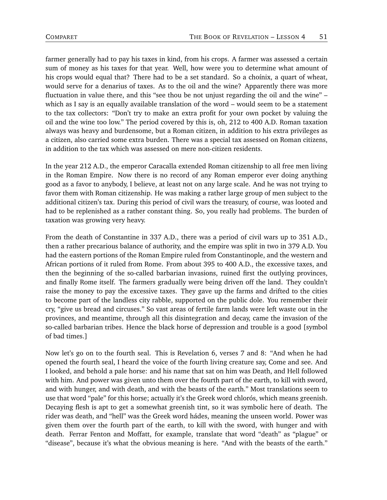farmer generally had to pay his taxes in kind, from his crops. A farmer was assessed a certain sum of money as his taxes for that year. Well, how were you to determine what amount of his crops would equal that? There had to be a set standard. So a choínix, a quart of wheat, would serve for a denarius of taxes. As to the oil and the wine? Apparently there was more fluctuation in value there, and this "see thou be not unjust regarding the oil and the wine" – which as I say is an equally available translation of the word – would seem to be a statement to the tax collectors: "Don't try to make an extra profit for your own pocket by valuing the oil and the wine too low." The period covered by this is, oh, 212 to 400 A.D. Roman taxation always was heavy and burdensome, but a Roman citizen, in addition to his extra privileges as a citizen, also carried some extra burden. There was a special tax assessed on Roman citizens, in addition to the tax which was assessed on mere non-citizen residents.

In the year 212 A.D., the emperor Caracalla extended Roman citizenship to all free men living in the Roman Empire. Now there is no record of any Roman emperor ever doing anything good as a favor to anybody, I believe, at least not on any large scale. And he was not trying to favor them with Roman citizenship. He was making a rather large group of men subject to the additional citizen's tax. During this period of civil wars the treasury, of course, was looted and had to be replenished as a rather constant thing. So, you really had problems. The burden of taxation was growing very heavy.

From the death of Constantine in 337 A.D., there was a period of civil wars up to 351 A.D., then a rather precarious balance of authority, and the empire was split in two in 379 A.D. You had the eastern portions of the Roman Empire ruled from Constantinople, and the western and African portions of it ruled from Rome. From about 395 to 400 A.D., the excessive taxes, and then the beginning of the so-called barbarian invasions, ruined first the outlying provinces, and finally Rome itself. The farmers gradually were being driven off the land. They couldn't raise the money to pay the excessive taxes. They gave up the farms and drifted to the cities to become part of the landless city rabble, supported on the public dole. You remember their cry, "give us bread and circuses." So vast areas of fertile farm lands were left waste out in the provinces, and meantime, through all this disintegration and decay, came the invasion of the so-called barbarian tribes. Hence the black horse of depression and trouble is a good [symbol of bad times.]

Now let's go on to the fourth seal. This is Revelation 6, verses 7 and 8: "And when he had opened the fourth seal, I heard the voice of the fourth living creature say, Come and see. And I looked, and behold a pale horse: and his name that sat on him was Death, and Hell followed with him. And power was given unto them over the fourth part of the earth, to kill with sword, and with hunger, and with death, and with the beasts of the earth." Most translations seem to use that word "pale" for this horse; actually it's the Greek word chlorós, which means greenish. Decaying flesh is apt to get a somewhat greenish tint, so it was symbolic here of death. The rider was death, and "hell" was the Greek word hádes, meaning the unseen world. Power was given them over the fourth part of the earth, to kill with the sword, with hunger and with death. Ferrar Fenton and Moffatt, for example, translate that word "death" as "plague" or "disease", because it's what the obvious meaning is here. "And with the beasts of the earth."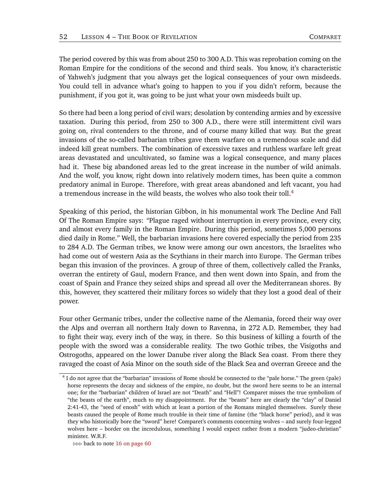The period covered by this was from about 250 to 300 A.D. This was reprobation coming on the Roman Empire for the conditions of the second and third seals. You know, it's characteristic of Yahweh's judgment that you always get the logical consequences of your own misdeeds. You could tell in advance what's going to happen to you if you didn't reform, because the punishment, if you got it, was going to be just what your own misdeeds built up.

So there had been a long period of civil wars; desolation by contending armies and by excessive taxation. During this period, from 250 to 300 A.D., there were still intermittent civil wars going on, rival contenders to the throne, and of course many killed that way. But the great invasions of the so-called barbarian tribes gave them warfare on a tremendous scale and did indeed kill great numbers. The combination of excessive taxes and ruthless warfare left great areas devastated and uncultivated, so famine was a logical consequence, and many places had it. These big abandoned areas led to the great increase in the number of wild animals. And the wolf, you know, right down into relatively modern times, has been quite a common predatory animal in Europe. Therefore, with great areas abandoned and left vacant, you had a tremendous increase in the wild beasts, the wolves who also took their toll.<sup>[4](#page-51-0)</sup>

Speaking of this period, the historian Gibbon, in his monumental work The Decline And Fall Of The Roman Empire says: "Plague raged without interruption in every province, every city, and almost every family in the Roman Empire. During this period, sometimes 5,000 persons died daily in Rome." Well, the barbarian invasions here covered especially the period from 235 to 284 A.D. The German tribes, we know were among our own ancestors, the Israelites who had come out of western Asia as the Scythians in their march into Europe. The German tribes began this invasion of the provinces. A group of three of them, collectively called the Franks, overran the entirety of Gaul, modern France, and then went down into Spain, and from the coast of Spain and France they seized ships and spread all over the Mediterranean shores. By this, however, they scattered their military forces so widely that they lost a good deal of their power.

Four other Germanic tribes, under the collective name of the Alemania, forced their way over the Alps and overran all northern Italy down to Ravenna, in 272 A.D. Remember, they had to fight their way, every inch of the way, in there. So this business of killing a fourth of the people with the sword was a considerable reality. The two Gothic tribes, the Visigoths and Ostrogoths, appeared on the lower Danube river along the Black Sea coast. From there they ravaged the coast of Asia Minor on the south side of the Black Sea and overran Greece and the

<span id="page-51-0"></span><sup>4</sup> I do not agree that the "barbarian" invasions of Rome should be connected to the "pale horse." The green (pale) horse represents the decay and sickness of the empire, no doubt, but the sword here seems to be an internal one; for the "barbarian" children of Israel are not "Death" and "Hell"! Comparet misses the true symbolism of "the beasts of the earth", much to my disappointment. For the "beasts" here are clearly the "clay" of Daniel 2:41-43, the "seed of enosh" with which at least a portion of the Romans mingled themselves. Surely these beasts caused the people of Rome much trouble in their time of famine (the "black horse" period), and it was they who historically bore the "sword" here! Comparet's comments concerning wolves – and surely four-legged wolves here – border on the incredulous, something I would expect rather from a modern "judeo-christian" minister. W.R.F.

**DDD** back to note [16 on page 60](#page-59-0)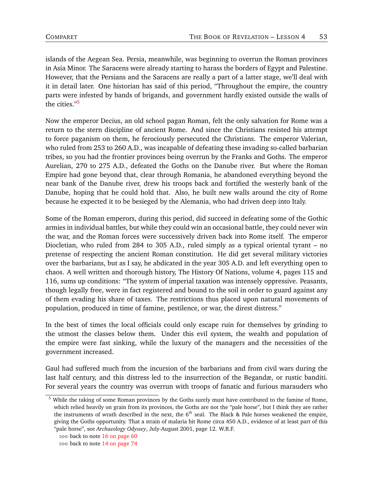islands of the Aegean Sea. Persia, meanwhile, was beginning to overrun the Roman provinces in Asia Minor. The Saracens were already starting to harass the borders of Egypt and Palestine. However, that the Persians and the Saracens are really a part of a latter stage, we'll deal with it in detail later. One historian has said of this period, "Throughout the empire, the country parts were infested by bands of brigands, and government hardly existed outside the walls of the cities."[5](#page-52-0)

Now the emperor Decius, an old school pagan Roman, felt the only salvation for Rome was a return to the stern discipline of ancient Rome. And since the Christians resisted his attempt to force paganism on them, he ferociously persecuted the Christians. The emperor Valerian, who ruled from 253 to 260 A.D., was incapable of defeating these invading so-called barbarian tribes, so you had the frontier provinces being overrun by the Franks and Goths. The emperor Aurelian, 270 to 275 A.D., defeated the Goths on the Danube river. But where the Roman Empire had gone beyond that, clear through Romania, he abandoned everything beyond the near bank of the Danube river, drew his troops back and fortified the westerly bank of the Danube, hoping that he could hold that. Also, he built new walls around the city of Rome because he expected it to be besieged by the Alemania, who had driven deep into Italy.

Some of the Roman emperors, during this period, did succeed in defeating some of the Gothic armies in individual battles, but while they could win an occasional battle, they could never win the war, and the Roman forces were successively driven back into Rome itself. The emperor Diocletian, who ruled from 284 to 305 A.D., ruled simply as a typical oriental tyrant – no pretense of respecting the ancient Roman constitution. He did get several military victories over the barbarians, but as I say, he abdicated in the year 305 A.D. and left everything open to chaos. A well written and thorough history, The History Of Nations, volume 4, pages 115 and 116, sums up conditions: "The system of imperial taxation was intensely oppressive. Peasants, though legally free, were in fact registered and bound to the soil in order to guard against any of them evading his share of taxes. The restrictions thus placed upon natural movements of population, produced in time of famine, pestilence, or war, the direst distress."

In the best of times the local officials could only escape ruin for themselves by grinding to the utmost the classes below them. Under this evil system, the wealth and population of the empire were fast sinking, while the luxury of the managers and the necessities of the government increased.

Gaul had suffered much from the incursion of the barbarians and from civil wars during the last half century, and this distress led to the insurrection of the Begandæ, or rustic banditi. For several years the country was overrun with troops of fanatic and furious marauders who

<span id="page-52-0"></span><sup>5</sup> While the taking of some Roman provinces by the Goths surely must have contributed to the famine of Rome, which relied heavily on grain from its provinces, the Goths are not the "pale horse", but I think they are rather the instruments of wrath described in the next, the  $6<sup>th</sup>$  seal. The Black & Pale horses weakened the empire, giving the Goths opportunity. That a strain of malaria hit Rome circa 450 A.D., evidence of at least part of this "pale horse", see *Archaeology Odyssey*, July-August 2001, page 12. W.R.F.

**DDD** back to note [16 on page 60](#page-59-0)

**DDD** back to note [14 on page 74](#page-73-0)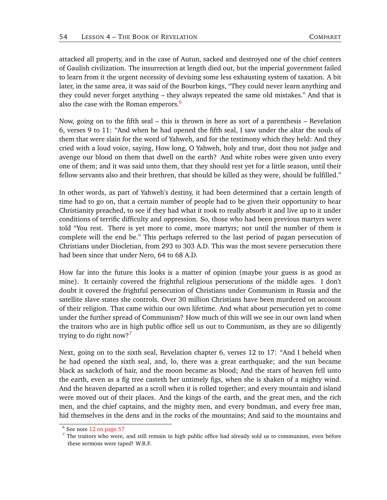attacked all property, and in the case of Autun, sacked and destroyed one of the chief centers of Gaulish civilization. The insurrection at length died out, but the imperial government failed to learn from it the urgent necessity of devising some less exhausting system of taxation. A bit later, in the same area, it was said of the Bourbon kings, "They could never learn anything and they could never forget anything – they always repeated the same old mistakes." And that is also the case with the Roman emperors.<sup>[6](#page-53-0)</sup>

Now, going on to the fifth seal – this is thrown in here as sort of a parenthesis – Revelation 6, verses 9 to 11: "And when he had opened the fifth seal, I saw under the altar the souls of them that were slain for the word of Yahweh, and for the testimony which they held: And they cried with a loud voice, saying, How long, O Yahweh, holy and true, dost thou not judge and avenge our blood on them that dwell on the earth? And white robes were given unto every one of them; and it was said unto them, that they should rest yet for a little season, until their fellow servants also and their brethren, that should be killed as they were, should be fulfilled."

In other words, as part of Yahweh's destiny, it had been determined that a certain length of time had to go on, that a certain number of people had to be given their opportunity to hear Christianity preached, to see if they had what it took to really absorb it and live up to it under conditions of terrific difficulty and oppression. So, those who had been previous martyrs were told "You rest. There is yet more to come, more martyrs; not until the number of them is complete will the end be." This perhaps referred to the last period of pagan persecution of Christians under Diocletian, from 293 to 303 A.D. This was the most severe persecution there had been since that under Nero, 64 to 68 A.D.

How far into the future this looks is a matter of opinion (maybe your guess is as good as mine). It certainly covered the frightful religious persecutions of the middle ages. I don't doubt it covered the frightful persecution of Christians under Communism in Russia and the satellite slave states she controls. Over 30 million Christians have been murdered on account of their religion. That came within our own lifetime. And what about persecution yet to come under the further spread of Communism? How much of this will we see in our own land when the traitors who are in high public office sell us out to Communism, as they are so diligently trying to do right now?<sup>[7](#page-53-1)</sup>

Next, going on to the sixth seal, Revelation chapter 6, verses 12 to 17: "And I beheld when he had opened the sixth seal, and, lo, there was a great earthquake; and the sun became black as sackcloth of hair, and the moon became as blood; And the stars of heaven fell unto the earth, even as a fig tree casteth her untimely figs, when she is shaken of a mighty wind. And the heaven departed as a scroll when it is rolled together; and every mountain and island were moved out of their places. And the kings of the earth, and the great men, and the rich men, and the chief captains, and the mighty men, and every bondman, and every free man, hid themselves in the dens and in the rocks of the mountains; And said to the mountains and

<span id="page-53-0"></span><sup>&</sup>lt;sup>6</sup> See note [12 on page 57](#page-56-0)

<span id="page-53-1"></span><sup>7</sup> The traitors who were, and still remain in high public office had already sold us to communism, even before these sermons were taped! W.R.F.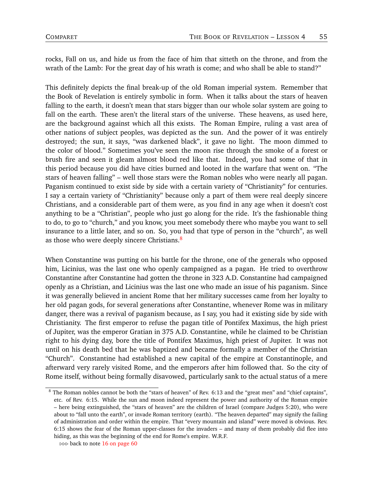rocks, Fall on us, and hide us from the face of him that sitteth on the throne, and from the wrath of the Lamb: For the great day of his wrath is come; and who shall be able to stand?"

This definitely depicts the final break-up of the old Roman imperial system. Remember that the Book of Revelation is entirely symbolic in form. When it talks about the stars of heaven falling to the earth, it doesn't mean that stars bigger than our whole solar system are going to fall on the earth. These aren't the literal stars of the universe. These heavens, as used here, are the background against which all this exists. The Roman Empire, ruling a vast area of other nations of subject peoples, was depicted as the sun. And the power of it was entirely destroyed; the sun, it says, "was darkened black", it gave no light. The moon dimmed to the color of blood." Sometimes you've seen the moon rise through the smoke of a forest or brush fire and seen it gleam almost blood red like that. Indeed, you had some of that in this period because you did have cities burned and looted in the warfare that went on. "The stars of heaven falling" – well those stars were the Roman nobles who were nearly all pagan. Paganism continued to exist side by side with a certain variety of "Christianity" for centuries. I say a certain variety of "Christianity" because only a part of them were real deeply sincere Christians, and a considerable part of them were, as you find in any age when it doesn't cost anything to be a "Christian", people who just go along for the ride. It's the fashionable thing to do, to go to "church," and you know, you meet somebody there who maybe you want to sell insurance to a little later, and so on. So, you had that type of person in the "church", as well as those who were deeply sincere Christians.<sup>[8](#page-54-0)</sup>

When Constantine was putting on his battle for the throne, one of the generals who opposed him, Licinius, was the last one who openly campaigned as a pagan. He tried to overthrow Constantine after Constantine had gotten the throne in 323 A.D. Constantine had campaigned openly as a Christian, and Licinius was the last one who made an issue of his paganism. Since it was generally believed in ancient Rome that her military successes came from her loyalty to her old pagan gods, for several generations after Constantine, whenever Rome was in military danger, there was a revival of paganism because, as I say, you had it existing side by side with Christianity. The first emperor to refuse the pagan title of Pontifex Maximus, the high priest of Jupiter, was the emperor Gratian in 375 A.D. Constantine, while he claimed to be Christian right to his dying day, bore the title of Pontifex Maximus, high priest of Jupiter. It was not until on his death bed that he was baptized and became formally a member of the Christian "Church". Constantine had established a new capital of the empire at Constantinople, and afterward very rarely visited Rome, and the emperors after him followed that. So the city of Rome itself, without being formally disavowed, particularly sank to the actual status of a mere

<span id="page-54-0"></span><sup>&</sup>lt;sup>8</sup> The Roman nobles cannot be both the "stars of heaven" of Rev. 6:13 and the "great men" and "chief captains", etc. of Rev. 6:15. While the sun and moon indeed represent the power and authority of the Roman empire – here being extinguished, the "stars of heaven" are the children of Israel (compare Judges 5:20), who were about to "fall unto the earth", or invade Roman territory (earth). "The heaven departed" may signify the failing of administration and order within the empire. That "every mountain and island" were moved is obvious. Rev. 6:15 shows the fear of the Roman upper-classes for the invaders – and many of them probably did flee into hiding, as this was the beginning of the end for Rome's empire. W.R.F.

**DDD** back to note [16 on page 60](#page-59-0)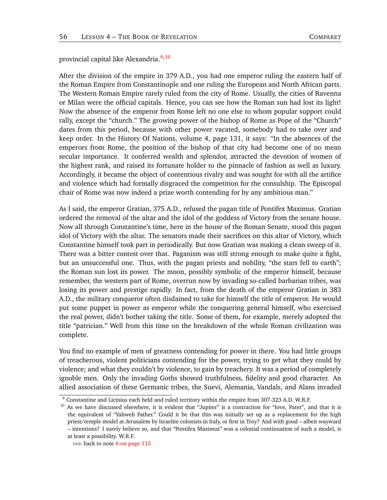## provincial capital like Alexandria.<sup>[9,](#page-55-0)[10](#page-55-1)</sup>

After the division of the empire in 379 A.D., you had one emperor ruling the eastern half of the Roman Empire from Constantinople and one ruling the European and North African parts. The Western Roman Empire rarely ruled from the city of Rome. Usually, the cities of Ravenna or Milan were the official capitals. Hence, you can see how the Roman sun had lost its light! Now the absence of the emperor from Rome left no one else to whom popular support could rally, except the "church." The growing power of the bishop of Rome as Pope of the "Church" dates from this period, because with other power vacated, somebody had to take over and keep order. In the History Of Nations, volume 4, page 131, it says: "In the absences of the emperors from Rome, the position of the bishop of that city had become one of no mean secular importance. It conferred wealth and splendor, attracted the devotion of women of the highest rank, and raised its fortunate holder to the pinnacle of fashion as well as luxury. Accordingly, it became the object of contentious rivalry and was sought for with all the artifice and violence which had formally disgraced the competition for the consulship. The Episcopal chair of Rome was now indeed a prize worth contending for by any ambitious man."

As I said, the emperor Gratian, 375 A.D., refused the pagan title of Pontifex Maximus. Gratian ordered the removal of the altar and the idol of the goddess of Victory from the senate house. Now all through Constantine's time, here in the house of the Roman Senate, stood this pagan idol of Victory with the altar. The senators made their sacrifices on this altar of Victory, which Constantine himself took part in periodically. But now Gratian was making a clean sweep of it. There was a bitter contest over that. Paganism was still strong enough to make quite a fight, but an unsuccessful one. Thus, with the pagan priests and nobility, "the stars fell to earth"; the Roman sun lost its power. The moon, possibly symbolic of the emperor himself, because remember, the western part of Rome, overrun now by invading so-called barbarian tribes, was losing its power and prestige rapidly. In fact, from the death of the emperor Gratian in 383 A.D., the military conqueror often disdained to take for himself the title of emperor. He would put some puppet in power as emperor while the conquering general himself, who exercised the real power, didn't bother taking the title. Some of them, for example, merely adopted the title "patrician." Well from this time on the breakdown of the whole Roman civilization was complete.

You find no example of men of greatness contending for power in there. You had little groups of treacherous, violent politicians contending for the power, trying to get what they could by violence; and what they couldn't by violence, to gain by treachery. It was a period of completely ignoble men. Only the invading Goths showed truthfulness, fidelity and good character. An allied association of these Germanic tribes, the Suevi, Alemania, Vandals, and Alans invaded

<span id="page-55-0"></span><sup>9</sup> Constantine and Licinius each held and ruled territory within the empire from 307-323 A.D. W.R.F.

<span id="page-55-1"></span><sup>&</sup>lt;sup>10</sup> As we have discussed elsewhere, it is evident that "Jupiter" is a contraction for "Iove, Pater", and that it is the equivalent of "Yahweh Father." Could it be that this was initially set up as a replacement for the high priest/temple model at Jerusalem by Israelite colonists in Italy, or first in Troy? And with good – albeit wayward – intentions? I surely believe so, and that "Pontifex Maximus" was a colonial continuation of such a model, is at least a possibility. W.R.F.

**DDD** back to note [6 on page 115](#page-114-0)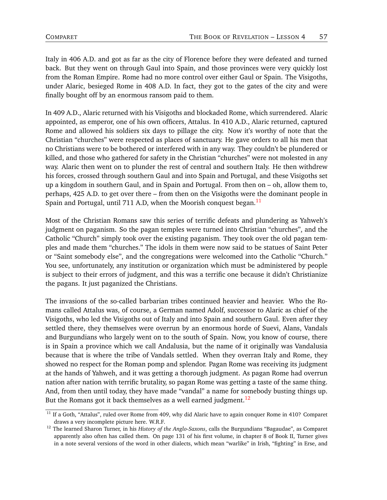Italy in 406 A.D. and got as far as the city of Florence before they were defeated and turned back. But they went on through Gaul into Spain, and those provinces were very quickly lost from the Roman Empire. Rome had no more control over either Gaul or Spain. The Visigoths, under Alaric, besieged Rome in 408 A.D. In fact, they got to the gates of the city and were finally bought off by an enormous ransom paid to them.

In 409 A.D., Alaric returned with his Visigoths and blockaded Rome, which surrendered. Alaric appointed, as emperor, one of his own officers, Attalus. In 410 A.D., Alaric returned, captured Rome and allowed his soldiers six days to pillage the city. Now it's worthy of note that the Christian "churches" were respected as places of sanctuary. He gave orders to all his men that no Christians were to be bothered or interfered with in any way. They couldn't be plundered or killed, and those who gathered for safety in the Christian "churches" were not molested in any way. Alaric then went on to plunder the rest of central and southern Italy. He then withdrew his forces, crossed through southern Gaul and into Spain and Portugal, and these Visigoths set up a kingdom in southern Gaul, and in Spain and Portugal. From then on – oh, allow them to, perhaps, 425 A.D. to get over there – from then on the Visigoths were the dominant people in Spain and Portugal, until 7[11](#page-56-1) A.D, when the Moorish conquest began.<sup>11</sup>

Most of the Christian Romans saw this series of terrific defeats and plundering as Yahweh's judgment on paganism. So the pagan temples were turned into Christian "churches", and the Catholic "Church" simply took over the existing paganism. They took over the old pagan temples and made them "churches." The idols in them were now said to be statues of Saint Peter or "Saint somebody else", and the congregations were welcomed into the Catholic "Church." You see, unfortunately, any institution or organization which must be administered by people is subject to their errors of judgment, and this was a terrific one because it didn't Christianize the pagans. It just paganized the Christians.

The invasions of the so-called barbarian tribes continued heavier and heavier. Who the Romans called Attalus was, of course, a German named Adolf, successor to Alaric as chief of the Visigoths, who led the Visigoths out of Italy and into Spain and southern Gaul. Even after they settled there, they themselves were overrun by an enormous horde of Suevi, Alans, Vandals and Burgundians who largely went on to the south of Spain. Now, you know of course, there is in Spain a province which we call Andalusia, but the name of it originally was Vandalusia because that is where the tribe of Vandals settled. When they overran Italy and Rome, they showed no respect for the Roman pomp and splendor. Pagan Rome was receiving its judgment at the hands of Yahweh, and it was getting a thorough judgment. As pagan Rome had overrun nation after nation with terrific brutality, so pagan Rome was getting a taste of the same thing. And, from then until today, they have made "vandal" a name for somebody busting things up. But the Romans got it back themselves as a well earned judgment.<sup>[12](#page-56-0)</sup>

<span id="page-56-1"></span><sup>&</sup>lt;sup>11</sup> If a Goth, "Attalus", ruled over Rome from 409, why did Alaric have to again conquer Rome in 410? Comparet draws a very incomplete picture here. W.R.F.

<span id="page-56-0"></span><sup>12</sup> The learned Sharon Turner, in his *History of the Anglo-Saxons*, calls the Burgundians "Bagaudae", as Comparet apparently also often has called them. On page 131 of his first volume, in chapter 8 of Book II, Turner gives in a note several versions of the word in other dialects, which mean "warlike" in Irish, "fighting" in Erse, and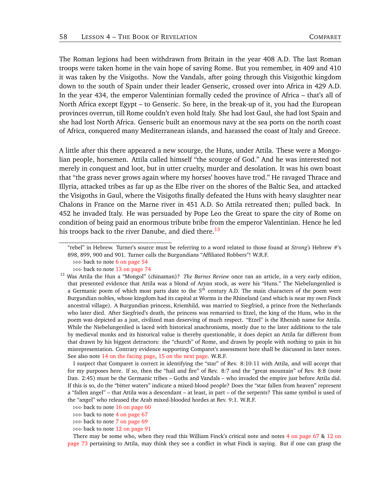The Roman legions had been withdrawn from Britain in the year 408 A.D. The last Roman troops were taken home in the vain hope of saving Rome. But you remember, in 409 and 410 it was taken by the Visigoths. Now the Vandals, after going through this Visigothic kingdom down to the south of Spain under their leader Genseric, crossed over into Africa in 429 A.D. In the year 434, the emperor Valentinian formally ceded the province of Africa – that's all of North Africa except Egypt – to Genseric. So here, in the break-up of it, you had the European provinces overrun, till Rome couldn't even hold Italy. She had lost Gaul, she had lost Spain and she had lost North Africa. Genseric built an enormous navy at the sea ports on the north coast of Africa, conquered many Mediterranean islands, and harassed the coast of Italy and Greece.

A little after this there appeared a new scourge, the Huns, under Attila. These were a Mongolian people, horsemen. Attila called himself "the scourge of God." And he was interested not merely in conquest and loot, but in utter cruelty, murder and desolation. It was his own boast that "the grass never grows again where my horses' hooves have trod." He ravaged Thrace and Illyria, attacked tribes as far up as the Elbe river on the shores of the Baltic Sea, and attacked the Visigoths in Gaul, where the Visigoths finally defeated the Huns with heavy slaughter near Chalons in France on the Marne river in 451 A.D. So Attila retreated then; pulled back. In 452 he invaded Italy. He was persuaded by Pope Leo the Great to spare the city of Rome on condition of being paid an enormous tribute bribe from the emperor Valentinian. Hence he led his troops back to the river Danube, and died there.<sup>[13](#page-57-0)</sup>

I suspect that Comparet is correct in identifying the "star" of Rev. 8:10-11 with Attila, and will accept that for my purposes here. If so, then the "hail and fire" of Rev. 8:7 and the "great mountain" of Rev. 8:8 (note Dan. 2:45) must be the Germanic tribes – Goths and Vandals – who invaded the empire just before Attila did. If this is so, do the "bitter waters" indicate a mixed-blood people? Does the "star fallen from heaven" represent a "fallen angel" – that Attila was a descendant – at least, in part – of the serpents? This same symbol is used of the "angel" who released the Arab mixed-blooded hordes at Rev. 9:1. W.R.F.

**DOD** back to note [12 on page 91](#page-90-0)

There may be some who, when they read this William Finck's critical note and notes [4 on page 67](#page-66-0) & [12 on](#page-72-0) [page 73](#page-72-0) pertaining to Attila, may think they see a conflict in what Finck is saying. But if one can grasp the

<sup>&</sup>quot;rebel" in Hebrew. Turner's source must be referring to a word related to those found at *Strong's* Hebrew #'s 898, 899, 900 and 901. Turner calls the Burgundians "Affiliated Robbers"! W.R.F.

**DOD** back to note [6 on page 54](#page-53-0)

<span id="page-57-0"></span>**DDD** back to note [13 on page 74](#page-73-1)

<sup>13</sup> Was Attila the Hun a "Mongol" (chinaman)? *The Barnes Review* once ran an article, in a very early edition, that presented evidence that Attila was a blond of Aryan stock, as were his "Huns." The Niebelungenlied is a Germanic poem of which most parts date to the  $5<sup>th</sup>$  century A.D. The main characters of the poem were Burgundian nobles, whose kingdom had its capital at Worms in the Rhineland (and which is near my own Finck ancestral village). A Burgundian princess, Kriemhild, was married to Siegfried, a prince from the Netherlands who later died. After Siegfried's death, the princess was remarried to Etzel, the king of the Huns, who in the poem was depicted as a just, civilized man deserving of much respect. "Etzel" is the Rhenish name for Attila. While the Niebelungenlied is laced with historical anachronisms, mostly due to the later additions to the tale by medieval monks and its historical value is thereby questionable, it does depict an Attila far different from that drawn by his biggest detractors: the "church" of Rome, and drawn by people with nothing to gain in his misrepresentation. Contrary evidence supporting Comparet's assessment here shall be discussed in later notes. See also note [14 on the facing page,](#page-58-0) [15 on the next page.](#page-58-1) W.R.F.

 $\triangleright$  back to note [16 on page 60](#page-59-0)

 $\triangleright$  back to note [4 on page 67](#page-66-0)

**DDD** back to note [7 on page 69](#page-68-0)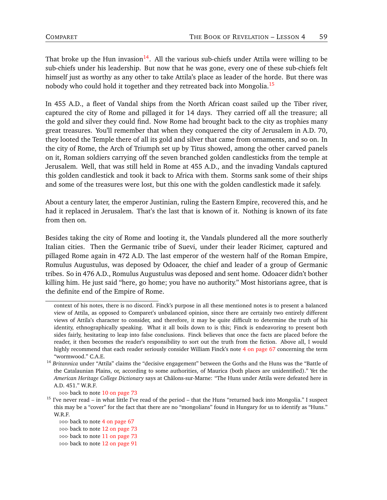That broke up the Hun invasion<sup>[14](#page-58-0)</sup>. All the various sub-chiefs under Attila were willing to be sub-chiefs under his leadership. But now that he was gone, every one of these sub-chiefs felt himself just as worthy as any other to take Attila's place as leader of the horde. But there was nobody who could hold it together and they retreated back into Mongolia.<sup>[15](#page-58-1)</sup>

In 455 A.D., a fleet of Vandal ships from the North African coast sailed up the Tiber river, captured the city of Rome and pillaged it for 14 days. They carried off all the treasure; all the gold and silver they could find. Now Rome had brought back to the city as trophies many great treasures. You'll remember that when they conquered the city of Jerusalem in A.D. 70, they looted the Temple there of all its gold and silver that came from ornaments, and so on. In the city of Rome, the Arch of Triumph set up by Titus showed, among the other carved panels on it, Roman soldiers carrying off the seven branched golden candlesticks from the temple at Jerusalem. Well, that was still held in Rome at 455 A.D., and the invading Vandals captured this golden candlestick and took it back to Africa with them. Storms sank some of their ships and some of the treasures were lost, but this one with the golden candlestick made it safely.

About a century later, the emperor Justinian, ruling the Eastern Empire, recovered this, and he had it replaced in Jerusalem. That's the last that is known of it. Nothing is known of its fate from then on.

Besides taking the city of Rome and looting it, the Vandals plundered all the more southerly Italian cities. Then the Germanic tribe of Suevi, under their leader Ricimer, captured and pillaged Rome again in 472 A.D. The last emperor of the western half of the Roman Empire, Romulus Augustulus, was deposed by Odoacer, the chief and leader of a group of Germanic tribes. So in 476 A.D., Romulus Augustulus was deposed and sent home. Odoacer didn't bother killing him. He just said "here, go home; you have no authority." Most historians agree, that is the definite end of the Empire of Rome.

**DOD** back to note [10 on page 73](#page-72-1)

context of his notes, there is no discord. Finck's purpose in all these mentioned notes is to present a balanced view of Attila, as opposed to Comparet's unbalanced opinion, since there are certainly two entirely different views of Attila's character to consider, and therefore, it may be quite difficult to determine the truth of his identity, ethnographically speaking. What it all boils down to is this; Finck is endeavoring to present both sides fairly, hesitating to leap into false conclusions. Finck believes that once the facts are placed before the reader, it then becomes the reader's responsibility to sort out the truth from the fiction. Above all, I would highly recommend that each reader seriously consider William Finck's note [4 on page 67](#page-66-0) concerning the term "wormwood." C.A.E.

<span id="page-58-0"></span><sup>&</sup>lt;sup>14</sup> Britannica under "Attila" claims the "decisive engagement" between the Goths and the Huns was the "Battle of the Catalaunian Plains, or, according to some authorities, of Maurica (both places are unidentified)." Yet the *American Heritage College Dictionary* says at Châlons-sur-Marne: "The Huns under Attila were defeated here in A.D. 451." W.R.F.

<span id="page-58-1"></span> $15$  I've never read – in what little I've read of the period – that the Huns "returned back into Mongolia." I suspect this may be a "cover" for the fact that there are no "mongolians" found in Hungary for us to identify as "Huns." W.R.F.

 $\triangleright$  back to note [4 on page 67](#page-66-0)

**DDD** back to note [12 on page 73](#page-72-0)

**DDD** back to note [11 on page 73](#page-72-2)

**DDD** back to note [12 on page 91](#page-90-0)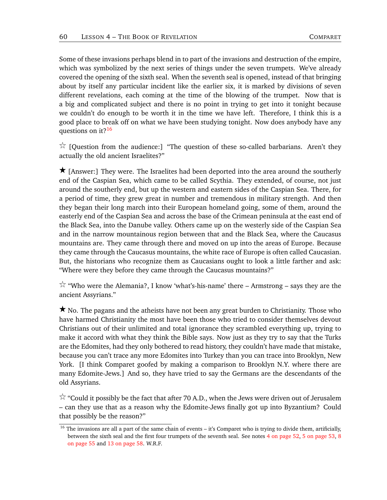Some of these invasions perhaps blend in to part of the invasions and destruction of the empire, which was symbolized by the next series of things under the seven trumpets. We've already covered the opening of the sixth seal. When the seventh seal is opened, instead of that bringing about by itself any particular incident like the earlier six, it is marked by divisions of seven different revelations, each coming at the time of the blowing of the trumpet. Now that is a big and complicated subject and there is no point in trying to get into it tonight because we couldn't do enough to be worth it in the time we have left. Therefore, I think this is a good place to break off on what we have been studying tonight. Now does anybody have any questions on it?<sup>[16](#page-59-0)</sup>

 $\overleftrightarrow{\alpha}$  [Question from the audience:] "The question of these so-called barbarians. Aren't they actually the old ancient Israelites?"

 $\bigstar$  [Answer:] They were. The Israelites had been deported into the area around the southerly end of the Caspian Sea, which came to be called Scythia. They extended, of course, not just around the southerly end, but up the western and eastern sides of the Caspian Sea. There, for a period of time, they grew great in number and tremendous in military strength. And then they began their long march into their European homeland going, some of them, around the easterly end of the Caspian Sea and across the base of the Crimean peninsula at the east end of the Black Sea, into the Danube valley. Others came up on the westerly side of the Caspian Sea and in the narrow mountainous region between that and the Black Sea, where the Caucasus mountains are. They came through there and moved on up into the areas of Europe. Because they came through the Caucasus mountains, the white race of Europe is often called Caucasian. But, the historians who recognize them as Caucasians ought to look a little farther and ask: "Where were they before they came through the Caucasus mountains?"

 $\overleftrightarrow{\alpha}$  "Who were the Alemania?, I know 'what's-his-name' there – Armstrong – says they are the ancient Assyrians."

 $\star$  No. The pagans and the atheists have not been any great burden to Christianity. Those who have harmed Christianity the most have been those who tried to consider themselves devout Christians out of their unlimited and total ignorance they scrambled everything up, trying to make it accord with what they think the Bible says. Now just as they try to say that the Turks are the Edomites, had they only bothered to read history, they couldn't have made that mistake, because you can't trace any more Edomites into Turkey than you can trace into Brooklyn, New York. [I think Comparet goofed by making a comparison to Brooklyn N.Y. where there are many Edomite-Jews.] And so, they have tried to say the Germans are the descendants of the old Assyrians.

 $\stackrel{\leftrightarrow}{\rtimes}$  "Could it possibly be the fact that after 70 A.D., when the Jews were driven out of Jerusalem – can they use that as a reason why the Edomite-Jews finally got up into Byzantium? Could that possibly be the reason?"

<span id="page-59-0"></span><sup>&</sup>lt;sup>16</sup> The invasions are all a part of the same chain of events – it's Comparet who is trying to divide them, artificially, between the sixth seal and the first four trumpets of the seventh seal. See notes [4 on page 52,](#page-51-0) [5 on page 53,](#page-52-0) [8](#page-54-0) [on page 55](#page-54-0) and [13 on page 58.](#page-57-0) W.R.F.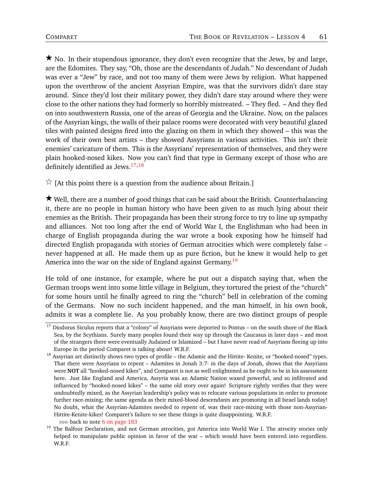$\star$  No. In their stupendous ignorance, they don't even recognize that the Jews, by and large, are the Edomites. They say, "Oh, those are the descendants of Judah." No descendant of Judah was ever a "Jew" by race, and not too many of them were Jews by religion. What happened upon the overthrow of the ancient Assyrian Empire, was that the survivors didn't dare stay around. Since they'd lost their military power, they didn't dare stay around where they were close to the other nations they had formerly so horribly mistreated. – They fled. – And they fled on into southwestern Russia, one of the areas of Georgia and the Ukraine. Now, on the palaces of the Assyrian kings, the walls of their palace rooms were decorated with very beautiful glazed tiles with painted designs fired into the glazing on them in which they showed – this was the work of their own best artists – they showed Assyrians in various activities. This isn't their enemies' caricature of them. This is the Assyrians' representation of themselves, and they were plain hooked-nosed kikes. Now you can't find that type in Germany except of those who are definitely identified as Jews.<sup>[17,](#page-60-0)[18](#page-60-1)</sup>

 $\overleftrightarrow{\times}$  [At this point there is a question from the audience about Britain.]

 $\bigstar$  Well, there are a number of good things that can be said about the British. Counterbalancing it, there are no people in human history who have been given to as much lying about their enemies as the British. Their propaganda has been their strong force to try to line up sympathy and alliances. Not too long after the end of World War I, the Englishman who had been in charge of English propaganda during the war wrote a book exposing how he himself had directed English propaganda with stories of German atrocities which were completely false – never happened at all. He made them up as pure fiction, but he knew it would help to get America into the war on the side of England against Germany.<sup>[19](#page-60-2)</sup>

He told of one instance, for example, where he put out a dispatch saying that, when the German troops went into some little village in Belgium, they tortured the priest of the "church" for some hours until he finally agreed to ring the "church" bell in celebration of the coming of the Germans. Now no such incident happened, and the man himself, in his own book, admits it was a complete lie. As you probably know, there are two distinct groups of people

<span id="page-60-0"></span> $17$  Diodorus Siculus reports that a "colony" of Assyrians were deported to Pontus – on the south shore of the Black Sea, by the Scythians. Surely many peoples found their way up through the Caucasus in later days – and most of the strangers there were eventually Judaized or Islamized – but I have never read of Assyrians fleeing up into Europe in the period Comparet is talking about! W.R.F.

<span id="page-60-1"></span><sup>&</sup>lt;sup>18</sup> Assyrian art distinctly shows two types of profile – the Adamic and the Hittite- Kenite, or "hooked-nosed" types. That there were Assyrians to repent – Adamites in Jonah 3:7- in the days of Jonah, shows that the Assyrians were **NOT** all "hooked-nosed kikes", and Comparet is not as well enlightened as he ought to be in his assessment here. Just like England and America, Assyria was an Adamic Nation waxed powerful, and so infiltrated and influenced by "hooked-nosed kikes" – the same old story over again! Scripture rightly verifies that they were undoubtedly mixed, as the Assyrian leadership's policy was to relocate various populations in order to promote further race-mixing; the same agenda as their mixed-blood descendants are promoting in all Israel lands today! No doubt, what the Assyrian-Adamites needed to repent of, was their race-mixing with those non-Assyrian-Hittite-Kenite-kikes! Comparet's failure to see these things is quite disappointing. W.R.F. **DDD** back to note [6 on page 183](#page-182-0)

<span id="page-60-2"></span><sup>&</sup>lt;sup>19</sup> The Balfour Declaration, and not German atrocities, got America into World War I. The atrocity stories only helped to manipulate public opinion in favor of the war – which would have been entered into regardless. W.R.F.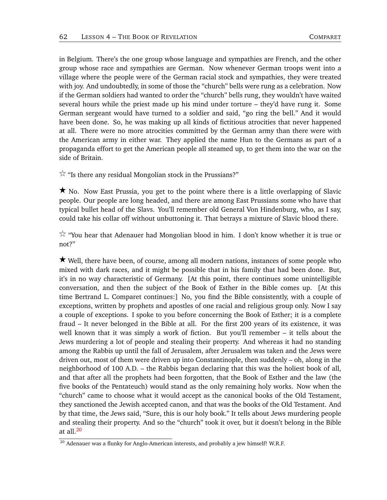in Belgium. There's the one group whose language and sympathies are French, and the other group whose race and sympathies are German. Now whenever German troops went into a village where the people were of the German racial stock and sympathies, they were treated with joy. And undoubtedly, in some of those the "church" bells were rung as a celebration. Now if the German soldiers had wanted to order the "church" bells rung, they wouldn't have waited several hours while the priest made up his mind under torture – they'd have rung it. Some German sergeant would have turned to a soldier and said, "go ring the bell." And it would have been done. So, he was making up all kinds of fictitious atrocities that never happened at all. There were no more atrocities committed by the German army than there were with the American army in either war. They applied the name Hun to the Germans as part of a propaganda effort to get the American people all steamed up, to get them into the war on the side of Britain.

 $\overleftrightarrow{\times}$  "Is there any residual Mongolian stock in the Prussians?"

 $\star$  No. Now East Prussia, you get to the point where there is a little overlapping of Slavic people. Our people are long headed, and there are among East Prussians some who have that typical bullet head of the Slavs. You'll remember old General Von Hindenburg, who, as I say, could take his collar off without unbuttoning it. That betrays a mixture of Slavic blood there.

 $\overleftrightarrow{\alpha}$  "You hear that Adenauer had Mongolian blood in him. I don't know whether it is true or not?"

 $\star$  Well, there have been, of course, among all modern nations, instances of some people who mixed with dark races, and it might be possible that in his family that had been done. But, it's in no way characteristic of Germany. [At this point, there continues some unintelligible conversation, and then the subject of the Book of Esther in the Bible comes up. [At this time Bertrand L. Comparet continues:] No, you find the Bible consistently, with a couple of exceptions, written by prophets and apostles of one racial and religious group only. Now I say a couple of exceptions. I spoke to you before concerning the Book of Esther; it is a complete fraud – It never belonged in the Bible at all. For the first 200 years of its existence, it was well known that it was simply a work of fiction. But you'll remember – it tells about the Jews murdering a lot of people and stealing their property. And whereas it had no standing among the Rabbis up until the fall of Jerusalem, after Jerusalem was taken and the Jews were driven out, most of them were driven up into Constantinople, then suddenly – oh, along in the neighborhood of 100 A.D. – the Rabbis began declaring that this was the holiest book of all, and that after all the prophets had been forgotten, that the Book of Esther and the law (the five books of the Pentateuch) would stand as the only remaining holy works. Now when the "church" came to choose what it would accept as the canonical books of the Old Testament, they sanctioned the Jewish accepted canon, and that was the books of the Old Testament. And by that time, the Jews said, "Sure, this is our holy book." It tells about Jews murdering people and stealing their property. And so the "church" took it over, but it doesn't belong in the Bible at all. $20$ 

<span id="page-61-0"></span> $20$  Adenauer was a flunky for Anglo-American interests, and probably a jew himself! W.R.F.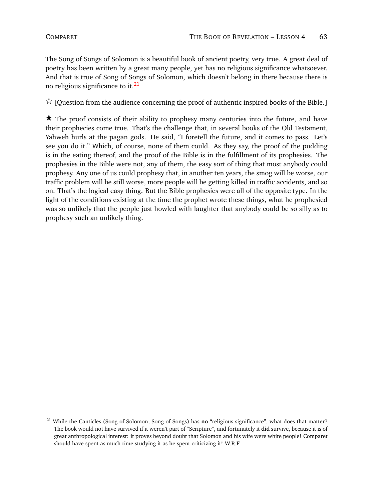The Song of Songs of Solomon is a beautiful book of ancient poetry, very true. A great deal of poetry has been written by a great many people, yet has no religious significance whatsoever. And that is true of Song of Songs of Solomon, which doesn't belong in there because there is no religious significance to it. $^{21}$  $^{21}$  $^{21}$ 

 $\stackrel{\leftrightarrow}{\rtimes}$  [Question from the audience concerning the proof of authentic inspired books of the Bible.]

 $\star$  The proof consists of their ability to prophesy many centuries into the future, and have their prophecies come true. That's the challenge that, in several books of the Old Testament, Yahweh hurls at the pagan gods. He said, "I foretell the future, and it comes to pass. Let's see you do it." Which, of course, none of them could. As they say, the proof of the pudding is in the eating thereof, and the proof of the Bible is in the fulfillment of its prophesies. The prophesies in the Bible were not, any of them, the easy sort of thing that most anybody could prophesy. Any one of us could prophesy that, in another ten years, the smog will be worse, our traffic problem will be still worse, more people will be getting killed in traffic accidents, and so on. That's the logical easy thing. But the Bible prophesies were all of the opposite type. In the light of the conditions existing at the time the prophet wrote these things, what he prophesied was so unlikely that the people just howled with laughter that anybody could be so silly as to prophesy such an unlikely thing.

<span id="page-62-0"></span><sup>&</sup>lt;sup>21</sup> While the Canticles (Song of Solomon, Song of Songs) has **no** "religious significance", what does that matter? The book would not have survived if it weren't part of "Scripture", and fortunately it **did** survive, because it is of great anthropological interest: it proves beyond doubt that Solomon and his wife were white people! Comparet should have spent as much time studying it as he spent criticizing it! W.R.F.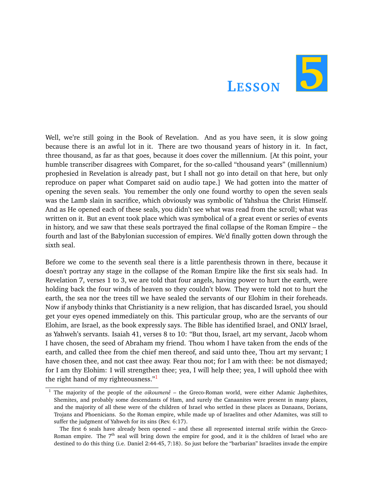

Well, we're still going in the Book of Revelation. And as you have seen, it is slow going because there is an awful lot in it. There are two thousand years of history in it. In fact, three thousand, as far as that goes, because it does cover the millennium. [At this point, your humble transcriber disagrees with Comparet, for the so-called "thousand years" (millennium) prophesied in Revelation is already past, but I shall not go into detail on that here, but only reproduce on paper what Comparet said on audio tape.] We had gotten into the matter of opening the seven seals. You remember the only one found worthy to open the seven seals was the Lamb slain in sacrifice, which obviously was symbolic of Yahshua the Christ Himself. And as He opened each of these seals, you didn't see what was read from the scroll; what was written on it. But an event took place which was symbolical of a great event or series of events in history, and we saw that these seals portrayed the final collapse of the Roman Empire – the fourth and last of the Babylonian succession of empires. We'd finally gotten down through the sixth seal.

Before we come to the seventh seal there is a little parenthesis thrown in there, because it doesn't portray any stage in the collapse of the Roman Empire like the first six seals had. In Revelation 7, verses 1 to 3, we are told that four angels, having power to hurt the earth, were holding back the four winds of heaven so they couldn't blow. They were told not to hurt the earth, the sea nor the trees till we have sealed the servants of our Elohim in their foreheads. Now if anybody thinks that Christianity is a new religion, that has discarded Israel, you should get your eyes opened immediately on this. This particular group, who are the servants of our Elohim, are Israel, as the book expressly says. The Bible has identified Israel, and ONLY Israel, as Yahweh's servants. Isaiah 41, verses 8 to 10: "But thou, Israel, art my servant, Jacob whom I have chosen, the seed of Abraham my friend. Thou whom I have taken from the ends of the earth, and called thee from the chief men thereof, and said unto thee, Thou art my servant; I have chosen thee, and not cast thee away. Fear thou not; for I am with thee: be not dismayed; for I am thy Elohim: I will strengthen thee; yea, I will help thee; yea, I will uphold thee with the right hand of my righteousness."<sup>[1](#page-64-0)</sup>

<span id="page-64-0"></span><sup>1</sup> The majority of the people of the *oikoumenê* – the Greco-Roman world, were either Adamic Japhethites, Shemites, and probably some descendants of Ham, and surely the Canaanites were present in many places, and the majority of all these were of the children of Israel who settled in these places as Danaans, Dorians, Trojans and Phoenicians. So the Roman empire, while made up of Israelites and other Adamites, was still to suffer the judgment of Yahweh for its sins (Rev. 6:17).

The first 6 seals have already been opened – and these all represented internal strife within the Greco-Roman empire. The  $7<sup>th</sup>$  seal will bring down the empire for good, and it is the children of Israel who are destined to do this thing (i.e. Daniel 2:44-45, 7:18). So just before the "barbarian" Israelites invade the empire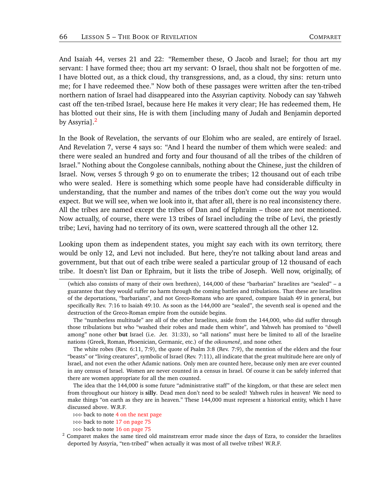And Isaiah 44, verses 21 and 22: "Remember these, O Jacob and Israel; for thou art my servant: I have formed thee; thou art my servant: O Israel, thou shalt not be forgotten of me. I have blotted out, as a thick cloud, thy transgressions, and, as a cloud, thy sins: return unto me; for I have redeemed thee." Now both of these passages were written after the ten-tribed northern nation of Israel had disappeared into the Assyrian captivity. Nobody can say Yahweh cast off the ten-tribed Israel, because here He makes it very clear; He has redeemed them, He has blotted out their sins, He is with them [including many of Judah and Benjamin deported by Assyria].<sup>[2](#page-65-0)</sup>

In the Book of Revelation, the servants of our Elohim who are sealed, are entirely of Israel. And Revelation 7, verse 4 says so: "And I heard the number of them which were sealed: and there were sealed an hundred and forty and four thousand of all the tribes of the children of Israel." Nothing about the Congolese cannibals, nothing about the Chinese, just the children of Israel. Now, verses 5 through 9 go on to enumerate the tribes; 12 thousand out of each tribe who were sealed. Here is something which some people have had considerable difficulty in understanding, that the number and names of the tribes don't come out the way you would expect. But we will see, when we look into it, that after all, there is no real inconsistency there. All the tribes are named except the tribes of Dan and of Ephraim – those are not mentioned. Now actually, of course, there were 13 tribes of Israel including the tribe of Levi, the priestly tribe; Levi, having had no territory of its own, were scattered through all the other 12.

Looking upon them as independent states, you might say each with its own territory, there would be only 12, and Levi not included. But here, they're not talking about land areas and government, but that out of each tribe were sealed a particular group of 12 thousand of each tribe. It doesn't list Dan or Ephraim, but it lists the tribe of Joseph. Well now, originally, of

The white robes (Rev. 6:11, 7:9), the quote of Psalm 3:8 (Rev. 7:9), the mention of the elders and the four "beasts" or "living creatures", symbolic of Israel (Rev. 7:11), all indicate that the great multitude here are only of Israel, and not even the other Adamic nations. Only men are counted here, because only men are ever counted in any census of Israel. Women are never counted in a census in Israel. Of course it can be safely inferred that there are women appropriate for all the men counted.

The idea that the 144,000 is some future "administrative staff" of the kingdom, or that these are select men from throughout our history is **silly**. Dead men don't need to be sealed! Yahweh rules in heaven! We need to make things "on earth as they are in heaven." These 144,000 must represent a historical entity, which I have discussed above. W.R.F.

**DOD** back to note [16 on page 75](#page-74-1)

<sup>(</sup>which also consists of many of their own brethren), 144,000 of these "barbarian" Israelites are "sealed" – a guarantee that they would suffer no harm through the coming battles and tribulations. That these are Israelites of the deportations, "barbarians", and not Greco-Romans who are spared, compare Isaiah 49 in general, but specifically Rev. 7:16 to Isaiah 49:10. As soon as the 144,000 are "sealed", the seventh seal is opened and the destruction of the Greco-Roman empire from the outside begins.

The "numberless multitude" are all of the other Israelites, aside from the 144,000, who did suffer through those tribulations but who "washed their robes and made them white", and Yahweh has promised to "dwell among" none other **but** Israel (i.e. Jer. 31:33), so "all nations" must here be limited to all of the Israelite nations (Greek, Roman, Phoenician, Germanic, etc.) of the *oikoumenê*, and none other.

 $\triangleright$  back to note [4 on the next page](#page-66-0)

**DOD** back to note [17 on page 75](#page-74-0)

<span id="page-65-0"></span><sup>&</sup>lt;sup>2</sup> Comparet makes the same tired old mainstream error made since the days of Ezra, to consider the Israelites deported by Assyria, "ten-tribed" when actually it was most of all twelve tribes! W.R.F.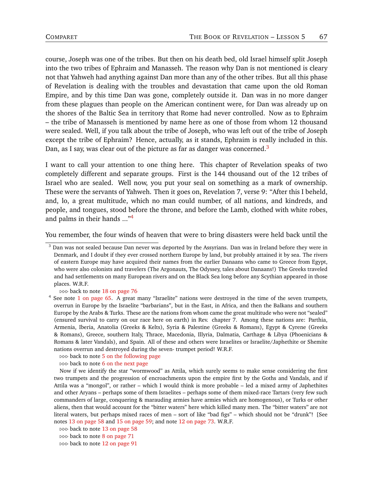course, Joseph was one of the tribes. But then on his death bed, old Israel himself split Joseph into the two tribes of Ephraim and Manasseh. The reason why Dan is not mentioned is cleary not that Yahweh had anything against Dan more than any of the other tribes. But all this phase of Revelation is dealing with the troubles and devastation that came upon the old Roman Empire, and by this time Dan was gone, completely outside it. Dan was in no more danger from these plagues than people on the American continent were, for Dan was already up on the shores of the Baltic Sea in territory that Rome had never controlled. Now as to Ephraim – the tribe of Manasseh is mentioned by name here as one of those from whom 12 thousand were sealed. Well, if you talk about the tribe of Joseph, who was left out of the tribe of Joseph except the tribe of Ephraim? Hence, actually, as it stands, Ephraim is really included in this. Dan, as I say, was clear out of the picture as far as danger was concerned.<sup>[3](#page-66-1)</sup>

I want to call your attention to one thing here. This chapter of Revelation speaks of two completely different and separate groups. First is the 144 thousand out of the 12 tribes of Israel who are sealed. Well now, you put your seal on something as a mark of ownership. These were the servants of Yahweh. Then it goes on, Revelation 7, verse 9: "After this I beheld, and, lo, a great multitude, which no man could number, of all nations, and kindreds, and people, and tongues, stood before the throne, and before the Lamb, clothed with white robes, and palms in their hands ..."[4](#page-66-0)

You remember, the four winds of heaven that were to bring disasters were held back until the

**DDD** back to note [18 on page 76](#page-75-0)

 $\triangleright$  back to note [5 on the following page](#page-67-0)

 $\triangleright\triangleright$  back to note [6 on the next page](#page-67-1)

Now if we identify the star "wormwood" as Attila, which surely seems to make sense considering the first two trumpets and the progression of encroachments upon the empire first by the Goths and Vandals, and if Attila was a "mongol", or rather – which I would think is more probable – led a mixed army of Japhethites and other Aryans – perhaps some of them Israelites – perhaps some of them mixed-race Tartars (very few such commanders of large, conquering & marauding armies have armies which are homogenous), or Turks or other aliens, then that would account for the "bitter waters" here which killed many men. The "bitter waters" are not literal waters, but perhaps mixed races of men – sort of like "bad figs" – which should not be "drunk"! [See notes [13 on page 58](#page-57-0) and [15 on page 59;](#page-58-1) and note [12 on page 73.](#page-72-0) W.R.F.

**DDD** back to note [13 on page 58](#page-57-0)

<span id="page-66-1"></span><sup>&</sup>lt;sup>3</sup> Dan was not sealed because Dan never was deported by the Assyrians. Dan was in Ireland before they were in Denmark, and I doubt if they ever crossed northern Europe by land, but probably attained it by sea. The rivers of eastern Europe may have acquired their names from the earlier Danaans who came to Greece from Egypt, who were also colonists and travelers (The Argonauts, The Odyssey, tales about Danaans!) The Greeks traveled and had settlements on many European rivers and on the Black Sea long before any Scythian appeared in those places. W.R.F.

<span id="page-66-0"></span><sup>4</sup> See note [1 on page 65.](#page-64-0) A great many "Israelite" nations were destroyed in the time of the seven trumpets, overrun in Europe by the Israelite "barbarians", but in the East, in Africa, and then the Balkans and southern Europe by the Arabs & Turks. These are the nations from whom came the great multitude who were not "sealed" (ensured survival to carry on our race here on earth) in Rev. chapter 7. Among these nations are: Parthia, Armenia, Iberia, Anatolia (Greeks & Kelts), Syria & Palestine (Greeks & Romans), Egypt & Cyrene (Greeks & Romans), Greece, southern Italy, Thrace, Macedonia, Illyria, Dalmatia, Carthage & Libya (Phoenicians & Romans & later Vandals), and Spain. All of these and others were Israelites or Israelite/Japhethite or Shemite nations overrun and destroyed during the seven- trumpet period! W.R.F.

 $\triangleright$  back to note [8 on page 71](#page-70-0)

**DDD** back to note [12 on page 91](#page-90-0)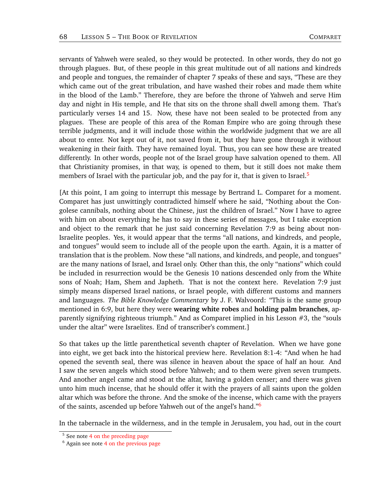servants of Yahweh were sealed, so they would be protected. In other words, they do not go through plagues. But, of these people in this great multitude out of all nations and kindreds and people and tongues, the remainder of chapter 7 speaks of these and says, "These are they which came out of the great tribulation, and have washed their robes and made them white in the blood of the Lamb." Therefore, they are before the throne of Yahweh and serve Him day and night in His temple, and He that sits on the throne shall dwell among them. That's particularly verses 14 and 15. Now, these have not been sealed to be protected from any plagues. These are people of this area of the Roman Empire who are going through these terrible judgments, and it will include those within the worldwide judgment that we are all about to enter. Not kept out of it, not saved from it, but they have gone through it without weakening in their faith. They have remained loyal. Thus, you can see how these are treated differently. In other words, people not of the Israel group have salvation opened to them. All that Christianity promises, in that way, is opened to them, but it still does not make them members of Israel with the particular job, and the pay for it, that is given to Israel.<sup>[5](#page-67-0)</sup>

[At this point, I am going to interrupt this message by Bertrand L. Comparet for a moment. Comparet has just unwittingly contradicted himself where he said, "Nothing about the Congolese cannibals, nothing about the Chinese, just the children of Israel." Now I have to agree with him on about everything he has to say in these series of messages, but I take exception and object to the remark that he just said concerning Revelation 7:9 as being about non-Israelite peoples. Yes, it would appear that the terms "all nations, and kindreds, and people, and tongues" would seem to include all of the people upon the earth. Again, it is a matter of translation that is the problem. Now these "all nations, and kindreds, and people, and tongues" are the many nations of Israel, and Israel only. Other than this, the only "nations" which could be included in resurrection would be the Genesis 10 nations descended only from the White sons of Noah; Ham, Shem and Japheth. That is not the context here. Revelation 7:9 just simply means dispersed Israel nations, or Israel people, with different customs and manners and languages. *The Bible Knowledge Commentary* by J. F. Walvoord: "This is the same group mentioned in 6:9, but here they were **wearing white robes** and **holding palm branches**, apparently signifying righteous triumph." And as Comparet implied in his Lesson #3, the "souls under the altar" were Israelites. End of transcriber's comment.]

So that takes up the little parenthetical seventh chapter of Revelation. When we have gone into eight, we get back into the historical preview here. Revelation 8:1-4: "And when he had opened the seventh seal, there was silence in heaven about the space of half an hour. And I saw the seven angels which stood before Yahweh; and to them were given seven trumpets. And another angel came and stood at the altar, having a golden censer; and there was given unto him much incense, that he should offer it with the prayers of all saints upon the golden altar which was before the throne. And the smoke of the incense, which came with the prayers of the saints, ascended up before Yahweh out of the angel's hand."[6](#page-67-1)

In the tabernacle in the wilderness, and in the temple in Jerusalem, you had, out in the court

<span id="page-67-0"></span><sup>&</sup>lt;sup>5</sup> See note [4 on the preceding page](#page-66-0)

<span id="page-67-1"></span> $<sup>6</sup>$  Again see note [4 on the previous page](#page-66-0)</sup>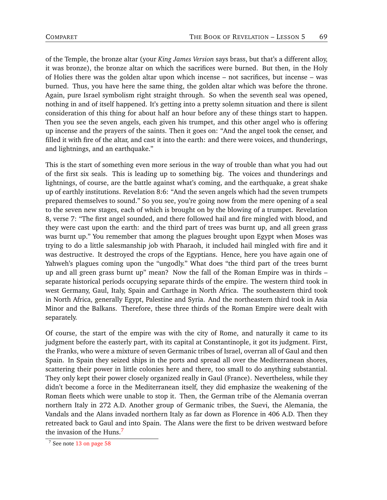of the Temple, the bronze altar (your *King James Version* says brass, but that's a different alloy, it was bronze), the bronze altar on which the sacrifices were burned. But then, in the Holy of Holies there was the golden altar upon which incense – not sacrifices, but incense – was burned. Thus, you have here the same thing, the golden altar which was before the throne. Again, pure Israel symbolism right straight through. So when the seventh seal was opened, nothing in and of itself happened. It's getting into a pretty solemn situation and there is silent consideration of this thing for about half an hour before any of these things start to happen. Then you see the seven angels, each given his trumpet, and this other angel who is offering up incense and the prayers of the saints. Then it goes on: "And the angel took the censer, and filled it with fire of the altar, and cast it into the earth: and there were voices, and thunderings, and lightnings, and an earthquake."

This is the start of something even more serious in the way of trouble than what you had out of the first six seals. This is leading up to something big. The voices and thunderings and lightnings, of course, are the battle against what's coming, and the earthquake, a great shake up of earthly institutions. Revelation 8:6: "And the seven angels which had the seven trumpets prepared themselves to sound." So you see, you're going now from the mere opening of a seal to the seven new stages, each of which is brought on by the blowing of a trumpet. Revelation 8, verse 7: "The first angel sounded, and there followed hail and fire mingled with blood, and they were cast upon the earth: and the third part of trees was burnt up, and all green grass was burnt up." You remember that among the plagues brought upon Egypt when Moses was trying to do a little salesmanship job with Pharaoh, it included hail mingled with fire and it was destructive. It destroyed the crops of the Egyptians. Hence, here you have again one of Yahweh's plagues coming upon the "ungodly." What does "the third part of the trees burnt up and all green grass burnt up" mean? Now the fall of the Roman Empire was in thirds – separate historical periods occupying separate thirds of the empire. The western third took in west Germany, Gaul, Italy, Spain and Carthage in North Africa. The southeastern third took in North Africa, generally Egypt, Palestine and Syria. And the northeastern third took in Asia Minor and the Balkans. Therefore, these three thirds of the Roman Empire were dealt with separately.

Of course, the start of the empire was with the city of Rome, and naturally it came to its judgment before the easterly part, with its capital at Constantinople, it got its judgment. First, the Franks, who were a mixture of seven Germanic tribes of Israel, overran all of Gaul and then Spain. In Spain they seized ships in the ports and spread all over the Mediterranean shores, scattering their power in little colonies here and there, too small to do anything substantial. They only kept their power closely organized really in Gaul (France). Nevertheless, while they didn't become a force in the Mediterranean itself, they did emphasize the weakening of the Roman fleets which were unable to stop it. Then, the German tribe of the Alemania overran northern Italy in 272 A.D. Another group of Germanic tribes, the Suevi, the Alemania, the Vandals and the Alans invaded northern Italy as far down as Florence in 406 A.D. Then they retreated back to Gaul and into Spain. The Alans were the first to be driven westward before the invasion of the Huns.<sup>[7](#page-68-0)</sup>

<span id="page-68-0"></span> $<sup>7</sup>$  See note [13 on page 58](#page-57-0)</sup>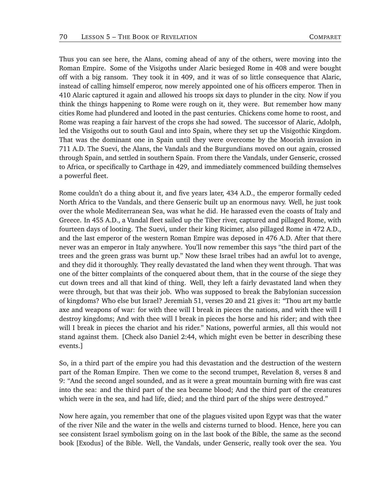Thus you can see here, the Alans, coming ahead of any of the others, were moving into the Roman Empire. Some of the Visigoths under Alaric besieged Rome in 408 and were bought off with a big ransom. They took it in 409, and it was of so little consequence that Alaric, instead of calling himself emperor, now merely appointed one of his officers emperor. Then in 410 Alaric captured it again and allowed his troops six days to plunder in the city. Now if you think the things happening to Rome were rough on it, they were. But remember how many cities Rome had plundered and looted in the past centuries. Chickens come home to roost, and Rome was reaping a fair harvest of the crops she had sowed. The successor of Alaric, Adolph, led the Visigoths out to south Gaul and into Spain, where they set up the Visigothic Kingdom. That was the dominant one in Spain until they were overcome by the Moorish invasion in 711 A.D. The Suevi, the Alans, the Vandals and the Burgundians moved on out again, crossed through Spain, and settled in southern Spain. From there the Vandals, under Genseric, crossed to Africa, or specifically to Carthage in 429, and immediately commenced building themselves a powerful fleet.

Rome couldn't do a thing about it, and five years later, 434 A.D., the emperor formally ceded North Africa to the Vandals, and there Genseric built up an enormous navy. Well, he just took over the whole Mediterranean Sea, was what he did. He harassed even the coasts of Italy and Greece. In 455 A.D., a Vandal fleet sailed up the Tiber river, captured and pillaged Rome, with fourteen days of looting. The Suevi, under their king Ricimer, also pillaged Rome in 472 A.D., and the last emperor of the western Roman Empire was deposed in 476 A.D. After that there never was an emperor in Italy anywhere. You'll now remember this says "the third part of the trees and the green grass was burnt up." Now these Israel tribes had an awful lot to avenge, and they did it thoroughly. They really devastated the land when they went through. That was one of the bitter complaints of the conquered about them, that in the course of the siege they cut down trees and all that kind of thing. Well, they left a fairly devastated land when they were through, but that was their job. Who was supposed to break the Babylonian succession of kingdoms? Who else but Israel? Jeremiah 51, verses 20 and 21 gives it: "Thou art my battle axe and weapons of war: for with thee will I break in pieces the nations, and with thee will I destroy kingdoms; And with thee will I break in pieces the horse and his rider; and with thee will I break in pieces the chariot and his rider." Nations, powerful armies, all this would not stand against them. [Check also Daniel 2:44, which might even be better in describing these events.]

So, in a third part of the empire you had this devastation and the destruction of the western part of the Roman Empire. Then we come to the second trumpet, Revelation 8, verses 8 and 9: "And the second angel sounded, and as it were a great mountain burning with fire was cast into the sea: and the third part of the sea became blood; And the third part of the creatures which were in the sea, and had life, died; and the third part of the ships were destroyed."

Now here again, you remember that one of the plagues visited upon Egypt was that the water of the river Nile and the water in the wells and cisterns turned to blood. Hence, here you can see consistent Israel symbolism going on in the last book of the Bible, the same as the second book [Exodus] of the Bible. Well, the Vandals, under Genseric, really took over the sea. You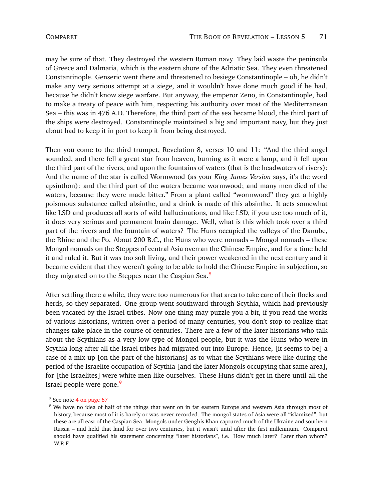may be sure of that. They destroyed the western Roman navy. They laid waste the peninsula of Greece and Dalmatia, which is the eastern shore of the Adriatic Sea. They even threatened Constantinople. Genseric went there and threatened to besiege Constantinople – oh, he didn't make any very serious attempt at a siege, and it wouldn't have done much good if he had, because he didn't know siege warfare. But anyway, the emperor Zeno, in Constantinople, had to make a treaty of peace with him, respecting his authority over most of the Mediterranean Sea – this was in 476 A.D. Therefore, the third part of the sea became blood, the third part of the ships were destroyed. Constantinople maintained a big and important navy, but they just about had to keep it in port to keep it from being destroyed.

Then you come to the third trumpet, Revelation 8, verses 10 and 11: "And the third angel sounded, and there fell a great star from heaven, burning as it were a lamp, and it fell upon the third part of the rivers, and upon the fountains of waters (that is the headwaters of rivers): And the name of the star is called Wormwood (as your *King James Version* says, it's the word apsínthon): and the third part of the waters became wormwood; and many men died of the waters, because they were made bitter." From a plant called "wormwood" they get a highly poisonous substance called absinthe, and a drink is made of this absinthe. It acts somewhat like LSD and produces all sorts of wild hallucinations, and like LSD, if you use too much of it, it does very serious and permanent brain damage. Well, what is this which took over a third part of the rivers and the fountain of waters? The Huns occupied the valleys of the Danube, the Rhine and the Po. About 200 B.C., the Huns who were nomads – Mongol nomads – these Mongol nomads on the Steppes of central Asia overran the Chinese Empire, and for a time held it and ruled it. But it was too soft living, and their power weakened in the next century and it became evident that they weren't going to be able to hold the Chinese Empire in subjection, so they migrated on to the Steppes near the Caspian Sea.<sup>[8](#page-70-0)</sup>

After settling there a while, they were too numerous for that area to take care of their flocks and herds, so they separated. One group went southward through Scythia, which had previously been vacated by the Israel tribes. Now one thing may puzzle you a bit, if you read the works of various historians, written over a period of many centuries, you don't stop to realize that changes take place in the course of centuries. There are a few of the later historians who talk about the Scythians as a very low type of Mongol people, but it was the Huns who were in Scythia long after all the Israel tribes had migrated out into Europe. Hence, [it seems to be] a case of a mix-up [on the part of the historians] as to what the Scythians were like during the period of the Israelite occupation of Scythia [and the later Mongols occupying that same area], for [the Israelites] were white men like ourselves. These Huns didn't get in there until all the Israel people were gone.<sup>[9](#page-70-1)</sup>

<span id="page-70-0"></span><sup>&</sup>lt;sup>8</sup> See note [4 on page 67](#page-66-0)

<span id="page-70-1"></span><sup>&</sup>lt;sup>9</sup> We have no idea of half of the things that went on in far eastern Europe and western Asia through most of history, because most of it is barely or was never recorded. The mongol states of Asia were all "islamized", but these are all east of the Caspian Sea. Mongols under Genghis Khan captured much of the Ukraine and southern Russia – and held that land for over two centuries, but it wasn't until after the first millennium. Comparet should have qualified his statement concerning "later historians", i.e. How much later? Later than whom? W.R.F.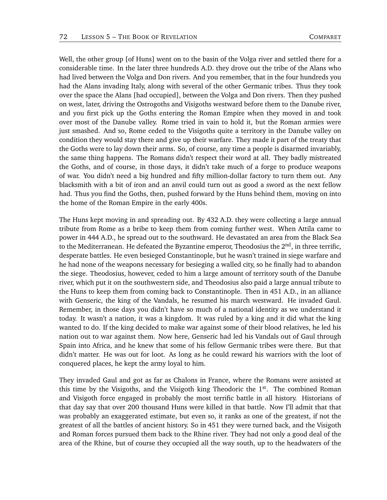Well, the other group [of Huns] went on to the basin of the Volga river and settled there for a considerable time. In the later three hundreds A.D. they drove out the tribe of the Alans who had lived between the Volga and Don rivers. And you remember, that in the four hundreds you had the Alans invading Italy, along with several of the other Germanic tribes. Thus they took over the space the Alans [had occupied], between the Volga and Don rivers. Then they pushed on west, later, driving the Ostrogoths and Visigoths westward before them to the Danube river, and you first pick up the Goths entering the Roman Empire when they moved in and took over most of the Danube valley. Rome tried in vain to hold it, but the Roman armies were just smashed. And so, Rome ceded to the Visigoths quite a territory in the Danube valley on condition they would stay there and give up their warfare. They made it part of the treaty that the Goths were to lay down their arms. So, of course, any time a people is disarmed invariably, the same thing happens. The Romans didn't respect their word at all. They badly mistreated the Goths, and of course, in those days, it didn't take much of a forge to produce weapons of war. You didn't need a big hundred and fifty million-dollar factory to turn them out. Any blacksmith with a bit of iron and an anvil could turn out as good a sword as the next fellow had. Thus you find the Goths, then, pushed forward by the Huns behind them, moving on into the home of the Roman Empire in the early 400s.

The Huns kept moving in and spreading out. By 432 A.D. they were collecting a large annual tribute from Rome as a bribe to keep them from coming further west. When Attila came to power in 444 A.D., he spread out to the southward. He devastated an area from the Black Sea to the Mediterranean. He defeated the Byzantine emperor, Theodosius the  $2<sup>nd</sup>$ , in three terrific, desperate battles. He even besieged Constantinople, but he wasn't trained in siege warfare and he had none of the weapons necessary for besieging a walled city, so he finally had to abandon the siege. Theodosius, however, ceded to him a large amount of territory south of the Danube river, which put it on the southwestern side, and Theodosius also paid a large annual tribute to the Huns to keep them from coming back to Constantinople. Then in 451 A.D., in an alliance with Genseric, the king of the Vandals, he resumed his march westward. He invaded Gaul. Remember, in those days you didn't have so much of a national identity as we understand it today. It wasn't a nation, it was a kingdom. It was ruled by a king and it did what the king wanted to do. If the king decided to make war against some of their blood relatives, he led his nation out to war against them. Now here, Genseric had led his Vandals out of Gaul through Spain into Africa, and he knew that some of his fellow Germanic tribes were there. But that didn't matter. He was out for loot. As long as he could reward his warriors with the loot of conquered places, he kept the army loyal to him.

They invaded Gaul and got as far as Chalons in France, where the Romans were assisted at this time by the Visigoths, and the Visigoth king Theodoric the  $1<sup>st</sup>$ . The combined Roman and Visigoth force engaged in probably the most terrific battle in all history. Historians of that day say that over 200 thousand Huns were killed in that battle. Now I'll admit that that was probably an exaggerated estimate, but even so, it ranks as one of the greatest, if not the greatest of all the battles of ancient history. So in 451 they were turned back, and the Visigoth and Roman forces pursued them back to the Rhine river. They had not only a good deal of the area of the Rhine, but of course they occupied all the way south, up to the headwaters of the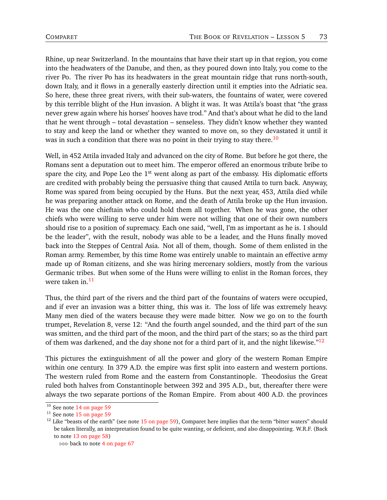Rhine, up near Switzerland. In the mountains that have their start up in that region, you come into the headwaters of the Danube, and then, as they poured down into Italy, you come to the river Po. The river Po has its headwaters in the great mountain ridge that runs north-south, down Italy, and it flows in a generally easterly direction until it empties into the Adriatic sea. So here, these three great rivers, with their sub-waters, the fountains of water, were covered by this terrible blight of the Hun invasion. A blight it was. It was Attila's boast that "the grass never grew again where his horses' hooves have trod." And that's about what he did to the land that he went through – total devastation – senseless. They didn't know whether they wanted to stay and keep the land or whether they wanted to move on, so they devastated it until it was in such a condition that there was no point in their trying to stay there.<sup>[10](#page-72-0)</sup>

Well, in 452 Attila invaded Italy and advanced on the city of Rome. But before he got there, the Romans sent a deputation out to meet him. The emperor offered an enormous tribute bribe to spare the city, and Pope Leo the  $1<sup>st</sup>$  went along as part of the embassy. His diplomatic efforts are credited with probably being the persuasive thing that caused Attila to turn back. Anyway, Rome was spared from being occupied by the Huns. But the next year, 453, Attila died while he was preparing another attack on Rome, and the death of Attila broke up the Hun invasion. He was the one chieftain who could hold them all together. When he was gone, the other chiefs who were willing to serve under him were not willing that one of their own numbers should rise to a position of supremacy. Each one said, "well, I'm as important as he is. I should be the leader", with the result, nobody was able to be a leader, and the Huns finally moved back into the Steppes of Central Asia. Not all of them, though. Some of them enlisted in the Roman army. Remember, by this time Rome was entirely unable to maintain an effective army made up of Roman citizens, and she was hiring mercenary soldiers, mostly from the various Germanic tribes. But when some of the Huns were willing to enlist in the Roman forces, they were taken in.<sup>[11](#page-72-1)</sup>

Thus, the third part of the rivers and the third part of the fountains of waters were occupied, and if ever an invasion was a bitter thing, this was it. The loss of life was extremely heavy. Many men died of the waters because they were made bitter. Now we go on to the fourth trumpet, Revelation 8, verse 12: "And the fourth angel sounded, and the third part of the sun was smitten, and the third part of the moon, and the third part of the stars; so as the third part of them was darkened, and the day shone not for a third part of it, and the night likewise." $12$ 

This pictures the extinguishment of all the power and glory of the western Roman Empire within one century. In 379 A.D. the empire was first split into eastern and western portions. The western ruled from Rome and the eastern from Constantinople. Theodosius the Great ruled both halves from Constantinople between 392 and 395 A.D., but, thereafter there were always the two separate portions of the Roman Empire. From about 400 A.D. the provinces

<span id="page-72-0"></span> $\overline{10}$  See note [14 on page 59](#page-58-0)

<span id="page-72-1"></span> $11$  See note [15 on page 59](#page-58-1)

<span id="page-72-2"></span> $12$  Like "beasts of the earth" (see note [15 on page 59\)](#page-58-1), Comparet here implies that the term "bitter waters" should be taken literally, an interpretation found to be quite wanting, or deficient, and also disappointing. W.R.F. (Back to note [13 on page 58\)](#page-57-0)

**DDD** back to note [4 on page 67](#page-66-0)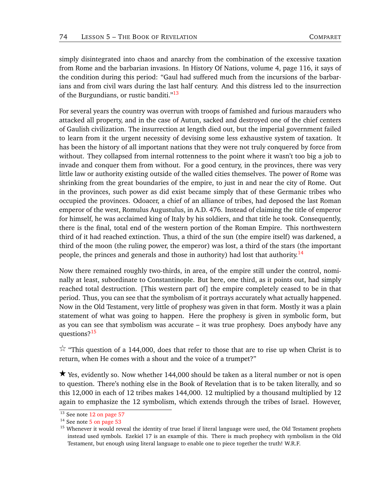simply disintegrated into chaos and anarchy from the combination of the excessive taxation from Rome and the barbarian invasions. In History Of Nations, volume 4, page 116, it says of the condition during this period: "Gaul had suffered much from the incursions of the barbarians and from civil wars during the last half century. And this distress led to the insurrection of the Burgundians, or rustic banditi."<sup>[13](#page-73-0)</sup>

For several years the country was overrun with troops of famished and furious marauders who attacked all property, and in the case of Autun, sacked and destroyed one of the chief centers of Gaulish civilization. The insurrection at length died out, but the imperial government failed to learn from it the urgent necessity of devising some less exhaustive system of taxation. It has been the history of all important nations that they were not truly conquered by force from without. They collapsed from internal rottenness to the point where it wasn't too big a job to invade and conquer them from without. For a good century, in the provinces, there was very little law or authority existing outside of the walled cities themselves. The power of Rome was shrinking from the great boundaries of the empire, to just in and near the city of Rome. Out in the provinces, such power as did exist became simply that of these Germanic tribes who occupied the provinces. Odoacer, a chief of an alliance of tribes, had deposed the last Roman emperor of the west, Romulus Augustulus, in A.D. 476. Instead of claiming the title of emperor for himself, he was acclaimed king of Italy by his soldiers, and that title he took. Consequently, there is the final, total end of the western portion of the Roman Empire. This northwestern third of it had reached extinction. Thus, a third of the sun (the empire itself) was darkened, a third of the moon (the ruling power, the emperor) was lost, a third of the stars (the important people, the princes and generals and those in authority) had lost that authority.<sup>[14](#page-73-1)</sup>

Now there remained roughly two-thirds, in area, of the empire still under the control, nominally at least, subordinate to Constantinople. But here, one third, as it points out, had simply reached total destruction. [This western part of] the empire completely ceased to be in that period. Thus, you can see that the symbolism of it portrays accurately what actually happened. Now in the Old Testament, very little of prophesy was given in that form. Mostly it was a plain statement of what was going to happen. Here the prophesy is given in symbolic form, but as you can see that symbolism was accurate – it was true prophesy. Does anybody have any questions?<sup>[15](#page-73-2)</sup>

 $\overleftrightarrow{\kappa}$  "This question of a 144,000, does that refer to those that are to rise up when Christ is to return, when He comes with a shout and the voice of a trumpet?"

 $\bigstar$  Yes, evidently so. Now whether 144,000 should be taken as a literal number or not is open to question. There's nothing else in the Book of Revelation that is to be taken literally, and so this 12,000 in each of 12 tribes makes 144,000. 12 multiplied by a thousand multiplied by 12 again to emphasize the 12 symbolism, which extends through the tribes of Israel. However,

<span id="page-73-0"></span><sup>&</sup>lt;sup>13</sup> See note [12 on page 57](#page-56-0)

<span id="page-73-1"></span><sup>&</sup>lt;sup>14</sup> See note [5 on page 53](#page-52-0)

<span id="page-73-2"></span><sup>&</sup>lt;sup>15</sup> Whenever it would reveal the identity of true Israel if literal language were used, the Old Testament prophets instead used symbols. Ezekiel 17 is an example of this. There is much prophecy with symbolism in the Old Testament, but enough using literal language to enable one to piece together the truth! W.R.F.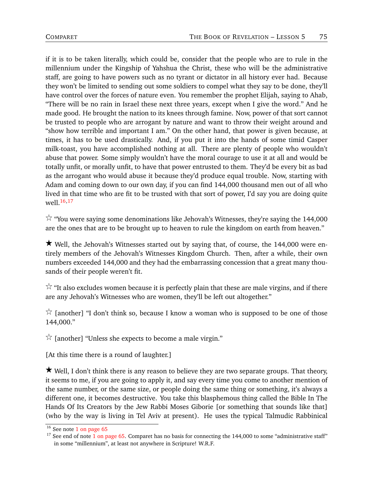if it is to be taken literally, which could be, consider that the people who are to rule in the millennium under the Kingship of Yahshua the Christ, these who will be the administrative staff, are going to have powers such as no tyrant or dictator in all history ever had. Because they won't be limited to sending out some soldiers to compel what they say to be done, they'll have control over the forces of nature even. You remember the prophet Elijah, saying to Ahab, "There will be no rain in Israel these next three years, except when I give the word." And he made good. He brought the nation to its knees through famine. Now, power of that sort cannot be trusted to people who are arrogant by nature and want to throw their weight around and "show how terrible and important I am." On the other hand, that power is given because, at times, it has to be used drastically. And, if you put it into the hands of some timid Casper milk-toast, you have accomplished nothing at all. There are plenty of people who wouldn't abuse that power. Some simply wouldn't have the moral courage to use it at all and would be totally unfit, or morally unfit, to have that power entrusted to them. They'd be every bit as bad as the arrogant who would abuse it because they'd produce equal trouble. Now, starting with Adam and coming down to our own day, if you can find 144,000 thousand men out of all who lived in that time who are fit to be trusted with that sort of power, I'd say you are doing quite well.[16,](#page-74-0)[17](#page-74-1)

 $\stackrel{\scriptstyle\leftrightarrow}{\scriptstyle\times}$  "You were saying some denominations like Jehovah's Witnesses, they're saying the 144,000 are the ones that are to be brought up to heaven to rule the kingdom on earth from heaven."

 $\star$  Well, the Jehovah's Witnesses started out by saying that, of course, the 144,000 were entirely members of the Jehovah's Witnesses Kingdom Church. Then, after a while, their own numbers exceeded 144,000 and they had the embarrassing concession that a great many thousands of their people weren't fit.

 $\stackrel{\leftrightarrow}{\rtimes}$  "It also excludes women because it is perfectly plain that these are male virgins, and if there are any Jehovah's Witnesses who are women, they'll be left out altogether."

 $\overleftrightarrow{\times}$  [another] "I don't think so, because I know a woman who is supposed to be one of those 144,000."

 $\overleftrightarrow{\times}$  [another] "Unless she expects to become a male virgin."

[At this time there is a round of laughter.]

 $\bigstar$  Well, I don't think there is any reason to believe they are two separate groups. That theory, it seems to me, if you are going to apply it, and say every time you come to another mention of the same number, or the same size, or people doing the same thing or something, it's always a different one, it becomes destructive. You take this blasphemous thing called the Bible In The Hands Of Its Creators by the Jew Rabbi Moses Giborie [or something that sounds like that] (who by the way is living in Tel Aviv at present). He uses the typical Talmudic Rabbinical

<span id="page-74-0"></span> $16$  See note [1 on page 65](#page-64-0)

<span id="page-74-1"></span> $17$  See end of note [1 on page 65.](#page-64-0) Comparet has no basis for connecting the 144,000 to some "administrative staff" in some "millennium", at least not anywhere in Scripture! W.R.F.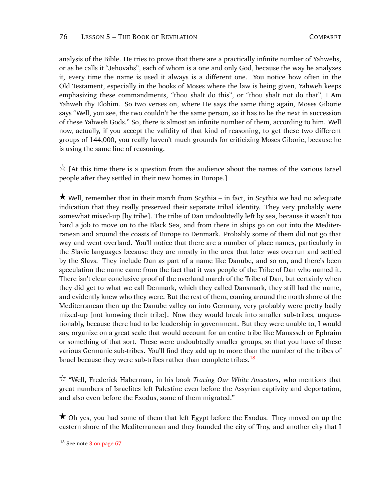analysis of the Bible. He tries to prove that there are a practically infinite number of Yahwehs, or as he calls it "Jehovahs", each of whom is a one and only God, because the way he analyzes it, every time the name is used it always is a different one. You notice how often in the Old Testament, especially in the books of Moses where the law is being given, Yahweh keeps emphasizing these commandments, "thou shalt do this", or "thou shalt not do that", I Am Yahweh thy Elohim. So two verses on, where He says the same thing again, Moses Giborie says "Well, you see, the two couldn't be the same person, so it has to be the next in succession of these Yahweh Gods." So, there is almost an infinite number of them, according to him. Well now, actually, if you accept the validity of that kind of reasoning, to get these two different groups of 144,000, you really haven't much grounds for criticizing Moses Giborie, because he is using the same line of reasoning.

 $\overleftrightarrow{\alpha}$  [At this time there is a question from the audience about the names of the various Israel people after they settled in their new homes in Europe.]

 $\bigstar$  Well, remember that in their march from Scythia – in fact, in Scythia we had no adequate indication that they really preserved their separate tribal identity. They very probably were somewhat mixed-up [by tribe]. The tribe of Dan undoubtedly left by sea, because it wasn't too hard a job to move on to the Black Sea, and from there in ships go on out into the Mediterranean and around the coasts of Europe to Denmark. Probably some of them did not go that way and went overland. You'll notice that there are a number of place names, particularly in the Slavic languages because they are mostly in the area that later was overrun and settled by the Slavs. They include Dan as part of a name like Danube, and so on, and there's been speculation the name came from the fact that it was people of the Tribe of Dan who named it. There isn't clear conclusive proof of the overland march of the Tribe of Dan, but certainly when they did get to what we call Denmark, which they called Dansmark, they still had the name, and evidently knew who they were. But the rest of them, coming around the north shore of the Mediterranean then up the Danube valley on into Germany, very probably were pretty badly mixed-up [not knowing their tribe]. Now they would break into smaller sub-tribes, unquestionably, because there had to be leadership in government. But they were unable to, I would say, organize on a great scale that would account for an entire tribe like Manasseh or Ephraim or something of that sort. These were undoubtedly smaller groups, so that you have of these various Germanic sub-tribes. You'll find they add up to more than the number of the tribes of Israel because they were sub-tribes rather than complete tribes.<sup>[18](#page-75-0)</sup>

 $\overleftrightarrow{\mathbf{x}}$  "Well, Frederick Haberman, in his book *Tracing Our White Ancestors*, who mentions that great numbers of Israelites left Palestine even before the Assyrian captivity and deportation, and also even before the Exodus, some of them migrated."

 $\bigstar$  Oh yes, you had some of them that left Egypt before the Exodus. They moved on up the eastern shore of the Mediterranean and they founded the city of Troy, and another city that I

<span id="page-75-0"></span><sup>&</sup>lt;sup>18</sup> See note [3 on page 67](#page-66-1)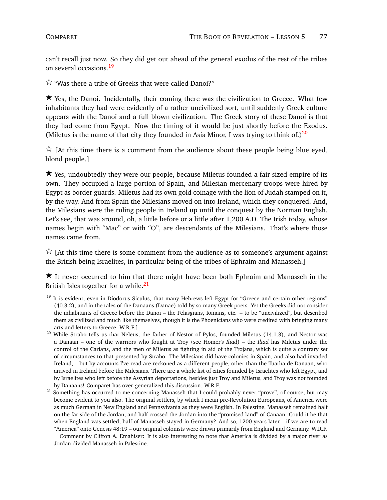can't recall just now. So they did get out ahead of the general exodus of the rest of the tribes on several occasions.<sup>[19](#page-76-0)</sup>

 $\stackrel{\leftrightarrow}{\rtimes}$  "Was there a tribe of Greeks that were called Danoi?"

 $\bigstar$  Yes, the Danoi. Incidentally, their coming there was the civilization to Greece. What few inhabitants they had were evidently of a rather uncivilized sort, until suddenly Greek culture appears with the Danoi and a full blown civilization. The Greek story of these Danoi is that they had come from Egypt. Now the timing of it would be just shortly before the Exodus. (Miletus is the name of that city they founded in Asia Minor, I was trying to think of.)<sup>[20](#page-76-1)</sup>

 $\overleftrightarrow{\times}$  [At this time there is a comment from the audience about these people being blue eyed, blond people.]

 $\star$  Yes, undoubtedly they were our people, because Miletus founded a fair sized empire of its own. They occupied a large portion of Spain, and Milesian mercenary troops were hired by Egypt as border guards. Miletus had its own gold coinage with the lion of Judah stamped on it, by the way. And from Spain the Milesians moved on into Ireland, which they conquered. And, the Milesians were the ruling people in Ireland up until the conquest by the Norman English. Let's see, that was around, oh, a little before or a little after 1,200 A.D. The Irish today, whose names begin with "Mac" or with "O", are descendants of the Milesians. That's where those names came from.

 $\stackrel{\leftrightarrow}{\rtimes}$  [At this time there is some comment from the audience as to someone's argument against the British being Israelites, in particular being of the tribes of Ephraim and Manasseh.]

 $\bigstar$  It never occurred to him that there might have been both Ephraim and Manasseh in the British Isles together for a while. $^{21}$  $^{21}$  $^{21}$ 

<span id="page-76-0"></span> $\frac{19}{19}$  It is evident, even in Diodorus Siculus, that many Hebrews left Egypt for "Greece and certain other regions" (40.3.2), and in the tales of the Danaans (Danae) told by so many Greek poets. Yet the Greeks did not consider the inhabitants of Greece before the Danoi – the Pelasgians, Ionians, etc. – to be "uncivilized", but described them as civilized and much like themselves, though it is the Phoenicians who were credited with bringing many arts and letters to Greece. W.R.F.]

<span id="page-76-1"></span><sup>&</sup>lt;sup>20</sup> While Strabo tells us that Neleus, the father of Nestor of Pylos, founded Miletus (14.1.3), and Nestor was a Danaan – one of the warriors who fought at Troy (see Homer's *Iliad*) – the *Iliad* has Miletus under the control of the Carians, and the men of Miletus as fighting in aid of the Trojans, which is quite a contrary set of circumstances to that presented by Strabo. The Milesians did have colonies in Spain, and also had invaded Ireland, – but by accounts I've read are reckoned as a different people, other than the Tuatha de Danaan, who arrived in Ireland before the Milesians. There are a whole list of cities founded by Israelites who left Egypt, and by Israelites who left before the Assyrian deportations, besides just Troy and Miletus, and Troy was not founded by Danaans! Comparet has over-generalized this discussion. W.R.F.

<span id="page-76-2"></span><sup>&</sup>lt;sup>21</sup> Something has occurred to me concerning Manasseh that I could probably never "prove", of course, but may become evident to you also. The original settlers, by which I mean pre-Revolution Europeans, of America were as much German in New England and Pennsylvania as they were English. In Palestine, Manasseh remained half on the far side of the Jordan, and half crossed the Jordan into the "promised land" of Canaan. Could it be that when England was settled, half of Manasseh stayed in Germany? And so, 1200 years later – if we are to read "America" onto Genesis 48:19 – our original colonists were drawn primarily from England and Germany. W.R.F.

Comment by Clifton A. Emahiser: It is also interesting to note that America is divided by a major river as Jordan divided Manasseh in Palestine.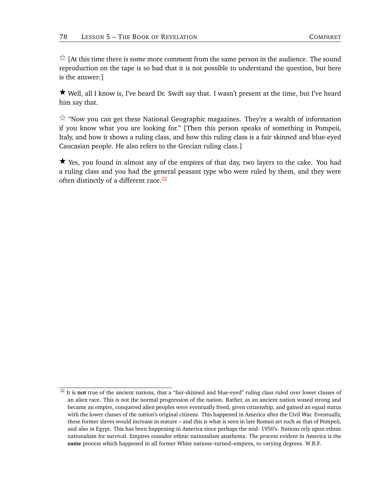$\stackrel{\leftrightarrow}{\rtimes}$  [At this time there is some more comment from the same person in the audience. The sound reproduction on the tape is so bad that it is not possible to understand the question, but here is the answer:]

8 Well, all I know is, I've heard Dr. Swift say that. I wasn't present at the time, but I've heard him say that.

 $\overleftrightarrow{\times}$  "Now you can get these National Geographic magazines. They're a wealth of information if you know what you are looking for." [Then this person speaks of something in Pompeii, Italy, and how it shows a ruling class, and how this ruling class is a fair skinned and blue-eyed Caucasian people. He also refers to the Grecian ruling class.]

 $\bigstar$  Yes, you found in almost any of the empires of that day, two layers to the cake. You had a ruling class and you had the general peasant type who were ruled by them, and they were often distinctly of a different race. $^{22}$  $^{22}$  $^{22}$ 

<span id="page-77-0"></span><sup>&</sup>lt;sup>22</sup> It is not true of the ancient nations, that a "fair-skinned and blue-eyed" ruling class ruled over lower classes of an alien race. This is not the normal progression of the nation. Rather, as an ancient nation waxed strong and became an empire, conquered alien peoples were eventually freed, given citizenship, and gained an equal status with the lower classes of the nation's original citizens. This happened in America after the Civil War. Eventually, these former slaves would increase in stature – and this is what is seen in late Roman art such as that of Pompeii, and also in Egypt. This has been happening in America since perhaps the mid- 1950's. Nations rely upon ethnic nationalism for survival. Empires consider ethnic nationalism anathema. The process evident in America is the **same** process which happened in all former White nations–turned–empires, to varying degrees. W.R.F.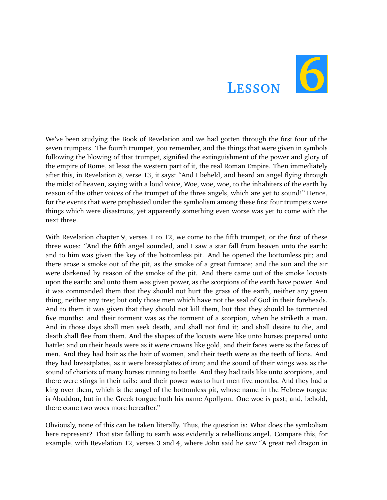

We've been studying the Book of Revelation and we had gotten through the first four of the seven trumpets. The fourth trumpet, you remember, and the things that were given in symbols following the blowing of that trumpet, signified the extinguishment of the power and glory of the empire of Rome, at least the western part of it, the real Roman Empire. Then immediately after this, in Revelation 8, verse 13, it says: "And I beheld, and heard an angel flying through the midst of heaven, saying with a loud voice, Woe, woe, woe, to the inhabiters of the earth by reason of the other voices of the trumpet of the three angels, which are yet to sound!" Hence, for the events that were prophesied under the symbolism among these first four trumpets were things which were disastrous, yet apparently something even worse was yet to come with the next three.

With Revelation chapter 9, verses 1 to 12, we come to the fifth trumpet, or the first of these three woes: "And the fifth angel sounded, and I saw a star fall from heaven unto the earth: and to him was given the key of the bottomless pit. And he opened the bottomless pit; and there arose a smoke out of the pit, as the smoke of a great furnace; and the sun and the air were darkened by reason of the smoke of the pit. And there came out of the smoke locusts upon the earth: and unto them was given power, as the scorpions of the earth have power. And it was commanded them that they should not hurt the grass of the earth, neither any green thing, neither any tree; but only those men which have not the seal of God in their foreheads. And to them it was given that they should not kill them, but that they should be tormented five months: and their torment was as the torment of a scorpion, when he striketh a man. And in those days shall men seek death, and shall not find it; and shall desire to die, and death shall flee from them. And the shapes of the locusts were like unto horses prepared unto battle; and on their heads were as it were crowns like gold, and their faces were as the faces of men. And they had hair as the hair of women, and their teeth were as the teeth of lions. And they had breastplates, as it were breastplates of iron; and the sound of their wings was as the sound of chariots of many horses running to battle. And they had tails like unto scorpions, and there were stings in their tails: and their power was to hurt men five months. And they had a king over them, which is the angel of the bottomless pit, whose name in the Hebrew tongue is Abaddon, but in the Greek tongue hath his name Apollyon. One woe is past; and, behold, there come two woes more hereafter."

Obviously, none of this can be taken literally. Thus, the question is: What does the symbolism here represent? That star falling to earth was evidently a rebellious angel. Compare this, for example, with Revelation 12, verses 3 and 4, where John said he saw "A great red dragon in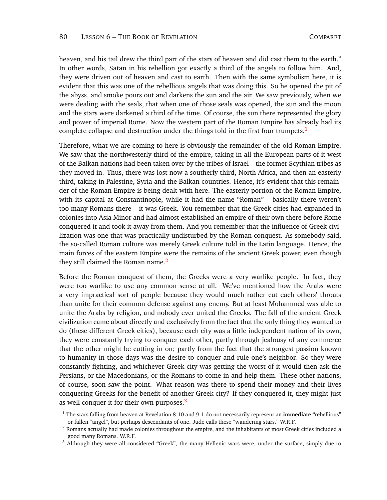heaven, and his tail drew the third part of the stars of heaven and did cast them to the earth." In other words, Satan in his rebellion got exactly a third of the angels to follow him. And, they were driven out of heaven and cast to earth. Then with the same symbolism here, it is evident that this was one of the rebellious angels that was doing this. So he opened the pit of the abyss, and smoke pours out and darkens the sun and the air. We saw previously, when we were dealing with the seals, that when one of those seals was opened, the sun and the moon and the stars were darkened a third of the time. Of course, the sun there represented the glory and power of imperial Rome. Now the western part of the Roman Empire has already had its complete collapse and destruction under the things told in the first four trumpets. $<sup>1</sup>$  $<sup>1</sup>$  $<sup>1</sup>$ </sup>

Therefore, what we are coming to here is obviously the remainder of the old Roman Empire. We saw that the northwesterly third of the empire, taking in all the European parts of it west of the Balkan nations had been taken over by the tribes of Israel – the former Scythian tribes as they moved in. Thus, there was lost now a southerly third, North Africa, and then an easterly third, taking in Palestine, Syria and the Balkan countries. Hence, it's evident that this remainder of the Roman Empire is being dealt with here. The easterly portion of the Roman Empire, with its capital at Constantinople, while it had the name "Roman" – basically there weren't too many Romans there – it was Greek. You remember that the Greek cities had expanded in colonies into Asia Minor and had almost established an empire of their own there before Rome conquered it and took it away from them. And you remember that the influence of Greek civilization was one that was practically undisturbed by the Roman conquest. As somebody said, the so-called Roman culture was merely Greek culture told in the Latin language. Hence, the main forces of the eastern Empire were the remains of the ancient Greek power, even though they still claimed the Roman name. $<sup>2</sup>$  $<sup>2</sup>$  $<sup>2</sup>$ </sup>

Before the Roman conquest of them, the Greeks were a very warlike people. In fact, they were too warlike to use any common sense at all. We've mentioned how the Arabs were a very impractical sort of people because they would much rather cut each others' throats than unite for their common defense against any enemy. But at least Mohammed was able to unite the Arabs by religion, and nobody ever united the Greeks. The fall of the ancient Greek civilization came about directly and exclusively from the fact that the only thing they wanted to do (these different Greek cities), because each city was a little independent nation of its own, they were constantly trying to conquer each other, partly through jealousy of any commerce that the other might be cutting in on; partly from the fact that the strongest passion known to humanity in those days was the desire to conquer and rule one's neighbor. So they were constantly fighting, and whichever Greek city was getting the worst of it would then ask the Persians, or the Macedonians, or the Romans to come in and help them. These other nations, of course, soon saw the point. What reason was there to spend their money and their lives conquering Greeks for the benefit of another Greek city? If they conquered it, they might just as well conquer it for their own purposes.<sup>[3](#page-79-2)</sup>

<span id="page-79-0"></span><sup>1</sup> The stars falling from heaven at Revelation 8:10 and 9:1 do not necessarily represent an **immediate** "rebellious" or fallen "angel", but perhaps descendants of one. Jude calls these "wandering stars." W.R.F.

<span id="page-79-1"></span><sup>2</sup> Romans actually had made colonies throughout the empire, and the inhabitants of most Greek cities included a good many Romans. W.R.F.

<span id="page-79-2"></span><sup>&</sup>lt;sup>3</sup> Although they were all considered "Greek", the many Hellenic wars were, under the surface, simply due to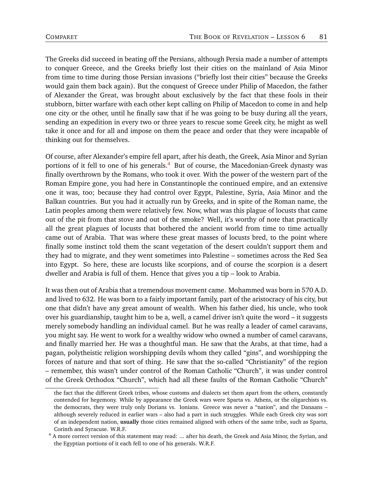The Greeks did succeed in beating off the Persians, although Persia made a number of attempts to conquer Greece, and the Greeks briefly lost their cities on the mainland of Asia Minor from time to time during those Persian invasions ("briefly lost their cities" because the Greeks would gain them back again). But the conquest of Greece under Philip of Macedon, the father of Alexander the Great, was brought about exclusively by the fact that these fools in their stubborn, bitter warfare with each other kept calling on Philip of Macedon to come in and help one city or the other, until he finally saw that if he was going to be busy during all the years, sending an expedition in every two or three years to rescue some Greek city, he might as well take it once and for all and impose on them the peace and order that they were incapable of thinking out for themselves.

Of course, after Alexander's empire fell apart, after his death, the Greek, Asia Minor and Syrian portions of it fell to one of his generals.<sup>[4](#page-80-0)</sup> But of course, the Macedonian-Greek dynasty was finally overthrown by the Romans, who took it over. With the power of the western part of the Roman Empire gone, you had here in Constantinople the continued empire, and an extensive one it was, too; because they had control over Egypt, Palestine, Syria, Asia Minor and the Balkan countries. But you had it actually run by Greeks, and in spite of the Roman name, the Latin peoples among them were relatively few. Now, what was this plague of locusts that came out of the pit from that stove and out of the smoke? Well, it's worthy of note that practically all the great plagues of locusts that bothered the ancient world from time to time actually came out of Arabia. That was where these great masses of locusts bred, to the point where finally some instinct told them the scant vegetation of the desert couldn't support them and they had to migrate, and they went sometimes into Palestine – sometimes across the Red Sea into Egypt. So here, these are locusts like scorpions, and of course the scorpion is a desert dweller and Arabia is full of them. Hence that gives you a tip – look to Arabia.

It was then out of Arabia that a tremendous movement came. Mohammed was born in 570 A.D. and lived to 632. He was born to a fairly important family, part of the aristocracy of his city, but one that didn't have any great amount of wealth. When his father died, his uncle, who took over his guardianship, taught him to be a, well, a camel driver isn't quite the word – it suggests merely somebody handling an individual camel. But he was really a leader of camel caravans, you might say. He went to work for a wealthy widow who owned a number of camel caravans, and finally married her. He was a thoughtful man. He saw that the Arabs, at that time, had a pagan, polytheistic religion worshipping devils whom they called "gins", and worshipping the forces of nature and that sort of thing. He saw that the so-called "Christianity" of the region – remember, this wasn't under control of the Roman Catholic "Church", it was under control of the Greek Orthodox "Church", which had all these faults of the Roman Catholic "Church"

the fact that the different Greek tribes, whose customs and dialects set them apart from the others, constantly contended for hegemony. While by appearance the Greek wars were Sparta vs. Athens, or the oligarchists vs. the democrats, they were truly only Dorians vs. Ionians. Greece was never a "nation", and the Danaans – although severely reduced in earlier wars – also had a part in such struggles. While each Greek city was sort of an independent nation, **usually** those cities remained aligned with others of the same tribe, such as Sparta, Corinth and Syracuse. W.R.F.

<span id="page-80-0"></span><sup>&</sup>lt;sup>4</sup> A more correct version of this statement may read: ... after his death, the Greek and Asia Minor, the Syrian, and the Egyptian portions of it each fell to one of his generals. W.R.F.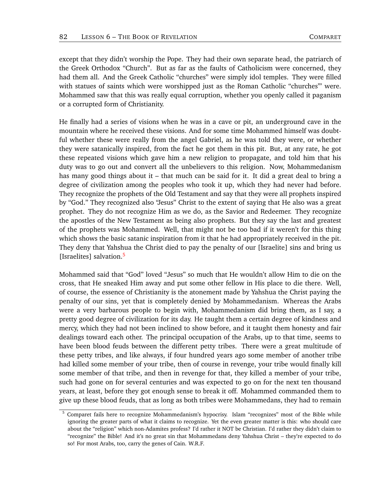except that they didn't worship the Pope. They had their own separate head, the patriarch of the Greek Orthodox "Church". But as far as the faults of Catholicism were concerned, they had them all. And the Greek Catholic "churches" were simply idol temples. They were filled with statues of saints which were worshipped just as the Roman Catholic "churches'" were. Mohammed saw that this was really equal corruption, whether you openly called it paganism or a corrupted form of Christianity.

He finally had a series of visions when he was in a cave or pit, an underground cave in the mountain where he received these visions. And for some time Mohammed himself was doubtful whether these were really from the angel Gabriel, as he was told they were, or whether they were satanically inspired, from the fact he got them in this pit. But, at any rate, he got these repeated visions which gave him a new religion to propagate, and told him that his duty was to go out and convert all the unbelievers to this religion. Now, Mohammedanism has many good things about it – that much can be said for it. It did a great deal to bring a degree of civilization among the peoples who took it up, which they had never had before. They recognize the prophets of the Old Testament and say that they were all prophets inspired by "God." They recognized also "Jesus" Christ to the extent of saying that He also was a great prophet. They do not recognize Him as we do, as the Savior and Redeemer. They recognize the apostles of the New Testament as being also prophets. But they say the last and greatest of the prophets was Mohammed. Well, that might not be too bad if it weren't for this thing which shows the basic satanic inspiration from it that he had appropriately received in the pit. They deny that Yahshua the Christ died to pay the penalty of our [Israelite] sins and bring us [Israelites] salvation.<sup>[5](#page-81-0)</sup>

Mohammed said that "God" loved "Jesus" so much that He wouldn't allow Him to die on the cross, that He sneaked Him away and put some other fellow in His place to die there. Well, of course, the essence of Christianity is the atonement made by Yahshua the Christ paying the penalty of our sins, yet that is completely denied by Mohammedanism. Whereas the Arabs were a very barbarous people to begin with, Mohammedanism did bring them, as I say, a pretty good degree of civilization for its day. He taught them a certain degree of kindness and mercy, which they had not been inclined to show before, and it taught them honesty and fair dealings toward each other. The principal occupation of the Arabs, up to that time, seems to have been blood feuds between the different petty tribes. There were a great multitude of these petty tribes, and like always, if four hundred years ago some member of another tribe had killed some member of your tribe, then of course in revenge, your tribe would finally kill some member of that tribe, and then in revenge for that, they killed a member of your tribe, such had gone on for several centuries and was expected to go on for the next ten thousand years, at least, before they got enough sense to break it off. Mohammed commanded them to give up these blood feuds, that as long as both tribes were Mohammedans, they had to remain

<span id="page-81-0"></span><sup>&</sup>lt;sup>5</sup> Comparet fails here to recognize Mohammedanism's hypocrisy. Islam "recognizes" most of the Bible while ignoring the greater parts of what it claims to recognize. Yet the even greater matter is this: who should care about the "religion" which non-Adamites profess? I'd rather it NOT be Christian. I'd rather they didn't claim to "recognize" the Bible! And it's no great sin that Mohammedans deny Yahshua Christ – they're expected to do so! For most Arabs, too, carry the genes of Cain. W.R.F.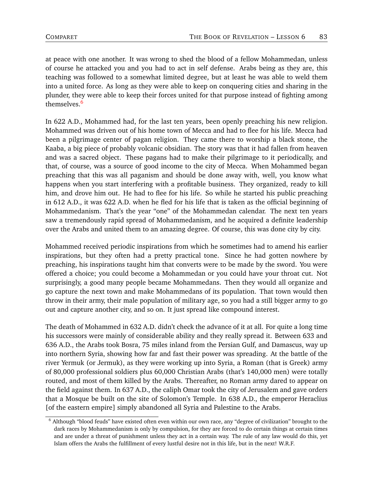at peace with one another. It was wrong to shed the blood of a fellow Mohammedan, unless of course he attacked you and you had to act in self defense. Arabs being as they are, this teaching was followed to a somewhat limited degree, but at least he was able to weld them into a united force. As long as they were able to keep on conquering cities and sharing in the plunder, they were able to keep their forces united for that purpose instead of fighting among themselves.<sup>[6](#page-82-0)</sup>

In 622 A.D., Mohammed had, for the last ten years, been openly preaching his new religion. Mohammed was driven out of his home town of Mecca and had to flee for his life. Mecca had been a pilgrimage center of pagan religion. They came there to worship a black stone, the Kaaba, a big piece of probably volcanic obsidian. The story was that it had fallen from heaven and was a sacred object. These pagans had to make their pilgrimage to it periodically, and that, of course, was a source of good income to the city of Mecca. When Mohammed began preaching that this was all paganism and should be done away with, well, you know what happens when you start interfering with a profitable business. They organized, ready to kill him, and drove him out. He had to flee for his life. So while he started his public preaching in 612 A.D., it was 622 A.D. when he fled for his life that is taken as the official beginning of Mohammedanism. That's the year "one" of the Mohammedan calendar. The next ten years saw a tremendously rapid spread of Mohammedanism, and he acquired a definite leadership over the Arabs and united them to an amazing degree. Of course, this was done city by city.

Mohammed received periodic inspirations from which he sometimes had to amend his earlier inspirations, but they often had a pretty practical tone. Since he had gotten nowhere by preaching, his inspirations taught him that converts were to be made by the sword. You were offered a choice; you could become a Mohammedan or you could have your throat cut. Not surprisingly, a good many people became Mohammedans. Then they would all organize and go capture the next town and make Mohammedans of its population. That town would then throw in their army, their male population of military age, so you had a still bigger army to go out and capture another city, and so on. It just spread like compound interest.

The death of Mohammed in 632 A.D. didn't check the advance of it at all. For quite a long time his successors were mainly of considerable ability and they really spread it. Between 633 and 636 A.D., the Arabs took Bosra, 75 miles inland from the Persian Gulf, and Damascus, way up into northern Syria, showing how far and fast their power was spreading. At the battle of the river Yermuk (or Jermuk), as they were working up into Syria, a Roman (that is Greek) army of 80,000 professional soldiers plus 60,000 Christian Arabs (that's 140,000 men) were totally routed, and most of them killed by the Arabs. Thereafter, no Roman army dared to appear on the field against them. In 637 A.D., the caliph Omar took the city of Jerusalem and gave orders that a Mosque be built on the site of Solomon's Temple. In 638 A.D., the emperor Heraclius [of the eastern empire] simply abandoned all Syria and Palestine to the Arabs.

<span id="page-82-0"></span><sup>6</sup> Although "blood feuds" have existed often even within our own race, any "degree of civilization" brought to the dark races by Mohammedanism is only by compulsion, for they are forced to do certain things at certain times and are under a threat of punishment unless they act in a certain way. The rule of any law would do this, yet Islam offers the Arabs the fulfillment of every lustful desire not in this life, but in the next! W.R.F.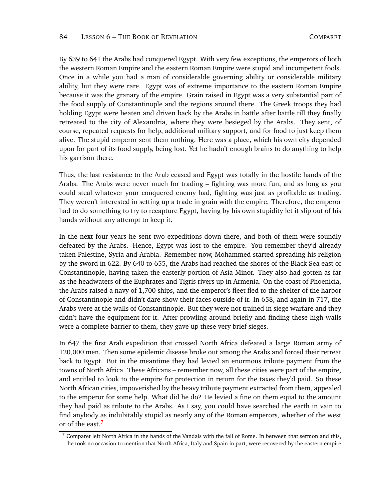By 639 to 641 the Arabs had conquered Egypt. With very few exceptions, the emperors of both the western Roman Empire and the eastern Roman Empire were stupid and incompetent fools. Once in a while you had a man of considerable governing ability or considerable military ability, but they were rare. Egypt was of extreme importance to the eastern Roman Empire because it was the granary of the empire. Grain raised in Egypt was a very substantial part of the food supply of Constantinople and the regions around there. The Greek troops they had holding Egypt were beaten and driven back by the Arabs in battle after battle till they finally retreated to the city of Alexandria, where they were besieged by the Arabs. They sent, of course, repeated requests for help, additional military support, and for food to just keep them alive. The stupid emperor sent them nothing. Here was a place, which his own city depended upon for part of its food supply, being lost. Yet he hadn't enough brains to do anything to help his garrison there.

Thus, the last resistance to the Arab ceased and Egypt was totally in the hostile hands of the Arabs. The Arabs were never much for trading – fighting was more fun, and as long as you could steal whatever your conquered enemy had, fighting was just as profitable as trading. They weren't interested in setting up a trade in grain with the empire. Therefore, the emperor had to do something to try to recapture Egypt, having by his own stupidity let it slip out of his hands without any attempt to keep it.

In the next four years he sent two expeditions down there, and both of them were soundly defeated by the Arabs. Hence, Egypt was lost to the empire. You remember they'd already taken Palestine, Syria and Arabia. Remember now, Mohammed started spreading his religion by the sword in 622. By 640 to 655, the Arabs had reached the shores of the Black Sea east of Constantinople, having taken the easterly portion of Asia Minor. They also had gotten as far as the headwaters of the Euphrates and Tigris rivers up in Armenia. On the coast of Phoenicia, the Arabs raised a navy of 1,700 ships, and the emperor's fleet fled to the shelter of the harbor of Constantinople and didn't dare show their faces outside of it. In 658, and again in 717, the Arabs were at the walls of Constantinople. But they were not trained in siege warfare and they didn't have the equipment for it. After prowling around briefly and finding these high walls were a complete barrier to them, they gave up these very brief sieges.

In 647 the first Arab expedition that crossed North Africa defeated a large Roman army of 120,000 men. Then some epidemic disease broke out among the Arabs and forced their retreat back to Egypt. But in the meantime they had levied an enormous tribute payment from the towns of North Africa. These Africans – remember now, all these cities were part of the empire, and entitled to look to the empire for protection in return for the taxes they'd paid. So these North African cities, impoverished by the heavy tribute payment extracted from them, appealed to the emperor for some help. What did he do? He levied a fine on them equal to the amount they had paid as tribute to the Arabs. As I say, you could have searched the earth in vain to find anybody as indubitably stupid as nearly any of the Roman emperors, whether of the west or of the east.<sup>[7](#page-83-0)</sup>

<span id="page-83-0"></span> $7$  Comparet left North Africa in the hands of the Vandals with the fall of Rome. In between that sermon and this, he took no occasion to mention that North Africa, Italy and Spain in part, were recovered by the eastern empire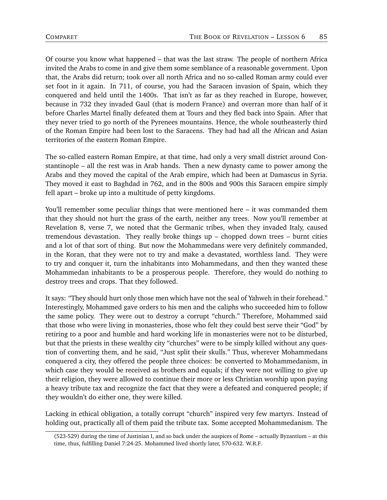Of course you know what happened – that was the last straw. The people of northern Africa invited the Arabs to come in and give them some semblance of a reasonable government. Upon that, the Arabs did return; took over all north Africa and no so-called Roman army could ever set foot in it again. In 711, of course, you had the Saracen invasion of Spain, which they conquered and held until the 1400s. That isn't as far as they reached in Europe, however, because in 732 they invaded Gaul (that is modern France) and overran more than half of it before Charles Martel finally defeated them at Tours and they fled back into Spain. After that they never tried to go north of the Pyrenees mountains. Hence, the whole southeasterly third of the Roman Empire had been lost to the Saracens. They had had all the African and Asian territories of the eastern Roman Empire.

The so-called eastern Roman Empire, at that time, had only a very small district around Constantinople – all the rest was in Arab hands. Then a new dynasty came to power among the Arabs and they moved the capital of the Arab empire, which had been at Damascus in Syria. They moved it east to Baghdad in 762, and in the 800s and 900s this Saracen empire simply fell apart – broke up into a multitude of petty kingdoms.

You'll remember some peculiar things that were mentioned here – it was commanded them that they should not hurt the grass of the earth, neither any trees. Now you'll remember at Revelation 8, verse 7, we noted that the Germanic tribes, when they invaded Italy, caused tremendous devastation. They really broke things up – chopped down trees – burnt cities and a lot of that sort of thing. But now the Mohammedans were very definitely commanded, in the Koran, that they were not to try and make a devastated, worthless land. They were to try and conquer it, turn the inhabitants into Mohammedans, and then they wanted these Mohammedan inhabitants to be a prosperous people. Therefore, they would do nothing to destroy trees and crops. That they followed.

It says: "They should hurt only those men which have not the seal of Yahweh in their forehead." Interestingly, Mohammed gave orders to his men and the caliphs who succeeded him to follow the same policy. They were out to destroy a corrupt "church." Therefore, Mohammed said that those who were living in monasteries, those who felt they could best serve their "God" by retiring to a poor and humble and hard working life in monasteries were not to be disturbed, but that the priests in these wealthy city "churches" were to be simply killed without any question of converting them, and he said, "Just split their skulls." Thus, wherever Mohammedans conquered a city, they offered the people three choices: be converted to Mohammedanism, in which case they would be received as brothers and equals; if they were not willing to give up their religion, they were allowed to continue their more or less Christian worship upon paying a heavy tribute tax and recognize the fact that they were a defeated and conquered people; if they wouldn't do either one, they were killed.

Lacking in ethical obligation, a totally corrupt "church" inspired very few martyrs. Instead of holding out, practically all of them paid the tribute tax. Some accepted Mohammedanism. The

<sup>(523-529)</sup> during the time of Justinian I, and so back under the auspices of Rome – actually Byzantium – at this time, thus, fulfilling Daniel 7:24-25. Mohammed lived shortly later, 570-632. W.R.F.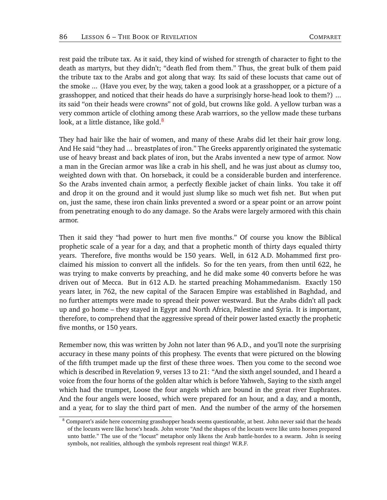rest paid the tribute tax. As it said, they kind of wished for strength of character to fight to the death as martyrs, but they didn't; "death fled from them." Thus, the great bulk of them paid the tribute tax to the Arabs and got along that way. Its said of these locusts that came out of the smoke ... (Have you ever, by the way, taken a good look at a grasshopper, or a picture of a grasshopper, and noticed that their heads do have a surprisingly horse-head look to them?) ... its said "on their heads were crowns" not of gold, but crowns like gold. A yellow turban was a very common article of clothing among these Arab warriors, so the yellow made these turbans look, at a little distance, like gold.<sup>[8](#page-85-0)</sup>

They had hair like the hair of women, and many of these Arabs did let their hair grow long. And He said "they had ... breastplates of iron." The Greeks apparently originated the systematic use of heavy breast and back plates of iron, but the Arabs invented a new type of armor. Now a man in the Grecian armor was like a crab in his shell, and he was just about as clumsy too, weighted down with that. On horseback, it could be a considerable burden and interference. So the Arabs invented chain armor, a perfectly flexible jacket of chain links. You take it off and drop it on the ground and it would just slump like so much wet fish net. But when put on, just the same, these iron chain links prevented a sword or a spear point or an arrow point from penetrating enough to do any damage. So the Arabs were largely armored with this chain armor.

Then it said they "had power to hurt men five months." Of course you know the Biblical prophetic scale of a year for a day, and that a prophetic month of thirty days equaled thirty years. Therefore, five months would be 150 years. Well, in 612 A.D. Mohammed first proclaimed his mission to convert all the infidels. So for the ten years, from then until 622, he was trying to make converts by preaching, and he did make some 40 converts before he was driven out of Mecca. But in 612 A.D. he started preaching Mohammedanism. Exactly 150 years later, in 762, the new capital of the Saracen Empire was established in Baghdad, and no further attempts were made to spread their power westward. But the Arabs didn't all pack up and go home – they stayed in Egypt and North Africa, Palestine and Syria. It is important, therefore, to comprehend that the aggressive spread of their power lasted exactly the prophetic five months, or 150 years.

Remember now, this was written by John not later than 96 A.D., and you'll note the surprising accuracy in these many points of this prophesy. The events that were pictured on the blowing of the fifth trumpet made up the first of these three woes. Then you come to the second woe which is described in Revelation 9, verses 13 to 21: "And the sixth angel sounded, and I heard a voice from the four horns of the golden altar which is before Yahweh, Saying to the sixth angel which had the trumpet, Loose the four angels which are bound in the great river Euphrates. And the four angels were loosed, which were prepared for an hour, and a day, and a month, and a year, for to slay the third part of men. And the number of the army of the horsemen

<span id="page-85-0"></span><sup>&</sup>lt;sup>8</sup> Comparet's aside here concerning grasshopper heads seems questionable, at best. John never said that the heads of the locusts were like horse's heads. John wrote "And the shapes of the locusts were like unto horses prepared unto battle." The use of the "locust" metaphor only likens the Arab battle-hordes to a swarm. John is seeing symbols, not realities, although the symbols represent real things! W.R.F.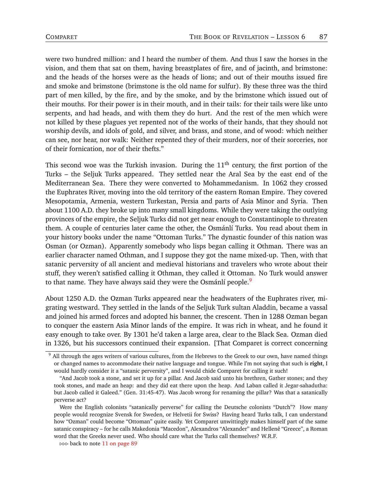were two hundred million: and I heard the number of them. And thus I saw the horses in the vision, and them that sat on them, having breastplates of fire, and of jacinth, and brimstone: and the heads of the horses were as the heads of lions; and out of their mouths issued fire and smoke and brimstone (brimstone is the old name for sulfur). By these three was the third part of men killed, by the fire, and by the smoke, and by the brimstone which issued out of their mouths. For their power is in their mouth, and in their tails: for their tails were like unto serpents, and had heads, and with them they do hurt. And the rest of the men which were not killed by these plagues yet repented not of the works of their hands, that they should not worship devils, and idols of gold, and silver, and brass, and stone, and of wood: which neither can see, nor hear, nor walk: Neither repented they of their murders, nor of their sorceries, nor of their fornication, nor of their thefts."

This second woe was the Turkish invasion. During the 11<sup>th</sup> century, the first portion of the Turks – the Seljuk Turks appeared. They settled near the Aral Sea by the east end of the Mediterranean Sea. There they were converted to Mohammedanism. In 1062 they crossed the Euphrates River, moving into the old territory of the eastern Roman Empire. They covered Mesopotamia, Armenia, western Turkestan, Persia and parts of Asia Minor and Syria. Then about 1100 A.D. they broke up into many small kingdoms. While they were taking the outlying provinces of the empire, the Seljuk Turks did not get near enough to Constantinople to threaten them. A couple of centuries later came the other, the Osmánlí Turks. You read about them in your history books under the name "Ottoman Turks." The dynastic founder of this nation was Osman (or Ozman). Apparently somebody who lisps began calling it Othman. There was an earlier character named Othman, and I suppose they got the name mixed-up. Then, with that satanic perversity of all ancient and medieval historians and travelers who wrote about their stuff, they weren't satisfied calling it Othman, they called it Ottoman. No Turk would answer to that name. They have always said they were the Osmánlí people.<sup>[9](#page-86-0)</sup>

About 1250 A.D. the Ozman Turks appeared near the headwaters of the Euphrates river, migrating westward. They settled in the lands of the Seljuk Turk sultan Aladdin, became a vassal and joined his armed forces and adopted his banner, the crescent. Then in 1288 Ozman began to conquer the eastern Asia Minor lands of the empire. It was rich in wheat, and he found it easy enough to take over. By 1301 he'd taken a large area, clear to the Black Sea. Ozman died in 1326, but his successors continued their expansion. [That Comparet is correct concerning

<span id="page-86-0"></span><sup>&</sup>lt;sup>9</sup> All through the ages writers of various cultures, from the Hebrews to the Greek to our own, have named things or changed names to accommodate their native language and tongue. While I'm not saying that such is **right**, I would hardly consider it a "satanic perversity", and I would chide Comparet for calling it such!

<sup>&</sup>quot;And Jacob took a stone, and set it up for a pillar. And Jacob said unto his brethren, Gather stones; and they took stones, and made an heap: and they did eat there upon the heap. And Laban called it Jegar-sahadutha: but Jacob called it Galeed." (Gen. 31:45-47). Was Jacob wrong for renaming the pillar? Was that a satanically perverse act?

Were the English colonists "satanically perverse" for calling the Deutsche colonists "Dutch"? How many people would recognize Svensk for Sweden, or Helvetii for Swiss? Having heard Turks talk, I can understand how "Ozman" could become "Ottoman" quite easily. Yet Comparet unwittingly makes himself part of the same satanic conspiracy – for he calls Makedonia "Macedon", Alexandros "Alexander" and Hellenê "Greece", a Roman word that the Greeks never used. Who should care what the Turks call themselves? W.R.F.

**DDD** back to note [11 on page 89](#page-88-0)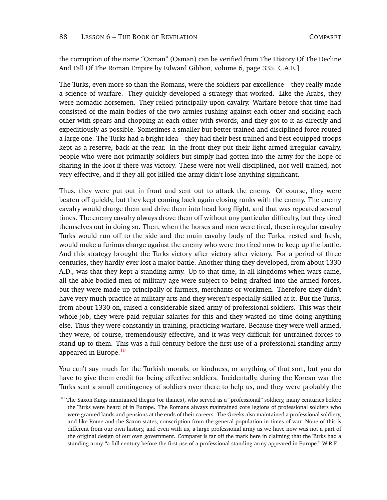the corruption of the name "Ozman" (Osman) can be verified from The History Of The Decline And Fall Of The Roman Empire by Edward Gibbon, volume 6, page 335. C.A.E.]

The Turks, even more so than the Romans, were the soldiers par excellence – they really made a science of warfare. They quickly developed a strategy that worked. Like the Arabs, they were nomadic horsemen. They relied principally upon cavalry. Warfare before that time had consisted of the main bodies of the two armies rushing against each other and sticking each other with spears and chopping at each other with swords, and they got to it as directly and expeditiously as possible. Sometimes a smaller but better trained and disciplined force routed a large one. The Turks had a bright idea – they had their best trained and best equipped troops kept as a reserve, back at the rear. In the front they put their light armed irregular cavalry, people who were not primarily soldiers but simply had gotten into the army for the hope of sharing in the loot if there was victory. These were not well disciplined, not well trained, not very effective, and if they all got killed the army didn't lose anything significant.

Thus, they were put out in front and sent out to attack the enemy. Of course, they were beaten off quickly, but they kept coming back again closing ranks with the enemy. The enemy cavalry would charge them and drive them into head long flight, and that was repeated several times. The enemy cavalry always drove them off without any particular difficulty, but they tired themselves out in doing so. Then, when the horses and men were tired, these irregular cavalry Turks would run off to the side and the main cavalry body of the Turks, rested and fresh, would make a furious charge against the enemy who were too tired now to keep up the battle. And this strategy brought the Turks victory after victory after victory. For a period of three centuries, they hardly ever lost a major battle. Another thing they developed, from about 1330 A.D., was that they kept a standing army. Up to that time, in all kingdoms when wars came, all the able bodied men of military age were subject to being drafted into the armed forces, but they were made up principally of farmers, merchants or workmen. Therefore they didn't have very much practice at military arts and they weren't especially skilled at it. But the Turks, from about 1330 on, raised a considerable sized army of professional soldiers. This was their whole job, they were paid regular salaries for this and they wasted no time doing anything else. Thus they were constantly in training, practicing warfare. Because they were well armed, they were, of course, tremendously effective, and it was very difficult for untrained forces to stand up to them. This was a full century before the first use of a professional standing army appeared in Europe.<sup>[10](#page-87-0)</sup>

You can't say much for the Turkish morals, or kindness, or anything of that sort, but you do have to give them credit for being effective soldiers. Incidentally, during the Korean war the Turks sent a small contingency of soldiers over there to help us, and they were probably the

<span id="page-87-0"></span><sup>&</sup>lt;sup>10</sup> The Saxon Kings maintained thegns (or thanes), who served as a "professional" soldiery, many centuries before the Turks were heard of in Europe. The Romans always maintained core legions of professional soldiers who were granted lands and pensions at the ends of their careers. The Greeks also maintained a professional soldiery, and like Rome and the Saxon states, conscription from the general population in times of war. None of this is different from our own history, and even with us, a large professional army as we have now was not a part of the original design of our own government. Comparet is far off the mark here in claiming that the Turks had a standing army "a full century before the first use of a professional standing army appeared in Europe." W.R.F.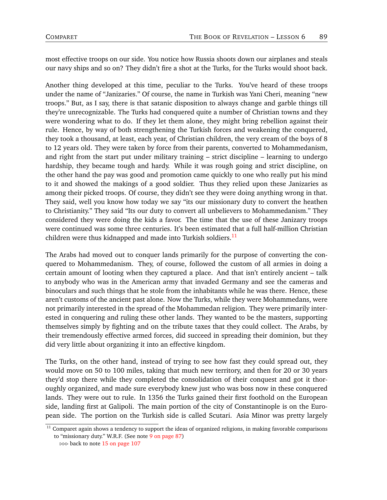most effective troops on our side. You notice how Russia shoots down our airplanes and steals our navy ships and so on? They didn't fire a shot at the Turks, for the Turks would shoot back.

Another thing developed at this time, peculiar to the Turks. You've heard of these troops under the name of "Janizaries." Of course, the name in Turkish was Yani Cheri, meaning "new troops." But, as I say, there is that satanic disposition to always change and garble things till they're unrecognizable. The Turks had conquered quite a number of Christian towns and they were wondering what to do. If they let them alone, they might bring rebellion against their rule. Hence, by way of both strengthening the Turkish forces and weakening the conquered, they took a thousand, at least, each year, of Christian children, the very cream of the boys of 8 to 12 years old. They were taken by force from their parents, converted to Mohammedanism, and right from the start put under military training – strict discipline – learning to undergo hardship, they became tough and hardy. While it was rough going and strict discipline, on the other hand the pay was good and promotion came quickly to one who really put his mind to it and showed the makings of a good soldier. Thus they relied upon these Janizaries as among their picked troops. Of course, they didn't see they were doing anything wrong in that. They said, well you know how today we say "its our missionary duty to convert the heathen to Christianity." They said "Its our duty to convert all unbelievers to Mohammedanism." They considered they were doing the kids a favor. The time that the use of these Janizary troops were continued was some three centuries. It's been estimated that a full half-million Christian children were thus kidnapped and made into Turkish soldiers.<sup>[11](#page-88-0)</sup>

The Arabs had moved out to conquer lands primarily for the purpose of converting the conquered to Mohammedanism. They, of course, followed the custom of all armies in doing a certain amount of looting when they captured a place. And that isn't entirely ancient – talk to anybody who was in the American army that invaded Germany and see the cameras and binoculars and such things that he stole from the inhabitants while he was there. Hence, these aren't customs of the ancient past alone. Now the Turks, while they were Mohammedans, were not primarily interested in the spread of the Mohammedan religion. They were primarily interested in conquering and ruling these other lands. They wanted to be the masters, supporting themselves simply by fighting and on the tribute taxes that they could collect. The Arabs, by their tremendously effective armed forces, did succeed in spreading their dominion, but they did very little about organizing it into an effective kingdom.

The Turks, on the other hand, instead of trying to see how fast they could spread out, they would move on 50 to 100 miles, taking that much new territory, and then for 20 or 30 years they'd stop there while they completed the consolidation of their conquest and got it thoroughly organized, and made sure everybody knew just who was boss now in these conquered lands. They were out to rule. In 1356 the Turks gained their first foothold on the European side, landing first at Galipoli. The main portion of the city of Constantinople is on the European side. The portion on the Turkish side is called Scutari. Asia Minor was pretty largely

<span id="page-88-0"></span> $11$  Comparet again shows a tendency to support the ideas of organized religions, in making favorable comparisons to "missionary duty." W.R.F. (See note [9 on page 87\)](#page-86-0)

**DDD** back to note [15 on page 107](#page-106-0)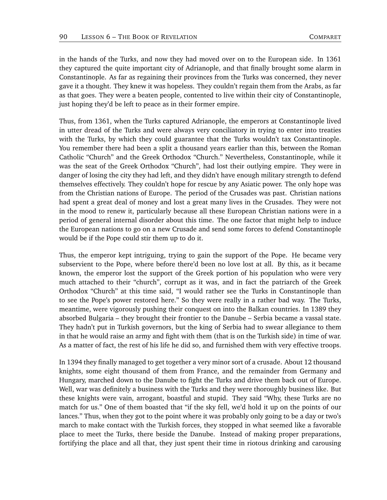in the hands of the Turks, and now they had moved over on to the European side. In 1361 they captured the quite important city of Adrianople, and that finally brought some alarm in Constantinople. As far as regaining their provinces from the Turks was concerned, they never gave it a thought. They knew it was hopeless. They couldn't regain them from the Arabs, as far as that goes. They were a beaten people, contented to live within their city of Constantinople, just hoping they'd be left to peace as in their former empire.

Thus, from 1361, when the Turks captured Adrianople, the emperors at Constantinople lived in utter dread of the Turks and were always very conciliatory in trying to enter into treaties with the Turks, by which they could guarantee that the Turks wouldn't tax Constantinople. You remember there had been a split a thousand years earlier than this, between the Roman Catholic "Church" and the Greek Orthodox "Church." Nevertheless, Constantinople, while it was the seat of the Greek Orthodox "Church", had lost their outlying empire. They were in danger of losing the city they had left, and they didn't have enough military strength to defend themselves effectively. They couldn't hope for rescue by any Asiatic power. The only hope was from the Christian nations of Europe. The period of the Crusades was past. Christian nations had spent a great deal of money and lost a great many lives in the Crusades. They were not in the mood to renew it, particularly because all these European Christian nations were in a period of general internal disorder about this time. The one factor that might help to induce the European nations to go on a new Crusade and send some forces to defend Constantinople would be if the Pope could stir them up to do it.

Thus, the emperor kept intriguing, trying to gain the support of the Pope. He became very subservient to the Pope, where before there'd been no love lost at all. By this, as it became known, the emperor lost the support of the Greek portion of his population who were very much attached to their "church", corrupt as it was, and in fact the patriarch of the Greek Orthodox "Church" at this time said, "I would rather see the Turks in Constantinople than to see the Pope's power restored here." So they were really in a rather bad way. The Turks, meantime, were vigorously pushing their conquest on into the Balkan countries. In 1389 they absorbed Bulgaria – they brought their frontier to the Danube – Serbia became a vassal state. They hadn't put in Turkish governors, but the king of Serbia had to swear allegiance to them in that he would raise an army and fight with them (that is on the Turkish side) in time of war. As a matter of fact, the rest of his life he did so, and furnished them with very effective troops.

In 1394 they finally managed to get together a very minor sort of a crusade. About 12 thousand knights, some eight thousand of them from France, and the remainder from Germany and Hungary, marched down to the Danube to fight the Turks and drive them back out of Europe. Well, war was definitely a business with the Turks and they were thoroughly business like. But these knights were vain, arrogant, boastful and stupid. They said "Why, these Turks are no match for us." One of them boasted that "if the sky fell, we'd hold it up on the points of our lances." Thus, when they got to the point where it was probably only going to be a day or two's march to make contact with the Turkish forces, they stopped in what seemed like a favorable place to meet the Turks, there beside the Danube. Instead of making proper preparations, fortifying the place and all that, they just spent their time in riotous drinking and carousing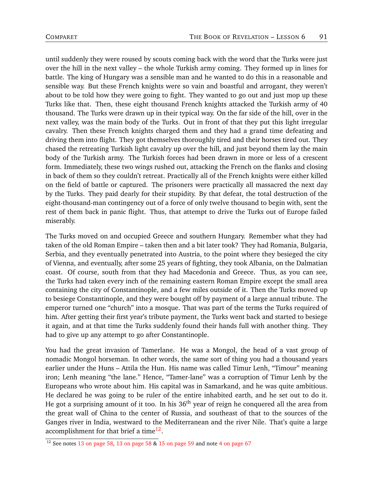until suddenly they were roused by scouts coming back with the word that the Turks were just over the hill in the next valley – the whole Turkish army coming. They formed up in lines for battle. The king of Hungary was a sensible man and he wanted to do this in a reasonable and sensible way. But these French knights were so vain and boastful and arrogant, they weren't about to be told how they were going to fight. They wanted to go out and just mop up these Turks like that. Then, these eight thousand French knights attacked the Turkish army of 40 thousand. The Turks were drawn up in their typical way. On the far side of the hill, over in the next valley, was the main body of the Turks. Out in front of that they put this light irregular cavalry. Then these French knights charged them and they had a grand time defeating and driving them into flight. They got themselves thoroughly tired and their horses tired out. They chased the retreating Turkish light cavalry up over the hill, and just beyond them lay the main body of the Turkish army. The Turkish forces had been drawn in more or less of a crescent form. Immediately, these two wings rushed out, attacking the French on the flanks and closing in back of them so they couldn't retreat. Practically all of the French knights were either killed on the field of battle or captured. The prisoners were practically all massacred the next day by the Turks. They paid dearly for their stupidity. By that defeat, the total destruction of the eight-thousand-man contingency out of a force of only twelve thousand to begin with, sent the rest of them back in panic flight. Thus, that attempt to drive the Turks out of Europe failed miserably.

The Turks moved on and occupied Greece and southern Hungary. Remember what they had taken of the old Roman Empire – taken then and a bit later took? They had Romania, Bulgaria, Serbia, and they eventually penetrated into Austria, to the point where they besieged the city of Vienna, and eventually, after some 25 years of fighting, they took Albania, on the Dalmatian coast. Of course, south from that they had Macedonia and Greece. Thus, as you can see, the Turks had taken every inch of the remaining eastern Roman Empire except the small area containing the city of Constantinople, and a few miles outside of it. Then the Turks moved up to besiege Constantinople, and they were bought off by payment of a large annual tribute. The emperor turned one "church" into a mosque. That was part of the terms the Turks required of him. After getting their first year's tribute payment, the Turks went back and started to besiege it again, and at that time the Turks suddenly found their hands full with another thing. They had to give up any attempt to go after Constantinople.

You had the great invasion of Tamerlane. He was a Mongol, the head of a vast group of nomadic Mongol horseman. In other words, the same sort of thing you had a thousand years earlier under the Huns – Attila the Hun. His name was called Timur Lenh, "Timour" meaning iron; Lenh meaning "the lane." Hence, "Tamer-lane" was a corruption of Timur Lenh by the Europeans who wrote about him. His capital was in Samarkand, and he was quite ambitious. He declared he was going to be ruler of the entire inhabited earth, and he set out to do it. He got a surprising amount of it too. In his  $36<sup>th</sup>$  year of reign he conquered all the area from the great wall of China to the center of Russia, and southeast of that to the sources of the Ganges river in India, westward to the Mediterranean and the river Nile. That's quite a large accomplishment for that brief a time $^{12}$  $^{12}$  $^{12}$ .

<span id="page-90-0"></span> $12$  See notes [13 on page 58,](#page-57-0) [13 on page 58](#page-57-0) & [15 on page 59](#page-58-1) and note [4 on page 67](#page-66-0)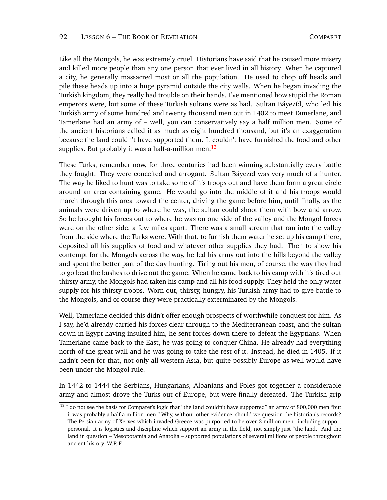Like all the Mongols, he was extremely cruel. Historians have said that he caused more misery and killed more people than any one person that ever lived in all history. When he captured a city, he generally massacred most or all the population. He used to chop off heads and pile these heads up into a huge pyramid outside the city walls. When he began invading the Turkish kingdom, they really had trouble on their hands. I've mentioned how stupid the Roman emperors were, but some of these Turkish sultans were as bad. Sultan Báyezíd, who led his Turkish army of some hundred and twenty thousand men out in 1402 to meet Tamerlane, and Tamerlane had an army of – well, you can conservatively say a half million men. Some of the ancient historians called it as much as eight hundred thousand, but it's an exaggeration because the land couldn't have supported them. It couldn't have furnished the food and other supplies. But probably it was a half-a-million men.<sup>[13](#page-91-0)</sup>

These Turks, remember now, for three centuries had been winning substantially every battle they fought. They were conceited and arrogant. Sultan Báyezíd was very much of a hunter. The way he liked to hunt was to take some of his troops out and have them form a great circle around an area containing game. He would go into the middle of it and his troops would march through this area toward the center, driving the game before him, until finally, as the animals were driven up to where he was, the sultan could shoot them with bow and arrow. So he brought his forces out to where he was on one side of the valley and the Mongol forces were on the other side, a few miles apart. There was a small stream that ran into the valley from the side where the Turks were. With that, to furnish them water he set up his camp there, deposited all his supplies of food and whatever other supplies they had. Then to show his contempt for the Mongols across the way, he led his army out into the hills beyond the valley and spent the better part of the day hunting. Tiring out his men, of course, the way they had to go beat the bushes to drive out the game. When he came back to his camp with his tired out thirsty army, the Mongols had taken his camp and all his food supply. They held the only water supply for his thirsty troops. Worn out, thirsty, hungry, his Turkish army had to give battle to the Mongols, and of course they were practically exterminated by the Mongols.

Well, Tamerlane decided this didn't offer enough prospects of worthwhile conquest for him. As I say, he'd already carried his forces clear through to the Mediterranean coast, and the sultan down in Egypt having insulted him, he sent forces down there to defeat the Egyptians. When Tamerlane came back to the East, he was going to conquer China. He already had everything north of the great wall and he was going to take the rest of it. Instead, he died in 1405. If it hadn't been for that, not only all western Asia, but quite possibly Europe as well would have been under the Mongol rule.

In 1442 to 1444 the Serbians, Hungarians, Albanians and Poles got together a considerable army and almost drove the Turks out of Europe, but were finally defeated. The Turkish grip

<span id="page-91-0"></span><sup>&</sup>lt;sup>13</sup> I do not see the basis for Comparet's logic that "the land couldn't have supported" an army of 800,000 men "but it was probably a half a million men." Why, without other evidence, should we question the historian's records? The Persian army of Xerxes which invaded Greece was purported to be over 2 million men. including support personal. It is logistics and discipline which support an army in the field, not simply just "the land." And the land in question – Mesopotamia and Anatolia – supported populations of several millions of people throughout ancient history. W.R.F.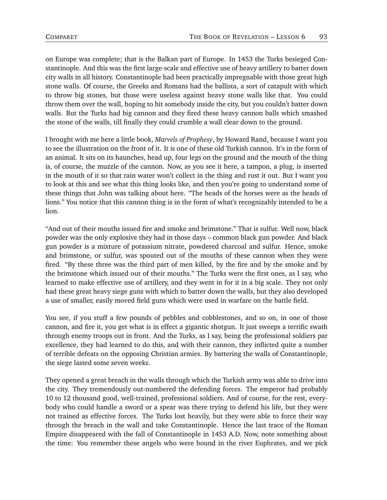on Europe was complete; that is the Balkan part of Europe. In 1453 the Turks besieged Constantinople. And this was the first large-scale and effective use of heavy artillery to batter down city walls in all history. Constantinople had been practically impregnable with those great high stone walls. Of course, the Greeks and Romans had the ballista, a sort of catapult with which to throw big stones, but those were useless against heavy stone walls like that. You could throw them over the wall, hoping to hit somebody inside the city, but you couldn't batter down walls. But the Turks had big cannon and they fired these heavy cannon balls which smashed the stone of the walls, till finally they could crumble a wall clear down to the ground.

I brought with me here a little book, *Marvels of Prophesy*, by Howard Rand, because I want you to see the illustration on the front of it. It is one of these old Turkish cannon. It's in the form of an animal. It sits on its haunches, head up, four legs on the ground and the mouth of the thing is, of course, the muzzle of the cannon. Now, as you see it here, a tampon, a plug, is inserted in the mouth of it so that rain water won't collect in the thing and rust it out. But I want you to look at this and see what this thing looks like, and then you're going to understand some of these things that John was talking about here. "The heads of the horses were as the heads of lions." You notice that this cannon thing is in the form of what's recognizably intended to be a lion.

"And out of their mouths issued fire and smoke and brimstone." That is sulfur. Well now, black powder was the only explosive they had in those days – common black gun powder. And black gun powder is a mixture of potassium nitrate, powdered charcoal and sulfur. Hence, smoke and brimstone, or sulfur, was spouted out of the mouths of these cannon when they were fired. "By these three was the third part of men killed, by the fire and by the smoke and by the brimstone which issued out of their mouths." The Turks were the first ones, as I say, who learned to make effective use of artillery, and they went in for it in a big scale. They not only had these great heavy siege guns with which to batter down the walls, but they also developed a use of smaller, easily moved field guns which were used in warfare on the battle field.

You see, if you stuff a few pounds of pebbles and cobblestones, and so on, in one of those cannon, and fire it, you get what is in effect a gigantic shotgun. It just sweeps a terrific swath through enemy troops out in front. And the Turks, as I say, being the professional soldiers par excellence, they had learned to do this, and with their cannon, they inflicted quite a number of terrible defeats on the opposing Christian armies. By battering the walls of Constantinople, the siege lasted some seven weeks.

They opened a great breach in the walls through which the Turkish army was able to drive into the city. They tremendously out-numbered the defending forces. The emperor had probably 10 to 12 thousand good, well-trained, professional soldiers. And of course, for the rest, everybody who could handle a sword or a spear was there trying to defend his life, but they were not trained as effective forces. The Turks lost heavily, but they were able to force their way through the breach in the wall and take Constantinople. Hence the last trace of the Roman Empire disappeared with the fall of Constantinople in 1453 A.D. Now, note something about the time: You remember these angels who were bound in the river Euphrates, and we pick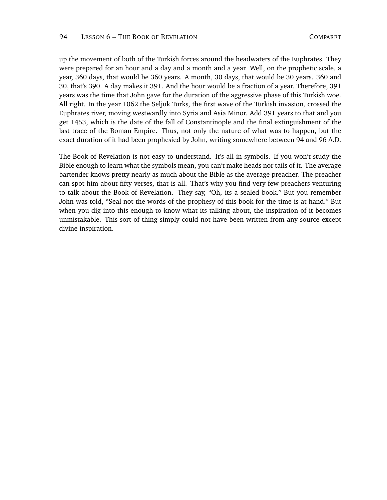up the movement of both of the Turkish forces around the headwaters of the Euphrates. They were prepared for an hour and a day and a month and a year. Well, on the prophetic scale, a year, 360 days, that would be 360 years. A month, 30 days, that would be 30 years. 360 and 30, that's 390. A day makes it 391. And the hour would be a fraction of a year. Therefore, 391 years was the time that John gave for the duration of the aggressive phase of this Turkish woe. All right. In the year 1062 the Seljuk Turks, the first wave of the Turkish invasion, crossed the Euphrates river, moving westwardly into Syria and Asia Minor. Add 391 years to that and you get 1453, which is the date of the fall of Constantinople and the final extinguishment of the last trace of the Roman Empire. Thus, not only the nature of what was to happen, but the exact duration of it had been prophesied by John, writing somewhere between 94 and 96 A.D.

The Book of Revelation is not easy to understand. It's all in symbols. If you won't study the Bible enough to learn what the symbols mean, you can't make heads nor tails of it. The average bartender knows pretty nearly as much about the Bible as the average preacher. The preacher can spot him about fifty verses, that is all. That's why you find very few preachers venturing to talk about the Book of Revelation. They say, "Oh, its a sealed book." But you remember John was told, "Seal not the words of the prophesy of this book for the time is at hand." But when you dig into this enough to know what its talking about, the inspiration of it becomes unmistakable. This sort of thing simply could not have been written from any source except divine inspiration.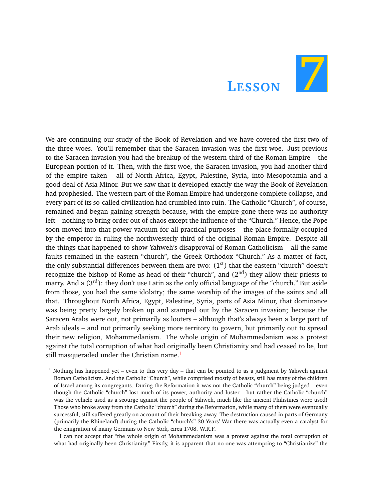

We are continuing our study of the Book of Revelation and we have covered the first two of the three woes. You'll remember that the Saracen invasion was the first woe. Just previous to the Saracen invasion you had the breakup of the western third of the Roman Empire – the European portion of it. Then, with the first woe, the Saracen invasion, you had another third of the empire taken – all of North Africa, Egypt, Palestine, Syria, into Mesopotamia and a good deal of Asia Minor. But we saw that it developed exactly the way the Book of Revelation had prophesied. The western part of the Roman Empire had undergone complete collapse, and every part of its so-called civilization had crumbled into ruin. The Catholic "Church", of course, remained and began gaining strength because, with the empire gone there was no authority left – nothing to bring order out of chaos except the influence of the "Church." Hence, the Pope soon moved into that power vacuum for all practical purposes – the place formally occupied by the emperor in ruling the northwesterly third of the original Roman Empire. Despite all the things that happened to show Yahweh's disapproval of Roman Catholicism – all the same faults remained in the eastern "church", the Greek Orthodox "Church." As a matter of fact, the only substantial differences between them are two:  $(1<sup>st</sup>)$  that the eastern "church" doesn't recognize the bishop of Rome as head of their "church", and  $(2<sup>nd</sup>)$  they allow their priests to marry. And a  $(3<sup>rd</sup>)$ : they don't use Latin as the only official language of the "church." But aside from those, you had the same idolatry; the same worship of the images of the saints and all that. Throughout North Africa, Egypt, Palestine, Syria, parts of Asia Minor, that dominance was being pretty largely broken up and stamped out by the Saracen invasion; because the Saracen Arabs were out, not primarily as looters – although that's always been a large part of Arab ideals – and not primarily seeking more territory to govern, but primarily out to spread their new religion, Mohammedanism. The whole origin of Mohammedanism was a protest against the total corruption of what had originally been Christianity and had ceased to be, but still masqueraded under the Christian name.<sup>[1](#page-94-0)</sup>

I can not accept that "the whole origin of Mohammedanism was a protest against the total corruption of what had originally been Christianity." Firstly, it is apparent that no one was attempting to "Christianize" the

<span id="page-94-0"></span><sup>&</sup>lt;sup>1</sup> Nothing has happened yet – even to this very day – that can be pointed to as a judgment by Yahweh against Roman Catholicism. And the Catholic "Church", while comprised mostly of beasts, still has many of the children of Israel among its congregants. During the Reformation it was not the Catholic "church" being judged – even though the Catholic "church" lost much of its power, authority and luster – but rather the Catholic "church" was the vehicle used as a scourge against the people of Yahweh, much like the ancient Philistines were used! Those who broke away from the Catholic "church" during the Reformation, while many of them were eventually successful, still suffered greatly on account of their breaking away. The destruction caused in parts of Germany (primarily the Rhineland) during the Catholic "church's" 30 Years' War there was actually even a catalyst for the emigration of many Germans to New York, circa 1708. W.R.F.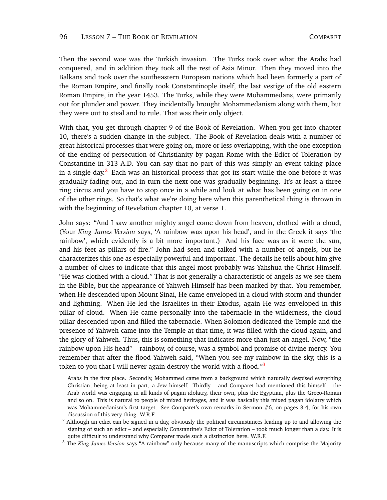Then the second woe was the Turkish invasion. The Turks took over what the Arabs had conquered, and in addition they took all the rest of Asia Minor. Then they moved into the Balkans and took over the southeastern European nations which had been formerly a part of the Roman Empire, and finally took Constantinople itself, the last vestige of the old eastern Roman Empire, in the year 1453. The Turks, while they were Mohammedans, were primarily out for plunder and power. They incidentally brought Mohammedanism along with them, but they were out to steal and to rule. That was their only object.

With that, you get through chapter 9 of the Book of Revelation. When you get into chapter 10, there's a sudden change in the subject. The Book of Revelation deals with a number of great historical processes that were going on, more or less overlapping, with the one exception of the ending of persecution of Christianity by pagan Rome with the Edict of Toleration by Constantine in 313 A.D. You can say that no part of this was simply an event taking place in a single day.<sup>[2](#page-95-0)</sup> Each was an historical process that got its start while the one before it was gradually fading out, and in turn the next one was gradually beginning. It's at least a three ring circus and you have to stop once in a while and look at what has been going on in one of the other rings. So that's what we're doing here when this parenthetical thing is thrown in with the beginning of Revelation chapter 10, at verse 1.

John says: "And I saw another mighty angel come down from heaven, clothed with a cloud, (Your *King James Version* says, 'A rainbow was upon his head', and in the Greek it says 'the rainbow', which evidently is a bit more important.) And his face was as it were the sun, and his feet as pillars of fire." John had seen and talked with a number of angels, but he characterizes this one as especially powerful and important. The details he tells about him give a number of clues to indicate that this angel most probably was Yahshua the Christ Himself. "He was clothed with a cloud." That is not generally a characteristic of angels as we see them in the Bible, but the appearance of Yahweh Himself has been marked by that. You remember, when He descended upon Mount Sinai, He came enveloped in a cloud with storm and thunder and lightning. When He led the Israelites in their Exodus, again He was enveloped in this pillar of cloud. When He came personally into the tabernacle in the wilderness, the cloud pillar descended upon and filled the tabernacle. When Solomon dedicated the Temple and the presence of Yahweh came into the Temple at that time, it was filled with the cloud again, and the glory of Yahweh. Thus, this is something that indicates more than just an angel. Now, "the rainbow upon His head" – rainbow, of course, was a symbol and promise of divine mercy. You remember that after the flood Yahweh said, "When you see my rainbow in the sky, this is a token to you that I will never again destroy the world with a flood."<sup>[3](#page-95-1)</sup>

Arabs in the first place. Secondly, Mohammed came from a background which naturally despised everything Christian, being at least in part, a Jew himself. Thirdly – and Comparet had mentioned this himself – the Arab world was engaging in all kinds of pagan idolatry, their own, plus the Egyptian, plus the Greco-Roman and so on. This is natural to people of mixed heritages, and it was basically this mixed pagan idolatry which was Mohammedanism's first target. See Comparet's own remarks in Sermon #6, on pages 3-4, for his own discussion of this very thing. W.R.F.

<span id="page-95-0"></span><sup>&</sup>lt;sup>2</sup> Although an edict can be signed in a day, obviously the political circumstances leading up to and allowing the signing of such an edict – and especially Constantine's Edict of Toleration – took much longer than a day. It is quite difficult to understand why Comparet made such a distinction here. W.R.F.

<span id="page-95-1"></span><sup>3</sup> The *King James Version* says "A rainbow" only because many of the manuscripts which comprise the Majority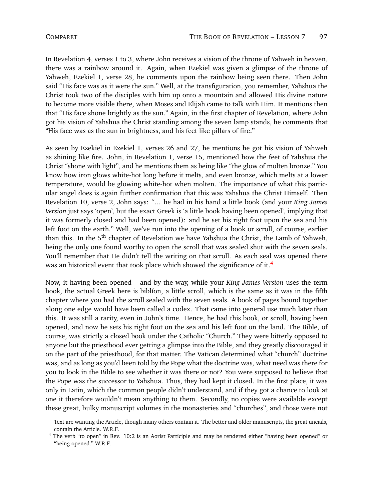In Revelation 4, verses 1 to 3, where John receives a vision of the throne of Yahweh in heaven, there was a rainbow around it. Again, when Ezekiel was given a glimpse of the throne of Yahweh, Ezekiel 1, verse 28, he comments upon the rainbow being seen there. Then John said "His face was as it were the sun." Well, at the transfiguration, you remember, Yahshua the Christ took two of the disciples with him up onto a mountain and allowed His divine nature to become more visible there, when Moses and Elijah came to talk with Him. It mentions then that "His face shone brightly as the sun." Again, in the first chapter of Revelation, where John got his vision of Yahshua the Christ standing among the seven lamp stands, he comments that "His face was as the sun in brightness, and his feet like pillars of fire."

As seen by Ezekiel in Ezekiel 1, verses 26 and 27, he mentions he got his vision of Yahweh as shining like fire. John, in Revelation 1, verse 15, mentioned how the feet of Yahshua the Christ "shone with light", and he mentions them as being like "the glow of molten bronze." You know how iron glows white-hot long before it melts, and even bronze, which melts at a lower temperature, would be glowing white-hot when molten. The importance of what this particular angel does is again further confirmation that this was Yahshua the Christ Himself. Then Revelation 10, verse 2, John says: "... he had in his hand a little book (and your *King James Version* just says 'open', but the exact Greek is 'a little book having been opened', implying that it was formerly closed and had been opened): and he set his right foot upon the sea and his left foot on the earth." Well, we've run into the opening of a book or scroll, of course, earlier than this. In the  $5<sup>th</sup>$  chapter of Revelation we have Yahshua the Christ, the Lamb of Yahweh, being the only one found worthy to open the scroll that was sealed shut with the seven seals. You'll remember that He didn't tell the writing on that scroll. As each seal was opened there was an historical event that took place which showed the significance of it.<sup>[4](#page-96-0)</sup>

Now, it having been opened – and by the way, while your *King James Version* uses the term book, the actual Greek here is biblíon, a little scroll, which is the same as it was in the fifth chapter where you had the scroll sealed with the seven seals. A book of pages bound together along one edge would have been called a codex. That came into general use much later than this. It was still a rarity, even in John's time. Hence, he had this book, or scroll, having been opened, and now he sets his right foot on the sea and his left foot on the land. The Bible, of course, was strictly a closed book under the Catholic "Church." They were bitterly opposed to anyone but the priesthood ever getting a glimpse into the Bible, and they greatly discouraged it on the part of the priesthood, for that matter. The Vatican determined what "church" doctrine was, and as long as you'd been told by the Pope what the doctrine was, what need was there for you to look in the Bible to see whether it was there or not? You were supposed to believe that the Pope was the successor to Yahshua. Thus, they had kept it closed. In the first place, it was only in Latin, which the common people didn't understand, and if they got a chance to look at one it therefore wouldn't mean anything to them. Secondly, no copies were available except these great, bulky manuscript volumes in the monasteries and "churches", and those were not

Text are wanting the Article, though many others contain it. The better and older manuscripts, the great uncials, contain the Article. W.R.F.

<span id="page-96-0"></span><sup>4</sup> The verb "to open" in Rev. 10:2 is an Aorist Participle and may be rendered either "having been opened" or "being opened." W.R.F.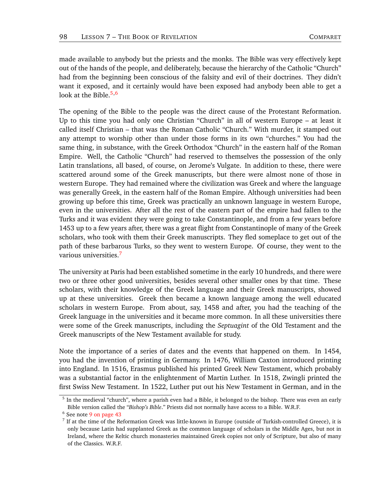made available to anybody but the priests and the monks. The Bible was very effectively kept out of the hands of the people, and deliberately, because the hierarchy of the Catholic "Church" had from the beginning been conscious of the falsity and evil of their doctrines. They didn't want it exposed, and it certainly would have been exposed had anybody been able to get a look at the Bible. $5,6$  $5,6$ 

The opening of the Bible to the people was the direct cause of the Protestant Reformation. Up to this time you had only one Christian "Church" in all of western Europe – at least it called itself Christian – that was the Roman Catholic "Church." With murder, it stamped out any attempt to worship other than under those forms in its own "churches." You had the same thing, in substance, with the Greek Orthodox "Church" in the eastern half of the Roman Empire. Well, the Catholic "Church" had reserved to themselves the possession of the only Latin translations, all based, of course, on Jerome's Vulgate. In addition to these, there were scattered around some of the Greek manuscripts, but there were almost none of those in western Europe. They had remained where the civilization was Greek and where the language was generally Greek, in the eastern half of the Roman Empire. Although universities had been growing up before this time, Greek was practically an unknown language in western Europe, even in the universities. After all the rest of the eastern part of the empire had fallen to the Turks and it was evident they were going to take Constantinople, and from a few years before 1453 up to a few years after, there was a great flight from Constantinople of many of the Greek scholars, who took with them their Greek manuscripts. They fled someplace to get out of the path of these barbarous Turks, so they went to western Europe. Of course, they went to the various universities.[7](#page-97-2)

The university at Paris had been established sometime in the early 10 hundreds, and there were two or three other good universities, besides several other smaller ones by that time. These scholars, with their knowledge of the Greek language and their Greek manuscripts, showed up at these universities. Greek then became a known language among the well educated scholars in western Europe. From about, say, 1458 and after, you had the teaching of the Greek language in the universities and it became more common. In all these universities there were some of the Greek manuscripts, including the *Septuagint* of the Old Testament and the Greek manuscripts of the New Testament available for study.

Note the importance of a series of dates and the events that happened on them. In 1454, you had the invention of printing in Germany. In 1476, William Caxton introduced printing into England. In 1516, Erasmus published his printed Greek New Testament, which probably was a substantial factor in the enlightenment of Martin Luther. In 1518, Zwingli printed the first Swiss New Testament. In 1522, Luther put out his New Testament in German, and in the

<span id="page-97-0"></span><sup>&</sup>lt;sup>5</sup> In the medieval "church", where a parish even had a Bible, it belonged to the bishop. There was even an early Bible version called the "*Bishop's Bible*." Priests did not normally have access to a Bible. W.R.F.

<span id="page-97-1"></span><sup>&</sup>lt;sup>6</sup> See note [9 on page 43](#page-42-0)

<span id="page-97-2"></span> $^7$  If at the time of the Reformation Greek was little-known in Europe (outside of Turkish-controlled Greece), it is only because Latin had supplanted Greek as the common language of scholars in the Middle Ages, but not in Ireland, where the Keltic church monasteries maintained Greek copies not only of Scripture, but also of many of the Classics. W.R.F.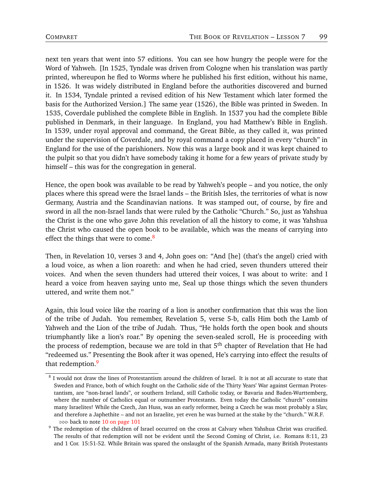next ten years that went into 57 editions. You can see how hungry the people were for the Word of Yahweh. [In 1525, Tyndale was driven from Cologne when his translation was partly printed, whereupon he fled to Worms where he published his first edition, without his name, in 1526. It was widely distributed in England before the authorities discovered and burned it. In 1534, Tyndale printed a revised edition of his New Testament which later formed the basis for the Authorized Version.] The same year (1526), the Bible was printed in Sweden. In 1535, Coverdale published the complete Bible in English. In 1537 you had the complete Bible published in Denmark, in their language. In England, you had Matthew's Bible in English. In 1539, under royal approval and command, the Great Bible, as they called it, was printed under the supervision of Coverdale, and by royal command a copy placed in every "church" in England for the use of the parishioners. Now this was a large book and it was kept chained to the pulpit so that you didn't have somebody taking it home for a few years of private study by himself – this was for the congregation in general.

Hence, the open book was available to be read by Yahweh's people – and you notice, the only places where this spread were the Israel lands – the British Isles, the territories of what is now Germany, Austria and the Scandinavian nations. It was stamped out, of course, by fire and sword in all the non-Israel lands that were ruled by the Catholic "Church." So, just as Yahshua the Christ is the one who gave John this revelation of all the history to come, it was Yahshua the Christ who caused the open book to be available, which was the means of carrying into effect the things that were to come. $8$ 

Then, in Revelation 10, verses 3 and 4, John goes on: "And [he] (that's the angel) cried with a loud voice, as when a lion roareth: and when he had cried, seven thunders uttered their voices. And when the seven thunders had uttered their voices, I was about to write: and I heard a voice from heaven saying unto me, Seal up those things which the seven thunders uttered, and write them not."

Again, this loud voice like the roaring of a lion is another confirmation that this was the lion of the tribe of Judah. You remember, Revelation 5, verse 5-b, calls Him both the Lamb of Yahweh and the Lion of the tribe of Judah. Thus, "He holds forth the open book and shouts triumphantly like a lion's roar." By opening the seven-sealed scroll, He is proceeding with the process of redemption, because we are told in that 5<sup>th</sup> chapter of Revelation that He had "redeemed us." Presenting the Book after it was opened, He's carrying into effect the results of that redemption.<sup>[9](#page-98-1)</sup>

<span id="page-98-0"></span><sup>8</sup> I would not draw the lines of Protestantism around the children of Israel. It is not at all accurate to state that Sweden and France, both of which fought on the Catholic side of the Thirty Years' War against German Protestantism, are "non-Israel lands", or southern Ireland, still Catholic today, or Bavaria and Baden-Wurttemberg, where the number of Catholics equal or outnumber Protestants. Even today the Catholic "church" contains many Israelites! While the Czech, Jan Huss, was an early reformer, being a Czech he was most probably a Slav, and therefore a Japhethite – and not an Israelite, yet even he was burned at the stake by the "church." W.R.F. **DDD** back to note [10 on page 101](#page-100-0)

<span id="page-98-1"></span> $9$  The redemption of the children of Israel occurred on the cross at Calvary when Yahshua Christ was crucified. The results of that redemption will not be evident until the Second Coming of Christ, i.e. Romans 8:11, 23 and 1 Cor. 15:51-52. While Britain was spared the onslaught of the Spanish Armada, many British Protestants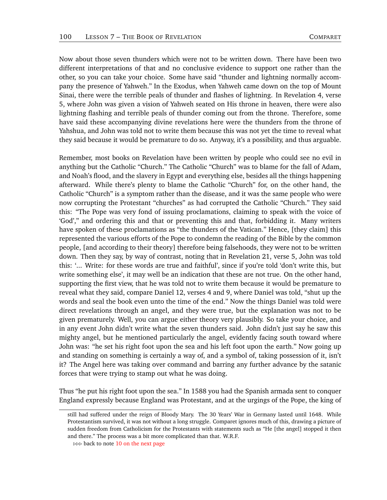Now about those seven thunders which were not to be written down. There have been two different interpretations of that and no conclusive evidence to support one rather than the other, so you can take your choice. Some have said "thunder and lightning normally accompany the presence of Yahweh." In the Exodus, when Yahweh came down on the top of Mount Sinai, there were the terrible peals of thunder and flashes of lightning. In Revelation 4, verse 5, where John was given a vision of Yahweh seated on His throne in heaven, there were also lightning flashing and terrible peals of thunder coming out from the throne. Therefore, some have said these accompanying divine revelations here were the thunders from the throne of Yahshua, and John was told not to write them because this was not yet the time to reveal what they said because it would be premature to do so. Anyway, it's a possibility, and thus arguable.

Remember, most books on Revelation have been written by people who could see no evil in anything but the Catholic "Church." The Catholic "Church" was to blame for the fall of Adam, and Noah's flood, and the slavery in Egypt and everything else, besides all the things happening afterward. While there's plenty to blame the Catholic "Church" for, on the other hand, the Catholic "Church" is a symptom rather than the disease, and it was the same people who were now corrupting the Protestant "churches" as had corrupted the Catholic "Church." They said this: "The Pope was very fond of issuing proclamations, claiming to speak with the voice of 'God'," and ordering this and that or preventing this and that, forbidding it. Many writers have spoken of these proclamations as "the thunders of the Vatican." Hence, [they claim] this represented the various efforts of the Pope to condemn the reading of the Bible by the common people, [and according to their theory] therefore being falsehoods, they were not to be written down. Then they say, by way of contrast, noting that in Revelation 21, verse 5, John was told this: '... Write: for these words are true and faithful', since if you're told 'don't write this, but write something else', it may well be an indication that these are not true. On the other hand, supporting the first view, that he was told not to write them because it would be premature to reveal what they said, compare Daniel 12, verses 4 and 9, where Daniel was told, "shut up the words and seal the book even unto the time of the end." Now the things Daniel was told were direct revelations through an angel, and they were true, but the explanation was not to be given prematurely. Well, you can argue either theory very plausibly. So take your choice, and in any event John didn't write what the seven thunders said. John didn't just say he saw this mighty angel, but he mentioned particularly the angel, evidently facing south toward where John was: "he set his right foot upon the sea and his left foot upon the earth." Now going up and standing on something is certainly a way of, and a symbol of, taking possession of it, isn't it? The Angel here was taking over command and barring any further advance by the satanic forces that were trying to stamp out what he was doing.

Thus "he put his right foot upon the sea." In 1588 you had the Spanish armada sent to conquer England expressly because England was Protestant, and at the urgings of the Pope, the king of

still had suffered under the reign of Bloody Mary. The 30 Years' War in Germany lasted until 1648. While Protestantism survived, it was not without a long struggle. Comparet ignores much of this, drawing a picture of sudden freedom from Catholicism for the Protestants with statements such as "He [the angel] stopped it then and there." The process was a bit more complicated than that. W.R.F.

**DDD** back to note [10 on the next page](#page-100-0)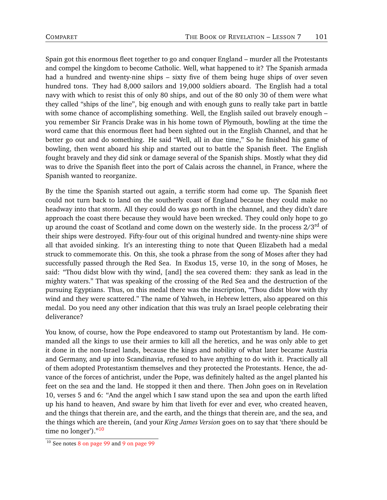Spain got this enormous fleet together to go and conquer England – murder all the Protestants and compel the kingdom to become Catholic. Well, what happened to it? The Spanish armada had a hundred and twenty-nine ships – sixty five of them being huge ships of over seven hundred tons. They had 8,000 sailors and 19,000 soldiers aboard. The English had a total navy with which to resist this of only 80 ships, and out of the 80 only 30 of them were what they called "ships of the line", big enough and with enough guns to really take part in battle with some chance of accomplishing something. Well, the English sailed out bravely enough – you remember Sir Francis Drake was in his home town of Plymouth, bowling at the time the word came that this enormous fleet had been sighted out in the English Channel, and that he better go out and do something. He said "Well, all in due time," So he finished his game of bowling, then went aboard his ship and started out to battle the Spanish fleet. The English fought bravely and they did sink or damage several of the Spanish ships. Mostly what they did was to drive the Spanish fleet into the port of Calais across the channel, in France, where the Spanish wanted to reorganize.

By the time the Spanish started out again, a terrific storm had come up. The Spanish fleet could not turn back to land on the southerly coast of England because they could make no headway into that storm. All they could do was go north in the channel, and they didn't dare approach the coast there because they would have been wrecked. They could only hope to go up around the coast of Scotland and come down on the westerly side. In the process  $2/3<sup>rd</sup>$  of their ships were destroyed. Fifty-four out of this original hundred and twenty-nine ships were all that avoided sinking. It's an interesting thing to note that Queen Elizabeth had a medal struck to commemorate this. On this, she took a phrase from the song of Moses after they had successfully passed through the Red Sea. In Exodus 15, verse 10, in the song of Moses, he said: "Thou didst blow with thy wind, [and] the sea covered them: they sank as lead in the mighty waters." That was speaking of the crossing of the Red Sea and the destruction of the pursuing Egyptians. Thus, on this medal there was the inscription, "Thou didst blow with thy wind and they were scattered." The name of Yahweh, in Hebrew letters, also appeared on this medal. Do you need any other indication that this was truly an Israel people celebrating their deliverance?

You know, of course, how the Pope endeavored to stamp out Protestantism by land. He commanded all the kings to use their armies to kill all the heretics, and he was only able to get it done in the non-Israel lands, because the kings and nobility of what later became Austria and Germany, and up into Scandinavia, refused to have anything to do with it. Practically all of them adopted Protestantism themselves and they protected the Protestants. Hence, the advance of the forces of antichrist, under the Pope, was definitely halted as the angel planted his feet on the sea and the land. He stopped it then and there. Then John goes on in Revelation 10, verses 5 and 6: "And the angel which I saw stand upon the sea and upon the earth lifted up his hand to heaven, And sware by him that liveth for ever and ever, who created heaven, and the things that therein are, and the earth, and the things that therein are, and the sea, and the things which are therein, (and your *King James Version* goes on to say that 'there should be time no longer')."<sup>[10](#page-100-0)</sup>

<span id="page-100-0"></span> $10$  See notes [8 on page 99](#page-98-0) and [9 on page 99](#page-98-1)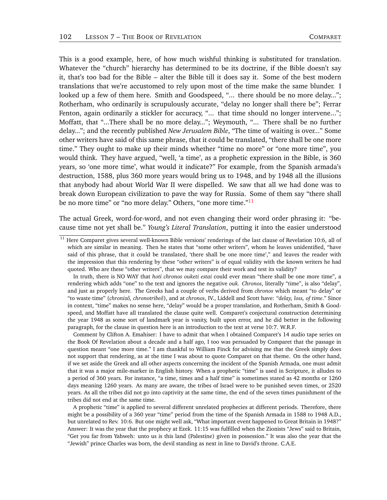This is a good example, here, of how much wishful thinking is substituted for translation. Whatever the "church" hierarchy has determined to be its doctrine, if the Bible doesn't say it, that's too bad for the Bible – alter the Bible till it does say it. Some of the best modern translations that we're accustomed to rely upon most of the time make the same blunder. I looked up a few of them here. Smith and Goodspeed, "... there should be no more delay..."; Rotherham, who ordinarily is scrupulously accurate, "delay no longer shall there be"; Ferrar Fenton, again ordinarily a stickler for accuracy, "... that time should no longer intervene..."; Moffatt, that "...There shall be no more delay..."; Weymouth, "... There shall be no further delay..."; and the recently published *New Jerusalem Bible*, "The time of waiting is over..." Some other writers have said of this same phrase, that it could be translated, "there shall be one more time." They ought to make up their minds whether "time no more" or "one more time", you would think. They have argued, "well, 'a time', as a prophetic expression in the Bible, is 360 years, so 'one more time', what would it indicate?" For example, from the Spanish armada's destruction, 1588, plus 360 more years would bring us to 1948, and by 1948 all the illusions that anybody had about World War II were dispelled. We saw that all we had done was to break down European civilization to pave the way for Russia. Some of them say "there shall be no more time" or "no more delay." Others, "one more time."<sup>[11](#page-101-0)</sup>

The actual Greek, word-for-word, and not even changing their word order phrasing it: "because time not yet shall be." *Young's Literal Translation*, putting it into the easier understood

Comment by Clifton A. Emahiser: I have to admit that when I obtained Comparet's 14 audio tape series on the Book Of Revelation about a decade and a half ago, I too was persuaded by Comparet that the passage in question meant "one more time." I am thankful to William Finck for advising me that the Greek simply does not support that rendering, as at the time I was about to quote Comparet on that theme. On the other hand, if we set aside the Greek and all other aspects concerning the incident of the Spanish Armada, one must admit that it was a major mile-marker in English history. When a prophetic "time" is used in Scripture, it alludes to a period of 360 years. For instance, "a time, times and a half time" is sometimes stated as 42 months or 1260 days meaning 1260 years. As many are aware, the tribes of Israel were to be punished seven times, or 2520 years. As all the tribes did not go into captivity at the same time, the end of the seven times punishment of the tribes did not end at the same time.

A prophetic "time" is applied to several different unrelated prophecies at different periods. Therefore, there might be a possibility of a 360 year "time" period from the time of the Spanish Armada in 1588 to 1948 A.D., but unrelated to Rev. 10:6. But one might well ask, "What important event happened to Great Britain in 1948?" Answer: It was the year that the prophecy at Ezek. 11:15 was fulfilled when the Zionists "Jews" said to Britain, "Get you far from Yahweh: unto us is this land (Palestine) given in possession." It was also the year that the "Jewish" prince Charles was born, the devil standing as next in line to David's throne. C.A.E.

<span id="page-101-0"></span> $11$  Here Comparet gives several well-known Bible versions' renderings of the last clause of Revelation 10:6, all of which are similar in meaning. Then he states that "some other writers", whom he leaves unidentified, "have said of this phrase, that it could be translated, 'there shall be one more time'," and leaves the reader with the impression that this rendering by these "other writers" is of equal validity with the known writers he had quoted. Who are these "other writers", that we may compare their work and test its validity?

In truth, there is NO WAY that *hoti chronos ouketi estai* could ever mean "there shall be one more time", a rendering which adds "one" to the text and ignores the negative *ouk. Chronos*, literally "time", is also "delay", and just as properly here. The Greeks had a couple of verbs derived from *chronos* which meant "to delay" or "to waste time" (*chronizô, chronotribeô*), and at *chronos*, IV., Liddell and Scott have: "*delay, loss, of time*." Since in context, "time" makes no sense here, "delay" would be a proper translation, and Rotherham, Smith & Goodspeed, and Moffatt have all translated the clause quite well. Comparet's conjectural construction determining the year 1948 as some sort of landmark year is vanity, built upon error, and he did better in the following paragraph, for the clause in question here is an introduction to the text at verse 10:7. W.R.F.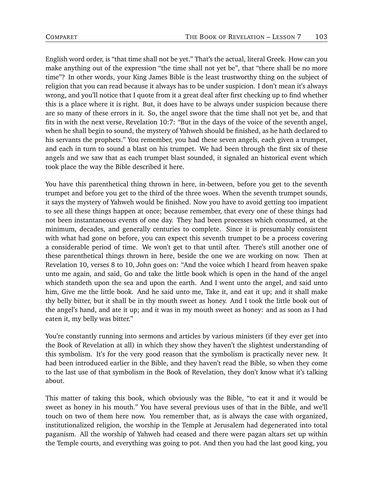English word order, is "that time shall not be yet." That's the actual, literal Greek. How can you make anything out of the expression "the time shall not yet be", that "there shall be no more time"? In other words, your King James Bible is the least trustworthy thing on the subject of religion that you can read because it always has to be under suspicion. I don't mean it's always wrong, and you'll notice that I quote from it a great deal after first checking up to find whether this is a place where it is right. But, it does have to be always under suspicion because there are so many of these errors in it. So, the angel swore that the time shall not yet be, and that fits in with the next verse, Revelation 10:7: "But in the days of the voice of the seventh angel, when he shall begin to sound, the mystery of Yahweh should be finished, as he hath declared to his servants the prophets." You remember, you had these seven angels, each given a trumpet, and each in turn to sound a blast on his trumpet. We had been through the first six of these angels and we saw that as each trumpet blast sounded, it signaled an historical event which took place the way the Bible described it here.

You have this parenthetical thing thrown in here, in-between, before you get to the seventh trumpet and before you get to the third of the three woes. When the seventh trumpet sounds, it says the mystery of Yahweh would be finished. Now you have to avoid getting too impatient to see all these things happen at once; because remember, that every one of these things had not been instantaneous events of one day. They had been processes which consumed, at the minimum, decades, and generally centuries to complete. Since it is presumably consistent with what had gone on before, you can expect this seventh trumpet to be a process covering a considerable period of time. We won't get to that until after. There's still another one of these parenthetical things thrown in here, beside the one we are working on now. Then at Revelation 10, verses 8 to 10, John goes on: "And the voice which I heard from heaven spake unto me again, and said, Go and take the little book which is open in the hand of the angel which standeth upon the sea and upon the earth. And I went unto the angel, and said unto him, Give me the little book. And he said unto me, Take it, and eat it up; and it shall make thy belly bitter, but it shall be in thy mouth sweet as honey. And I took the little book out of the angel's hand, and ate it up; and it was in my mouth sweet as honey: and as soon as I had eaten it, my belly was bitter."

You're constantly running into sermons and articles by various ministers (if they ever get into the Book of Revelation at all) in which they show they haven't the slightest understanding of this symbolism. It's for the very good reason that the symbolism is practically never new. It had been introduced earlier in the Bible, and they haven't read the Bible, so when they come to the last use of that symbolism in the Book of Revelation, they don't know what it's talking about.

This matter of taking this book, which obviously was the Bible, "to eat it and it would be sweet as honey in his mouth." You have several previous uses of that in the Bible, and we'll touch on two of them here now. You remember that, as is always the case with organized, institutionalized religion, the worship in the Temple at Jerusalem had degenerated into total paganism. All the worship of Yahweh had ceased and there were pagan altars set up within the Temple courts, and everything was going to pot. And then you had the last good king, you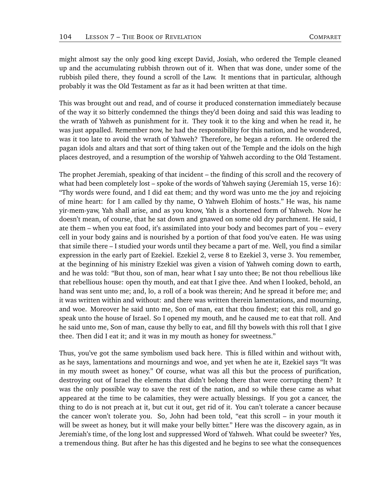might almost say the only good king except David, Josiah, who ordered the Temple cleaned up and the accumulating rubbish thrown out of it. When that was done, under some of the rubbish piled there, they found a scroll of the Law. It mentions that in particular, although probably it was the Old Testament as far as it had been written at that time.

This was brought out and read, and of course it produced consternation immediately because of the way it so bitterly condemned the things they'd been doing and said this was leading to the wrath of Yahweh as punishment for it. They took it to the king and when he read it, he was just appalled. Remember now, he had the responsibility for this nation, and he wondered, was it too late to avoid the wrath of Yahweh? Therefore, he began a reform. He ordered the pagan idols and altars and that sort of thing taken out of the Temple and the idols on the high places destroyed, and a resumption of the worship of Yahweh according to the Old Testament.

The prophet Jeremiah, speaking of that incident – the finding of this scroll and the recovery of what had been completely lost – spoke of the words of Yahweh saying (Jeremiah 15, verse 16): "Thy words were found, and I did eat them; and thy word was unto me the joy and rejoicing of mine heart: for I am called by thy name, O Yahweh Elohim of hosts." He was, his name yir-mem-yaw, Yah shall arise, and as you know, Yah is a shortened form of Yahweh. Now he doesn't mean, of course, that he sat down and gnawed on some old dry parchment. He said, I ate them – when you eat food, it's assimilated into your body and becomes part of you – every cell in your body gains and is nourished by a portion of that food you've eaten. He was using that simile there – I studied your words until they became a part of me. Well, you find a similar expression in the early part of Ezekiel. Ezekiel 2, verse 8 to Ezekiel 3, verse 3. You remember, at the beginning of his ministry Ezekiel was given a vision of Yahweh coming down to earth, and he was told: "But thou, son of man, hear what I say unto thee; Be not thou rebellious like that rebellious house: open thy mouth, and eat that I give thee. And when I looked, behold, an hand was sent unto me; and, lo, a roll of a book was therein; And he spread it before me; and it was written within and without: and there was written therein lamentations, and mourning, and woe. Moreover he said unto me, Son of man, eat that thou findest; eat this roll, and go speak unto the house of Israel. So I opened my mouth, and he caused me to eat that roll. And he said unto me, Son of man, cause thy belly to eat, and fill thy bowels with this roll that I give thee. Then did I eat it; and it was in my mouth as honey for sweetness."

Thus, you've got the same symbolism used back here. This is filled within and without with, as he says, lamentations and mournings and woe, and yet when he ate it, Ezekiel says "It was in my mouth sweet as honey." Of course, what was all this but the process of purification, destroying out of Israel the elements that didn't belong there that were corrupting them? It was the only possible way to save the rest of the nation, and so while these came as what appeared at the time to be calamities, they were actually blessings. If you got a cancer, the thing to do is not preach at it, but cut it out, get rid of it. You can't tolerate a cancer because the cancer won't tolerate you. So, John had been told, "eat this scroll – in your mouth it will be sweet as honey, but it will make your belly bitter." Here was the discovery again, as in Jeremiah's time, of the long lost and suppressed Word of Yahweh. What could be sweeter? Yes, a tremendous thing. But after he has this digested and he begins to see what the consequences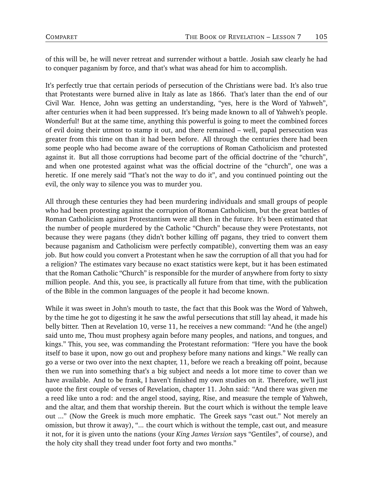of this will be, he will never retreat and surrender without a battle. Josiah saw clearly he had to conquer paganism by force, and that's what was ahead for him to accomplish.

It's perfectly true that certain periods of persecution of the Christians were bad. It's also true that Protestants were burned alive in Italy as late as 1866. That's later than the end of our Civil War. Hence, John was getting an understanding, "yes, here is the Word of Yahweh", after centuries when it had been suppressed. It's being made known to all of Yahweh's people. Wonderful! But at the same time, anything this powerful is going to meet the combined forces of evil doing their utmost to stamp it out, and there remained – well, papal persecution was greater from this time on than it had been before. All through the centuries there had been some people who had become aware of the corruptions of Roman Catholicism and protested against it. But all those corruptions had become part of the official doctrine of the "church", and when one protested against what was the official doctrine of the "church", one was a heretic. If one merely said "That's not the way to do it", and you continued pointing out the evil, the only way to silence you was to murder you.

All through these centuries they had been murdering individuals and small groups of people who had been protesting against the corruption of Roman Catholicism, but the great battles of Roman Catholicism against Protestantism were all then in the future. It's been estimated that the number of people murdered by the Catholic "Church" because they were Protestants, not because they were pagans (they didn't bother killing off pagans, they tried to convert them because paganism and Catholicism were perfectly compatible), converting them was an easy job. But how could you convert a Protestant when he saw the corruption of all that you had for a religion? The estimates vary because no exact statistics were kept, but it has been estimated that the Roman Catholic "Church" is responsible for the murder of anywhere from forty to sixty million people. And this, you see, is practically all future from that time, with the publication of the Bible in the common languages of the people it had become known.

While it was sweet in John's mouth to taste, the fact that this Book was the Word of Yahweh, by the time he got to digesting it he saw the awful persecutions that still lay ahead, it made his belly bitter. Then at Revelation 10, verse 11, he receives a new command: "And he (the angel) said unto me, Thou must prophesy again before many peoples, and nations, and tongues, and kings." This, you see, was commanding the Protestant reformation: "Here you have the book itself to base it upon, now go out and prophesy before many nations and kings." We really can go a verse or two over into the next chapter, 11, before we reach a breaking off point, because then we run into something that's a big subject and needs a lot more time to cover than we have available. And to be frank, I haven't finished my own studies on it. Therefore, we'll just quote the first couple of verses of Revelation, chapter 11. John said: "And there was given me a reed like unto a rod: and the angel stood, saying, Rise, and measure the temple of Yahweh, and the altar, and them that worship therein. But the court which is without the temple leave out ..." (Now the Greek is much more emphatic. The Greek says "cast out." Not merely an omission, but throw it away), "... the court which is without the temple, cast out, and measure it not, for it is given unto the nations (your *King James Version* says "Gentiles", of course), and the holy city shall they tread under foot forty and two months."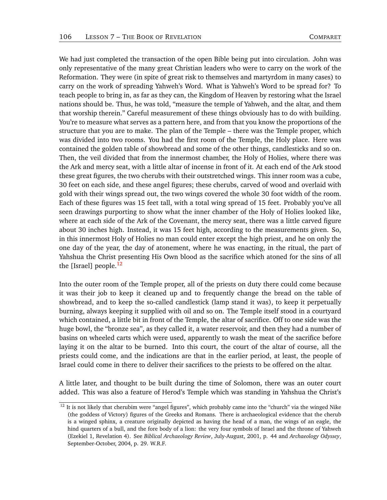We had just completed the transaction of the open Bible being put into circulation. John was only representative of the many great Christian leaders who were to carry on the work of the Reformation. They were (in spite of great risk to themselves and martyrdom in many cases) to carry on the work of spreading Yahweh's Word. What is Yahweh's Word to be spread for? To teach people to bring in, as far as they can, the Kingdom of Heaven by restoring what the Israel nations should be. Thus, he was told, "measure the temple of Yahweh, and the altar, and them that worship therein." Careful measurement of these things obviously has to do with building. You're to measure what serves as a pattern here, and from that you know the proportions of the structure that you are to make. The plan of the Temple – there was the Temple proper, which was divided into two rooms. You had the first room of the Temple, the Holy place. Here was contained the golden table of showbread and some of the other things, candlesticks and so on. Then, the veil divided that from the innermost chamber, the Holy of Holies, where there was the Ark and mercy seat, with a little altar of incense in front of it. At each end of the Ark stood these great figures, the two cherubs with their outstretched wings. This inner room was a cube, 30 feet on each side, and these angel figures; these cherubs, carved of wood and overlaid with gold with their wings spread out, the two wings covered the whole 30 foot width of the room. Each of these figures was 15 feet tall, with a total wing spread of 15 feet. Probably you've all seen drawings purporting to show what the inner chamber of the Holy of Holies looked like, where at each side of the Ark of the Covenant, the mercy seat, there was a little carved figure about 30 inches high. Instead, it was 15 feet high, according to the measurements given. So, in this innermost Holy of Holies no man could enter except the high priest, and he on only the one day of the year, the day of atonement, where he was enacting, in the ritual, the part of Yahshua the Christ presenting His Own blood as the sacrifice which atoned for the sins of all the [Israel] people.<sup>[12](#page-105-0)</sup>

Into the outer room of the Temple proper, all of the priests on duty there could come because it was their job to keep it cleaned up and to frequently change the bread on the table of showbread, and to keep the so-called candlestick (lamp stand it was), to keep it perpetually burning, always keeping it supplied with oil and so on. The Temple itself stood in a courtyard which contained, a little bit in front of the Temple, the altar of sacrifice. Off to one side was the huge bowl, the "bronze sea", as they called it, a water reservoir, and then they had a number of basins on wheeled carts which were used, apparently to wash the meat of the sacrifice before laying it on the altar to be burned. Into this court, the court of the altar of course, all the priests could come, and the indications are that in the earlier period, at least, the people of Israel could come in there to deliver their sacrifices to the priests to be offered on the altar.

A little later, and thought to be built during the time of Solomon, there was an outer court added. This was also a feature of Herod's Temple which was standing in Yahshua the Christ's

<span id="page-105-0"></span> $12$  It is not likely that cherubim were "angel figures", which probably came into the "church" via the winged Nike (the goddess of Victory) figures of the Greeks and Romans. There is archaeological evidence that the cherub is a winged sphinx, a creature originally depicted as having the head of a man, the wings of an eagle, the hind quarters of a bull, and the fore body of a lion: the very four symbols of Israel and the throne of Yahweh (Ezekiel 1, Revelation 4). See *Biblical Archaeology Review*, July-August, 2001, p. 44 and *Archaeology Odyssey*, September-October, 2004, p. 29. W.R.F.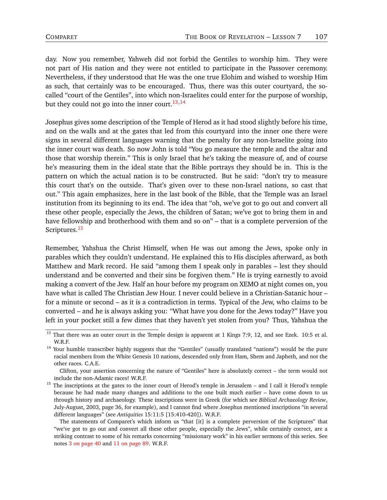day. Now you remember, Yahweh did not forbid the Gentiles to worship him. They were not part of His nation and they were not entitled to participate in the Passover ceremony. Nevertheless, if they understood that He was the one true Elohim and wished to worship Him as such, that certainly was to be encouraged. Thus, there was this outer courtyard, the socalled "court of the Gentiles", into which non-Israelites could enter for the purpose of worship, but they could not go into the inner court. $13,14$  $13,14$ 

Josephus gives some description of the Temple of Herod as it had stood slightly before his time, and on the walls and at the gates that led from this courtyard into the inner one there were signs in several different languages warning that the penalty for any non-Israelite going into the inner court was death. So now John is told "You go measure the temple and the altar and those that worship therein." This is only Israel that he's taking the measure of, and of course he's measuring them in the ideal state that the Bible portrays they should be in. This is the pattern on which the actual nation is to be constructed. But he said: "don't try to measure this court that's on the outside. That's given over to these non-Israel nations, so cast that out." This again emphasizes, here in the last book of the Bible, that the Temple was an Israel institution from its beginning to its end. The idea that "oh, we've got to go out and convert all these other people, especially the Jews, the children of Satan; we've got to bring them in and have fellowship and brotherhood with them and so on" – that is a complete perversion of the Scriptures.<sup>[15](#page-106-0)</sup>

Remember, Yahshua the Christ Himself, when He was out among the Jews, spoke only in parables which they couldn't understand. He explained this to His disciples afterward, as both Matthew and Mark record. He said "among them I speak only in parables – lest they should understand and be converted and their sins be forgiven them." He is trying earnestly to avoid making a convert of the Jew. Half an hour before my program on XEMO at night comes on, you have what is called The Christian Jew Hour. I never could believe in a Christian-Satanic hour – for a minute or second – as it is a contradiction in terms. Typical of the Jew, who claims to be converted – and he is always asking you: "What have you done for the Jews today?" Have you left in your pocket still a few dimes that they haven't yet stolen from you? Thus, Yahshua the

<span id="page-106-1"></span><sup>&</sup>lt;sup>13</sup> That there was an outer court in the Temple design is apparent at 1 Kings 7:9, 12, and see Ezek. 10:5 et al. W.R.F.

<span id="page-106-2"></span><sup>&</sup>lt;sup>14</sup> Your humble transcriber highly suggests that the "Gentiles" (usually translated "nations") would be the pure racial members from the White Genesis 10 nations, descended only from Ham, Shem and Japheth, and not the other races. C.A.E.

Clifton, your assertion concerning the nature of "Gentiles" here is absolutely correct – the term would not include the non-Adamic races! W.R.F.

<span id="page-106-0"></span> $15$  The inscriptions at the gates to the inner court of Herod's temple in Jerusalem – and I call it Herod's temple because he had made many changes and additions to the one built much earlier – have come down to us through history and archaeology. These inscriptions were in Greek (for which see *Biblical Archaeology Review*, July-August, 2003, page 36, for example), and I cannot find where Josephus mentioned inscriptions "in several different languages" (see *Antiquities* 15:11:5 [15:410-420]). W.R.F.

The statements of Comparet's which inform us "that [it] is a complete perversion of the Scriptures" that "we've got to go out and convert all these other people, especially the Jews", while certainly correct, are a striking contrast to some of his remarks concerning "missionary work" in his earlier sermons of this series. See notes [3 on page 40](#page-39-0) and [11 on page 89.](#page-88-0) W.R.F.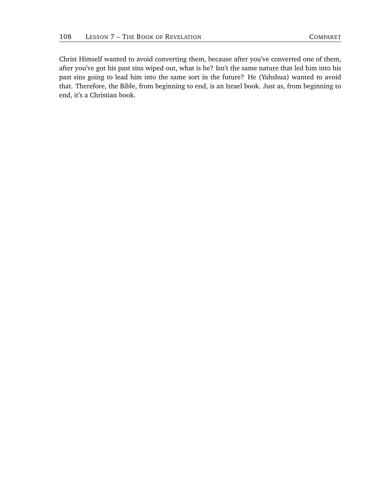Christ Himself wanted to avoid converting them, because after you've converted one of them, after you've got his past sins wiped out, what is he? Isn't the same nature that led him into his past sins going to lead him into the same sort in the future? He (Yahshua) wanted to avoid that. Therefore, the Bible, from beginning to end, is an Israel book. Just as, from beginning to end, it's a Christian book.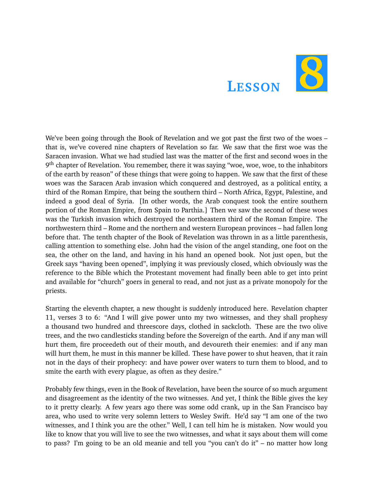

We've been going through the Book of Revelation and we got past the first two of the woes – that is, we've covered nine chapters of Revelation so far. We saw that the first woe was the Saracen invasion. What we had studied last was the matter of the first and second woes in the 9<sup>th</sup> chapter of Revelation. You remember, there it was saying "woe, woe, woe, to the inhabitors of the earth by reason" of these things that were going to happen. We saw that the first of these woes was the Saracen Arab invasion which conquered and destroyed, as a political entity, a third of the Roman Empire, that being the southern third – North Africa, Egypt, Palestine, and indeed a good deal of Syria. [In other words, the Arab conquest took the entire southern portion of the Roman Empire, from Spain to Parthia.] Then we saw the second of these woes was the Turkish invasion which destroyed the northeastern third of the Roman Empire. The northwestern third – Rome and the northern and western European provinces – had fallen long before that. The tenth chapter of the Book of Revelation was thrown in as a little parenthesis, calling attention to something else. John had the vision of the angel standing, one foot on the sea, the other on the land, and having in his hand an opened book. Not just open, but the Greek says "having been opened", implying it was previously closed, which obviously was the reference to the Bible which the Protestant movement had finally been able to get into print and available for "church" goers in general to read, and not just as a private monopoly for the priests.

Starting the eleventh chapter, a new thought is suddenly introduced here. Revelation chapter 11, verses 3 to 6: "And I will give power unto my two witnesses, and they shall prophesy a thousand two hundred and threescore days, clothed in sackcloth. These are the two olive trees, and the two candlesticks standing before the Sovereign of the earth. And if any man will hurt them, fire proceedeth out of their mouth, and devoureth their enemies: and if any man will hurt them, he must in this manner be killed. These have power to shut heaven, that it rain not in the days of their prophecy: and have power over waters to turn them to blood, and to smite the earth with every plague, as often as they desire."

Probably few things, even in the Book of Revelation, have been the source of so much argument and disagreement as the identity of the two witnesses. And yet, I think the Bible gives the key to it pretty clearly. A few years ago there was some odd crank, up in the San Francisco bay area, who used to write very solemn letters to Wesley Swift. He'd say "I am one of the two witnesses, and I think you are the other." Well, I can tell him he is mistaken. Now would you like to know that you will live to see the two witnesses, and what it says about them will come to pass? I'm going to be an old meanie and tell you "you can't do it" – no matter how long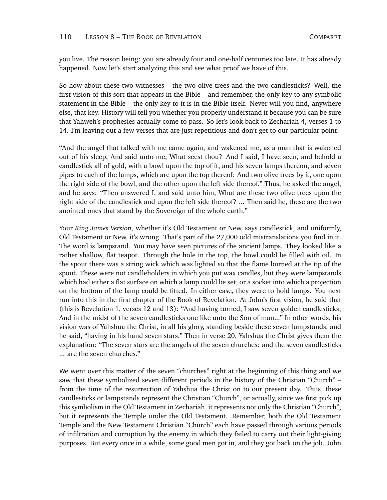you live. The reason being: you are already four and one-half centuries too late. It has already happened. Now let's start analyzing this and see what proof we have of this.

So how about these two witnesses – the two olive trees and the two candlesticks? Well, the first vision of this sort that appears in the Bible – and remember, the only key to any symbolic statement in the Bible – the only key to it is in the Bible itself. Never will you find, anywhere else, that key. History will tell you whether you properly understand it because you can be sure that Yahweh's prophesies actually come to pass. So let's look back to Zechariah 4, verses 1 to 14. I'm leaving out a few verses that are just repetitious and don't get to our particular point:

"And the angel that talked with me came again, and wakened me, as a man that is wakened out of his sleep, And said unto me, What seest thou? And I said, I have seen, and behold a candlestick all of gold, with a bowl upon the top of it, and his seven lamps thereon, and seven pipes to each of the lamps, which are upon the top thereof: And two olive trees by it, one upon the right side of the bowl, and the other upon the left side thereof." Thus, he asked the angel, and he says: "Then answered I, and said unto him, What are these two olive trees upon the right side of the candlestick and upon the left side thereof? ... Then said he, these are the two anointed ones that stand by the Sovereign of the whole earth."

Your *King James Version*, whether it's Old Testament or New, says candlestick, and uniformly, Old Testament or New, it's wrong. That's part of the 27,000 odd mistranslations you find in it. The word is lampstand. You may have seen pictures of the ancient lamps. They looked like a rather shallow, flat teapot. Through the hole in the top, the bowl could be filled with oil. In the spout there was a string wick which was lighted so that the flame burned at the tip of the spout. These were not candleholders in which you put wax candles, but they were lampstands which had either a flat surface on which a lamp could be set, or a socket into which a projection on the bottom of the lamp could be fitted. In either case, they were to hold lamps. You next run into this in the first chapter of the Book of Revelation. At John's first vision, he said that (this is Revelation 1, verses 12 and 13): "And having turned, I saw seven golden candlesticks; And in the midst of the seven candlesticks one like unto the Son of man..." In other words, his vision was of Yahshua the Christ, in all his glory, standing beside these seven lampstands, and he said, "having in his hand seven stars." Then in verse 20, Yahshua the Christ gives them the explanation: "The seven stars are the angels of the seven churches: and the seven candlesticks ... are the seven churches."

We went over this matter of the seven "churches" right at the beginning of this thing and we saw that these symbolized seven different periods in the history of the Christian "Church" – from the time of the resurrection of Yahshua the Christ on to our present day. Thus, these candlesticks or lampstands represent the Christian "Church", or actually, since we first pick up this symbolism in the Old Testament in Zechariah, it represents not only the Christian "Church", but it represents the Temple under the Old Testament. Remember, both the Old Testament Temple and the New Testament Christian "Church" each have passed through various periods of infiltration and corruption by the enemy in which they failed to carry out their light-giving purposes. But every once in a while, some good men got in, and they got back on the job. John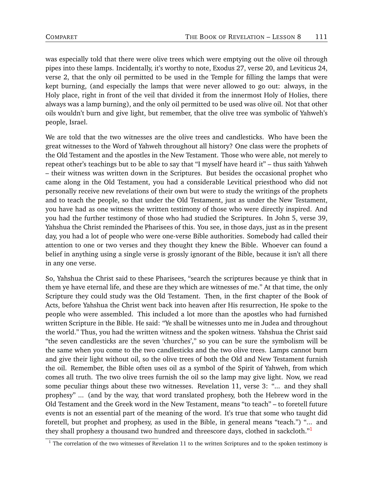was especially told that there were olive trees which were emptying out the olive oil through pipes into these lamps. Incidentally, it's worthy to note, Exodus 27, verse 20, and Leviticus 24, verse 2, that the only oil permitted to be used in the Temple for filling the lamps that were kept burning, (and especially the lamps that were never allowed to go out: always, in the Holy place, right in front of the veil that divided it from the innermost Holy of Holies, there always was a lamp burning), and the only oil permitted to be used was olive oil. Not that other oils wouldn't burn and give light, but remember, that the olive tree was symbolic of Yahweh's people, Israel.

We are told that the two witnesses are the olive trees and candlesticks. Who have been the great witnesses to the Word of Yahweh throughout all history? One class were the prophets of the Old Testament and the apostles in the New Testament. Those who were able, not merely to repeat other's teachings but to be able to say that "I myself have heard it" – thus saith Yahweh – their witness was written down in the Scriptures. But besides the occasional prophet who came along in the Old Testament, you had a considerable Levitical priesthood who did not personally receive new revelations of their own but were to study the writings of the prophets and to teach the people, so that under the Old Testament, just as under the New Testament, you have had as one witness the written testimony of those who were directly inspired. And you had the further testimony of those who had studied the Scriptures. In John 5, verse 39, Yahshua the Christ reminded the Pharisees of this. You see, in those days, just as in the present day, you had a lot of people who were one-verse Bible authorities. Somebody had called their attention to one or two verses and they thought they knew the Bible. Whoever can found a belief in anything using a single verse is grossly ignorant of the Bible, because it isn't all there in any one verse.

So, Yahshua the Christ said to these Pharisees, "search the scriptures because ye think that in them ye have eternal life, and these are they which are witnesses of me." At that time, the only Scripture they could study was the Old Testament. Then, in the first chapter of the Book of Acts, before Yahshua the Christ went back into heaven after His resurrection, He spoke to the people who were assembled. This included a lot more than the apostles who had furnished written Scripture in the Bible. He said: "Ye shall be witnesses unto me in Judea and throughout the world." Thus, you had the written witness and the spoken witness. Yahshua the Christ said "the seven candlesticks are the seven 'churches'," so you can be sure the symbolism will be the same when you come to the two candlesticks and the two olive trees. Lamps cannot burn and give their light without oil, so the olive trees of both the Old and New Testament furnish the oil. Remember, the Bible often uses oil as a symbol of the Spirit of Yahweh, from which comes all truth. The two olive trees furnish the oil so the lamp may give light. Now, we read some peculiar things about these two witnesses. Revelation 11, verse 3: "... and they shall prophesy" ... (and by the way, that word translated prophesy, both the Hebrew word in the Old Testament and the Greek word in the New Testament, means "to teach" – to foretell future events is not an essential part of the meaning of the word. It's true that some who taught did foretell, but prophet and prophesy, as used in the Bible, in general means "teach.") "... and they shall prophesy a thousand two hundred and threescore days, clothed in sackcloth."<sup>[1](#page-110-0)</sup>

<span id="page-110-0"></span> $1$  The correlation of the two witnesses of Revelation 11 to the written Scriptures and to the spoken testimony is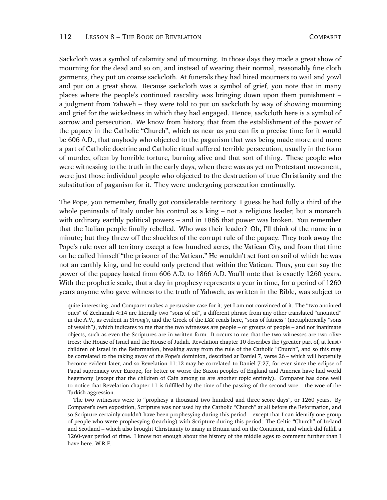Sackcloth was a symbol of calamity and of mourning. In those days they made a great show of mourning for the dead and so on, and instead of wearing their normal, reasonably fine cloth garments, they put on coarse sackcloth. At funerals they had hired mourners to wail and yowl and put on a great show. Because sackcloth was a symbol of grief, you note that in many places where the people's continued rascality was bringing down upon them punishment – a judgment from Yahweh – they were told to put on sackcloth by way of showing mourning and grief for the wickedness in which they had engaged. Hence, sackcloth here is a symbol of sorrow and persecution. We know from history, that from the establishment of the power of the papacy in the Catholic "Church", which as near as you can fix a precise time for it would be 606 A.D., that anybody who objected to the paganism that was being made more and more a part of Catholic doctrine and Catholic ritual suffered terrible persecution, usually in the form of murder, often by horrible torture, burning alive and that sort of thing. These people who were witnessing to the truth in the early days, when there was as yet no Protestant movement, were just those individual people who objected to the destruction of true Christianity and the substitution of paganism for it. They were undergoing persecution continually.

The Pope, you remember, finally got considerable territory. I guess he had fully a third of the whole peninsula of Italy under his control as a king – not a religious leader, but a monarch with ordinary earthly political powers – and in 1866 that power was broken. You remember that the Italian people finally rebelled. Who was their leader? Oh, I'll think of the name in a minute; but they threw off the shackles of the corrupt rule of the papacy. They took away the Pope's rule over all territory except a few hundred acres, the Vatican City, and from that time on he called himself "the prisoner of the Vatican." He wouldn't set foot on soil of which he was not an earthly king, and he could only pretend that within the Vatican. Thus, you can say the power of the papacy lasted from 606 A.D. to 1866 A.D. You'll note that is exactly 1260 years. With the prophetic scale, that a day in prophesy represents a year in time, for a period of 1260 years anyone who gave witness to the truth of Yahweh, as written in the Bible, was subject to

quite interesting, and Comparet makes a persuasive case for it; yet I am not convinced of it. The "two anointed ones" of Zechariah 4:14 are literally two "sons of oil", a different phrase from any other translated "anointed" in the A.V., as evident in *Strong's*, and the Greek of the *LXX* reads here, "sons of fatness" (metaphorically "sons of wealth"), which indicates to me that the two witnesses are people – or groups of people – and not inanimate objects, such as even the Scriptures are in written form. It occurs to me that the two witnesses are two olive trees: the House of Israel and the House of Judah. Revelation chapter 10 describes the (greater part of, at least) children of Israel in the Reformation, breaking away from the rule of the Catholic "Church", and so this may be correlated to the taking away of the Pope's dominion, described at Daniel 7, verse 26 – which will hopefully become evident later, and so Revelation 11:12 may be correlated to Daniel 7:27, for ever since the eclipse of Papal supremacy over Europe, for better or worse the Saxon peoples of England and America have had world hegemony (except that the children of Cain among us are another topic entirely). Comparet has done well to notice that Revelation chapter 11 is fulfilled by the time of the passing of the second woe – the woe of the Turkish aggression.

The two witnesses were to "prophesy a thousand two hundred and three score days", or 1260 years. By Comparet's own exposition, Scripture was not used by the Catholic "Church" at all before the Reformation, and so Scripture certainly couldn't have been prophesying during this period – except that I can identify one group of people who **were** prophesying (teaching) with Scripture during this period: The Celtic "Church" of Ireland and Scotland – which also brought Christianity to many in Britain and on the Continent, and which did fulfill a 1260-year period of time. I know not enough about the history of the middle ages to comment further than I have here. W.R.F.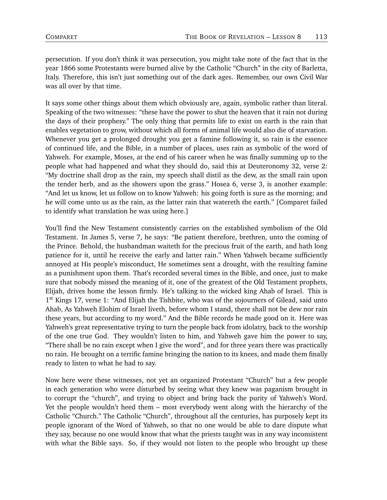persecution. If you don't think it was persecution, you might take note of the fact that in the year 1866 some Protestants were burned alive by the Catholic "Church" in the city of Barletta, Italy. Therefore, this isn't just something out of the dark ages. Remember, our own Civil War was all over by that time.

It says some other things about them which obviously are, again, symbolic rather than literal. Speaking of the two witnesses: "these have the power to shut the heaven that it rain not during the days of their prophesy." The only thing that permits life to exist on earth is the rain that enables vegetation to grow, without which all forms of animal life would also die of starvation. Whenever you get a prolonged drought you get a famine following it, so rain is the essence of continued life, and the Bible, in a number of places, uses rain as symbolic of the word of Yahweh. For example, Moses, at the end of his career when he was finally summing up to the people what had happened and what they should do, said this at Deuteronomy 32, verse 2: "My doctrine shall drop as the rain, my speech shall distil as the dew, as the small rain upon the tender herb, and as the showers upon the grass." Hosea 6, verse 3, is another example: "And let us know, let us follow on to know Yahweh: his going forth is sure as the morning; and he will come unto us as the rain, as the latter rain that watereth the earth." [Comparet failed to identify what translation he was using here.]

You'll find the New Testament consistently carries on the established symbolism of the Old Testament. In James 5, verse 7, he says: "Be patient therefore, brethren, unto the coming of the Prince. Behold, the husbandman waiteth for the precious fruit of the earth, and hath long patience for it, until he receive the early and latter rain." When Yahweh became sufficiently annoyed at His people's misconduct, He sometimes sent a drought, with the resulting famine as a punishment upon them. That's recorded several times in the Bible, and once, just to make sure that nobody missed the meaning of it, one of the greatest of the Old Testament prophets, Elijah, drives home the lesson firmly. He's talking to the wicked king Ahab of Israel. This is 1<sup>st</sup> Kings 17, verse 1: "And Elijah the Tishbite, who was of the sojourners of Gilead, said unto Ahab, As Yahweh Elohim of Israel liveth, before whom I stand, there shall not be dew nor rain these years, but according to my word." And the Bible records he made good on it. Here was Yahweh's great representative trying to turn the people back from idolatry, back to the worship of the one true God. They wouldn't listen to him, and Yahweh gave him the power to say, "There shall be no rain except when I give the word", and for three years there was practically no rain. He brought on a terrific famine bringing the nation to its knees, and made them finally ready to listen to what he had to say.

Now here were these witnesses, not yet an organized Protestant "Church" but a few people in each generation who were disturbed by seeing what they knew was paganism brought in to corrupt the "church", and trying to object and bring back the purity of Yahweh's Word. Yet the people wouldn't heed them – most everybody went along with the hierarchy of the Catholic "Church." The Catholic "Church", throughout all the centuries, has purposely kept its people ignorant of the Word of Yahweh, so that no one would be able to dare dispute what they say, because no one would know that what the priests taught was in any way inconsistent with what the Bible says. So, if they would not listen to the people who brought up these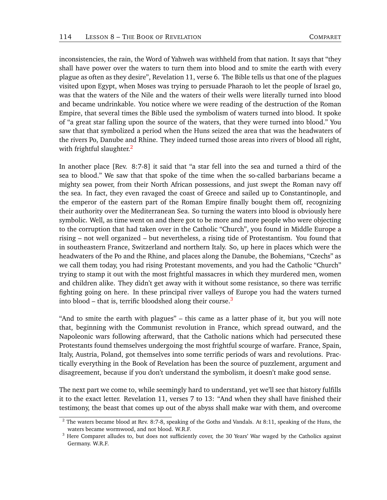inconsistencies, the rain, the Word of Yahweh was withheld from that nation. It says that "they shall have power over the waters to turn them into blood and to smite the earth with every plague as often as they desire", Revelation 11, verse 6. The Bible tells us that one of the plagues visited upon Egypt, when Moses was trying to persuade Pharaoh to let the people of Israel go, was that the waters of the Nile and the waters of their wells were literally turned into blood and became undrinkable. You notice where we were reading of the destruction of the Roman Empire, that several times the Bible used the symbolism of waters turned into blood. It spoke of "a great star falling upon the source of the waters, that they were turned into blood." You saw that that symbolized a period when the Huns seized the area that was the headwaters of the rivers Po, Danube and Rhine. They indeed turned those areas into rivers of blood all right, with frightful slaughter.<sup>[2](#page-113-0)</sup>

In another place [Rev. 8:7-8] it said that "a star fell into the sea and turned a third of the sea to blood." We saw that that spoke of the time when the so-called barbarians became a mighty sea power, from their North African possessions, and just swept the Roman navy off the sea. In fact, they even ravaged the coast of Greece and sailed up to Constantinople, and the emperor of the eastern part of the Roman Empire finally bought them off, recognizing their authority over the Mediterranean Sea. So turning the waters into blood is obviously here symbolic. Well, as time went on and there got to be more and more people who were objecting to the corruption that had taken over in the Catholic "Church", you found in Middle Europe a rising – not well organized – but nevertheless, a rising tide of Protestantism. You found that in southeastern France, Switzerland and northern Italy. So, up here in places which were the headwaters of the Po and the Rhine, and places along the Danube, the Bohemians, "Czechs" as we call them today, you had rising Protestant movements, and you had the Catholic "Church" trying to stamp it out with the most frightful massacres in which they murdered men, women and children alike. They didn't get away with it without some resistance, so there was terrific fighting going on here. In these principal river valleys of Europe you had the waters turned into blood – that is, terrific bloodshed along their course.<sup>[3](#page-113-1)</sup>

"And to smite the earth with plagues" – this came as a latter phase of it, but you will note that, beginning with the Communist revolution in France, which spread outward, and the Napoleonic wars following afterward, that the Catholic nations which had persecuted these Protestants found themselves undergoing the most frightful scourge of warfare. France, Spain, Italy, Austria, Poland, got themselves into some terrific periods of wars and revolutions. Practically everything in the Book of Revelation has been the source of puzzlement, argument and disagreement, because if you don't understand the symbolism, it doesn't make good sense.

The next part we come to, while seemingly hard to understand, yet we'll see that history fulfills it to the exact letter. Revelation 11, verses 7 to 13: "And when they shall have finished their testimony, the beast that comes up out of the abyss shall make war with them, and overcome

<span id="page-113-0"></span><sup>&</sup>lt;sup>2</sup> The waters became blood at Rev. 8:7-8, speaking of the Goths and Vandals. At 8:11, speaking of the Huns, the waters became wormwood, and not blood. W.R.F.

<span id="page-113-1"></span><sup>&</sup>lt;sup>3</sup> Here Comparet alludes to, but does not sufficiently cover, the 30 Years' War waged by the Catholics against Germany. W.R.F.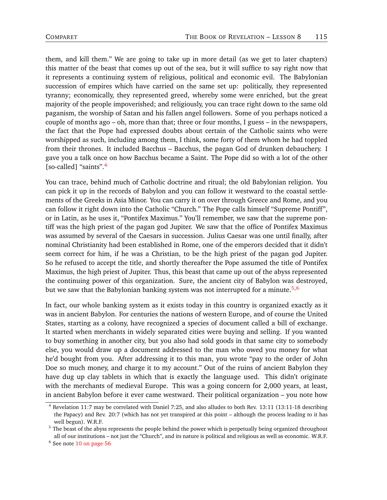them, and kill them." We are going to take up in more detail (as we get to later chapters) this matter of the beast that comes up out of the sea, but it will suffice to say right now that it represents a continuing system of religious, political and economic evil. The Babylonian succession of empires which have carried on the same set up: politically, they represented tyranny; economically, they represented greed, whereby some were enriched, but the great majority of the people impoverished; and religiously, you can trace right down to the same old paganism, the worship of Satan and his fallen angel followers. Some of you perhaps noticed a couple of months ago – oh, more than that; three or four months, I guess – in the newspapers, the fact that the Pope had expressed doubts about certain of the Catholic saints who were worshipped as such, including among them, I think, some forty of them whom he had toppled from their thrones. It included Bacchus – Bacchus, the pagan God of drunken debauchery. I gave you a talk once on how Bacchus became a Saint. The Pope did so with a lot of the other [so-called] "saints".<sup>[4](#page-114-0)</sup>

You can trace, behind much of Catholic doctrine and ritual; the old Babylonian religion. You can pick it up in the records of Babylon and you can follow it westward to the coastal settlements of the Greeks in Asia Minor. You can carry it on over through Greece and Rome, and you can follow it right down into the Catholic "Church." The Pope calls himself "Supreme Pontiff", or in Latin, as he uses it, "Pontifex Maximus." You'll remember, we saw that the supreme pontiff was the high priest of the pagan god Jupiter. We saw that the office of Pontifex Maximus was assumed by several of the Caesars in succession. Julius Caesar was one until finally, after nominal Christianity had been established in Rome, one of the emperors decided that it didn't seem correct for him, if he was a Christian, to be the high priest of the pagan god Jupiter. So he refused to accept the title, and shortly thereafter the Pope assumed the title of Pontifex Maximus, the high priest of Jupiter. Thus, this beast that came up out of the abyss represented the continuing power of this organization. Sure, the ancient city of Babylon was destroyed, but we saw that the Babylonian banking system was not interrupted for a minute.<sup>[5,](#page-114-1)[6](#page-114-2)</sup>

In fact, our whole banking system as it exists today in this country is organized exactly as it was in ancient Babylon. For centuries the nations of western Europe, and of course the United States, starting as a colony, have recognized a species of document called a bill of exchange. It started when merchants in widely separated cities were buying and selling. If you wanted to buy something in another city, but you also had sold goods in that same city to somebody else, you would draw up a document addressed to the man who owed you money for what he'd bought from you. After addressing it to this man, you wrote "pay to the order of John Doe so much money, and charge it to my account." Out of the ruins of ancient Babylon they have dug up clay tablets in which that is exactly the language used. This didn't originate with the merchants of medieval Europe. This was a going concern for 2,000 years, at least, in ancient Babylon before it ever came westward. Their political organization – you note how

<span id="page-114-0"></span><sup>4</sup> Revelation 11:7 may be correlated with Daniel 7:25, and also alludes to both Rev. 13:11 (13:11-18 describing the Papacy) and Rev. 20:7 (which has not yet transpired at this point – although the process leading to it has well begun). W.R.F.

<span id="page-114-1"></span> $5$  The beast of the abyss represents the people behind the power which is perpetually being organized throughout all of our institutions – not just the "Church", and its nature is political and religious as well as economic. W.R.F.

<span id="page-114-2"></span><sup>&</sup>lt;sup>6</sup> See note [10 on page 56](#page-55-0)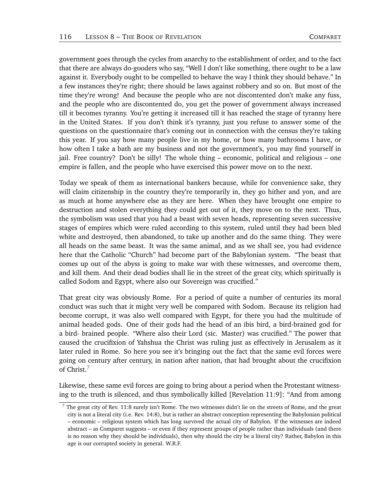government goes through the cycles from anarchy to the establishment of order, and to the fact that there are always do-gooders who say, "Well I don't like something, there ought to be a law against it. Everybody ought to be compelled to behave the way I think they should behave." In a few instances they're right; there should be laws against robbery and so on. But most of the time they're wrong! And because the people who are not discontented don't make any fuss, and the people who are discontented do, you get the power of government always increased till it becomes tyranny. You're getting it increased till it has reached the stage of tyranny here in the United States. If you don't think it's tyranny, just you refuse to answer some of the questions on the questionnaire that's coming out in connection with the census they're taking this year. If you say how many people live in my home, or how many bathrooms I have, or how often I take a bath are my business and not the government's, you may find yourself in jail. Free country? Don't be silly! The whole thing – economic, political and religious – one empire is fallen, and the people who have exercised this power move on to the next.

Today we speak of them as international bankers because, while for convenience sake, they will claim citizenship in the country they're temporarily in, they go hither and yon, and are as much at home anywhere else as they are here. When they have brought one empire to destruction and stolen everything they could get out of it, they move on to the next. Thus, the symbolism was used that you had a beast with seven heads, representing seven successive stages of empires which were ruled according to this system, ruled until they had been bled white and destroyed, then abandoned, to take up another and do the same thing. They were all heads on the same beast. It was the same animal, and as we shall see, you had evidence here that the Catholic "Church" had become part of the Babylonian system. "The beast that comes up out of the abyss is going to make war with these witnesses, and overcome them, and kill them. And their dead bodies shall lie in the street of the great city, which spiritually is called Sodom and Egypt, where also our Sovereign was crucified."

That great city was obviously Rome. For a period of quite a number of centuries its moral conduct was such that it might very well be compared with Sodom. Because its religion had become corrupt, it was also well compared with Egypt, for there you had the multitude of animal headed gods. One of their gods had the head of an ibis bird, a bird-brained god for a bird- brained people. "Where also their Lord (sic. Master) was crucified." The power that caused the crucifixion of Yahshua the Christ was ruling just as effectively in Jerusalem as it later ruled in Rome. So here you see it's bringing out the fact that the same evil forces were going on century after century, in nation after nation, that had brought about the crucifixion of Christ.[7](#page-115-0)

Likewise, these same evil forces are going to bring about a period when the Protestant witnessing to the truth is silenced, and thus symbolically killed [Revelation 11:9]: "And from among

<span id="page-115-0"></span><sup>7</sup> The great city of Rev. 11:8 surely isn't Rome. The two witnesses didn't lie on the streets of Rome, and the great city is not a literal city (i.e. Rev. 14:8), but is rather an abstract conception representing the Babylonian political – economic – religious system which has long survived the actual city of Babylon. If the witnesses are indeed abstract – as Comparet suggests – or even if they represent groups of people rather than individuals (and there is no reason why they should be individuals), then why should the city be a literal city? Rather, Babylon in this age is our corrupted society in general. W.R.F.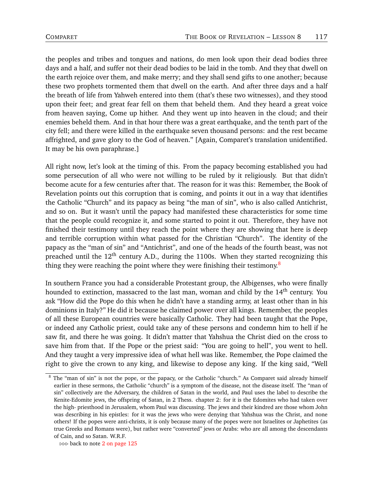the peoples and tribes and tongues and nations, do men look upon their dead bodies three days and a half, and suffer not their dead bodies to be laid in the tomb. And they that dwell on the earth rejoice over them, and make merry; and they shall send gifts to one another; because these two prophets tormented them that dwell on the earth. And after three days and a half the breath of life from Yahweh entered into them (that's these two witnesses), and they stood upon their feet; and great fear fell on them that beheld them. And they heard a great voice from heaven saying, Come up hither. And they went up into heaven in the cloud; and their enemies beheld them. And in that hour there was a great earthquake, and the tenth part of the city fell; and there were killed in the earthquake seven thousand persons: and the rest became affrighted, and gave glory to the God of heaven." [Again, Comparet's translation unidentified. It may be his own paraphrase.]

All right now, let's look at the timing of this. From the papacy becoming established you had some persecution of all who were not willing to be ruled by it religiously. But that didn't become acute for a few centuries after that. The reason for it was this: Remember, the Book of Revelation points out this corruption that is coming, and points it out in a way that identifies the Catholic "Church" and its papacy as being "the man of sin", who is also called Antichrist, and so on. But it wasn't until the papacy had manifested these characteristics for some time that the people could recognize it, and some started to point it out. Therefore, they have not finished their testimony until they reach the point where they are showing that here is deep and terrible corruption within what passed for the Christian "Church". The identity of the papacy as the "man of sin" and "Antichrist", and one of the heads of the fourth beast, was not preached until the  $12<sup>th</sup>$  century A.D., during the 1100s. When they started recognizing this thing they were reaching the point where they were finishing their testimony.<sup>[8](#page-116-0)</sup>

In southern France you had a considerable Protestant group, the Albigenses, who were finally hounded to extinction, massacred to the last man, woman and child by the 14<sup>th</sup> century. You ask "How did the Pope do this when he didn't have a standing army, at least other than in his dominions in Italy?" He did it because he claimed power over all kings. Remember, the peoples of all these European countries were basically Catholic. They had been taught that the Pope, or indeed any Catholic priest, could take any of these persons and condemn him to hell if he saw fit, and there he was going. It didn't matter that Yahshua the Christ died on the cross to save him from that. If the Pope or the priest said: "You are going to hell", you went to hell. And they taught a very impressive idea of what hell was like. Remember, the Pope claimed the right to give the crown to any king, and likewise to depose any king. If the king said, "Well

<span id="page-116-0"></span><sup>&</sup>lt;sup>8</sup> The "man of sin" is not the pope, or the papacy, or the Catholic "church." As Comparet said already himself earlier in these sermons, the Catholic "church" is a symptom of the disease, not the disease itself. The "man of sin" collectively are the Adversary, the children of Satan in the world, and Paul uses the label to describe the Kenite-Edomite jews, the offspring of Satan, in 2 Thess. chapter 2: for it is the Edomites who had taken over the high- priesthood in Jerusalem, whom Paul was discussing. The jews and their kindred are those whom John was describing in his epistles: for it was the jews who were denying that Yahshua was the Christ, and none others! If the popes were anti-christs, it is only because many of the popes were not Israelites or Japhetites (as true Greeks and Romans were), but rather were "converted" jews or Arabs: who are all among the descendants of Cain, and so Satan. W.R.F.

**DDD** back to note [2 on page 125](#page-124-0)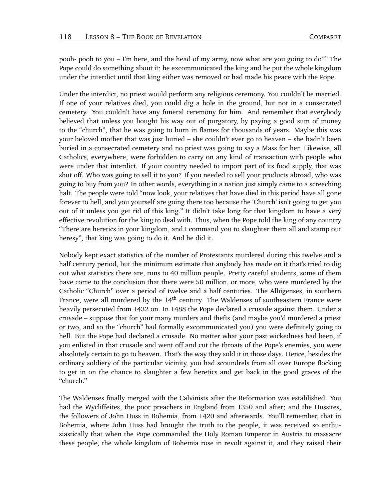pooh- pooh to you – I'm here, and the head of my army, now what are you going to do?" The Pope could do something about it; he excommunicated the king and he put the whole kingdom under the interdict until that king either was removed or had made his peace with the Pope.

Under the interdict, no priest would perform any religious ceremony. You couldn't be married. If one of your relatives died, you could dig a hole in the ground, but not in a consecrated cemetery. You couldn't have any funeral ceremony for him. And remember that everybody believed that unless you bought his way out of purgatory, by paying a good sum of money to the "church", that he was going to burn in flames for thousands of years. Maybe this was your beloved mother that was just buried – she couldn't ever go to heaven – she hadn't been buried in a consecrated cemetery and no priest was going to say a Mass for her. Likewise, all Catholics, everywhere, were forbidden to carry on any kind of transaction with people who were under that interdict. If your country needed to import part of its food supply, that was shut off. Who was going to sell it to you? If you needed to sell your products abroad, who was going to buy from you? In other words, everything in a nation just simply came to a screeching halt. The people were told "now look, your relatives that have died in this period have all gone forever to hell, and you yourself are going there too because the 'Church' isn't going to get you out of it unless you get rid of this king." It didn't take long for that kingdom to have a very effective revolution for the king to deal with. Thus, when the Pope told the king of any country "There are heretics in your kingdom, and I command you to slaughter them all and stamp out heresy", that king was going to do it. And he did it.

Nobody kept exact statistics of the number of Protestants murdered during this twelve and a half century period, but the minimum estimate that anybody has made on it that's tried to dig out what statistics there are, runs to 40 million people. Pretty careful students, some of them have come to the conclusion that there were 50 million, or more, who were murdered by the Catholic "Church" over a period of twelve and a half centuries. The Albigenses, in southern France, were all murdered by the  $14<sup>th</sup>$  century. The Waldenses of southeastern France were heavily persecuted from 1432 on. In 1488 the Pope declared a crusade against them. Under a crusade – suppose that for your many murders and thefts (and maybe you'd murdered a priest or two, and so the "church" had formally excommunicated you) you were definitely going to hell. But the Pope had declared a crusade. No matter what your past wickedness had been, if you enlisted in that crusade and went off and cut the throats of the Pope's enemies, you were absolutely certain to go to heaven. That's the way they sold it in those days. Hence, besides the ordinary soldiery of the particular vicinity, you had scoundrels from all over Europe flocking to get in on the chance to slaughter a few heretics and get back in the good graces of the "church."

The Waldenses finally merged with the Calvinists after the Reformation was established. You had the Wycliffeites, the poor preachers in England from 1350 and after; and the Hussites, the followers of John Huss in Bohemia, from 1420 and afterwards. You'll remember, that in Bohemia, where John Huss had brought the truth to the people, it was received so enthusiastically that when the Pope commanded the Holy Roman Emperor in Austria to massacre these people, the whole kingdom of Bohemia rose in revolt against it, and they raised their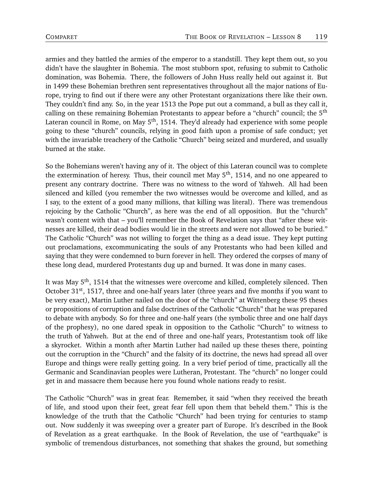armies and they battled the armies of the emperor to a standstill. They kept them out, so you didn't have the slaughter in Bohemia. The most stubborn spot, refusing to submit to Catholic domination, was Bohemia. There, the followers of John Huss really held out against it. But in 1499 these Bohemian brethren sent representatives throughout all the major nations of Europe, trying to find out if there were any other Protestant organizations there like their own. They couldn't find any. So, in the year 1513 the Pope put out a command, a bull as they call it, calling on these remaining Bohemian Protestants to appear before a "church" council; the 5<sup>th</sup> Lateran council in Rome, on May 5<sup>th</sup>, 1514. They'd already had experience with some people going to these "church" councils, relying in good faith upon a promise of safe conduct; yet with the invariable treachery of the Catholic "Church" being seized and murdered, and usually burned at the stake.

So the Bohemians weren't having any of it. The object of this Lateran council was to complete the extermination of heresy. Thus, their council met May  $5<sup>th</sup>$ , 1514, and no one appeared to present any contrary doctrine. There was no witness to the word of Yahweh. All had been silenced and killed (you remember the two witnesses would be overcome and killed, and as I say, to the extent of a good many millions, that killing was literal). There was tremendous rejoicing by the Catholic "Church", as here was the end of all opposition. But the "church" wasn't content with that – you'll remember the Book of Revelation says that "after these witnesses are killed, their dead bodies would lie in the streets and were not allowed to be buried." The Catholic "Church" was not willing to forget the thing as a dead issue. They kept putting out proclamations, excommunicating the souls of any Protestants who had been killed and saying that they were condemned to burn forever in hell. They ordered the corpses of many of these long dead, murdered Protestants dug up and burned. It was done in many cases.

It was May  $5<sup>th</sup>$ , 1514 that the witnesses were overcome and killed, completely silenced. Then October 31<sup>st</sup>, 1517, three and one-half years later (three years and five months if you want to be very exact), Martin Luther nailed on the door of the "church" at Wittenberg these 95 theses or propositions of corruption and false doctrines of the Catholic "Church" that he was prepared to debate with anybody. So for three and one-half years (the symbolic three and one half days of the prophesy), no one dared speak in opposition to the Catholic "Church" to witness to the truth of Yahweh. But at the end of three and one-half years, Protestantism took off like a skyrocket. Within a month after Martin Luther had nailed up these theses there, pointing out the corruption in the "Church" and the falsity of its doctrine, the news had spread all over Europe and things were really getting going. In a very brief period of time, practically all the Germanic and Scandinavian peoples were Lutheran, Protestant. The "church" no longer could get in and massacre them because here you found whole nations ready to resist.

The Catholic "Church" was in great fear. Remember, it said "when they received the breath of life, and stood upon their feet, great fear fell upon them that beheld them." This is the knowledge of the truth that the Catholic "Church" had been trying for centuries to stamp out. Now suddenly it was sweeping over a greater part of Europe. It's described in the Book of Revelation as a great earthquake. In the Book of Revelation, the use of "earthquake" is symbolic of tremendous disturbances, not something that shakes the ground, but something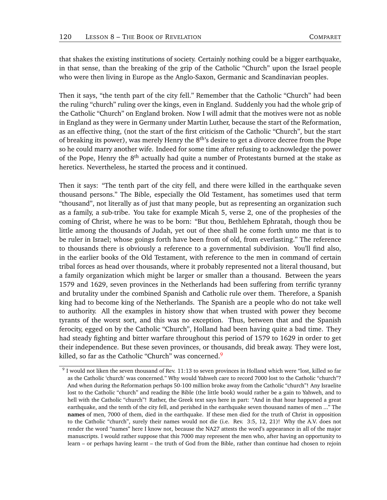that shakes the existing institutions of society. Certainly nothing could be a bigger earthquake, in that sense, than the breaking of the grip of the Catholic "Church" upon the Israel people who were then living in Europe as the Anglo-Saxon, Germanic and Scandinavian peoples.

Then it says, "the tenth part of the city fell." Remember that the Catholic "Church" had been the ruling "church" ruling over the kings, even in England. Suddenly you had the whole grip of the Catholic "Church" on England broken. Now I will admit that the motives were not as noble in England as they were in Germany under Martin Luther, because the start of the Reformation, as an effective thing, (not the start of the first criticism of the Catholic "Church", but the start of breaking its power), was merely Henry the  $8<sup>th</sup>$ 's desire to get a divorce decree from the Pope so he could marry another wife. Indeed for some time after refusing to acknowledge the power of the Pope, Henry the  $8<sup>th</sup>$  actually had quite a number of Protestants burned at the stake as heretics. Nevertheless, he started the process and it continued.

Then it says: "The tenth part of the city fell, and there were killed in the earthquake seven thousand persons." The Bible, especially the Old Testament, has sometimes used that term "thousand", not literally as of just that many people, but as representing an organization such as a family, a sub-tribe. You take for example Micah 5, verse 2, one of the prophesies of the coming of Christ, where he was to be born: "But thou, Bethlehem Ephratah, though thou be little among the thousands of Judah, yet out of thee shall he come forth unto me that is to be ruler in Israel; whose goings forth have been from of old, from everlasting." The reference to thousands there is obviously a reference to a governmental subdivision. You'll find also, in the earlier books of the Old Testament, with reference to the men in command of certain tribal forces as head over thousands, where it probably represented not a literal thousand, but a family organization which might be larger or smaller than a thousand. Between the years 1579 and 1629, seven provinces in the Netherlands had been suffering from terrific tyranny and brutality under the combined Spanish and Catholic rule over them. Therefore, a Spanish king had to become king of the Netherlands. The Spanish are a people who do not take well to authority. All the examples in history show that when trusted with power they become tyrants of the worst sort, and this was no exception. Thus, between that and the Spanish ferocity, egged on by the Catholic "Church", Holland had been having quite a bad time. They had steady fighting and bitter warfare throughout this period of 1579 to 1629 in order to get their independence. But these seven provinces, or thousands, did break away. They were lost, killed, so far as the Catholic "Church" was concerned.<sup>[9](#page-119-0)</sup>

<span id="page-119-0"></span><sup>&</sup>lt;sup>9</sup> I would not liken the seven thousand of Rev. 11:13 to seven provinces in Holland which were "lost, killed so far as the Catholic 'church' was concerned." Why would Yahweh care to record 7000 lost to the Catholic "church"? And when during the Reformation perhaps 50-100 million broke away from the Catholic "church"! Any Israelite lost to the Catholic "church" and reading the Bible (the little book) would rather be a gain to Yahweh, and to hell with the Catholic "church"! Rather, the Greek text says here in part: "And in that hour happened a great earthquake, and the tenth of the city fell, and perished in the earthquake seven thousand names of men ..." The **names** of men, 7000 of them, died in the earthquake. If these men died for the truth of Christ in opposition to the Catholic "church", surely their names would not die (i.e. Rev. 3:5, 12, 21)! Why the A.V. does not render the word "names" here I know not, because the NA27 attests the word's appearance in all of the major manuscripts. I would rather suppose that this 7000 may represent the men who, after having an opportunity to learn – or perhaps having learnt – the truth of God from the Bible, rather than continue had chosen to rejoin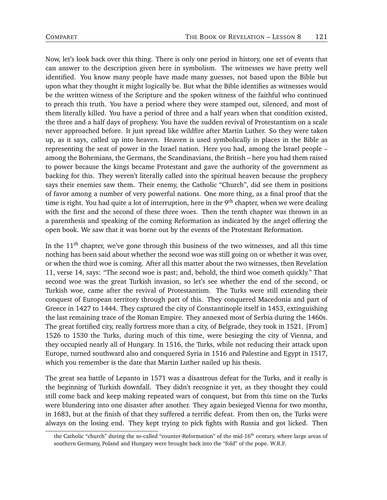Now, let's look back over this thing. There is only one period in history, one set of events that can answer to the description given here in symbolism. The witnesses we have pretty well identified. You know many people have made many guesses, not based upon the Bible but upon what they thought it might logically be. But what the Bible identifies as witnesses would be the written witness of the Scripture and the spoken witness of the faithful who continued to preach this truth. You have a period where they were stamped out, silenced, and most of them literally killed. You have a period of three and a half years when that condition existed, the three and a half days of prophesy. You have the sudden revival of Protestantism on a scale never approached before. It just spread like wildfire after Martin Luther. So they were taken up, as it says, called up into heaven. Heaven is used symbolically in places in the Bible as representing the seat of power in the Israel nation. Here you had, among the Israel people – among the Bohemians, the Germans, the Scandinavians, the British – here you had them raised to power because the kings became Protestant and gave the authority of the government as backing for this. They weren't literally called into the spiritual heaven because the prophecy says their enemies saw them. Their enemy, the Catholic "Church", did see them in positions of favor among a number of very powerful nations. One more thing, as a final proof that the time is right. You had quite a lot of interruption, here in the  $9<sup>th</sup>$  chapter, when we were dealing with the first and the second of these three woes. Then the tenth chapter was thrown in as a parenthesis and speaking of the coming Reformation as indicated by the angel offering the open book. We saw that it was borne out by the events of the Protestant Reformation.

In the  $11<sup>th</sup>$  chapter, we've gone through this business of the two witnesses, and all this time nothing has been said about whether the second woe was still going on or whether it was over, or when the third woe is coming. After all this matter about the two witnesses, then Revelation 11, verse 14, says: "The second woe is past; and, behold, the third woe cometh quickly." That second woe was the great Turkish invasion, so let's see whether the end of the second, or Turkish woe, came after the revival of Protestantism. The Turks were still extending their conquest of European territory through part of this. They conquered Macedonia and part of Greece in 1427 to 1444. They captured the city of Constantinople itself in 1453, extinguishing the last remaining trace of the Roman Empire. They annexed most of Serbia during the 1460s. The great fortified city, really fortress more than a city, of Belgrade, they took in 1521. [From] 1526 to 1530 the Turks, during much of this time, were besieging the city of Vienna, and they occupied nearly all of Hungary. In 1516, the Turks, while not reducing their attack upon Europe, turned southward also and conquered Syria in 1516 and Palestine and Egypt in 1517, which you remember is the date that Martin Luther nailed up his thesis.

The great sea battle of Lepanto in 1571 was a disastrous defeat for the Turks, and it really is the beginning of Turkish downfall. They didn't recognize it yet, as they thought they could still come back and keep making repeated wars of conquest, but from this time on the Turks were blundering into one disaster after another. They again besieged Vienna for two months, in 1683, but at the finish of that they suffered a terrific defeat. From then on, the Turks were always on the losing end. They kept trying to pick fights with Russia and got licked. Then

the Catholic "church" during the so-called "counter-Reformation" of the mid-16<sup>th</sup> century, where large areas of southern Germany, Poland and Hungary were brought back into the "fold" of the pope. W.R.F.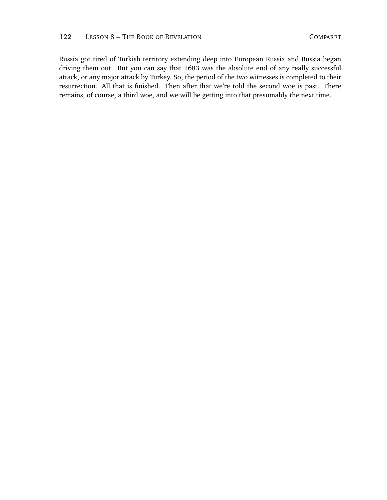Russia got tired of Turkish territory extending deep into European Russia and Russia began driving them out. But you can say that 1683 was the absolute end of any really successful attack, or any major attack by Turkey. So, the period of the two witnesses is completed to their resurrection. All that is finished. Then after that we're told the second woe is past. There remains, of course, a third woe, and we will be getting into that presumably the next time.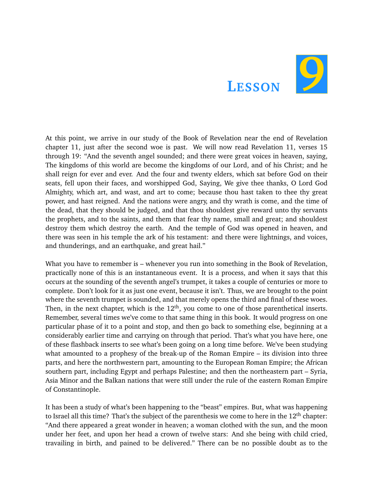

At this point, we arrive in our study of the Book of Revelation near the end of Revelation chapter 11, just after the second woe is past. We will now read Revelation 11, verses 15 through 19: "And the seventh angel sounded; and there were great voices in heaven, saying, The kingdoms of this world are become the kingdoms of our Lord, and of his Christ; and he shall reign for ever and ever. And the four and twenty elders, which sat before God on their seats, fell upon their faces, and worshipped God, Saying, We give thee thanks, O Lord God Almighty, which art, and wast, and art to come; because thou hast taken to thee thy great power, and hast reigned. And the nations were angry, and thy wrath is come, and the time of the dead, that they should be judged, and that thou shouldest give reward unto thy servants the prophets, and to the saints, and them that fear thy name, small and great; and shouldest destroy them which destroy the earth. And the temple of God was opened in heaven, and there was seen in his temple the ark of his testament: and there were lightnings, and voices, and thunderings, and an earthquake, and great hail."

What you have to remember is – whenever you run into something in the Book of Revelation, practically none of this is an instantaneous event. It is a process, and when it says that this occurs at the sounding of the seventh angel's trumpet, it takes a couple of centuries or more to complete. Don't look for it as just one event, because it isn't. Thus, we are brought to the point where the seventh trumpet is sounded, and that merely opens the third and final of these woes. Then, in the next chapter, which is the  $12<sup>th</sup>$ , you come to one of those parenthetical inserts. Remember, several times we've come to that same thing in this book. It would progress on one particular phase of it to a point and stop, and then go back to something else, beginning at a considerably earlier time and carrying on through that period. That's what you have here, one of these flashback inserts to see what's been going on a long time before. We've been studying what amounted to a prophesy of the break-up of the Roman Empire – its division into three parts, and here the northwestern part, amounting to the European Roman Empire; the African southern part, including Egypt and perhaps Palestine; and then the northeastern part – Syria, Asia Minor and the Balkan nations that were still under the rule of the eastern Roman Empire of Constantinople.

It has been a study of what's been happening to the "beast" empires. But, what was happening to Israel all this time? That's the subject of the parenthesis we come to here in the  $12<sup>th</sup>$  chapter: "And there appeared a great wonder in heaven; a woman clothed with the sun, and the moon under her feet, and upon her head a crown of twelve stars: And she being with child cried, travailing in birth, and pained to be delivered." There can be no possible doubt as to the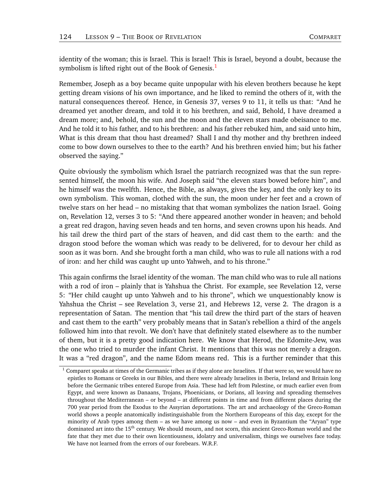identity of the woman; this is Israel. This is Israel! This is Israel, beyond a doubt, because the symbolism is lifted right out of the Book of Genesis.<sup>[1](#page-123-0)</sup>

Remember, Joseph as a boy became quite unpopular with his eleven brothers because he kept getting dream visions of his own importance, and he liked to remind the others of it, with the natural consequences thereof. Hence, in Genesis 37, verses 9 to 11, it tells us that: "And he dreamed yet another dream, and told it to his brethren, and said, Behold, I have dreamed a dream more; and, behold, the sun and the moon and the eleven stars made obeisance to me. And he told it to his father, and to his brethren: and his father rebuked him, and said unto him, What is this dream that thou hast dreamed? Shall I and thy mother and thy brethren indeed come to bow down ourselves to thee to the earth? And his brethren envied him; but his father observed the saying."

Quite obviously the symbolism which Israel the patriarch recognized was that the sun represented himself, the moon his wife. And Joseph said "the eleven stars bowed before him", and he himself was the twelfth. Hence, the Bible, as always, gives the key, and the only key to its own symbolism. This woman, clothed with the sun, the moon under her feet and a crown of twelve stars on her head – no mistaking that that woman symbolizes the nation Israel. Going on, Revelation 12, verses 3 to 5: "And there appeared another wonder in heaven; and behold a great red dragon, having seven heads and ten horns, and seven crowns upon his heads. And his tail drew the third part of the stars of heaven, and did cast them to the earth: and the dragon stood before the woman which was ready to be delivered, for to devour her child as soon as it was born. And she brought forth a man child, who was to rule all nations with a rod of iron: and her child was caught up unto Yahweh, and to his throne."

This again confirms the Israel identity of the woman. The man child who was to rule all nations with a rod of iron – plainly that is Yahshua the Christ. For example, see Revelation 12, verse 5: "Her child caught up unto Yahweh and to his throne", which we unquestionably know is Yahshua the Christ – see Revelation 3, verse 21, and Hebrews 12, verse 2. The dragon is a representation of Satan. The mention that "his tail drew the third part of the stars of heaven and cast them to the earth" very probably means that in Satan's rebellion a third of the angels followed him into that revolt. We don't have that definitely stated elsewhere as to the number of them, but it is a pretty good indication here. We know that Herod, the Edomite-Jew, was the one who tried to murder the infant Christ. It mentions that this was not merely a dragon. It was a "red dragon", and the name Edom means red. This is a further reminder that this

<span id="page-123-0"></span> $1$  Comparet speaks at times of the Germanic tribes as if they alone are Israelites. If that were so, we would have no epistles to Romans or Greeks in our Bibles, and there were already Israelites in Iberia, Ireland and Britain long before the Germanic tribes entered Europe from Asia. These had left from Palestine, or much earlier even from Egypt, and were known as Danaans, Trojans, Phoenicians, or Dorians, all leaving and spreading themselves throughout the Mediterranean – or beyond – at different points in time and from different places during the 700 year period from the Exodus to the Assyrian deportations. The art and archaeology of the Greco-Roman world shows a people anatomically indistinguishable from the Northern Europeans of this day, except for the minority of Arab types among them – as we have among us now – and even in Byzantium the "Aryan" type dominated art into the 15<sup>th</sup> century. We should mourn, and not scorn, this ancient Greco-Roman world and the fate that they met due to their own licentiousness, idolatry and universalism, things we ourselves face today. We have not learned from the errors of our forebears. W.R.F.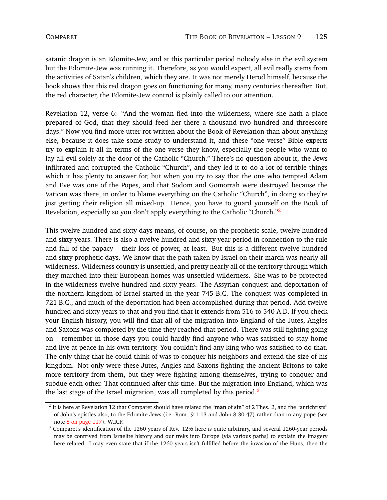satanic dragon is an Edomite-Jew, and at this particular period nobody else in the evil system but the Edomite-Jew was running it. Therefore, as you would expect, all evil really stems from the activities of Satan's children, which they are. It was not merely Herod himself, because the book shows that this red dragon goes on functioning for many, many centuries thereafter. But, the red character, the Edomite-Jew control is plainly called to our attention.

Revelation 12, verse 6: "And the woman fled into the wilderness, where she hath a place prepared of God, that they should feed her there a thousand two hundred and threescore days." Now you find more utter rot written about the Book of Revelation than about anything else, because it does take some study to understand it, and these "one verse" Bible experts try to explain it all in terms of the one verse they know, especially the people who want to lay all evil solely at the door of the Catholic "Church." There's no question about it, the Jews infiltrated and corrupted the Catholic "Church", and they led it to do a lot of terrible things which it has plenty to answer for, but when you try to say that the one who tempted Adam and Eve was one of the Popes, and that Sodom and Gomorrah were destroyed because the Vatican was there, in order to blame everything on the Catholic "Church", in doing so they're just getting their religion all mixed-up. Hence, you have to guard yourself on the Book of Revelation, especially so you don't apply everything to the Catholic "Church."<sup>[2](#page-124-0)</sup>

This twelve hundred and sixty days means, of course, on the prophetic scale, twelve hundred and sixty years. There is also a twelve hundred and sixty year period in connection to the rule and fall of the papacy – their loss of power, at least. But this is a different twelve hundred and sixty prophetic days. We know that the path taken by Israel on their march was nearly all wilderness. Wilderness country is unsettled, and pretty nearly all of the territory through which they marched into their European homes was unsettled wilderness. She was to be protected in the wilderness twelve hundred and sixty years. The Assyrian conquest and deportation of the northern kingdom of Israel started in the year 745 B.C. The conquest was completed in 721 B.C., and much of the deportation had been accomplished during that period. Add twelve hundred and sixty years to that and you find that it extends from 516 to 540 A.D. If you check your English history, you will find that all of the migration into England of the Jutes, Angles and Saxons was completed by the time they reached that period. There was still fighting going on – remember in those days you could hardly find anyone who was satisfied to stay home and live at peace in his own territory. You couldn't find any king who was satisfied to do that. The only thing that he could think of was to conquer his neighbors and extend the size of his kingdom. Not only were these Jutes, Angles and Saxons fighting the ancient Britons to take more territory from them, but they were fighting among themselves, trying to conquer and subdue each other. That continued after this time. But the migration into England, which was the last stage of the Israel migration, was all completed by this period.<sup>[3](#page-124-1)</sup>

<span id="page-124-0"></span><sup>2</sup> It is here at Revelation 12 that Comparet should have related the "**man** of **sin**" of 2 Thes. 2, and the "antichrists" of John's epistles also, to the Edomite Jews (i.e. Rom. 9:1-13 and John 8:30-47) rather than to any pope (see note [8 on page 117\)](#page-116-0). W.R.F.

<span id="page-124-1"></span><sup>&</sup>lt;sup>3</sup> Comparet's identification of the 1260 years of Rev. 12:6 here is quite arbitrary, and several 1260-year periods may be contrived from Israelite history and our treks into Europe (via various paths) to explain the imagery here related. I may even state that if the 1260 years isn't fulfilled before the invasion of the Huns, then the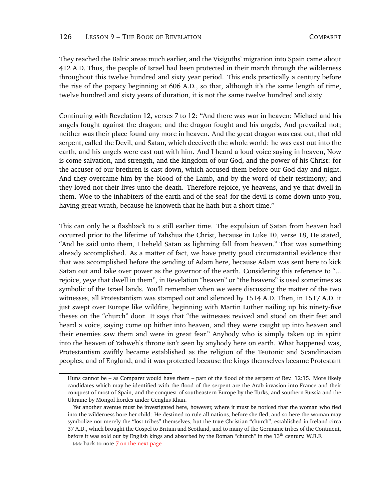They reached the Baltic areas much earlier, and the Visigoths' migration into Spain came about 412 A.D. Thus, the people of Israel had been protected in their march through the wilderness throughout this twelve hundred and sixty year period. This ends practically a century before the rise of the papacy beginning at 606 A.D., so that, although it's the same length of time, twelve hundred and sixty years of duration, it is not the same twelve hundred and sixty.

Continuing with Revelation 12, verses 7 to 12: "And there was war in heaven: Michael and his angels fought against the dragon; and the dragon fought and his angels, And prevailed not; neither was their place found any more in heaven. And the great dragon was cast out, that old serpent, called the Devil, and Satan, which deceiveth the whole world: he was cast out into the earth, and his angels were cast out with him. And I heard a loud voice saying in heaven, Now is come salvation, and strength, and the kingdom of our God, and the power of his Christ: for the accuser of our brethren is cast down, which accused them before our God day and night. And they overcame him by the blood of the Lamb, and by the word of their testimony; and they loved not their lives unto the death. Therefore rejoice, ye heavens, and ye that dwell in them. Woe to the inhabiters of the earth and of the sea! for the devil is come down unto you, having great wrath, because he knoweth that he hath but a short time."

This can only be a flashback to a still earlier time. The expulsion of Satan from heaven had occurred prior to the lifetime of Yahshua the Christ, because in Luke 10, verse 18, He stated, "And he said unto them, I beheld Satan as lightning fall from heaven." That was something already accomplished. As a matter of fact, we have pretty good circumstantial evidence that that was accomplished before the sending of Adam here, because Adam was sent here to kick Satan out and take over power as the governor of the earth. Considering this reference to "... rejoice, yeye that dwell in them", in Revelation "heaven" or "the heavens" is used sometimes as symbolic of the Israel lands. You'll remember when we were discussing the matter of the two witnesses, all Protestantism was stamped out and silenced by 1514 A.D. Then, in 1517 A.D. it just swept over Europe like wildfire, beginning with Martin Luther nailing up his ninety-five theses on the "church" door. It says that "the witnesses revived and stood on their feet and heard a voice, saying come up hither into heaven, and they were caught up into heaven and their enemies saw them and were in great fear." Anybody who is simply taken up in spirit into the heaven of Yahweh's throne isn't seen by anybody here on earth. What happened was, Protestantism swiftly became established as the religion of the Teutonic and Scandinavian peoples, and of England, and it was protected because the kings themselves became Protestant

Huns cannot be – as Comparet would have them – part of the flood of the serpent of Rev. 12:15. More likely candidates which may be identified with the flood of the serpent are the Arab invasion into France and their conquest of most of Spain, and the conquest of southeastern Europe by the Turks, and southern Russia and the Ukraine by Mongol hordes under Genghis Khan.

Yet another avenue must be investigated here, however, where it must be noticed that the woman who fled into the wilderness bore her child: He destined to rule all nations, before she fled, and so here the woman may symbolize not merely the "lost tribes" themselves, but the **true** Christian "church", established in Ireland circa 37 A.D., which brought the Gospel to Britain and Scotland, and to many of the Germanic tribes of the Continent, before it was sold out by English kings and absorbed by the Roman "church" in the 13<sup>th</sup> century. W.R.F.

 $\triangleright$  back to note [7 on the next page](#page-126-0)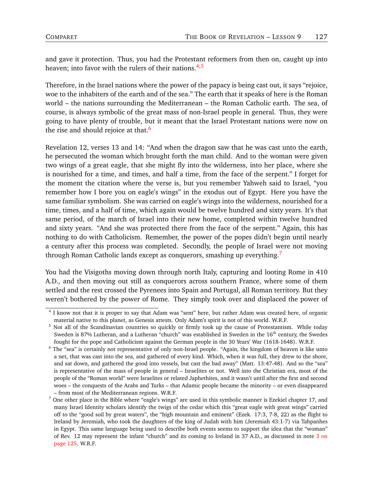and gave it protection. Thus, you had the Protestant reformers from then on, caught up into heaven; into favor with the rulers of their nations.<sup>[4,](#page-126-1)[5](#page-126-2)</sup>

Therefore, in the Israel nations where the power of the papacy is being cast out, it says "rejoice, woe to the inhabiters of the earth and of the sea." The earth that it speaks of here is the Roman world – the nations surrounding the Mediterranean – the Roman Catholic earth. The sea, of course, is always symbolic of the great mass of non-Israel people in general. Thus, they were going to have plenty of trouble, but it meant that the Israel Protestant nations were now on the rise and should rejoice at that.<sup>[6](#page-126-3)</sup>

Revelation 12, verses 13 and 14: "And when the dragon saw that he was cast unto the earth, he persecuted the woman which brought forth the man child. And to the woman were given two wings of a great eagle, that she might fly into the wilderness, into her place, where she is nourished for a time, and times, and half a time, from the face of the serpent." I forget for the moment the citation where the verse is, but you remember Yahweh said to Israel, "you remember how I bore you on eagle's wings" in the exodus out of Egypt. Here you have the same familiar symbolism. She was carried on eagle's wings into the wilderness, nourished for a time, times, and a half of time, which again would be twelve hundred and sixty years. It's that same period, of the march of Israel into their new home, completed within twelve hundred and sixty years. "And she was protected there from the face of the serpent." Again, this has nothing to do with Catholicism. Remember, the power of the popes didn't begin until nearly a century after this process was completed. Secondly, the people of Israel were not moving through Roman Catholic lands except as conquerors, smashing up everything.<sup>[7](#page-126-0)</sup>

You had the Visigoths moving down through north Italy, capturing and looting Rome in 410 A.D., and then moving out still as conquerors across southern France, where some of them settled and the rest crossed the Pyrenees into Spain and Portugal, all Roman territory. But they weren't bothered by the power of Rome. They simply took over and displaced the power of

<span id="page-126-1"></span><sup>4</sup> I know not that it is proper to say that Adam was "sent" here, but rather Adam was created here, of organic material native to this planet, as Genesis attests. Only Adam's spirit is not of this world. W.R.F.

<span id="page-126-2"></span><sup>&</sup>lt;sup>5</sup> Not all of the Scandinavian countries so quickly or firmly took up the cause of Protestantism. While today Sweden is 87% Lutheran, and a Lutheran "church" was established in Sweden in the 16<sup>th</sup> century, the Swedes fought for the pope and Catholicism against the German people in the 30 Years' War (1618-1648). W.R.F.

<span id="page-126-3"></span> $6$  The "sea" is certainly not representative of only non-Israel people. "Again, the kingdom of heaven is like unto a net, that was cast into the sea, and gathered of every kind. Which, when it was full, they drew to the shore, and sat down, and gathered the good into vessels, but cast the bad away" (Matt. 13:47-48). And so the "sea" is representative of the mass of people in general – Israelites or not. Well into the Christian era, most of the people of the "Roman world" were Israelites or related Japhethites, and it wasn't until after the first and second woes – the conquests of the Arabs and Turks – that Adamic people became the minority – or even disappeared – from most of the Mediterranean regions. W.R.F.

<span id="page-126-0"></span> $7$  One other place in the Bible where "eagle's wings" are used in this symbolic manner is Ezekiel chapter 17, and many Israel Identity scholars identify the twigs of the cedar which this "great eagle with great wings" carried off to the "good soil by great waters", the "high mountain and eminent" (Ezek. 17:3, 7-8, 22) as the flight to Ireland by Jeremiah, who took the daughters of the king of Judah with him (Jeremiah 43:1-7) via Tahpanhes in Egypt. This same language being used to describe both events seems to support the idea that the "woman" of Rev. 12 may represent the infant "church" and its coming to Ireland in 37 A.D., as discussed in note [3 on](#page-124-1) [page 125.](#page-124-1) W.R.F.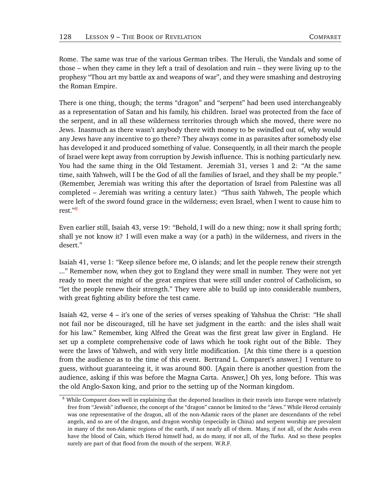Rome. The same was true of the various German tribes. The Heruli, the Vandals and some of those – when they came in they left a trail of desolation and ruin – they were living up to the prophesy "Thou art my battle ax and weapons of war", and they were smashing and destroying the Roman Empire.

There is one thing, though; the terms "dragon" and "serpent" had been used interchangeably as a representation of Satan and his family, his children. Israel was protected from the face of the serpent, and in all these wilderness territories through which she moved, there were no Jews. Inasmuch as there wasn't anybody there with money to be swindled out of, why would any Jews have any incentive to go there? They always come in as parasites after somebody else has developed it and produced something of value. Consequently, in all their march the people of Israel were kept away from corruption by Jewish influence. This is nothing particularly new. You had the same thing in the Old Testament. Jeremiah 31, verses 1 and 2: "At the same time, saith Yahweh, will I be the God of all the families of Israel, and they shall be my people." (Remember, Jeremiah was writing this after the deportation of Israel from Palestine was all completed – Jeremiah was writing a century later.) "Thus saith Yahweh, The people which were left of the sword found grace in the wilderness; even Israel, when I went to cause him to rest."[8](#page-127-0)

Even earlier still, Isaiah 43, verse 19: "Behold, I will do a new thing; now it shall spring forth; shall ye not know it? I will even make a way (or a path) in the wilderness, and rivers in the desert."

Isaiah 41, verse 1: "Keep silence before me, O islands; and let the people renew their strength ..." Remember now, when they got to England they were small in number. They were not yet ready to meet the might of the great empires that were still under control of Catholicism, so "let the people renew their strength." They were able to build up into considerable numbers, with great fighting ability before the test came.

Isaiah 42, verse 4 – it's one of the series of verses speaking of Yahshua the Christ: "He shall not fail nor be discouraged, till he have set judgment in the earth: and the isles shall wait for his law." Remember, king Alfred the Great was the first great law giver in England. He set up a complete comprehensive code of laws which he took right out of the Bible. They were the laws of Yahweh, and with very little modification. [At this time there is a question from the audience as to the time of this event. Bertrand L. Comparet's answer.] I venture to guess, without guaranteeing it, it was around 800. [Again there is another question from the audience, asking if this was before the Magna Carta. Answer,] Oh yes, long before. This was the old Anglo-Saxon king, and prior to the setting up of the Norman kingdom.

<span id="page-127-0"></span><sup>&</sup>lt;sup>8</sup> While Comparet does well in explaining that the deported Israelites in their travels into Europe were relatively free from "Jewish" influence, the concept of the "dragon" cannot be limited to the "Jews." While Herod certainly was one representative of the dragon, all of the non-Adamic races of the planet are descendants of the rebel angels, and so are of the dragon, and dragon worship (especially in China) and serpent worship are prevalent in many of the non-Adamic regions of the earth, if not nearly all of them. Many, if not all, of the Arabs even have the blood of Cain, which Herod himself had, as do many, if not all, of the Turks. And so these peoples surely are part of that flood from the mouth of the serpent. W.R.F.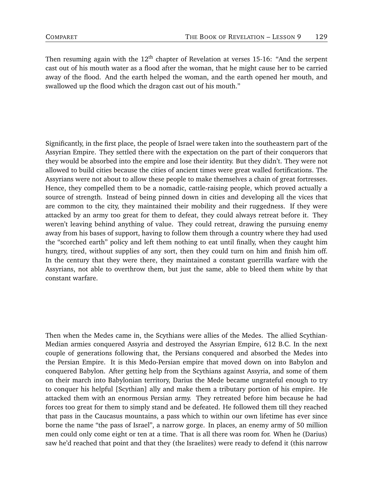Then resuming again with the  $12<sup>th</sup>$  chapter of Revelation at verses 15-16: "And the serpent cast out of his mouth water as a flood after the woman, that he might cause her to be carried away of the flood. And the earth helped the woman, and the earth opened her mouth, and swallowed up the flood which the dragon cast out of his mouth."

Significantly, in the first place, the people of Israel were taken into the southeastern part of the Assyrian Empire. They settled there with the expectation on the part of their conquerors that they would be absorbed into the empire and lose their identity. But they didn't. They were not allowed to build cities because the cities of ancient times were great walled fortifications. The Assyrians were not about to allow these people to make themselves a chain of great fortresses. Hence, they compelled them to be a nomadic, cattle-raising people, which proved actually a source of strength. Instead of being pinned down in cities and developing all the vices that are common to the city, they maintained their mobility and their ruggedness. If they were attacked by an army too great for them to defeat, they could always retreat before it. They weren't leaving behind anything of value. They could retreat, drawing the pursuing enemy away from his bases of support, having to follow them through a country where they had used the "scorched earth" policy and left them nothing to eat until finally, when they caught him hungry, tired, without supplies of any sort, then they could turn on him and finish him off. In the century that they were there, they maintained a constant guerrilla warfare with the Assyrians, not able to overthrow them, but just the same, able to bleed them white by that constant warfare.

Then when the Medes came in, the Scythians were allies of the Medes. The allied Scythian-Median armies conquered Assyria and destroyed the Assyrian Empire, 612 B.C. In the next couple of generations following that, the Persians conquered and absorbed the Medes into the Persian Empire. It is this Medo-Persian empire that moved down on into Babylon and conquered Babylon. After getting help from the Scythians against Assyria, and some of them on their march into Babylonian territory, Darius the Mede became ungrateful enough to try to conquer his helpful [Scythian] ally and make them a tributary portion of his empire. He attacked them with an enormous Persian army. They retreated before him because he had forces too great for them to simply stand and be defeated. He followed them till they reached that pass in the Caucasus mountains, a pass which to within our own lifetime has ever since borne the name "the pass of Israel", a narrow gorge. In places, an enemy army of 50 million men could only come eight or ten at a time. That is all there was room for. When he (Darius) saw he'd reached that point and that they (the Israelites) were ready to defend it (this narrow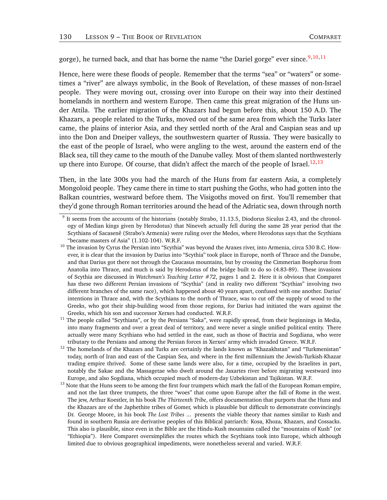gorge), he turned back, and that has borne the name "the Dariel gorge" ever since.<sup>[9,](#page-129-0)[10,](#page-129-1)[11](#page-129-2)</sup>

Hence, here were these floods of people. Remember that the terms "sea" or "waters" or sometimes a "river" are always symbolic, in the Book of Revelation, of these masses of non-Israel people. They were moving out, crossing over into Europe on their way into their destined homelands in northern and western Europe. Then came this great migration of the Huns under Attila. The earlier migration of the Khazars had begun before this, about 150 A.D. The Khazars, a people related to the Turks, moved out of the same area from which the Turks later came, the plains of interior Asia, and they settled north of the Aral and Caspian seas and up into the Don and Dneiper valleys, the southwestern quarter of Russia. They were basically to the east of the people of Israel, who were angling to the west, around the eastern end of the Black sea, till they came to the mouth of the Danube valley. Most of them slanted northwesterly up there into Europe. Of course, that didn't affect the march of the people of Israel.<sup>[12,](#page-129-3)[13](#page-129-4)</sup>

Then, in the late 300s you had the march of the Huns from far eastern Asia, a completely Mongoloid people. They came there in time to start pushing the Goths, who had gotten into the Balkan countries, westward before them. The Visigoths moved on first. You'll remember that they'd gone through Roman territories around the head of the Adriatic sea, down through north

<span id="page-129-0"></span><sup>&</sup>lt;sup>9</sup> It seems from the accounts of the historians (notably Strabo, 11.13.5, Diodorus Siculus 2.43, and the chronology of Median kings given by Herodotus) that Nineveh actually fell during the same 28 year period that the Scythians of Sacasenê (Strabo's Armenia) were ruling over the Medes, where Herodotus says that the Scythians "became masters of Asia" (1.102-104). W.R.F.

<span id="page-129-1"></span> $10$  The invasion by Cyrus the Persian into "Scythia" was beyond the Araxes river, into Armenia, circa 530 B.C. However, it is clear that the invasion by Darius into "Scythia" took place in Europe, north of Thrace and the Danube, and that Darius got there not through the Caucasus mountains, but by crossing the Cimmerian Bosphorus from Anatolia into Thrace, and much is said by Herodotus of the bridge built to do so (4.83-89). These invasions of Scythia are discussed in *Watchman's Teaching Letter #72*, pages 1 and 2. Here it is obvious that Comparet has these two different Persian invasions of "Scythia" (and in reality two different "Scythias" involving two different branches of the same race), which happened about 40 years apart, confused with one another. Darius' intentions in Thrace and, with the Scythians to the north of Thrace, was to cut off the supply of wood to the Greeks, who got their ship-building wood from those regions, for Darius had initiated the wars against the Greeks, which his son and successor Xerxes had conducted. W.R.F.

<span id="page-129-2"></span> $11$  The people called "Scythians", or by the Persians "Saka", were rapidly spread, from their beginnings in Media, into many fragments and over a great deal of territory, and were never a single unified political entity. There actually were many Scythians who had settled in the east, such as those of Bactria and Sogdiana, who were tributary to the Persians and among the Persian forces in Xerxes' army which invaded Greece. W.R.F.

<span id="page-129-3"></span><sup>&</sup>lt;sup>12</sup> The homelands of the Khazars and Turks are certainly the lands known as "Khazakhstan" and "Turkmenistan" today, north of Iran and east of the Caspian Sea, and where in the first millennium the Jewish-Turkish-Khazar trading empire thrived. Some of these same lands were also, for a time, occupied by the Israelites in part, notably the Sakae and the Massagetae who dwelt around the Jaxartes river before migrating westward into Europe, and also Sogdiana, which occupied much of modern-day Uzbekistan and Tajikistan. W.R.F.

<span id="page-129-4"></span><sup>&</sup>lt;sup>13</sup> Note that the Huns seem to be among the first four trumpets which mark the fall of the European Roman empire, and not the last three trumpets, the three "woes" that come upon Europe after the fall of Rome in the west. The jew, Arthur Koestler, in his book *The Thirteenth Tribe*, offers documentation that purports that the Huns and the Khazars are of the Japhethite tribes of Gomer, which is plausible but difficult to demonstrate convincingly. Dr. George Moore, in his book *The Lost Tribes* ... presents the viable theory that names similar to Kush and found in southern Russia are derivative peoples of this Biblical patriarch: Kosa, Khoza, Khazars, and Cossacks. This also is plausible, since even in the Bible are the Hindu-Kush mountains called the "mountains of Kush" (or "Ethiopia"). Here Comparet oversimplifies the routes which the Scythians took into Europe, which although limited due to obvious geographical impediments, were nonetheless several and varied. W.R.F.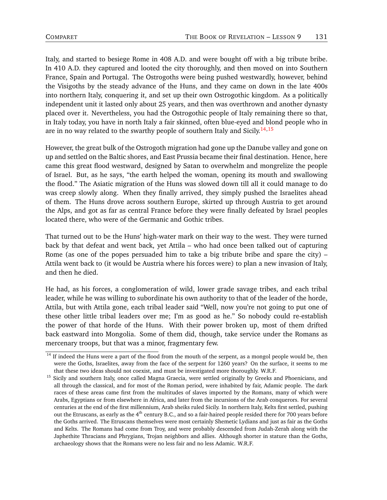Italy, and started to besiege Rome in 408 A.D. and were bought off with a big tribute bribe. In 410 A.D. they captured and looted the city thoroughly, and then moved on into Southern France, Spain and Portugal. The Ostrogoths were being pushed westwardly, however, behind the Visigoths by the steady advance of the Huns, and they came on down in the late 400s into northern Italy, conquering it, and set up their own Ostrogothic kingdom. As a politically independent unit it lasted only about 25 years, and then was overthrown and another dynasty placed over it. Nevertheless, you had the Ostrogothic people of Italy remaining there so that, in Italy today, you have in north Italy a fair skinned, often blue-eyed and blond people who in are in no way related to the swarthy people of southern Italy and Sicily.<sup>[14,](#page-130-0)[15](#page-130-1)</sup>

However, the great bulk of the Ostrogoth migration had gone up the Danube valley and gone on up and settled on the Baltic shores, and East Prussia became their final destination. Hence, here came this great flood westward, designed by Satan to overwhelm and mongrelize the people of Israel. But, as he says, "the earth helped the woman, opening its mouth and swallowing the flood." The Asiatic migration of the Huns was slowed down till all it could manage to do was creep slowly along. When they finally arrived, they simply pushed the Israelites ahead of them. The Huns drove across southern Europe, skirted up through Austria to get around the Alps, and got as far as central France before they were finally defeated by Israel peoples located there, who were of the Germanic and Gothic tribes.

That turned out to be the Huns' high-water mark on their way to the west. They were turned back by that defeat and went back, yet Attila – who had once been talked out of capturing Rome (as one of the popes persuaded him to take a big tribute bribe and spare the city) – Attila went back to (it would be Austria where his forces were) to plan a new invasion of Italy, and then he died.

He had, as his forces, a conglomeration of wild, lower grade savage tribes, and each tribal leader, while he was willing to subordinate his own authority to that of the leader of the horde, Attila, but with Attila gone, each tribal leader said "Well, now you're not going to put one of these other little tribal leaders over me; I'm as good as he." So nobody could re-establish the power of that horde of the Huns. With their power broken up, most of them drifted back eastward into Mongolia. Some of them did, though, take service under the Romans as mercenary troops, but that was a minor, fragmentary few.

<span id="page-130-0"></span><sup>&</sup>lt;sup>14</sup> If indeed the Huns were a part of the flood from the mouth of the serpent, as a mongol people would be, then were the Goths, Israelites, away from the face of the serpent for 1260 years? On the surface, it seems to me that these two ideas should not coexist, and must be investigated more thoroughly. W.R.F.

<span id="page-130-1"></span><sup>&</sup>lt;sup>15</sup> Sicily and southern Italy, once called Magna Graecia, were settled originally by Greeks and Phoenicians, and all through the classical, and for most of the Roman period, were inhabited by fair, Adamic people. The dark races of these areas came first from the multitudes of slaves imported by the Romans, many of which were Arabs, Egyptians or from elsewhere in Africa, and later from the incursions of the Arab conquerors. For several centuries at the end of the first millennium, Arab sheiks ruled Sicily. In northern Italy, Kelts first settled, pushing out the Etruscans, as early as the 4<sup>th</sup> century B.C., and so a fair-haired people resided there for 700 years before the Goths arrived. The Etruscans themselves were most certainly Shemetic Lydians and just as fair as the Goths and Kelts. The Romans had come from Troy, and were probably descended from Judah-Zerah along with the Japhethite Thracians and Phrygians, Trojan neighbors and allies. Although shorter in stature than the Goths, archaeology shows that the Romans were no less fair and no less Adamic. W.R.F.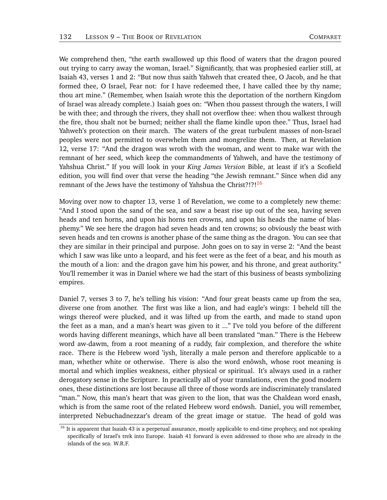We comprehend then, "the earth swallowed up this flood of waters that the dragon poured out trying to carry away the woman, Israel." Significantly, that was prophesied earlier still, at Isaiah 43, verses 1 and 2: "But now thus saith Yahweh that created thee, O Jacob, and he that formed thee, O Israel, Fear not: for I have redeemed thee, I have called thee by thy name; thou art mine." (Remember, when Isaiah wrote this the deportation of the northern Kingdom of Israel was already complete.) Isaiah goes on: "When thou passest through the waters, I will be with thee; and through the rivers, they shall not overflow thee: when thou walkest through the fire, thou shalt not be burned; neither shall the flame kindle upon thee." Thus, Israel had Yahweh's protection on their march. The waters of the great turbulent masses of non-Israel peoples were not permitted to overwhelm them and mongrelize them. Then, at Revelation 12, verse 17: "And the dragon was wroth with the woman, and went to make war with the remnant of her seed, which keep the commandments of Yahweh, and have the testimony of Yahshua Christ." If you will look in your *King James Version* Bible, at least if it's a Scofield edition, you will find over that verse the heading "the Jewish remnant." Since when did any remnant of the Jews have the testimony of Yahshua the Christ?!?!<sup>[16](#page-131-0)</sup>

Moving over now to chapter 13, verse 1 of Revelation, we come to a completely new theme: "And I stood upon the sand of the sea, and saw a beast rise up out of the sea, having seven heads and ten horns, and upon his horns ten crowns, and upon his heads the name of blasphemy." We see here the dragon had seven heads and ten crowns; so obviously the beast with seven heads and ten crowns is another phase of the same thing as the dragon. You can see that they are similar in their principal and purpose. John goes on to say in verse 2: "And the beast which I saw was like unto a leopard, and his feet were as the feet of a bear, and his mouth as the mouth of a lion: and the dragon gave him his power, and his throne, and great authority." You'll remember it was in Daniel where we had the start of this business of beasts symbolizing empires.

Daniel 7, verses 3 to 7, he's telling his vision: "And four great beasts came up from the sea, diverse one from another. The first was like a lion, and had eagle's wings: I beheld till the wings thereof were plucked, and it was lifted up from the earth, and made to stand upon the feet as a man, and a man's heart was given to it ..." I've told you before of the different words having different meanings, which have all been translated "man." There is the Hebrew word aw-dawm, from a root meaning of a ruddy, fair complexion, and therefore the white race. There is the Hebrew word 'iysh, literally a male person and therefore applicable to a man, whether white or otherwise. There is also the word enôwsh, whose root meaning is mortal and which implies weakness, either physical or spiritual. It's always used in a rather derogatory sense in the Scripture. In practically all of your translations, even the good modern ones, these distinctions are lost because all three of those words are indiscriminately translated "man." Now, this man's heart that was given to the lion, that was the Chaldean word enash, which is from the same root of the related Hebrew word enôwsh. Daniel, you will remember, interpreted Nebuchadnezzar's dream of the great image or statue. The head of gold was

<span id="page-131-0"></span><sup>&</sup>lt;sup>16</sup> It is apparent that Isaiah 43 is a perpetual assurance, mostly applicable to end-time prophecy, and not speaking specifically of Israel's trek into Europe. Isaiah 41 forward is even addressed to those who are already in the islands of the sea. W.R.F.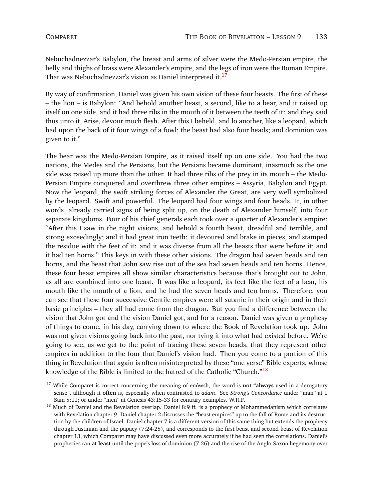Nebuchadnezzar's Babylon, the breast and arms of silver were the Medo-Persian empire, the belly and thighs of brass were Alexander's empire, and the legs of iron were the Roman Empire. That was Nebuchadnezzar's vision as Daniel interpreted it.<sup>[17](#page-132-0)</sup>

By way of confirmation, Daniel was given his own vision of these four beasts. The first of these – the lion – is Babylon: "And behold another beast, a second, like to a bear, and it raised up itself on one side, and it had three ribs in the mouth of it between the teeth of it: and they said thus unto it, Arise, devour much flesh. After this I beheld, and lo another, like a leopard, which had upon the back of it four wings of a fowl; the beast had also four heads; and dominion was given to it."

The bear was the Medo-Persian Empire, as it raised itself up on one side. You had the two nations, the Medes and the Persians, but the Persians became dominant, inasmuch as the one side was raised up more than the other. It had three ribs of the prey in its mouth – the Medo-Persian Empire conquered and overthrew three other empires – Assyria, Babylon and Egypt. Now the leopard, the swift striking forces of Alexander the Great, are very well symbolized by the leopard. Swift and powerful. The leopard had four wings and four heads. It, in other words, already carried signs of being split up, on the death of Alexander himself, into four separate kingdoms. Four of his chief generals each took over a quarter of Alexander's empire: "After this I saw in the night visions, and behold a fourth beast, dreadful and terrible, and strong exceedingly; and it had great iron teeth: it devoured and brake in pieces, and stamped the residue with the feet of it: and it was diverse from all the beasts that were before it; and it had ten horns." This keys in with these other visions. The dragon had seven heads and ten horns, and the beast that John saw rise out of the sea had seven heads and ten horns. Hence, these four beast empires all show similar characteristics because that's brought out to John, as all are combined into one beast. It was like a leopard, its feet like the feet of a bear, his mouth like the mouth of a lion, and he had the seven heads and ten horns. Therefore, you can see that these four successive Gentile empires were all satanic in their origin and in their basic principles – they all had come from the dragon. But you find a difference between the vision that John got and the vision Daniel got, and for a reason. Daniel was given a prophesy of things to come, in his day, carrying down to where the Book of Revelation took up. John was not given visions going back into the past, nor tying it into what had existed before. We're going to see, as we get to the point of tracing these seven heads, that they represent other empires in addition to the four that Daniel's vision had. Then you come to a portion of this thing in Revelation that again is often misinterpreted by these "one verse" Bible experts, whose knowledge of the Bible is limited to the hatred of the Catholic "Church."<sup>[18](#page-132-1)</sup>

<span id="page-132-0"></span><sup>17</sup> While Comparet is correct concerning the meaning of enôwsh, the word is **not** "**always** used in a derogatory sense", although it **often** is, especially when contrasted to *adam*. See *Strong's Concordance* under "man" at 1 Sam 5:11; or under "men" at Genesis 43:15-33 for contrary examples. W.R.F.

<span id="page-132-1"></span><sup>&</sup>lt;sup>18</sup> Much of Daniel and the Revelation overlap. Daniel 8:9 ff. is a prophecy of Mohammedanism which correlates with Revelation chapter 9. Daniel chapter 2 discusses the "beast empires" up to the fall of Rome and its destruction by the children of Israel. Daniel chapter 7 is a different version of this same thing but extends the prophecy through Justinian and the papacy (7:24-25), and corresponds to the first beast and second beast of Revelation chapter 13, which Comparet may have discussed even more accurately if he had seen the correlations. Daniel's prophecies ran **at least** until the pope's loss of dominion (7:26) and the rise of the Anglo-Saxon hegemony over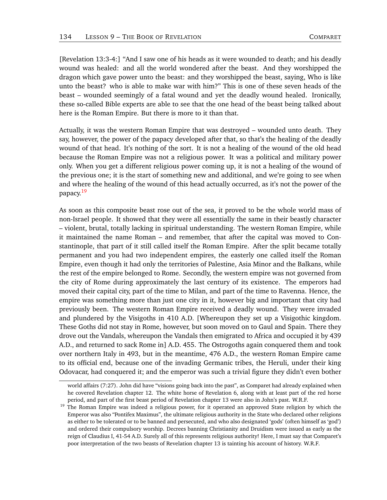[Revelation 13:3-4:] "And I saw one of his heads as it were wounded to death; and his deadly wound was healed: and all the world wondered after the beast. And they worshipped the dragon which gave power unto the beast: and they worshipped the beast, saying, Who is like unto the beast? who is able to make war with him?" This is one of these seven heads of the beast – wounded seemingly of a fatal wound and yet the deadly wound healed. Ironically, these so-called Bible experts are able to see that the one head of the beast being talked about here is the Roman Empire. But there is more to it than that.

Actually, it was the western Roman Empire that was destroyed – wounded unto death. They say, however, the power of the papacy developed after that, so that's the healing of the deadly wound of that head. It's nothing of the sort. It is not a healing of the wound of the old head because the Roman Empire was not a religious power. It was a political and military power only. When you get a different religious power coming up, it is not a healing of the wound of the previous one; it is the start of something new and additional, and we're going to see when and where the healing of the wound of this head actually occurred, as it's not the power of the papacy.<sup>[19](#page-133-0)</sup>

As soon as this composite beast rose out of the sea, it proved to be the whole world mass of non-Israel people. It showed that they were all essentially the same in their beastly character – violent, brutal, totally lacking in spiritual understanding. The western Roman Empire, while it maintained the name Roman – and remember, that after the capital was moved to Constantinople, that part of it still called itself the Roman Empire. After the split became totally permanent and you had two independent empires, the easterly one called itself the Roman Empire, even though it had only the territories of Palestine, Asia Minor and the Balkans, while the rest of the empire belonged to Rome. Secondly, the western empire was not governed from the city of Rome during approximately the last century of its existence. The emperors had moved their capital city, part of the time to Milan, and part of the time to Ravenna. Hence, the empire was something more than just one city in it, however big and important that city had previously been. The western Roman Empire received a deadly wound. They were invaded and plundered by the Visigoths in 410 A.D. [Whereupon they set up a Visigothic kingdom. These Goths did not stay in Rome, however, but soon moved on to Gaul and Spain. There they drove out the Vandals, whereupon the Vandals then emigrated to Africa and occupied it by 439 A.D., and returned to sack Rome in] A.D. 455. The Ostrogoths again conquered them and took over northern Italy in 493, but in the meantime, 476 A.D., the western Roman Empire came to its official end, because one of the invading Germanic tribes, the Heruli, under their king Odovacar, had conquered it; and the emperor was such a trivial figure they didn't even bother

world affairs (7:27). John did have "visions going back into the past", as Comparet had already explained when he covered Revelation chapter 12. The white horse of Revelation 6, along with at least part of the red horse period, and part of the first beast period of Revelation chapter 13 were also in John's past. W.R.F.

<span id="page-133-0"></span><sup>&</sup>lt;sup>19</sup> The Roman Empire was indeed a religious power, for it operated an approved State religion by which the Emperor was also "Pontifex Maximus", the ultimate religious authority in the State who declared other religions as either to be tolerated or to be banned and persecuted, and who also designated 'gods' (often himself as 'god') and ordered their compulsory worship. Decrees banning Christianity and Druidism were issued as early as the reign of Claudius I, 41-54 A.D. Surely all of this represents religious authority! Here, I must say that Comparet's poor interpretation of the two beasts of Revelation chapter 13 is tainting his account of history. W.R.F.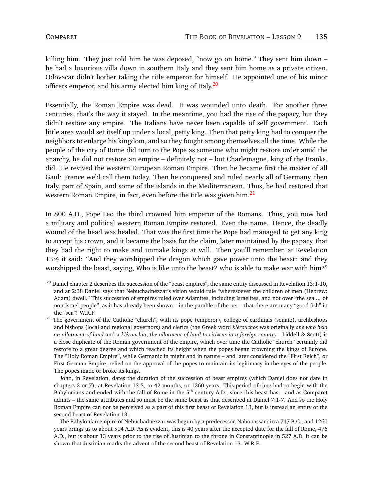killing him. They just told him he was deposed, "now go on home." They sent him down – he had a luxurious villa down in southern Italy and they sent him home as a private citizen. Odovacar didn't bother taking the title emperor for himself. He appointed one of his minor officers emperor, and his army elected him king of Italy.<sup>[20](#page-134-0)</sup>

Essentially, the Roman Empire was dead. It was wounded unto death. For another three centuries, that's the way it stayed. In the meantime, you had the rise of the papacy, but they didn't restore any empire. The Italians have never been capable of self government. Each little area would set itself up under a local, petty king. Then that petty king had to conquer the neighbors to enlarge his kingdom, and so they fought among themselves all the time. While the people of the city of Rome did turn to the Pope as someone who might restore order amid the anarchy, he did not restore an empire – definitely not – but Charlemagne, king of the Franks, did. He revived the western European Roman Empire. Then he became first the master of all Gaul; France we'd call them today. Then he conquered and ruled nearly all of Germany, then Italy, part of Spain, and some of the islands in the Mediterranean. Thus, he had restored that western Roman Empire, in fact, even before the title was given him.<sup>[21](#page-134-1)</sup>

In 800 A.D., Pope Leo the third crowned him emperor of the Romans. Thus, you now had a military and political western Roman Empire restored. Even the name. Hence, the deadly wound of the head was healed. That was the first time the Pope had managed to get any king to accept his crown, and it became the basis for the claim, later maintained by the papacy, that they had the right to make and unmake kings at will. Then you'll remember, at Revelation 13:4 it said: "And they worshipped the dragon which gave power unto the beast: and they worshipped the beast, saying, Who is like unto the beast? who is able to make war with him?"

<span id="page-134-0"></span> $20$  Daniel chapter 2 describes the succession of the "beast empires", the same entity discussed in Revelation 13:1-10, and at 2:38 Daniel says that Nebuchadnezzar's vision would rule "wheresoever the children of men (Hebrew: Adam) dwell." This succession of empires ruled over Adamites, including Israelites, and not over "the sea ... of non-Israel people", as it has already been shown – in the parable of the net – that there are many "good fish" in the "sea"! W.R.F.

<span id="page-134-1"></span><sup>&</sup>lt;sup>21</sup> The government of the Catholic "church", with its pope (emperor), college of cardinals (senate), archbishops and bishops (local and regional governors) and clerics (the Greek word *klêrouchos* was originally *one who held an allotment of land* and a *klêrouchia*, *the allotment of land to citizens in a foreign country* - Liddell & Scott) is a close duplicate of the Roman government of the empire, which over time the Catholic "church" certainly did restore to a great degree and which reached its height when the popes began crowning the kings of Europe. The "Holy Roman Empire", while Germanic in might and in nature – and later considered the "First Reich", or First German Empire, relied on the approval of the popes to maintain its legitimacy in the eyes of the people. The popes made or broke its kings.

John, in Revelation, dates the duration of the succession of beast empires (which Daniel does not date in chapters 2 or 7), at Revelation 13:5, to 42 months, or 1260 years. This period of time had to begin with the Babylonians and ended with the fall of Rome in the  $5<sup>th</sup>$  century A.D., since this beast has – and as Comparet admits – the same attributes and so must be the same beast as that described at Daniel 7:1-7. And so the Holy Roman Empire can not be perceived as a part of this first beast of Revelation 13, but is instead an entity of the second beast of Revelation 13.

The Babylonian empire of Nebuchadnezzar was begun by a predecessor, Nabonassar circa 747 B.C., and 1260 years brings us to about 514 A.D. As is evident, this is 40 years after the accepted date for the fall of Rome, 476 A.D., but is about 13 years prior to the rise of Justinian to the throne in Constantinople in 527 A.D. It can be shown that Justinian marks the advent of the second beast of Revelation 13. W.R.F.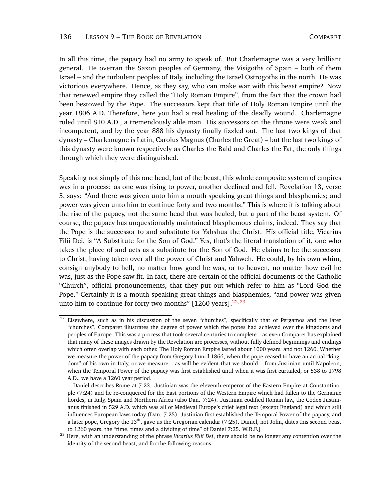In all this time, the papacy had no army to speak of. But Charlemagne was a very brilliant general. He overran the Saxon peoples of Germany, the Visigoths of Spain – both of them Israel – and the turbulent peoples of Italy, including the Israel Ostrogoths in the north. He was victorious everywhere. Hence, as they say, who can make war with this beast empire? Now that renewed empire they called the "Holy Roman Empire", from the fact that the crown had been bestowed by the Pope. The successors kept that title of Holy Roman Empire until the year 1806 A.D. Therefore, here you had a real healing of the deadly wound. Charlemagne ruled until 810 A.D., a tremendously able man. His successors on the throne were weak and incompetent, and by the year 888 his dynasty finally fizzled out. The last two kings of that dynasty – Charlemagne is Latin, Carolus Magnus (Charles the Great) – but the last two kings of this dynasty were known respectively as Charles the Bald and Charles the Fat, the only things through which they were distinguished.

Speaking not simply of this one head, but of the beast, this whole composite system of empires was in a process: as one was rising to power, another declined and fell. Revelation 13, verse 5, says: "And there was given unto him a mouth speaking great things and blasphemies; and power was given unto him to continue forty and two months." This is where it is talking about the rise of the papacy, not the same head that was healed, but a part of the beast system. Of course, the papacy has unquestionably maintained blasphemous claims, indeed. They say that the Pope is the successor to and substitute for Yahshua the Christ. His official title, Vicarius Filii Dei, is "A Substitute for the Son of God." Yes, that's the literal translation of it, one who takes the place of and acts as a substitute for the Son of God. He claims to be the successor to Christ, having taken over all the power of Christ and Yahweh. He could, by his own whim, consign anybody to hell, no matter how good he was, or to heaven, no matter how evil he was, just as the Pope saw fit. In fact, there are certain of the official documents of the Catholic "Church", official pronouncements, that they put out which refer to him as "Lord God the Pope." Certainly it is a mouth speaking great things and blasphemies, "and power was given unto him to continue for forty two months"  $[1260 \text{ years}]$ .  $22,23$  $22,23$ 

<span id="page-135-0"></span> $22$  Elsewhere, such as in his discussion of the seven "churches", specifically that of Pergamos and the later "churches", Comparet illustrates the degree of power which the popes had achieved over the kingdoms and peoples of Europe. This was a process that took several centuries to complete – as even Comparet has explained that many of these images drawn by the Revelation are processes, without fully defined beginnings and endings which often overlap with each other. The Holy Roman Empire lasted about 1000 years, and not 1260. Whether we measure the power of the papacy from Gregory I until 1866, when the pope ceased to have an actual "kingdom" of his own in Italy, or we measure – as will be evident that we should – from Justinian until Napoleon, when the Temporal Power of the papacy was first established until when it was first curtailed, or 538 to 1798 A.D., we have a 1260 year period.

Daniel describes Rome at 7:23. Justinian was the eleventh emperor of the Eastern Empire at Constantinople (7:24) and he re-conquered for the East portions of the Western Empire which had fallen to the Germanic hordes, in Italy, Spain and Northern Africa (also Dan. 7:24). Justinian codified Roman law, the Codex Justinianus finished in 529 A.D. which was all of Medieval Europe's chief legal text (except England) and which still influences European laws today (Dan. 7:25). Justinian first established the Temporal Power of the papacy, and a later pope, Gregory the 13<sup>th</sup>, gave us the Gregorian calendar (7:25). Daniel, not John, dates this second beast to 1260 years, the "time, times and a dividing of time" of Daniel 7:25. W.R.F.]

<span id="page-135-1"></span><sup>23</sup> Here, with an understanding of the phrase *Vicarius Filii Dei*, there should be no longer any contention over the identity of the second beast, and for the following reasons: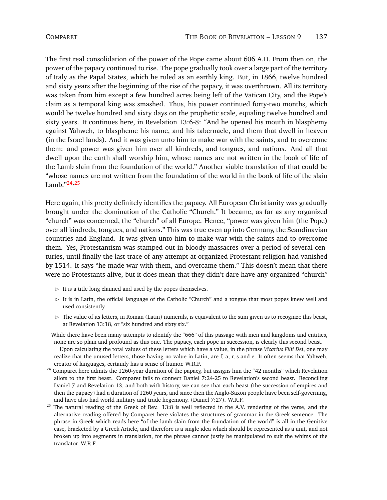The first real consolidation of the power of the Pope came about 606 A.D. From then on, the power of the papacy continued to rise. The pope gradually took over a large part of the territory of Italy as the Papal States, which he ruled as an earthly king. But, in 1866, twelve hundred and sixty years after the beginning of the rise of the papacy, it was overthrown. All its territory was taken from him except a few hundred acres being left of the Vatican City, and the Pope's claim as a temporal king was smashed. Thus, his power continued forty-two months, which would be twelve hundred and sixty days on the prophetic scale, equaling twelve hundred and sixty years. It continues here, in Revelation 13:6-8: "And he opened his mouth in blasphemy against Yahweh, to blaspheme his name, and his tabernacle, and them that dwell in heaven (in the Israel lands). And it was given unto him to make war with the saints, and to overcome them: and power was given him over all kindreds, and tongues, and nations. And all that dwell upon the earth shall worship him, whose names are not written in the book of life of the Lamb slain from the foundation of the world." Another viable translation of that could be "whose names are not written from the foundation of the world in the book of life of the slain Lamb. $"^{24,25}$  $"^{24,25}$  $"^{24,25}$  $"^{24,25}$ 

Here again, this pretty definitely identifies the papacy. All European Christianity was gradually brought under the domination of the Catholic "Church." It became, as far as any organized "church" was concerned, the "church" of all Europe. Hence, "power was given him (the Pope) over all kindreds, tongues, and nations." This was true even up into Germany, the Scandinavian countries and England. It was given unto him to make war with the saints and to overcome them. Yes, Protestantism was stamped out in bloody massacres over a period of several centuries, until finally the last trace of any attempt at organized Protestant religion had vanished by 1514. It says "he made war with them, and overcame them." This doesn't mean that there were no Protestants alive, but it does mean that they didn't dare have any organized "church"

 $\triangleright$  It is a title long claimed and used by the popes themselves.

 $\triangleright$  It is in Latin, the official language of the Catholic "Church" and a tongue that most popes knew well and used consistently.

 $\triangleright$  The value of its letters, in Roman (Latin) numerals, is equivalent to the sum given us to recognize this beast, at Revelation 13:18, or "six hundred and sixty six."

While there have been many attempts to identify the "666" of this passage with men and kingdoms and entities, none are so plain and profound as this one. The papacy, each pope in succession, is clearly this second beast.

Upon calculating the total values of these letters which have a value, in the phrase *Vicarius Filii Dei*, one may realize that the unused letters, those having no value in Latin, are f, a, r, s and e. It often seems that Yahweh, creator of languages, certainly has a sense of humor. W.R.F.

<span id="page-136-0"></span><sup>&</sup>lt;sup>24</sup> Comparet here admits the 1260-year duration of the papacy, but assigns him the "42 months" which Revelation allots to the first beast. Comparet fails to connect Daniel 7:24-25 to Revelation's second beast. Reconciling Daniel 7 and Revelation 13, and both with history, we can see that each beast (the succession of empires and then the papacy) had a duration of 1260 years, and since then the Anglo-Saxon people have been self-governing, and have also had world military and trade hegemony. (Daniel 7:27). W.R.F.

<span id="page-136-1"></span><sup>&</sup>lt;sup>25</sup> The natural reading of the Greek of Rev. 13:8 is well reflected in the A.V. rendering of the verse, and the alternative reading offered by Comparet here violates the structures of grammar in the Greek sentence. The phrase in Greek which reads here "of the lamb slain from the foundation of the world" is all in the Genitive case, bracketed by a Greek Article, and therefore is a single idea which should be represented as a unit, and not broken up into segments in translation, for the phrase cannot justly be manipulated to suit the whims of the translator. W.R.F.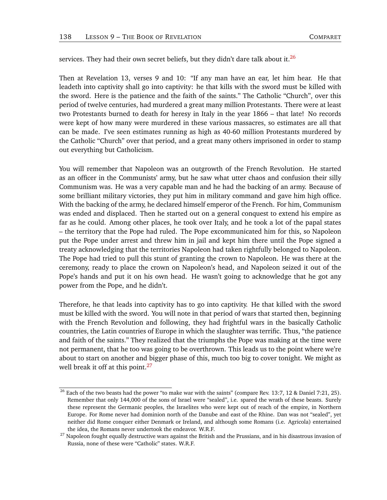services. They had their own secret beliefs, but they didn't dare talk about it.<sup>[26](#page-137-0)</sup>

Then at Revelation 13, verses 9 and 10: "If any man have an ear, let him hear. He that leadeth into captivity shall go into captivity: he that kills with the sword must be killed with the sword. Here is the patience and the faith of the saints." The Catholic "Church", over this period of twelve centuries, had murdered a great many million Protestants. There were at least two Protestants burned to death for heresy in Italy in the year 1866 – that late! No records were kept of how many were murdered in these various massacres, so estimates are all that can be made. I've seen estimates running as high as 40-60 million Protestants murdered by the Catholic "Church" over that period, and a great many others imprisoned in order to stamp out everything but Catholicism.

You will remember that Napoleon was an outgrowth of the French Revolution. He started as an officer in the Communists' army, but he saw what utter chaos and confusion their silly Communism was. He was a very capable man and he had the backing of an army. Because of some brilliant military victories, they put him in military command and gave him high office. With the backing of the army, he declared himself emperor of the French. For him, Communism was ended and displaced. Then he started out on a general conquest to extend his empire as far as he could. Among other places, he took over Italy, and he took a lot of the papal states – the territory that the Pope had ruled. The Pope excommunicated him for this, so Napoleon put the Pope under arrest and threw him in jail and kept him there until the Pope signed a treaty acknowledging that the territories Napoleon had taken rightfully belonged to Napoleon. The Pope had tried to pull this stunt of granting the crown to Napoleon. He was there at the ceremony, ready to place the crown on Napoleon's head, and Napoleon seized it out of the Pope's hands and put it on his own head. He wasn't going to acknowledge that he got any power from the Pope, and he didn't.

Therefore, he that leads into captivity has to go into captivity. He that killed with the sword must be killed with the sword. You will note in that period of wars that started then, beginning with the French Revolution and following, they had frightful wars in the basically Catholic countries, the Latin countries of Europe in which the slaughter was terrific. Thus, "the patience and faith of the saints." They realized that the triumphs the Pope was making at the time were not permanent, that he too was going to be overthrown. This leads us to the point where we're about to start on another and bigger phase of this, much too big to cover tonight. We might as well break it off at this point.<sup>[27](#page-137-1)</sup>

<span id="page-137-0"></span> $26$  Each of the two beasts had the power "to make war with the saints" (compare Rev. 13:7, 12 & Daniel 7:21, 25). Remember that only 144,000 of the sons of Israel were "sealed", i.e. spared the wrath of these beasts. Surely these represent the Germanic peoples, the Israelites who were kept out of reach of the empire, in Northern Europe. For Rome never had dominion north of the Danube and east of the Rhine. Dan was not "sealed", yet neither did Rome conquer either Denmark or Ireland, and although some Romans (i.e. Agricola) entertained the idea, the Romans never undertook the endeavor. W.R.F.

<span id="page-137-1"></span> $27$  Napoleon fought equally destructive wars against the British and the Prussians, and in his disastrous invasion of Russia, none of these were "Catholic" states. W.R.F.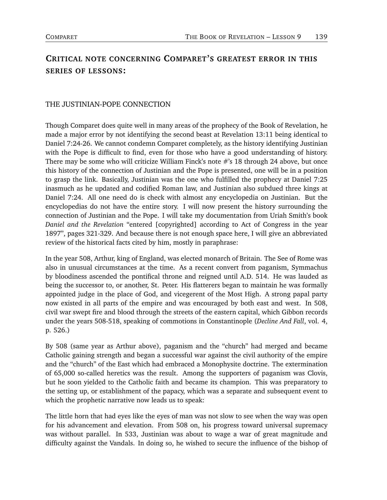# **CRITICAL NOTE CONCERNING COMPARET'S GREATEST ERROR IN THIS SERIES OF LESSONS:**

# THE JUSTINIAN-POPE CONNECTION

Though Comparet does quite well in many areas of the prophecy of the Book of Revelation, he made a major error by not identifying the second beast at Revelation 13:11 being identical to Daniel 7:24-26. We cannot condemn Comparet completely, as the history identifying Justinian with the Pope is difficult to find, even for those who have a good understanding of history. There may be some who will criticize William Finck's note #'s 18 through 24 above, but once this history of the connection of Justinian and the Pope is presented, one will be in a position to grasp the link. Basically, Justinian was the one who fulfilled the prophecy at Daniel 7:25 inasmuch as he updated and codified Roman law, and Justinian also subdued three kings at Daniel 7:24. All one need do is check with almost any encyclopedia on Justinian. But the encyclopedias do not have the entire story. I will now present the history surrounding the connection of Justinian and the Pope. I will take my documentation from Uriah Smith's book *Daniel and the Revelation* "entered [copyrighted] according to Act of Congress in the year 1897", pages 321-329. And because there is not enough space here, I will give an abbreviated review of the historical facts cited by him, mostly in paraphrase:

In the year 508, Arthur, king of England, was elected monarch of Britain. The See of Rome was also in unusual circumstances at the time. As a recent convert from paganism, Symmachus by bloodiness ascended the pontifical throne and reigned until A.D. 514. He was lauded as being the successor to, or another, St. Peter. His flatterers began to maintain he was formally appointed judge in the place of God, and vicegerent of the Most High. A strong papal party now existed in all parts of the empire and was encouraged by both east and west. In 508, civil war swept fire and blood through the streets of the eastern capital, which Gibbon records under the years 508-518, speaking of commotions in Constantinople (*Decline And Fall*, vol. 4, p. 526.)

By 508 (same year as Arthur above), paganism and the "church" had merged and became Catholic gaining strength and began a successful war against the civil authority of the empire and the "church" of the East which had embraced a Monophysite doctrine. The extermination of 65,000 so-called heretics was the result. Among the supporters of paganism was Clovis, but he soon yielded to the Catholic faith and became its champion. This was preparatory to the setting up, or establishment of the papacy, which was a separate and subsequent event to which the prophetic narrative now leads us to speak:

The little horn that had eyes like the eyes of man was not slow to see when the way was open for his advancement and elevation. From 508 on, his progress toward universal supremacy was without parallel. In 533, Justinian was about to wage a war of great magnitude and difficulty against the Vandals. In doing so, he wished to secure the influence of the bishop of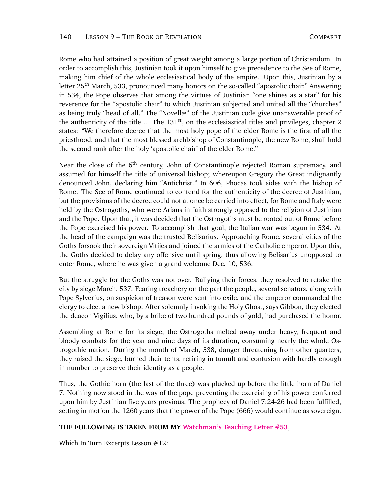Rome who had attained a position of great weight among a large portion of Christendom. In order to accomplish this, Justinian took it upon himself to give precedence to the See of Rome, making him chief of the whole ecclesiastical body of the empire. Upon this, Justinian by a letter 25<sup>th</sup> March, 533, pronounced many honors on the so-called "apostolic chair." Answering in 534, the Pope observes that among the virtues of Justinian "one shines as a star" for his reverence for the "apostolic chair" to which Justinian subjected and united all the "churches" as being truly "head of all." The "Novellæ" of the Justinian code give unanswerable proof of the authenticity of the title  $\ldots$  The 131<sup>st</sup>, on the ecclesiastical titles and privileges, chapter 2 states: "We therefore decree that the most holy pope of the elder Rome is the first of all the priesthood, and that the most blessed archbishop of Constantinople, the new Rome, shall hold the second rank after the holy 'apostolic chair' of the elder Rome."

Near the close of the 6<sup>th</sup> century, John of Constantinople rejected Roman supremacy, and assumed for himself the title of universal bishop; whereupon Gregory the Great indignantly denounced John, declaring him "Antichrist." In 606, Phocas took sides with the bishop of Rome. The See of Rome continued to contend for the authenticity of the decree of Justinian, but the provisions of the decree could not at once be carried into effect, for Rome and Italy were held by the Ostrogoths, who were Arians in faith strongly opposed to the religion of Justinian and the Pope. Upon that, it was decided that the Ostrogoths must be rooted out of Rome before the Pope exercised his power. To accomplish that goal, the Italian war was begun in 534. At the head of the campaign was the trusted Belisarius. Approaching Rome, several cities of the Goths forsook their sovereign Vitijes and joined the armies of the Catholic emperor. Upon this, the Goths decided to delay any offensive until spring, thus allowing Belisarius unopposed to enter Rome, where he was given a grand welcome Dec. 10, 536.

But the struggle for the Goths was not over. Rallying their forces, they resolved to retake the city by siege March, 537. Fearing treachery on the part the people, several senators, along with Pope Sylverius, on suspicion of treason were sent into exile, and the emperor commanded the clergy to elect a new bishop. After solemnly invoking the Holy Ghost, says Gibbon, they elected the deacon Vigilius, who, by a bribe of two hundred pounds of gold, had purchased the honor.

Assembling at Rome for its siege, the Ostrogoths melted away under heavy, frequent and bloody combats for the year and nine days of its duration, consuming nearly the whole Ostrogothic nation. During the month of March, 538, danger threatening from other quarters, they raised the siege, burned their tents, retiring in tumult and confusion with hardly enough in number to preserve their identity as a people.

Thus, the Gothic horn (the last of the three) was plucked up before the little horn of Daniel 7. Nothing now stood in the way of the pope preventing the exercising of his power conferred upon him by Justinian five years previous. The prophecy of Daniel 7:24-26 had been fulfilled, setting in motion the 1260 years that the power of the Pope (666) would continue as sovereign.

#### **THE FOLLOWING IS TAKEN FROM MY [Watchman's Teaching Letter #53](http://emahiser.christogenea.org/site/2002-wtls-45-to-56/58-wtl-53-september-2002)**,

Which In Turn Excerpts Lesson #12: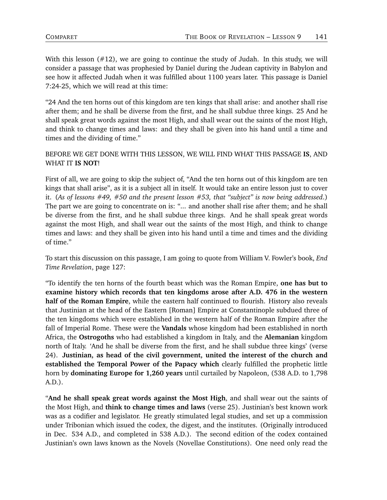With this lesson  $(\#12)$ , we are going to continue the study of Judah. In this study, we will consider a passage that was prophesied by Daniel during the Judean captivity in Babylon and see how it affected Judah when it was fulfilled about 1100 years later. This passage is Daniel 7:24-25, which we will read at this time:

"24 And the ten horns out of this kingdom are ten kings that shall arise: and another shall rise after them; and he shall be diverse from the first, and he shall subdue three kings. 25 And he shall speak great words against the most High, and shall wear out the saints of the most High, and think to change times and laws: and they shall be given into his hand until a time and times and the dividing of time."

# BEFORE WE GET DONE WITH THIS LESSON, WE WILL FIND WHAT THIS PASSAGE **IS**, AND WHAT IT **IS NOT**!

First of all, we are going to skip the subject of, "And the ten horns out of this kingdom are ten kings that shall arise", as it is a subject all in itself. It would take an entire lesson just to cover it. (*As of lessons #49, #50 and the present lesson #53, that "subject" is now being addressed*.) The part we are going to concentrate on is: "... and another shall rise after them; and he shall be diverse from the first, and he shall subdue three kings. And he shall speak great words against the most High, and shall wear out the saints of the most High, and think to change times and laws: and they shall be given into his hand until a time and times and the dividing of time."

To start this discussion on this passage, I am going to quote from William V. Fowler's book, *End Time Revelation*, page 127:

"To identify the ten horns of the fourth beast which was the Roman Empire, **one has but to examine history which records that ten kingdoms arose after A.D. 476 in the western half of the Roman Empire**, while the eastern half continued to flourish. History also reveals that Justinian at the head of the Eastern [Roman] Empire at Constantinople subdued three of the ten kingdoms which were established in the western half of the Roman Empire after the fall of Imperial Rome. These were the **Vandals** whose kingdom had been established in north Africa, the **Ostrogoths** who had established a kingdom in Italy, and the **Alemanian** kingdom north of Italy. 'And he shall be diverse from the first, and he shall subdue three kings' (verse 24). **Justinian, as head of the civil government, united the interest of the church and established the Temporal Power of the Papacy which** clearly fulfilled the prophetic little horn by **dominating Europe for 1,260 years** until curtailed by Napoleon, (538 A.D. to 1,798 A.D.).

"**And he shall speak great words against the Most High**, and shall wear out the saints of the Most High, and **think to change times and laws** (verse 25). Justinian's best known work was as a codifier and legislator. He greatly stimulated legal studies, and set up a commission under Tribonian which issued the codex, the digest, and the institutes. (Originally introduced in Dec. 534 A.D., and completed in 538 A.D.). The second edition of the codex contained Justinian's own laws known as the Novels (Novellae Constitutions). One need only read the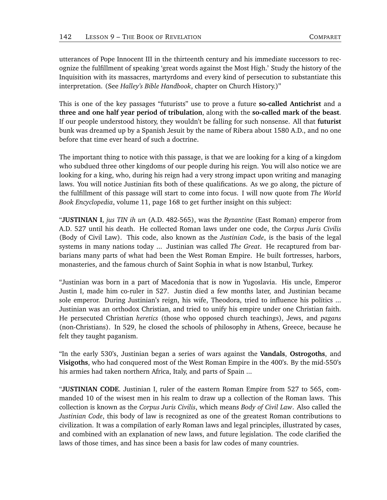utterances of Pope Innocent III in the thirteenth century and his immediate successors to recognize the fulfillment of speaking 'great words against the Most High.' Study the history of the Inquisition with its massacres, martyrdoms and every kind of persecution to substantiate this interpretation. (See *Halley's Bible Handbook*, chapter on Church History.)"

This is one of the key passages "futurists" use to prove a future **so-called Antichrist** and a **three and one half year period of tribulation**, along with the **so-called mark of the beast**. If our people understood history, they wouldn't be falling for such nonsense. All that **futurist** bunk was dreamed up by a Spanish Jesuit by the name of Ribera about 1580 A.D., and no one before that time ever heard of such a doctrine.

The important thing to notice with this passage, is that we are looking for a king of a kingdom who subdued three other kingdoms of our people during his reign. You will also notice we are looking for a king, who, during his reign had a very strong impact upon writing and managing laws. You will notice Justinian fits both of these qualifications. As we go along, the picture of the fulfillment of this passage will start to come into focus. I will now quote from *The World Book Encyclopedia*, volume 11, page 168 to get further insight on this subject:

"**JUSTINIAN I**, *jus TIN ih un* (A.D. 482-565), was the *Byzantine* (East Roman) emperor from A.D. 527 until his death. He collected Roman laws under one code, the *Corpus Juris Civilis* (Body of Civil Law). This code, also known as the *Justinian Code*, is the basis of the legal systems in many nations today ... Justinian was called *The Great*. He recaptured from barbarians many parts of what had been the West Roman Empire. He built fortresses, harbors, monasteries, and the famous church of Saint Sophia in what is now Istanbul, Turkey.

"Justinian was born in a part of Macedonia that is now in Yugoslavia. His uncle, Emperor Justin I, made him co-ruler in 527. Justin died a few months later, and Justinian became sole emperor. During Justinian's reign, his wife, Theodora, tried to influence his politics ... Justinian was an orthodox Christian, and tried to unify his empire under one Christian faith. He persecuted Christian *heretics* (those who opposed church teachings), Jews, and *pagans* (non-Christians). In 529, he closed the schools of philosophy in Athens, Greece, because he felt they taught paganism.

"In the early 530's, Justinian began a series of wars against the **Vandals**, **Ostrogoths**, and **Visigoths**, who had conquered most of the West Roman Empire in the 400's. By the mid-550's his armies had taken northern Africa, Italy, and parts of Spain ...

"**JUSTINIAN CODE**. Justinian I, ruler of the eastern Roman Empire from 527 to 565, commanded 10 of the wisest men in his realm to draw up a collection of the Roman laws. This collection is known as the *Corpus Juris Civilis*, which means *Body of Civil Law*. Also called the *Justinian Code*, this body of law is recognized as one of the greatest Roman contributions to civilization. It was a compilation of early Roman laws and legal principles, illustrated by cases, and combined with an explanation of new laws, and future legislation. The code clarified the laws of those times, and has since been a basis for law codes of many countries.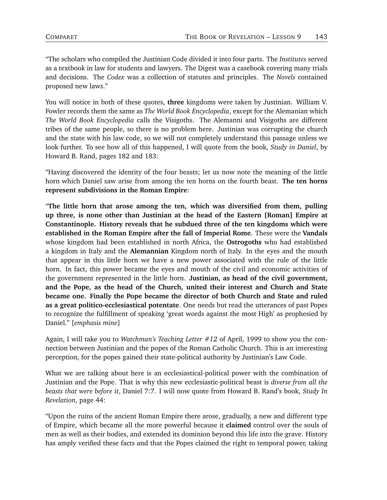"The scholars who compiled the Justinian Code divided it into four parts. The *Institutes* served as a textbook in law for students and lawyers. The Digest was a casebook covering many trials and decisions. The *Codex* was a collection of statutes and principles. The *Novels* contained proposed new laws."

You will notice in both of these quotes, **three** kingdoms were taken by Justinian. William V. Fowler records them the same as *The World Book Encyclopedia*, except for the Alemanian which *The World Book Encyclopedia* calls the Visigoths. The Alemanni and Visigoths are different tribes of the same people, so there is no problem here. Justinian was corrupting the church and the state with his law code, so we will not completely understand this passage unless we look further. To see how all of this happened, I will quote from the book, *Study in Daniel*, by Howard B. Rand, pages 182 and 183:

"Having discovered the identity of the four beasts; let us now note the meaning of the little horn which Daniel saw arise from among the ten horns on the fourth beast. **The ten horns represent subdivisions in the Roman Empire**:

"**The little horn that arose among the ten, which was diversified from them, pulling up three, is none other than Justinian at the head of the Eastern [Roman] Empire at Constantinople. History reveals that he subdued three of the ten kingdoms which were established in the Roman Empire after the fall of Imperial Rome**. These were the **Vandals** whose kingdom had been established in north Africa, the **Ostrogoths** who had established a kingdom in Italy and the **Alemannian** Kingdom north of Italy. In the eyes and the mouth that appear in this little horn we have a new power associated with the rule of the little horn. In fact, this power became the eyes and mouth of the civil and economic activities of the government represented in the little horn. **Justinian, as head of the civil government, and the Pope, as the head of the Church, united their interest and Church and State became one. Finally the Pope became the director of both Church and State and ruled as a great politico-ecclesiastical potentate**. One needs but read the utterances of past Popes to recognize the fulfillment of speaking 'great words against the most High' as prophesied by Daniel." [*emphasis mine*]

Again, I will take you to *Watchman's Teaching Letter #12* of April, 1999 to show you the connection between Justinian and the popes of the Roman Catholic Church. This is an interesting perception, for the popes gained their state-political authority by Justinian's Law Code.

What we are talking about here is an ecclesiastical-political power with the combination of Justinian and the Pope. That is why this new ecclesiastic-political beast is *diverse from all the beasts that were before it*, Daniel 7:7. I will now quote from Howard B. Rand's book, *Study In Revelation*, page 44:

"Upon the ruins of the ancient Roman Empire there arose, gradually, a new and different type of Empire, which became all the more powerful because it **claimed** control over the souls of men as well as their bodies, and extended its dominion beyond this life into the grave. History has amply verified these facts and that the Popes claimed the right to temporal power, taking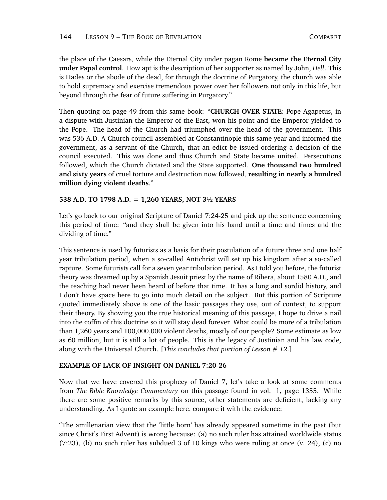the place of the Caesars, while the Eternal City under pagan Rome **became the Eternal City under Papal control**. How apt is the description of her supporter as named by John, *Hell*. This is Hades or the abode of the dead, for through the doctrine of Purgatory, the church was able to hold supremacy and exercise tremendous power over her followers not only in this life, but beyond through the fear of future suffering in Purgatory."

Then quoting on page 49 from this same book: "**CHURCH OVER STATE**: Pope Agapetus, in a dispute with Justinian the Emperor of the East, won his point and the Emperor yielded to the Pope. The head of the Church had triumphed over the head of the government. This was 536 A.D. A Church council assembled at Constantinople this same year and informed the government, as a servant of the Church, that an edict be issued ordering a decision of the council executed. This was done and thus Church and State became united. Persecutions followed, which the Church dictated and the State supported. **One thousand two hundred and sixty years** of cruel torture and destruction now followed, **resulting in nearly a hundred million dying violent deaths**."

# **538 A.D. TO 1798 A.D. = 1,260 YEARS, NOT 3½ YEARS**

Let's go back to our original Scripture of Daniel 7:24-25 and pick up the sentence concerning this period of time: "and they shall be given into his hand until a time and times and the dividing of time."

This sentence is used by futurists as a basis for their postulation of a future three and one half year tribulation period, when a so-called Antichrist will set up his kingdom after a so-called rapture. Some futurists call for a seven year tribulation period. As I told you before, the futurist theory was dreamed up by a Spanish Jesuit priest by the name of Ribera, about 1580 A.D., and the teaching had never been heard of before that time. It has a long and sordid history, and I don't have space here to go into much detail on the subject. But this portion of Scripture quoted immediately above is one of the basic passages they use, out of context, to support their theory. By showing you the true historical meaning of this passage, I hope to drive a nail into the coffin of this doctrine so it will stay dead forever. What could be more of a tribulation than 1,260 years and 100,000,000 violent deaths, mostly of our people? Some estimate as low as 60 million, but it is still a lot of people. This is the legacy of Justinian and his law code, along with the Universal Church. [*This concludes that portion of Lesson # 12*.]

# **EXAMPLE OF LACK OF INSIGHT ON DANIEL 7:20-26**

Now that we have covered this prophecy of Daniel 7, let's take a look at some comments from *The Bible Knowledge Commentary* on this passage found in vol. 1, page 1355. While there are some positive remarks by this source, other statements are deficient, lacking any understanding. As I quote an example here, compare it with the evidence:

"The amillenarian view that the 'little horn' has already appeared sometime in the past (but since Christ's First Advent) is wrong because: (a) no such ruler has attained worldwide status (7:23), (b) no such ruler has subdued 3 of 10 kings who were ruling at once (v. 24), (c) no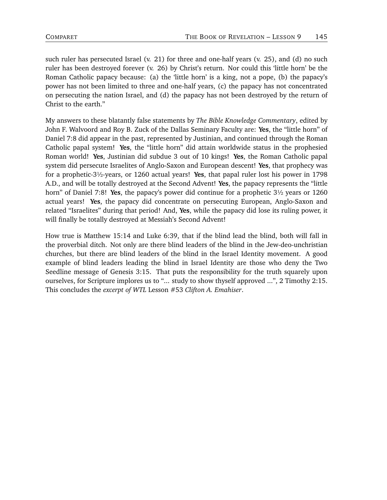such ruler has persecuted Israel (v. 21) for three and one-half years (v. 25), and (d) no such ruler has been destroyed forever (v. 26) by Christ's return. Nor could this 'little horn' be the Roman Catholic papacy because: (a) the 'little horn' is a king, not a pope, (b) the papacy's power has not been limited to three and one-half years, (c) the papacy has not concentrated on persecuting the nation Israel, and (d) the papacy has not been destroyed by the return of Christ to the earth."

My answers to these blatantly false statements by *The Bible Knowledge Commentary*, edited by John F. Walvoord and Roy B. Zuck of the Dallas Seminary Faculty are: **Yes**, the "little horn" of Daniel 7:8 did appear in the past, represented by Justinian, and continued through the Roman Catholic papal system! **Yes**, the "little horn" did attain worldwide status in the prophesied Roman world! **Yes**, Justinian did subdue 3 out of 10 kings! **Yes**, the Roman Catholic papal system did persecute Israelites of Anglo-Saxon and European descent! **Yes**, that prophecy was for a prophetic-3½-years, or 1260 actual years! **Yes**, that papal ruler lost his power in 1798 A.D., and will be totally destroyed at the Second Advent! **Yes**, the papacy represents the "little horn" of Daniel 7:8! **Yes**, the papacy's power did continue for a prophetic 3½ years or 1260 actual years! **Yes**, the papacy did concentrate on persecuting European, Anglo-Saxon and related "Israelites" during that period! And, **Yes**, while the papacy did lose its ruling power, it will finally be totally destroyed at Messiah's Second Advent!

How true is Matthew 15:14 and Luke 6:39, that if the blind lead the blind, both will fall in the proverbial ditch. Not only are there blind leaders of the blind in the Jew-deo-unchristian churches, but there are blind leaders of the blind in the Israel Identity movement. A good example of blind leaders leading the blind in Israel Identity are those who deny the Two Seedline message of Genesis 3:15. That puts the responsibility for the truth squarely upon ourselves, for Scripture implores us to "... study to show thyself approved ...", 2 Timothy 2:15. This concludes the *excerpt of WTL* Lesson #53 *Clifton A. Emahiser*.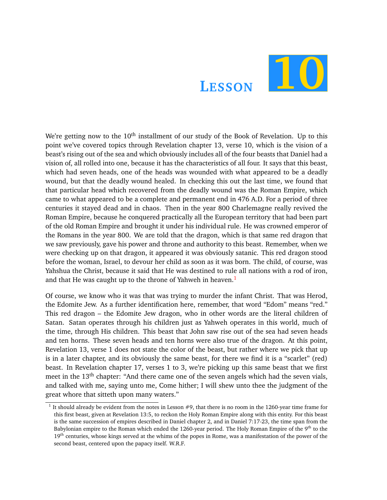

We're getting now to the  $10<sup>th</sup>$  installment of our study of the Book of Revelation. Up to this point we've covered topics through Revelation chapter 13, verse 10, which is the vision of a beast's rising out of the sea and which obviously includes all of the four beasts that Daniel had a vision of, all rolled into one, because it has the characteristics of all four. It says that this beast, which had seven heads, one of the heads was wounded with what appeared to be a deadly wound, but that the deadly wound healed. In checking this out the last time, we found that that particular head which recovered from the deadly wound was the Roman Empire, which came to what appeared to be a complete and permanent end in 476 A.D. For a period of three centuries it stayed dead and in chaos. Then in the year 800 Charlemagne really revived the Roman Empire, because he conquered practically all the European territory that had been part of the old Roman Empire and brought it under his individual rule. He was crowned emperor of the Romans in the year 800. We are told that the dragon, which is that same red dragon that we saw previously, gave his power and throne and authority to this beast. Remember, when we were checking up on that dragon, it appeared it was obviously satanic. This red dragon stood before the woman, Israel, to devour her child as soon as it was born. The child, of course, was Yahshua the Christ, because it said that He was destined to rule all nations with a rod of iron, and that He was caught up to the throne of Yahweh in heaven.<sup>[1](#page-146-0)</sup>

Of course, we know who it was that was trying to murder the infant Christ. That was Herod, the Edomite Jew. As a further identification here, remember, that word "Edom" means "red." This red dragon – the Edomite Jew dragon, who in other words are the literal children of Satan. Satan operates through his children just as Yahweh operates in this world, much of the time, through His children. This beast that John saw rise out of the sea had seven heads and ten horns. These seven heads and ten horns were also true of the dragon. At this point, Revelation 13, verse 1 does not state the color of the beast, but rather where we pick that up is in a later chapter, and its obviously the same beast, for there we find it is a "scarlet" (red) beast. In Revelation chapter 17, verses 1 to 3, we're picking up this same beast that we first meet in the 13<sup>th</sup> chapter: "And there came one of the seven angels which had the seven vials, and talked with me, saying unto me, Come hither; I will shew unto thee the judgment of the great whore that sitteth upon many waters."

<span id="page-146-0"></span><sup>&</sup>lt;sup>1</sup> It should already be evident from the notes in Lesson #9, that there is no room in the 1260-year time frame for this first beast, given at Revelation 13:5, to reckon the Holy Roman Empire along with this entity. For this beast is the same succession of empires described in Daniel chapter 2, and in Daniel 7:17-23, the time span from the Babylonian empire to the Roman which ended the 1260-year period. The Holy Roman Empire of the 9<sup>th</sup> to the 19<sup>th</sup> centuries, whose kings served at the whims of the popes in Rome, was a manifestation of the power of the second beast, centered upon the papacy itself. W.R.F.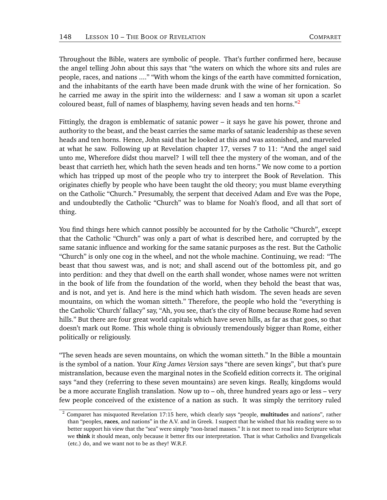Throughout the Bible, waters are symbolic of people. That's further confirmed here, because the angel telling John about this says that "the waters on which the whore sits and rules are people, races, and nations ...." "With whom the kings of the earth have committed fornication, and the inhabitants of the earth have been made drunk with the wine of her fornication. So he carried me away in the spirit into the wilderness: and I saw a woman sit upon a scarlet coloured beast, full of names of blasphemy, having seven heads and ten horns." $2$ 

Fittingly, the dragon is emblematic of satanic power – it says he gave his power, throne and authority to the beast, and the beast carries the same marks of satanic leadership as these seven heads and ten horns. Hence, John said that he looked at this and was astonished, and marveled at what he saw. Following up at Revelation chapter 17, verses 7 to 11: "And the angel said unto me, Wherefore didst thou marvel? I will tell thee the mystery of the woman, and of the beast that carrieth her, which hath the seven heads and ten horns." We now come to a portion which has tripped up most of the people who try to interpret the Book of Revelation. This originates chiefly by people who have been taught the old theory; you must blame everything on the Catholic "Church." Presumably, the serpent that deceived Adam and Eve was the Pope, and undoubtedly the Catholic "Church" was to blame for Noah's flood, and all that sort of thing.

You find things here which cannot possibly be accounted for by the Catholic "Church", except that the Catholic "Church" was only a part of what is described here, and corrupted by the same satanic influence and working for the same satanic purposes as the rest. But the Catholic "Church" is only one cog in the wheel, and not the whole machine. Continuing, we read: "The beast that thou sawest was, and is not; and shall ascend out of the bottomless pit, and go into perdition: and they that dwell on the earth shall wonder, whose names were not written in the book of life from the foundation of the world, when they behold the beast that was, and is not, and yet is. And here is the mind which hath wisdom. The seven heads are seven mountains, on which the woman sitteth." Therefore, the people who hold the "everything is the Catholic 'Church' fallacy" say, "Ah, you see, that's the city of Rome because Rome had seven hills." But there are four great world capitals which have seven hills, as far as that goes, so that doesn't mark out Rome. This whole thing is obviously tremendously bigger than Rome, either politically or religiously.

"The seven heads are seven mountains, on which the woman sitteth." In the Bible a mountain is the symbol of a nation. Your *King James Version* says "there are seven kings", but that's pure mistranslation, because even the marginal notes in the Scofield edition corrects it. The original says "and they (referring to these seven mountains) are seven kings. Really, kingdoms would be a more accurate English translation. Now up to – oh, three hundred years ago or less – very few people conceived of the existence of a nation as such. It was simply the territory ruled

<span id="page-147-0"></span><sup>2</sup> Comparet has misquoted Revelation 17:15 here, which clearly says "people, **multitudes** and nations", rather than "peoples, **races**, and nations" in the A.V. and in Greek. I suspect that he wished that his reading were so to better support his view that the "sea" were simply "non-Israel masses." It is not meet to read into Scripture what we **think** it should mean, only because it better fits our interpretation. That is what Catholics and Evangelicals (etc.) do, and we want not to be as they! W.R.F.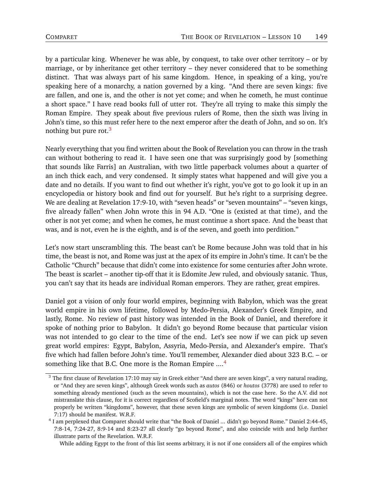by a particular king. Whenever he was able, by conquest, to take over other territory – or by marriage, or by inheritance get other territory – they never considered that to be something distinct. That was always part of his same kingdom. Hence, in speaking of a king, you're speaking here of a monarchy, a nation governed by a king. "And there are seven kings: five are fallen, and one is, and the other is not yet come; and when he cometh, he must continue a short space." I have read books full of utter rot. They're all trying to make this simply the Roman Empire. They speak about five previous rulers of Rome, then the sixth was living in John's time, so this must refer here to the next emperor after the death of John, and so on. It's nothing but pure rot.<sup>[3](#page-148-0)</sup>

Nearly everything that you find written about the Book of Revelation you can throw in the trash can without bothering to read it. I have seen one that was surprisingly good by [something that sounds like Farris] an Australian, with two little paperback volumes about a quarter of an inch thick each, and very condensed. It simply states what happened and will give you a date and no details. If you want to find out whether it's right, you've got to go look it up in an encyclopedia or history book and find out for yourself. But he's right to a surprising degree. We are dealing at Revelation 17:9-10, with "seven heads" or "seven mountains" – "seven kings, five already fallen" when John wrote this in 94 A.D. "One is (existed at that time), and the other is not yet come; and when he comes, he must continue a short space. And the beast that was, and is not, even he is the eighth, and is of the seven, and goeth into perdition."

Let's now start unscrambling this. The beast can't be Rome because John was told that in his time, the beast is not, and Rome was just at the apex of its empire in John's time. It can't be the Catholic "Church" because that didn't come into existence for some centuries after John wrote. The beast is scarlet – another tip-off that it is Edomite Jew ruled, and obviously satanic. Thus, you can't say that its heads are individual Roman emperors. They are rather, great empires.

Daniel got a vision of only four world empires, beginning with Babylon, which was the great world empire in his own lifetime, followed by Medo-Persia, Alexander's Greek Empire, and lastly, Rome. No review of past history was intended in the Book of Daniel, and therefore it spoke of nothing prior to Babylon. It didn't go beyond Rome because that particular vision was not intended to go clear to the time of the end. Let's see now if we can pick up seven great world empires: Egypt, Babylon, Assyria, Medo-Persia, and Alexander's empire. That's five which had fallen before John's time. You'll remember, Alexander died about 323 B.C. – or something like that B.C. One more is the Roman Empire ....<sup>[4](#page-148-1)</sup>

<span id="page-148-0"></span><sup>&</sup>lt;sup>3</sup> The first clause of Revelation 17:10 may say in Greek either "And there are seven kings", a very natural reading, or "And they are seven kings", although Greek words such as *autos* (846) or *houtos* (3778) are used to refer to something already mentioned (such as the seven mountains), which is not the case here. So the A.V. did not mistranslate this clause, for it is correct regardless of Scofield's marginal notes. The word "kings" here can not properly be written "kingdoms", however, that these seven kings are symbolic of seven kingdoms (i.e. Daniel 7:17) should be manifest. W.R.F.

<span id="page-148-1"></span><sup>4</sup> I am perplexed that Comparet should write that "the Book of Daniel ... didn't go beyond Rome." Daniel 2:44-45, 7:8-14, 7:24-27, 8:9-14 and 8:23-27 all clearly "go beyond Rome", and also coincide with and help further illustrate parts of the Revelation. W.R.F.

While adding Egypt to the front of this list seems arbitrary, it is not if one considers all of the empires which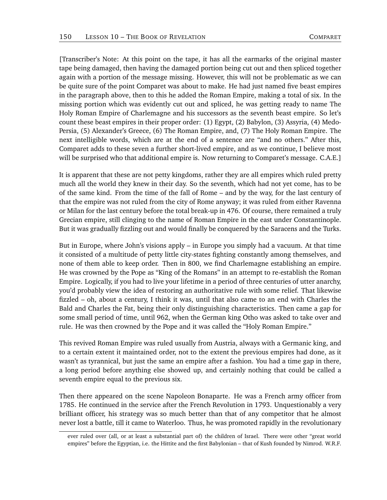[Transcriber's Note: At this point on the tape, it has all the earmarks of the original master tape being damaged, then having the damaged portion being cut out and then spliced together again with a portion of the message missing. However, this will not be problematic as we can be quite sure of the point Comparet was about to make. He had just named five beast empires in the paragraph above, then to this he added the Roman Empire, making a total of six. In the missing portion which was evidently cut out and spliced, he was getting ready to name The Holy Roman Empire of Charlemagne and his successors as the seventh beast empire. So let's count these beast empires in their proper order: (1) Egypt, (2) Babylon, (3) Assyria, (4) Medo-Persia, (5) Alexander's Greece, (6) The Roman Empire, and, (7) The Holy Roman Empire. The next intelligible words, which are at the end of a sentence are "and no others." After this, Comparet adds to these seven a further short-lived empire, and as we continue, I believe most will be surprised who that additional empire is. Now returning to Comparet's message. C.A.E.]

It is apparent that these are not petty kingdoms, rather they are all empires which ruled pretty much all the world they knew in their day. So the seventh, which had not yet come, has to be of the same kind. From the time of the fall of Rome – and by the way, for the last century of that the empire was not ruled from the city of Rome anyway; it was ruled from either Ravenna or Milan for the last century before the total break-up in 476. Of course, there remained a truly Grecian empire, still clinging to the name of Roman Empire in the east under Constantinople. But it was gradually fizzling out and would finally be conquered by the Saracens and the Turks.

But in Europe, where John's visions apply – in Europe you simply had a vacuum. At that time it consisted of a multitude of petty little city-states fighting constantly among themselves, and none of them able to keep order. Then in 800, we find Charlemagne establishing an empire. He was crowned by the Pope as "King of the Romans" in an attempt to re-establish the Roman Empire. Logically, if you had to live your lifetime in a period of three centuries of utter anarchy, you'd probably view the idea of restoring an authoritative rule with some relief. That likewise fizzled – oh, about a century, I think it was, until that also came to an end with Charles the Bald and Charles the Fat, being their only distinguishing characteristics. Then came a gap for some small period of time, until 962, when the German king Otho was asked to take over and rule. He was then crowned by the Pope and it was called the "Holy Roman Empire."

This revived Roman Empire was ruled usually from Austria, always with a Germanic king, and to a certain extent it maintained order, not to the extent the previous empires had done, as it wasn't as tyrannical, but just the same an empire after a fashion. You had a time gap in there, a long period before anything else showed up, and certainly nothing that could be called a seventh empire equal to the previous six.

Then there appeared on the scene Napoleon Bonaparte. He was a French army officer from 1785. He continued in the service after the French Revolution in 1793. Unquestionably a very brilliant officer, his strategy was so much better than that of any competitor that he almost never lost a battle, till it came to Waterloo. Thus, he was promoted rapidly in the revolutionary

ever ruled over (all, or at least a substantial part of) the children of Israel. There were other "great world empires" before the Egyptian, i.e. the Hittite and the first Babylonian – that of Kush founded by Nimrod. W.R.F.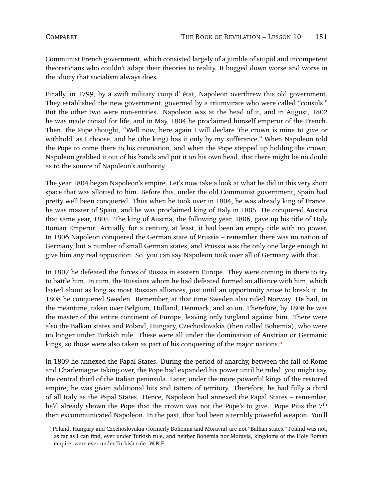Communist French government, which consisted largely of a jumble of stupid and incompetent theoreticians who couldn't adapt their theories to reality. It bogged down worse and worse in the idiocy that socialism always does.

Finally, in 1799, by a swift military coup d' état, Napoleon overthrew this old government. They established the new government, governed by a triumvirate who were called "consuls." But the other two were non-entities. Napoleon was at the head of it, and in August, 1802 he was made consul for life, and in May, 1804 he proclaimed himself emperor of the French. Then, the Pope thought, "Well now, here again I will declare 'the crown is mine to give or withhold' as I choose, and he (the king) has it only by my sufferance." When Napoleon told the Pope to come there to his coronation, and when the Pope stepped up holding the crown, Napoleon grabbed it out of his hands and put it on his own head, that there might be no doubt as to the source of Napoleon's authority.

The year 1804 began Napoleon's empire. Let's now take a look at what he did in this very short space that was allotted to him. Before this, under the old Communist government, Spain had pretty well been conquered. Thus when he took over in 1804, he was already king of France, he was master of Spain, and he was proclaimed king of Italy in 1805. He conquered Austria that same year, 1805. The king of Austria, the following year, 1806, gave up his title of Holy Roman Emperor. Actually, for a century, at least, it had been an empty title with no power. In 1806 Napoleon conquered the German state of Prussia – remember there was no nation of Germany, but a number of small German states, and Prussia was the only one large enough to give him any real opposition. So, you can say Napoleon took over all of Germany with that.

In 1807 he defeated the forces of Russia in eastern Europe. They were coming in there to try to battle him. In turn, the Russians whom he had defeated formed an alliance with him, which lasted about as long as most Russian alliances, just until an opportunity arose to break it. In 1808 he conquered Sweden. Remember, at that time Sweden also ruled Norway. He had, in the meantime, taken over Belgium, Holland, Denmark, and so on. Therefore, by 1808 he was the master of the entire continent of Europe, leaving only England against him. There were also the Balkan states and Poland, Hungary, Czechoslovakia (then called Bohemia), who were no longer under Turkish rule. These were all under the domination of Austrian or Germanic kings, so those were also taken as part of his conquering of the major nations.<sup>[5](#page-150-0)</sup>

In 1809 he annexed the Papal States. During the period of anarchy, between the fall of Rome and Charlemagne taking over, the Pope had expanded his power until he ruled, you might say, the central third of the Italian peninsula. Later, under the more powerful kings of the restored empire, he was given additional bits and tatters of territory. Therefore, he had fully a third of all Italy as the Papal States. Hence, Napoleon had annexed the Papal States – remember, he'd already shown the Pope that the crown was not the Pope's to give. Pope Pius the 7<sup>th</sup> then excommunicated Napoleon. In the past, that had been a terribly powerful weapon. You'll

<span id="page-150-0"></span><sup>5</sup> Poland, Hungary and Czechoslovakia (formerly Bohemia and Moravia) are not "Balkan states." Poland was not, as far as I can find, ever under Turkish rule, and neither Bohemia nor Moravia, kingdoms of the Holy Roman empire, were ever under Turkish rule. W.R.F.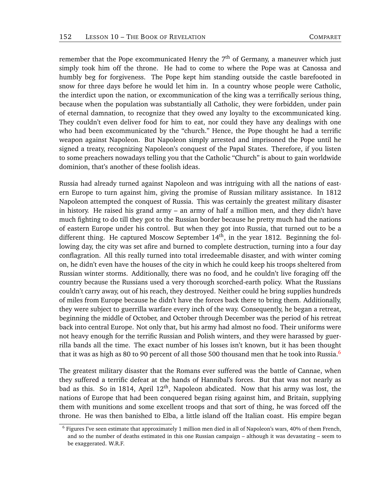remember that the Pope excommunicated Henry the  $7<sup>th</sup>$  of Germany, a maneuver which just simply took him off the throne. He had to come to where the Pope was at Canossa and humbly beg for forgiveness. The Pope kept him standing outside the castle barefooted in snow for three days before he would let him in. In a country whose people were Catholic, the interdict upon the nation, or excommunication of the king was a terrifically serious thing, because when the population was substantially all Catholic, they were forbidden, under pain of eternal damnation, to recognize that they owed any loyalty to the excommunicated king. They couldn't even deliver food for him to eat, nor could they have any dealings with one who had been excommunicated by the "church." Hence, the Pope thought he had a terrific weapon against Napoleon. But Napoleon simply arrested and imprisoned the Pope until he signed a treaty, recognizing Napoleon's conquest of the Papal States. Therefore, if you listen to some preachers nowadays telling you that the Catholic "Church" is about to gain worldwide dominion, that's another of these foolish ideas.

Russia had already turned against Napoleon and was intriguing with all the nations of eastern Europe to turn against him, giving the promise of Russian military assistance. In 1812 Napoleon attempted the conquest of Russia. This was certainly the greatest military disaster in history. He raised his grand army – an army of half a million men, and they didn't have much fighting to do till they got to the Russian border because he pretty much had the nations of eastern Europe under his control. But when they got into Russia, that turned out to be a different thing. He captured Moscow September  $14<sup>th</sup>$ , in the year 1812. Beginning the following day, the city was set afire and burned to complete destruction, turning into a four day conflagration. All this really turned into total irredeemable disaster, and with winter coming on, he didn't even have the houses of the city in which he could keep his troops sheltered from Russian winter storms. Additionally, there was no food, and he couldn't live foraging off the country because the Russians used a very thorough scorched-earth policy. What the Russians couldn't carry away, out of his reach, they destroyed. Neither could he bring supplies hundreds of miles from Europe because he didn't have the forces back there to bring them. Additionally, they were subject to guerrilla warfare every inch of the way. Consequently, he began a retreat, beginning the middle of October, and October through December was the period of his retreat back into central Europe. Not only that, but his army had almost no food. Their uniforms were not heavy enough for the terrific Russian and Polish winters, and they were harassed by guerrilla bands all the time. The exact number of his losses isn't known, but it has been thought that it was as high as 80 to 90 percent of all those 500 thousand men that he took into Russia.<sup>[6](#page-151-0)</sup>

The greatest military disaster that the Romans ever suffered was the battle of Cannae, when they suffered a terrific defeat at the hands of Hannibal's forces. But that was not nearly as bad as this. So in 1814, April  $12<sup>th</sup>$ , Napoleon abdicated. Now that his army was lost, the nations of Europe that had been conquered began rising against him, and Britain, supplying them with munitions and some excellent troops and that sort of thing, he was forced off the throne. He was then banished to Elba, a little island off the Italian coast. His empire began

<span id="page-151-0"></span><sup>6</sup> Figures I've seen estimate that approximately 1 million men died in all of Napoleon's wars, 40% of them French, and so the number of deaths estimated in this one Russian campaign – although it was devastating – seem to be exaggerated. W.R.F.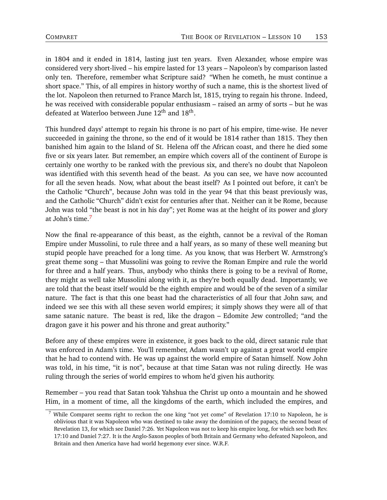in 1804 and it ended in 1814, lasting just ten years. Even Alexander, whose empire was considered very short-lived – his empire lasted for 13 years – Napoleon's by comparison lasted only ten. Therefore, remember what Scripture said? "When he cometh, he must continue a short space." This, of all empires in history worthy of such a name, this is the shortest lived of the lot. Napoleon then returned to France March lst, 1815, trying to regain his throne. Indeed, he was received with considerable popular enthusiasm – raised an army of sorts – but he was defeated at Waterloo between June  $12^{\text{th}}$  and  $18^{\text{th}}.$ 

This hundred days' attempt to regain his throne is no part of his empire, time-wise. He never succeeded in gaining the throne, so the end of it would be 1814 rather than 1815. They then banished him again to the Island of St. Helena off the African coast, and there he died some five or six years later. But remember, an empire which covers all of the continent of Europe is certainly one worthy to be ranked with the previous six, and there's no doubt that Napoleon was identified with this seventh head of the beast. As you can see, we have now accounted for all the seven heads. Now, what about the beast itself? As I pointed out before, it can't be the Catholic "Church", because John was told in the year 94 that this beast previously was, and the Catholic "Church" didn't exist for centuries after that. Neither can it be Rome, because John was told "the beast is not in his day"; yet Rome was at the height of its power and glory at John's time.[7](#page-152-0)

Now the final re-appearance of this beast, as the eighth, cannot be a revival of the Roman Empire under Mussolini, to rule three and a half years, as so many of these well meaning but stupid people have preached for a long time. As you know, that was Herbert W. Armstrong's great theme song – that Mussolini was going to revive the Roman Empire and rule the world for three and a half years. Thus, anybody who thinks there is going to be a revival of Rome, they might as well take Mussolini along with it, as they're both equally dead. Importantly, we are told that the beast itself would be the eighth empire and would be of the seven of a similar nature. The fact is that this one beast had the characteristics of all four that John saw, and indeed we see this with all these seven world empires; it simply shows they were all of that same satanic nature. The beast is red, like the dragon – Edomite Jew controlled; "and the dragon gave it his power and his throne and great authority."

Before any of these empires were in existence, it goes back to the old, direct satanic rule that was enforced in Adam's time. You'll remember, Adam wasn't up against a great world empire that he had to contend with. He was up against the world empire of Satan himself. Now John was told, in his time, "it is not", because at that time Satan was not ruling directly. He was ruling through the series of world empires to whom he'd given his authority.

Remember – you read that Satan took Yahshua the Christ up onto a mountain and he showed Him, in a moment of time, all the kingdoms of the earth, which included the empires, and

<span id="page-152-0"></span><sup>&</sup>lt;sup>7</sup> While Comparet seems right to reckon the one king "not yet come" of Revelation 17:10 to Napoleon, he is oblivious that it was Napoleon who was destined to take away the dominion of the papacy, the second beast of Revelation 13, for which see Daniel 7:26. Yet Napoleon was not to keep his empire long, for which see both Rev. 17:10 and Daniel 7:27. It is the Anglo-Saxon peoples of both Britain and Germany who defeated Napoleon, and Britain and then America have had world hegemony ever since. W.R.F.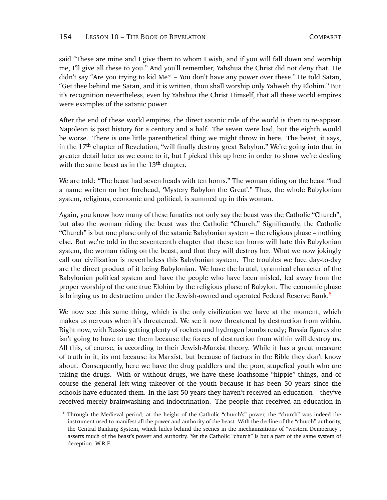said "These are mine and I give them to whom I wish, and if you will fall down and worship me, I'll give all these to you." And you'll remember, Yahshua the Christ did not deny that. He didn't say "Are you trying to kid Me? – You don't have any power over these." He told Satan, "Get thee behind me Satan, and it is written, thou shall worship only Yahweh thy Elohim." But it's recognition nevertheless, even by Yahshua the Christ Himself, that all these world empires were examples of the satanic power.

After the end of these world empires, the direct satanic rule of the world is then to re-appear. Napoleon is past history for a century and a half. The seven were bad, but the eighth would be worse. There is one little parenthetical thing we might throw in here. The beast, it says, in the  $17<sup>th</sup>$  chapter of Revelation, "will finally destroy great Babylon." We're going into that in greater detail later as we come to it, but I picked this up here in order to show we're dealing with the same beast as in the  $13<sup>th</sup>$  chapter.

We are told: "The beast had seven heads with ten horns." The woman riding on the beast "had a name written on her forehead, 'Mystery Babylon the Great'." Thus, the whole Babylonian system, religious, economic and political, is summed up in this woman.

Again, you know how many of these fanatics not only say the beast was the Catholic "Church", but also the woman riding the beast was the Catholic "Church." Significantly, the Catholic "Church" is but one phase only of the satanic Babylonian system – the religious phase – nothing else. But we're told in the seventeenth chapter that these ten horns will hate this Babylonian system, the woman riding on the beast, and that they will destroy her. What we now jokingly call our civilization is nevertheless this Babylonian system. The troubles we face day-to-day are the direct product of it being Babylonian. We have the brutal, tyrannical character of the Babylonian political system and have the people who have been misled, led away from the proper worship of the one true Elohim by the religious phase of Babylon. The economic phase is bringing us to destruction under the Jewish-owned and operated Federal Reserve Bank.<sup>[8](#page-153-0)</sup>

We now see this same thing, which is the only civilization we have at the moment, which makes us nervous when it's threatened. We see it now threatened by destruction from within. Right now, with Russia getting plenty of rockets and hydrogen bombs ready; Russia figures she isn't going to have to use them because the forces of destruction from within will destroy us. All this, of course, is according to their Jewish-Marxist theory. While it has a great measure of truth in it, its not because its Marxist, but because of factors in the Bible they don't know about. Consequently, here we have the drug peddlers and the poor, stupefied youth who are taking the drugs. With or without drugs, we have these loathsome "hippie" things, and of course the general left-wing takeover of the youth because it has been 50 years since the schools have educated them. In the last 50 years they haven't received an education – they've received merely brainwashing and indoctrination. The people that received an education in

<span id="page-153-0"></span><sup>8</sup> Through the Medieval period, at the height of the Catholic "church's" power, the "church" was indeed the instrument used to manifest all the power and authority of the beast. With the decline of the "church" authority, the Central Banking System, which hides behind the scenes in the mechanizations of "western Democracy", asserts much of the beast's power and authority. Yet the Catholic "church" is but a part of the same system of deception. W.R.F.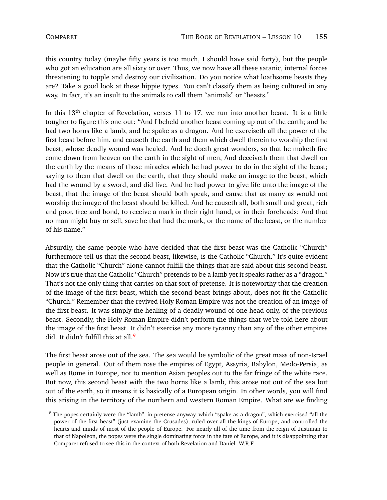this country today (maybe fifty years is too much, I should have said forty), but the people who got an education are all sixty or over. Thus, we now have all these satanic, internal forces threatening to topple and destroy our civilization. Do you notice what loathsome beasts they are? Take a good look at these hippie types. You can't classify them as being cultured in any way. In fact, it's an insult to the animals to call them "animals" or "beasts."

In this  $13<sup>th</sup>$  chapter of Revelation, verses 11 to 17, we run into another beast. It is a little tougher to figure this one out: "And I beheld another beast coming up out of the earth; and he had two horns like a lamb, and he spake as a dragon. And he exerciseth all the power of the first beast before him, and causeth the earth and them which dwell therein to worship the first beast, whose deadly wound was healed. And he doeth great wonders, so that he maketh fire come down from heaven on the earth in the sight of men, And deceiveth them that dwell on the earth by the means of those miracles which he had power to do in the sight of the beast; saying to them that dwell on the earth, that they should make an image to the beast, which had the wound by a sword, and did live. And he had power to give life unto the image of the beast, that the image of the beast should both speak, and cause that as many as would not worship the image of the beast should be killed. And he causeth all, both small and great, rich and poor, free and bond, to receive a mark in their right hand, or in their foreheads: And that no man might buy or sell, save he that had the mark, or the name of the beast, or the number of his name."

Absurdly, the same people who have decided that the first beast was the Catholic "Church" furthermore tell us that the second beast, likewise, is the Catholic "Church." It's quite evident that the Catholic "Church" alone cannot fulfill the things that are said about this second beast. Now it's true that the Catholic "Church" pretends to be a lamb yet it speaks rather as a "dragon." That's not the only thing that carries on that sort of pretense. It is noteworthy that the creation of the image of the first beast, which the second beast brings about, does not fit the Catholic "Church." Remember that the revived Holy Roman Empire was not the creation of an image of the first beast. It was simply the healing of a deadly wound of one head only, of the previous beast. Secondly, the Holy Roman Empire didn't perform the things that we're told here about the image of the first beast. It didn't exercise any more tyranny than any of the other empires did. It didn't fulfill this at all.<sup>[9](#page-154-0)</sup>

The first beast arose out of the sea. The sea would be symbolic of the great mass of non-Israel people in general. Out of them rose the empires of Egypt, Assyria, Babylon, Medo-Persia, as well as Rome in Europe, not to mention Asian peoples out to the far fringe of the white race. But now, this second beast with the two horns like a lamb, this arose not out of the sea but out of the earth, so it means it is basically of a European origin. In other words, you will find this arising in the territory of the northern and western Roman Empire. What are we finding

<span id="page-154-0"></span><sup>9</sup> The popes certainly were the "lamb", in pretense anyway, which "spake as a dragon", which exercised "all the power of the first beast" (just examine the Crusades), ruled over all the kings of Europe, and controlled the hearts and minds of most of the people of Europe. For nearly all of the time from the reign of Justinian to that of Napoleon, the popes were the single dominating force in the fate of Europe, and it is disappointing that Comparet refused to see this in the context of both Revelation and Daniel. W.R.F.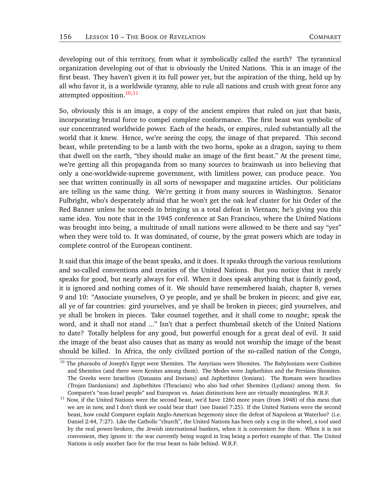developing out of this territory, from what it symbolically called the earth? The tyrannical organization developing out of that is obviously the United Nations. This is an image of the first beast. They haven't given it its full power yet, but the aspiration of the thing, held up by all who favor it, is a worldwide tyranny, able to rule all nations and crush with great force any attempted opposition.<sup>[10,](#page-155-0)[11](#page-155-1)</sup>

So, obviously this is an image, a copy of the ancient empires that ruled on just that basis, incorporating brutal force to compel complete conformance. The first beast was symbolic of our concentrated worldwide power. Each of the heads, or empires, ruled substantially all the world that it knew. Hence, we're seeing the copy, the image of that prepared. This second beast, while pretending to be a lamb with the two horns, spoke as a dragon, saying to them that dwell on the earth, "they should make an image of the first beast." At the present time, we're getting all this propaganda from so many sources to brainwash us into believing that only a one-worldwide-supreme government, with limitless power, can produce peace. You see that written continually in all sorts of newspaper and magazine articles. Our politicians are telling us the same thing. We're getting it from many sources in Washington. Senator Fulbright, who's desperately afraid that he won't get the oak leaf cluster for his Order of the Red Banner unless he succeeds in bringing us a total defeat in Vietnam; he's giving you this same idea. You note that in the 1945 conference at San Francisco, where the United Nations was brought into being, a multitude of small nations were allowed to be there and say "yes" when they were told to. It was dominated, of course, by the great powers which are today in complete control of the European continent.

It said that this image of the beast speaks, and it does. It speaks through the various resolutions and so-called conventions and treaties of the United Nations. But you notice that it rarely speaks for good, but nearly always for evil. When it does speak anything that is faintly good, it is ignored and nothing comes of it. We should have remembered Isaiah, chapter 8, verses 9 and 10: "Associate yourselves, O ye people, and ye shall be broken in pieces; and give ear, all ye of far countries: gird yourselves, and ye shall be broken in pieces; gird yourselves, and ye shall be broken in pieces. Take counsel together, and it shall come to nought; speak the word, and it shall not stand ..." Isn't that a perfect thumbnail sketch of the United Nations to date? Totally helpless for any good, but powerful enough for a great deal of evil. It said the image of the beast also causes that as many as would not worship the image of the beast should be killed. In Africa, the only civilized portion of the so-called nation of the Congo,

<span id="page-155-0"></span> $10$  The pharaohs of Joseph's Egypt were Shemites. The Assyrians were Shemites. The Babylonians were Cushites and Shemites (and there were Kenites among them). The Medes were Japhethites and the Persians Shemites. The Greeks were Israelites (Danaans and Dorians) and Japhethites (Ionians). The Romans were Israelites (Trojan Dardanians) and Japhethites (Thracians) who also had other Shemites (Lydians) among them. So Comparet's "non-Israel people" and European vs. Asian distinctions here are virtually meaningless. W.R.F.

<span id="page-155-1"></span> $11$  Now, if the United Nations were the second beast, we'd have 1260 more years (from 1948) of this mess that we are in now, and I don't think we could bear that! (see Daniel 7:25). If the United Nations were the second beast, how could Comparet explain Anglo-American hegemony since the defeat of Napoleon at Waterloo? (i.e. Daniel 2:44, 7:27). Like the Catholic "church", the United Nations has been only a cog in the wheel, a tool used by the real power-brokers, the Jewish international bankers, when it is convenient for them. When it is not convenient, they ignore it: the war currently being waged in Iraq being a perfect example of that. The United Nations is only another face for the true beast to hide behind. W.R.F.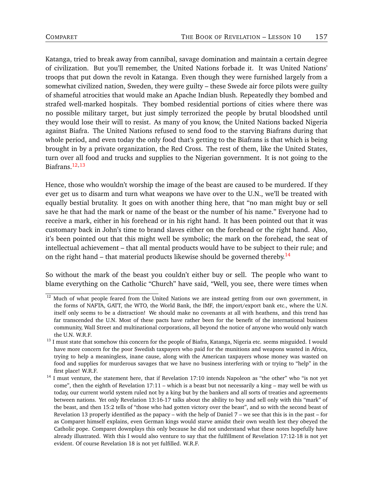Katanga, tried to break away from cannibal, savage domination and maintain a certain degree of civilization. But you'll remember, the United Nations forbade it. It was United Nations' troops that put down the revolt in Katanga. Even though they were furnished largely from a somewhat civilized nation, Sweden, they were guilty – these Swede air force pilots were guilty of shameful atrocities that would make an Apache Indian blush. Repeatedly they bombed and strafed well-marked hospitals. They bombed residential portions of cities where there was no possible military target, but just simply terrorized the people by brutal bloodshed until they would lose their will to resist. As many of you know, the United Nations backed Nigeria against Biafra. The United Nations refused to send food to the starving Biafrans during that whole period, and even today the only food that's getting to the Biafrans is that which is being brought in by a private organization, the Red Cross. The rest of them, like the United States, turn over all food and trucks and supplies to the Nigerian government. It is not going to the Biafrans. $12,13$  $12,13$ 

Hence, those who wouldn't worship the image of the beast are caused to be murdered. If they ever get us to disarm and turn what weapons we have over to the U.N., we'll be treated with equally bestial brutality. It goes on with another thing here, that "no man might buy or sell save he that had the mark or name of the beast or the number of his name." Everyone had to receive a mark, either in his forehead or in his right hand. It has been pointed out that it was customary back in John's time to brand slaves either on the forehead or the right hand. Also, it's been pointed out that this might well be symbolic; the mark on the forehead, the seat of intellectual achievement – that all mental products would have to be subject to their rule; and on the right hand – that material products likewise should be governed thereby.<sup>[14](#page-156-2)</sup>

So without the mark of the beast you couldn't either buy or sell. The people who want to blame everything on the Catholic "Church" have said, "Well, you see, there were times when

<span id="page-156-0"></span><sup>&</sup>lt;sup>12</sup> Much of what people feared from the United Nations we are instead getting from our own government, in the forms of NAFTA, GATT, the WTO, the World Bank, the IMF, the import/export bank etc., where the U.N. itself only seems to be a distraction! We should make no covenants at all with heathens, and this trend has far transcended the U.N. Most of these pacts have rather been for the benefit of the international business community, Wall Street and multinational corporations, all beyond the notice of anyone who would only watch the U.N. W.R.F.

<span id="page-156-1"></span> $13$  I must state that somehow this concern for the people of Biafra, Katanga, Nigeria etc. seems misguided. I would have more concern for the poor Swedish taxpayers who paid for the munitions and weapons wasted in Africa, trying to help a meaningless, inane cause, along with the American taxpayers whose money was wasted on food and supplies for murderous savages that we have no business interfering with or trying to "help" in the first place! W.R.F.

<span id="page-156-2"></span><sup>&</sup>lt;sup>14</sup> I must venture, the statement here, that if Revelation 17:10 intends Napoleon as "the other" who "is not yet come", then the eighth of Revelation 17:11 – which is a beast but not necessarily a king – may well be with us today, our current world system ruled not by a king but by the bankers and all sorts of treaties and agreements between nations. Yet only Revelation 13:16-17 talks about the ability to buy and sell only with this "mark" of the beast, and then 15:2 tells of "those who had gotten victory over the beast", and so with the second beast of Revelation 13 properly identified as the papacy – with the help of Daniel 7 – we see that this is in the past – for as Comparet himself explains, even German kings would starve amidst their own wealth lest they obeyed the Catholic pope. Comparet downplays this only because he did not understand what these notes hopefully have already illustrated. With this I would also venture to say that the fulfillment of Revelation 17:12-18 is not yet evident. Of course Revelation 18 is not yet fulfilled. W.R.F.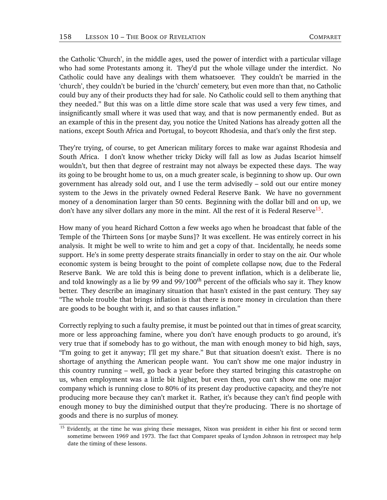the Catholic 'Church', in the middle ages, used the power of interdict with a particular village who had some Protestants among it. They'd put the whole village under the interdict. No Catholic could have any dealings with them whatsoever. They couldn't be married in the 'church', they couldn't be buried in the 'church' cemetery, but even more than that, no Catholic could buy any of their products they had for sale. No Catholic could sell to them anything that they needed." But this was on a little dime store scale that was used a very few times, and insignificantly small where it was used that way, and that is now permanently ended. But as an example of this in the present day, you notice the United Nations has already gotten all the nations, except South Africa and Portugal, to boycott Rhodesia, and that's only the first step.

They're trying, of course, to get American military forces to make war against Rhodesia and South Africa. I don't know whether tricky Dicky will fall as low as Judas Iscariot himself wouldn't, but then that degree of restraint may not always be expected these days. The way its going to be brought home to us, on a much greater scale, is beginning to show up. Our own government has already sold out, and I use the term advisedly – sold out our entire money system to the Jews in the privately owned Federal Reserve Bank. We have no government money of a denomination larger than 50 cents. Beginning with the dollar bill and on up, we don't have any silver dollars any more in the mint. All the rest of it is Federal Reserve<sup>[15](#page-157-0)</sup>.

How many of you heard Richard Cotton a few weeks ago when he broadcast that fable of the Temple of the Thirteen Sons [or maybe Suns]? It was excellent. He was entirely correct in his analysis. It might be well to write to him and get a copy of that. Incidentally, he needs some support. He's in some pretty desperate straits financially in order to stay on the air. Our whole economic system is being brought to the point of complete collapse now, due to the Federal Reserve Bank. We are told this is being done to prevent inflation, which is a deliberate lie, and told knowingly as a lie by 99 and 99/100<sup>th</sup> percent of the officials who say it. They know better. They describe an imaginary situation that hasn't existed in the past century. They say "The whole trouble that brings inflation is that there is more money in circulation than there are goods to be bought with it, and so that causes inflation."

Correctly replying to such a faulty premise, it must be pointed out that in times of great scarcity, more or less approaching famine, where you don't have enough products to go around, it's very true that if somebody has to go without, the man with enough money to bid high, says, "I'm going to get it anyway; I'll get my share." But that situation doesn't exist. There is no shortage of anything the American people want. You can't show me one major industry in this country running – well, go back a year before they started bringing this catastrophe on us, when employment was a little bit higher, but even then, you can't show me one major company which is running close to 80% of its present day productive capacity, and they're not producing more because they can't market it. Rather, it's because they can't find people with enough money to buy the diminished output that they're producing. There is no shortage of goods and there is no surplus of money.

<span id="page-157-0"></span><sup>&</sup>lt;sup>15</sup> Evidently, at the time he was giving these messages, Nixon was president in either his first or second term sometime between 1969 and 1973. The fact that Comparet speaks of Lyndon Johnson in retrospect may help date the timing of these lessons.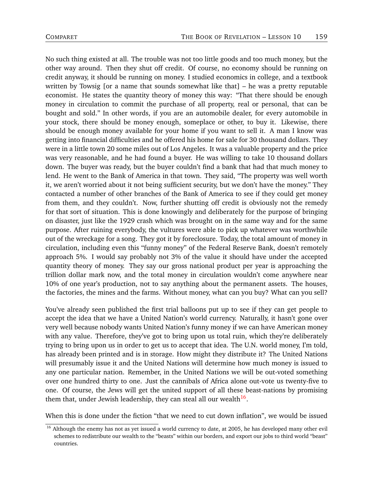No such thing existed at all. The trouble was not too little goods and too much money, but the other way around. Then they shut off credit. Of course, no economy should be running on credit anyway, it should be running on money. I studied economics in college, and a textbook written by Towsig [or a name that sounds somewhat like that] – he was a pretty reputable economist. He states the quantity theory of money this way: "That there should be enough money in circulation to commit the purchase of all property, real or personal, that can be bought and sold." In other words, if you are an automobile dealer, for every automobile in your stock, there should be money enough, someplace or other, to buy it. Likewise, there should be enough money available for your home if you want to sell it. A man I know was getting into financial difficulties and he offered his home for sale for 30 thousand dollars. They were in a little town 20 some miles out of Los Angeles. It was a valuable property and the price was very reasonable, and he had found a buyer. He was willing to take 10 thousand dollars down. The buyer was ready, but the buyer couldn't find a bank that had that much money to lend. He went to the Bank of America in that town. They said, "The property was well worth it, we aren't worried about it not being sufficient security, but we don't have the money." They contacted a number of other branches of the Bank of America to see if they could get money from them, and they couldn't. Now, further shutting off credit is obviously not the remedy for that sort of situation. This is done knowingly and deliberately for the purpose of bringing on disaster, just like the 1929 crash which was brought on in the same way and for the same purpose. After ruining everybody, the vultures were able to pick up whatever was worthwhile out of the wreckage for a song. They got it by foreclosure. Today, the total amount of money in circulation, including even this "funny money" of the Federal Reserve Bank, doesn't remotely approach 5%. I would say probably not 3% of the value it should have under the accepted quantity theory of money. They say our gross national product per year is approaching the trillion dollar mark now, and the total money in circulation wouldn't come anywhere near 10% of one year's production, not to say anything about the permanent assets. The houses, the factories, the mines and the farms. Without money, what can you buy? What can you sell?

You've already seen published the first trial balloons put up to see if they can get people to accept the idea that we have a United Nation's world currency. Naturally, it hasn't gone over very well because nobody wants United Nation's funny money if we can have American money with any value. Therefore, they've got to bring upon us total ruin, which they're deliberately trying to bring upon us in order to get us to accept that idea. The U.N. world money, I'm told, has already been printed and is in storage. How might they distribute it? The United Nations will presumably issue it and the United Nations will determine how much money is issued to any one particular nation. Remember, in the United Nations we will be out-voted something over one hundred thirty to one. Just the cannibals of Africa alone out-vote us twenty-five to one. Of course, the Jews will get the united support of all these beast-nations by promising them that, under Jewish leadership, they can steal all our wealth $^{16}$  $^{16}$  $^{16}$ .

When this is done under the fiction "that we need to cut down inflation", we would be issued

<span id="page-158-0"></span><sup>&</sup>lt;sup>16</sup> Although the enemy has not as yet issued a world currency to date, at 2005, he has developed many other evil schemes to redistribute our wealth to the "beasts" within our borders, and export our jobs to third world "beast" countries.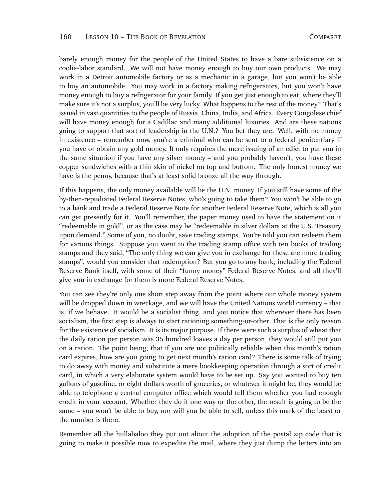barely enough money for the people of the United States to have a bare subsistence on a coolie-labor standard. We will not have money enough to buy our own products. We may work in a Detroit automobile factory or as a mechanic in a garage, but you won't be able to buy an automobile. You may work in a factory making refrigerators, but you won't have money enough to buy a refrigerator for your family. If you get just enough to eat, where they'll make sure it's not a surplus, you'll be very lucky. What happens to the rest of the money? That's issued in vast quantities to the people of Russia, China, India, and Africa. Every Congolese chief will have money enough for a Cadillac and many additional luxuries. And are these nations going to support that sort of leadership in the U.N.? You bet they are. Well, with no money in existence – remember now, you're a criminal who can be sent to a federal penitentiary if you have or obtain any gold money. It only requires the mere issuing of an edict to put you in the same situation if you have any silver money – and you probably haven't; you have these copper sandwiches with a thin skin of nickel on top and bottom. The only honest money we have is the penny, because that's at least solid bronze all the way through.

If this happens, the only money available will be the U.N. money. If you still have some of the by-then-repudiated Federal Reserve Notes, who's going to take them? You won't be able to go to a bank and trade a Federal Reserve Note for another Federal Reserve Note, which is all you can get presently for it. You'll remember, the paper money used to have the statement on it "redeemable in gold", or as the case may be "redeemable in silver dollars at the U.S. Treasury upon demand." Some of you, no doubt, save trading stamps. You're told you can redeem them for various things. Suppose you went to the trading stamp office with ten books of trading stamps and they said, "The only thing we can give you in exchange for these are more trading stamps", would you consider that redemption? But you go to any bank, including the Federal Reserve Bank itself, with some of their "funny money" Federal Reserve Notes, and all they'll give you in exchange for them is more Federal Reserve Notes.

You can see they're only one short step away from the point where our whole money system will be dropped down in wreckage, and we will have the United Nations world currency – that is, if we behave. It would be a socialist thing, and you notice that wherever there has been socialism, the first step is always to start rationing something-or-other. That is the only reason for the existence of socialism. It is its major purpose. If there were such a surplus of wheat that the daily ration per person was 35 hundred loaves a day per person, they would still put you on a ration. The point being, that if you are not politically reliable when this month's ration card expires, how are you going to get next month's ration card? There is some talk of trying to do away with money and substitute a mere bookkeeping operation through a sort of credit card, in which a very elaborate system would have to be set up. Say you wanted to buy ten gallons of gasoline, or eight dollars worth of groceries, or whatever it might be, they would be able to telephone a central computer office which would tell them whether you had enough credit in your account. Whether they do it one way or the other, the result is going to be the same – you won't be able to buy, nor will you be able to sell, unless this mark of the beast or the number is there.

Remember all the hullabaloo they put out about the adoption of the postal zip code that is going to make it possible now to expedite the mail, where they just dump the letters into an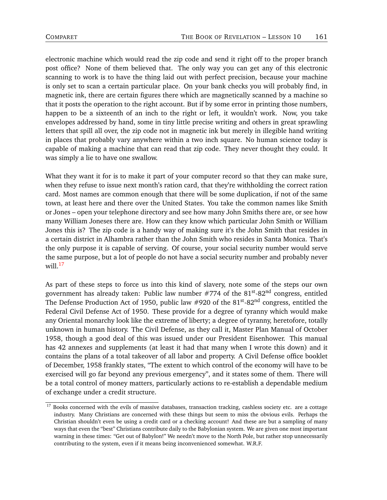electronic machine which would read the zip code and send it right off to the proper branch post office? None of them believed that. The only way you can get any of this electronic scanning to work is to have the thing laid out with perfect precision, because your machine is only set to scan a certain particular place. On your bank checks you will probably find, in magnetic ink, there are certain figures there which are magnetically scanned by a machine so that it posts the operation to the right account. But if by some error in printing those numbers, happen to be a sixteenth of an inch to the right or left, it wouldn't work. Now, you take envelopes addressed by hand, some in tiny little precise writing and others in great sprawling letters that spill all over, the zip code not in magnetic ink but merely in illegible hand writing in places that probably vary anywhere within a two inch square. No human science today is capable of making a machine that can read that zip code. They never thought they could. It was simply a lie to have one swallow.

What they want it for is to make it part of your computer record so that they can make sure, when they refuse to issue next month's ration card, that they're withholding the correct ration card. Most names are common enough that there will be some duplication, if not of the same town, at least here and there over the United States. You take the common names like Smith or Jones – open your telephone directory and see how many John Smiths there are, or see how many William Joneses there are. How can they know which particular John Smith or William Jones this is? The zip code is a handy way of making sure it's the John Smith that resides in a certain district in Alhambra rather than the John Smith who resides in Santa Monica. That's the only purpose it is capable of serving. Of course, your social security number would serve the same purpose, but a lot of people do not have a social security number and probably never will. $17$ 

As part of these steps to force us into this kind of slavery, note some of the steps our own government has already taken: Public law number #774 of the 81st-82nd congress, entitled The Defense Production Act of 1950, public law  $\#920$  of the 81<sup>st</sup>-82<sup>nd</sup> congress, entitled the Federal Civil Defense Act of 1950. These provide for a degree of tyranny which would make any Oriental monarchy look like the extreme of liberty; a degree of tyranny, heretofore, totally unknown in human history. The Civil Defense, as they call it, Master Plan Manual of October 1958, though a good deal of this was issued under our President Eisenhower. This manual has 42 annexes and supplements (at least it had that many when I wrote this down) and it contains the plans of a total takeover of all labor and property. A Civil Defense office booklet of December, 1958 frankly states, "The extent to which control of the economy will have to be exercised will go far beyond any previous emergency", and it states some of them. There will be a total control of money matters, particularly actions to re-establish a dependable medium of exchange under a credit structure.

<span id="page-160-0"></span> $17$  Books concerned with the evils of massive databases, transaction tracking, cashless society etc. are a cottage industry. Many Christians are concerned with these things but seem to miss the obvious evils. Perhaps the Christian shouldn't even be using a credit card or a checking account! And these are but a sampling of many ways that even the "best" Christians contribute daily to the Babylonian system. We are given one most important warning in these times: "Get out of Babylon!" We needn't move to the North Pole, but rather stop unnecessarily contributing to the system, even if it means being inconvenienced somewhat. W.R.F.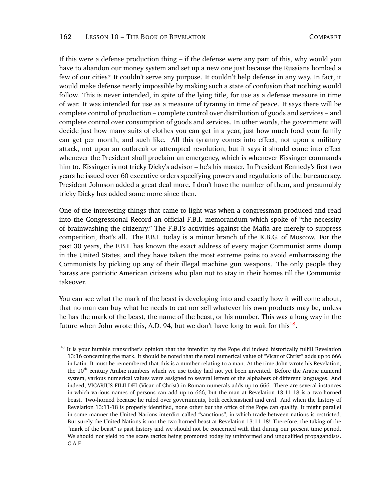If this were a defense production thing – if the defense were any part of this, why would you have to abandon our money system and set up a new one just because the Russians bombed a few of our cities? It couldn't serve any purpose. It couldn't help defense in any way. In fact, it would make defense nearly impossible by making such a state of confusion that nothing would follow. This is never intended, in spite of the lying title, for use as a defense measure in time of war. It was intended for use as a measure of tyranny in time of peace. It says there will be complete control of production – complete control over distribution of goods and services – and complete control over consumption of goods and services. In other words, the government will decide just how many suits of clothes you can get in a year, just how much food your family can get per month, and such like. All this tyranny comes into effect, not upon a military attack, not upon an outbreak or attempted revolution, but it says it should come into effect whenever the President shall proclaim an emergency, which is whenever Kissinger commands him to. Kissinger is not tricky Dicky's advisor – he's his master. In President Kennedy's first two years he issued over 60 executive orders specifying powers and regulations of the bureaucracy. President Johnson added a great deal more. I don't have the number of them, and presumably tricky Dicky has added some more since then.

One of the interesting things that came to light was when a congressman produced and read into the Congressional Record an official F.B.I. memorandum which spoke of "the necessity of brainwashing the citizenry." The F.B.I's activities against the Mafia are merely to suppress competition, that's all. The F.B.I. today is a minor branch of the K.B.G. of Moscow. For the past 30 years, the F.B.I. has known the exact address of every major Communist arms dump in the United States, and they have taken the most extreme pains to avoid embarrassing the Communists by picking up any of their illegal machine gun weapons. The only people they harass are patriotic American citizens who plan not to stay in their homes till the Communist takeover.

You can see what the mark of the beast is developing into and exactly how it will come about, that no man can buy what he needs to eat nor sell whatever his own products may be, unless he has the mark of the beast, the name of the beast, or his number. This was a long way in the future when John wrote this, A.D. 94, but we don't have long to wait for this $^{18}$  $^{18}$  $^{18}$ .

<span id="page-161-0"></span><sup>&</sup>lt;sup>18</sup> It is your humble transcriber's opinion that the interdict by the Pope did indeed historically fulfill Revelation 13:16 concerning the mark. It should be noted that the total numerical value of "Vicar of Christ" adds up to 666 in Latin. It must be remembered that this is a number relating to a man. At the time John wrote his Revelation, the 10<sup>th</sup> century Arabic numbers which we use today had not yet been invented. Before the Arabic numeral system, various numerical values were assigned to several letters of the alphabets of different languages. And indeed, VICARIUS FILII DEI (Vicar of Christ) in Roman numerals adds up to 666. There are several instances in which various names of persons can add up to 666, but the man at Revelation 13:11-18 is a two-horned beast. Two-horned because he ruled over governments, both ecclesiastical and civil. And when the history of Revelation 13:11-18 is properly identified, none other but the office of the Pope can qualify. It might parallel in some manner the United Nations interdict called "sanctions", in which trade between nations is restricted. But surely the United Nations is not the two-horned beast at Revelation 13:11-18! Therefore, the taking of the "mark of the beast" is past history and we should not be concerned with that during our present time period. We should not yield to the scare tactics being promoted today by uninformed and unqualified propagandists. C.A.E.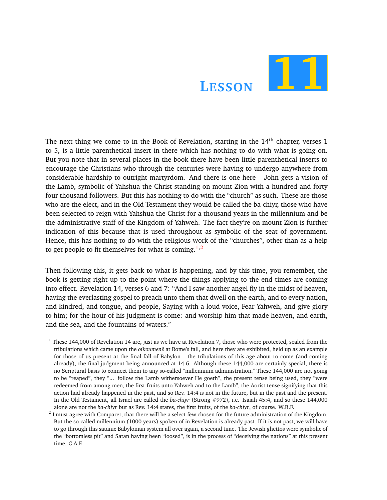

## The next thing we come to in the Book of Revelation, starting in the 14<sup>th</sup> chapter, verses 1 to 5, is a little parenthetical insert in there which has nothing to do with what is going on. But you note that in several places in the book there have been little parenthetical inserts to encourage the Christians who through the centuries were having to undergo anywhere from considerable hardship to outright martyrdom. And there is one here – John gets a vision of the Lamb, symbolic of Yahshua the Christ standing on mount Zion with a hundred and forty four thousand followers. But this has nothing to do with the "church" as such. These are those who are the elect, and in the Old Testament they would be called the ba-chiyr, those who have been selected to reign with Yahshua the Christ for a thousand years in the millennium and be the administrative staff of the Kingdom of Yahweh. The fact they're on mount Zion is further indication of this because that is used throughout as symbolic of the seat of government. Hence, this has nothing to do with the religious work of the "churches", other than as a help to get people to fit themselves for what is coming.<sup>[1](#page-162-0)[,2](#page-162-1)</sup>

Then following this, it gets back to what is happening, and by this time, you remember, the book is getting right up to the point where the things applying to the end times are coming into effect. Revelation 14, verses 6 and 7: "And I saw another angel fly in the midst of heaven, having the everlasting gospel to preach unto them that dwell on the earth, and to every nation, and kindred, and tongue, and people, Saying with a loud voice, Fear Yahweh, and give glory to him; for the hour of his judgment is come: and worship him that made heaven, and earth, and the sea, and the fountains of waters."

<span id="page-162-0"></span> $1$  These 144,000 of Revelation 14 are, just as we have at Revelation 7, those who were protected, sealed from the tribulations which came upon the *oikoumenê* at Rome's fall, and here they are exhibited, held up as an example for those of us present at the final fall of Babylon – the tribulations of this age about to come (and coming already), the final judgment being announced at 14:6. Although these 144,000 are certainly special, there is no Scriptural basis to connect them to any so-called "millennium administration." These 144,000 are not going to be "reaped", they "... follow the Lamb withersoever He goeth", the present tense being used, they "were redeemed from among men, the first fruits unto Yahweh and to the Lamb", the Aorist tense signifying that this action had already happened in the past, and so Rev. 14:4 is not in the future, but in the past and the present. In the Old Testament, all Israel are called the *ba-chiyr* (Strong #972), i.e. Isaiah 45:4, and so these 144,000 alone are not the *ba-chiyr* but as Rev. 14:4 states, the first fruits, of the *ba-chiyr*, of course. W.R.F.

<span id="page-162-1"></span> $2$  I must agree with Comparet, that there will be a select few chosen for the future administration of the Kingdom. But the so-called millennium (1000 years) spoken of in Revelation is already past. If it is not past, we will have to go through this satanic Babylonian system all over again, a second time. The Jewish ghettos were symbolic of the "bottomless pit" and Satan having been "loosed", is in the process of "deceiving the nations" at this present time. C.A.E.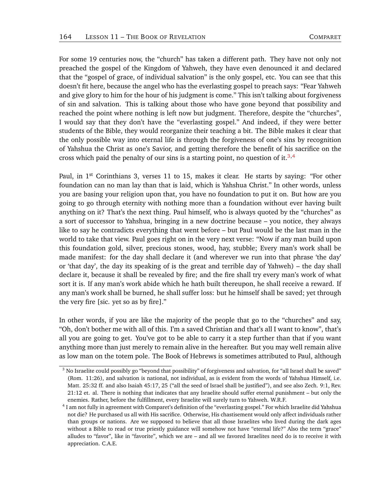For some 19 centuries now, the "church" has taken a different path. They have not only not preached the gospel of the Kingdom of Yahweh, they have even denounced it and declared that the "gospel of grace, of individual salvation" is the only gospel, etc. You can see that this doesn't fit here, because the angel who has the everlasting gospel to preach says: "Fear Yahweh and give glory to him for the hour of his judgment is come." This isn't talking about forgiveness of sin and salvation. This is talking about those who have gone beyond that possibility and reached the point where nothing is left now but judgment. Therefore, despite the "churches", I would say that they don't have the "everlasting gospel." And indeed, if they were better students of the Bible, they would reorganize their teaching a bit. The Bible makes it clear that the only possible way into eternal life is through the forgiveness of one's sins by recognition of Yahshua the Christ as one's Savior, and getting therefore the benefit of his sacrifice on the cross which paid the penalty of our sins is a starting point, no question of it.<sup>[3,](#page-163-0)[4](#page-163-1)</sup>

Paul, in 1<sup>st</sup> Corinthians 3, verses 11 to 15, makes it clear. He starts by saying: "For other foundation can no man lay than that is laid, which is Yahshua Christ." In other words, unless you are basing your religion upon that, you have no foundation to put it on. But how are you going to go through eternity with nothing more than a foundation without ever having built anything on it? That's the next thing. Paul himself, who is always quoted by the "churches" as a sort of successor to Yahshua, bringing in a new doctrine because – you notice, they always like to say he contradicts everything that went before – but Paul would be the last man in the world to take that view. Paul goes right on in the very next verse: "Now if any man build upon this foundation gold, silver, precious stones, wood, hay, stubble; Every man's work shall be made manifest: for the day shall declare it (and wherever we run into that phrase 'the day' or 'that day', the day its speaking of is the great and terrible day of Yahweh) – the day shall declare it, because it shall be revealed by fire; and the fire shall try every man's work of what sort it is. If any man's work abide which he hath built thereupon, he shall receive a reward. If any man's work shall be burned, he shall suffer loss: but he himself shall be saved; yet through the very fire [sic. yet so as by fire]."

In other words, if you are like the majority of the people that go to the "churches" and say, "Oh, don't bother me with all of this. I'm a saved Christian and that's all I want to know", that's all you are going to get. You've got to be able to carry it a step further than that if you want anything more than just merely to remain alive in the hereafter. But you may well remain alive as low man on the totem pole. The Book of Hebrews is sometimes attributed to Paul, although

<span id="page-163-0"></span> $3$  No Israelite could possibly go "beyond that possibility" of forgiveness and salvation, for "all Israel shall be saved" (Rom. 11:26), and salvation is national, not individual, as is evident from the words of Yahshua Himself, i.e. Matt. 25:32 ff. and also Isaiah 45:17, 25 ("all the seed of Israel shall be justified"), and see also Zech. 9:1, Rev. 21:12 et. al. There is nothing that indicates that any Israelite should suffer eternal punishment – but only the enemies. Rather, before the fulfillment, every Israelite will surely turn to Yahweh. W.R.F.

<span id="page-163-1"></span><sup>4</sup> I am not fully in agreement with Comparet's definition of the "everlasting gospel." For which Israelite did Yahshua not die? He purchased us all with His sacrifice. Otherwise, His chastisement would only affect individuals rather than groups or nations. Are we supposed to believe that all those Israelites who lived during the dark ages without a Bible to read or true priestly guidance will somehow not have "eternal life?" Also the term "grace" alludes to "favor", like in "favorite", which we are – and all we favored Israelites need do is to receive it with appreciation. C.A.E.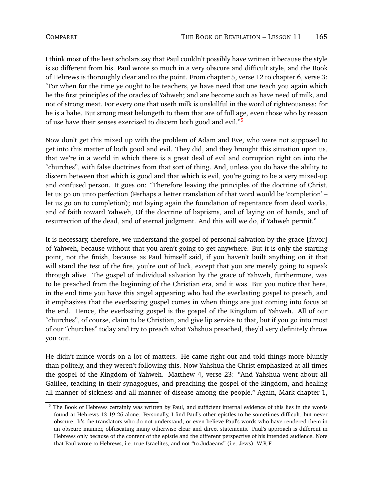I think most of the best scholars say that Paul couldn't possibly have written it because the style is so different from his. Paul wrote so much in a very obscure and difficult style, and the Book of Hebrews is thoroughly clear and to the point. From chapter 5, verse 12 to chapter 6, verse 3: "For when for the time ye ought to be teachers, ye have need that one teach you again which be the first principles of the oracles of Yahweh; and are become such as have need of milk, and not of strong meat. For every one that useth milk is unskillful in the word of righteousness: for he is a babe. But strong meat belongeth to them that are of full age, even those who by reason of use have their senses exercised to discern both good and evil."<sup>[5](#page-164-0)</sup>

Now don't get this mixed up with the problem of Adam and Eve, who were not supposed to get into this matter of both good and evil. They did, and they brought this situation upon us, that we're in a world in which there is a great deal of evil and corruption right on into the "churches", with false doctrines from that sort of thing. And, unless you do have the ability to discern between that which is good and that which is evil, you're going to be a very mixed-up and confused person. It goes on: "Therefore leaving the principles of the doctrine of Christ, let us go on unto perfection (Perhaps a better translation of that word would be 'completion' – let us go on to completion); not laying again the foundation of repentance from dead works, and of faith toward Yahweh, Of the doctrine of baptisms, and of laying on of hands, and of resurrection of the dead, and of eternal judgment. And this will we do, if Yahweh permit."

It is necessary, therefore, we understand the gospel of personal salvation by the grace [favor] of Yahweh, because without that you aren't going to get anywhere. But it is only the starting point, not the finish, because as Paul himself said, if you haven't built anything on it that will stand the test of the fire, you're out of luck, except that you are merely going to squeak through alive. The gospel of individual salvation by the grace of Yahweh, furthermore, was to be preached from the beginning of the Christian era, and it was. But you notice that here, in the end time you have this angel appearing who had the everlasting gospel to preach, and it emphasizes that the everlasting gospel comes in when things are just coming into focus at the end. Hence, the everlasting gospel is the gospel of the Kingdom of Yahweh. All of our "churches", of course, claim to be Christian, and give lip service to that, but if you go into most of our "churches" today and try to preach what Yahshua preached, they'd very definitely throw you out.

He didn't mince words on a lot of matters. He came right out and told things more bluntly than politely, and they weren't following this. Now Yahshua the Christ emphasized at all times the gospel of the Kingdom of Yahweh. Matthew 4, verse 23: "And Yahshua went about all Galilee, teaching in their synagogues, and preaching the gospel of the kingdom, and healing all manner of sickness and all manner of disease among the people." Again, Mark chapter 1,

<span id="page-164-0"></span><sup>&</sup>lt;sup>5</sup> The Book of Hebrews certainly was written by Paul, and sufficient internal evidence of this lies in the words found at Hebrews 13:19-26 alone. Personally, I find Paul's other epistles to be sometimes difficult, but never obscure. It's the translators who do not understand, or even believe Paul's words who have rendered them in an obscure manner, obfuscating many otherwise clear and direct statements. Paul's approach is different in Hebrews only because of the content of the epistle and the different perspective of his intended audience. Note that Paul wrote to Hebrews, i.e. true Israelites, and not "to Judaeans" (i.e. Jews). W.R.F.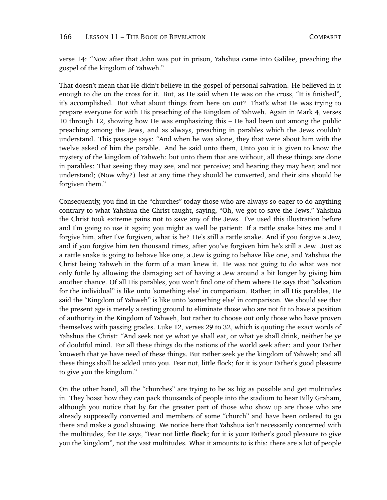verse 14: "Now after that John was put in prison, Yahshua came into Galilee, preaching the gospel of the kingdom of Yahweh."

That doesn't mean that He didn't believe in the gospel of personal salvation. He believed in it enough to die on the cross for it. But, as He said when He was on the cross, "It is finished", it's accomplished. But what about things from here on out? That's what He was trying to prepare everyone for with His preaching of the Kingdom of Yahweh. Again in Mark 4, verses 10 through 12, showing how He was emphasizing this – He had been out among the public preaching among the Jews, and as always, preaching in parables which the Jews couldn't understand. This passage says: "And when he was alone, they that were about him with the twelve asked of him the parable. And he said unto them, Unto you it is given to know the mystery of the kingdom of Yahweh: but unto them that are without, all these things are done in parables: That seeing they may see, and not perceive; and hearing they may hear, and not understand; (Now why?) lest at any time they should be converted, and their sins should be forgiven them."

Consequently, you find in the "churches" today those who are always so eager to do anything contrary to what Yahshua the Christ taught, saying, "Oh, we got to save the Jews." Yahshua the Christ took extreme pains **not** to save any of the Jews. I've used this illustration before and I'm going to use it again; you might as well be patient: If a rattle snake bites me and I forgive him, after I've forgiven, what is he? He's still a rattle snake. And if you forgive a Jew, and if you forgive him ten thousand times, after you've forgiven him he's still a Jew. Just as a rattle snake is going to behave like one, a Jew is going to behave like one, and Yahshua the Christ being Yahweh in the form of a man knew it. He was not going to do what was not only futile by allowing the damaging act of having a Jew around a bit longer by giving him another chance. Of all His parables, you won't find one of them where He says that "salvation for the individual" is like unto 'something else' in comparison. Rather, in all His parables, He said the "Kingdom of Yahweh" is like unto 'something else' in comparison. We should see that the present age is merely a testing ground to eliminate those who are not fit to have a position of authority in the Kingdom of Yahweh, but rather to choose out only those who have proven themselves with passing grades. Luke 12, verses 29 to 32, which is quoting the exact words of Yahshua the Christ: "And seek not ye what ye shall eat, or what ye shall drink, neither be ye of doubtful mind. For all these things do the nations of the world seek after: and your Father knoweth that ye have need of these things. But rather seek ye the kingdom of Yahweh; and all these things shall be added unto you. Fear not, little flock; for it is your Father's good pleasure to give you the kingdom."

On the other hand, all the "churches" are trying to be as big as possible and get multitudes in. They boast how they can pack thousands of people into the stadium to hear Billy Graham, although you notice that by far the greater part of those who show up are those who are already supposedly converted and members of some "church" and have been ordered to go there and make a good showing. We notice here that Yahshua isn't necessarily concerned with the multitudes, for He says, "Fear not **little flock**; for it is your Father's good pleasure to give you the kingdom", not the vast multitudes. What it amounts to is this: there are a lot of people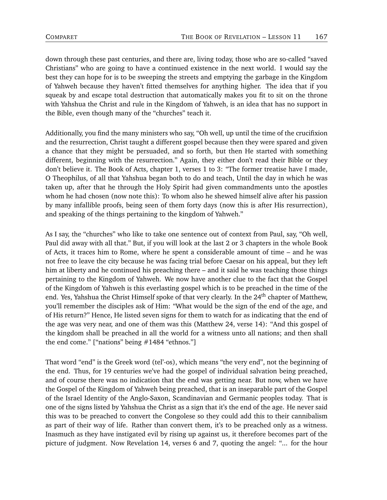down through these past centuries, and there are, living today, those who are so-called "saved Christians" who are going to have a continued existence in the next world. I would say the best they can hope for is to be sweeping the streets and emptying the garbage in the Kingdom of Yahweh because they haven't fitted themselves for anything higher. The idea that if you squeak by and escape total destruction that automatically makes you fit to sit on the throne with Yahshua the Christ and rule in the Kingdom of Yahweh, is an idea that has no support in the Bible, even though many of the "churches" teach it.

Additionally, you find the many ministers who say, "Oh well, up until the time of the crucifixion and the resurrection, Christ taught a different gospel because then they were spared and given a chance that they might be persuaded, and so forth, but then He started with something different, beginning with the resurrection." Again, they either don't read their Bible or they don't believe it. The Book of Acts, chapter 1, verses 1 to 3: "The former treatise have I made, O Theophilus, of all that Yahshua began both to do and teach, Until the day in which he was taken up, after that he through the Holy Spirit had given commandments unto the apostles whom he had chosen (now note this): To whom also he shewed himself alive after his passion by many infallible proofs, being seen of them forty days (now this is after His resurrection), and speaking of the things pertaining to the kingdom of Yahweh."

As I say, the "churches" who like to take one sentence out of context from Paul, say, "Oh well, Paul did away with all that." But, if you will look at the last 2 or 3 chapters in the whole Book of Acts, it traces him to Rome, where he spent a considerable amount of time – and he was not free to leave the city because he was facing trial before Caesar on his appeal, but they left him at liberty and he continued his preaching there – and it said he was teaching those things pertaining to the Kingdom of Yahweh. We now have another clue to the fact that the Gospel of the Kingdom of Yahweh is this everlasting gospel which is to be preached in the time of the end. Yes, Yahshua the Christ Himself spoke of that very clearly. In the 24<sup>th</sup> chapter of Matthew, you'll remember the disciples ask of Him: "What would be the sign of the end of the age, and of His return?" Hence, He listed seven signs for them to watch for as indicating that the end of the age was very near, and one of them was this (Matthew 24, verse 14): "And this gospel of the kingdom shall be preached in all the world for a witness unto all nations; and then shall the end come." ["nations" being #1484 "ethnos."]

That word "end" is the Greek word (tel'-os), which means "the very end", not the beginning of the end. Thus, for 19 centuries we've had the gospel of individual salvation being preached, and of course there was no indication that the end was getting near. But now, when we have the Gospel of the Kingdom of Yahweh being preached, that is an inseparable part of the Gospel of the Israel Identity of the Anglo-Saxon, Scandinavian and Germanic peoples today. That is one of the signs listed by Yahshua the Christ as a sign that it's the end of the age. He never said this was to be preached to convert the Congolese so they could add this to their cannibalism as part of their way of life. Rather than convert them, it's to be preached only as a witness. Inasmuch as they have instigated evil by rising up against us, it therefore becomes part of the picture of judgment. Now Revelation 14, verses 6 and 7, quoting the angel: "... for the hour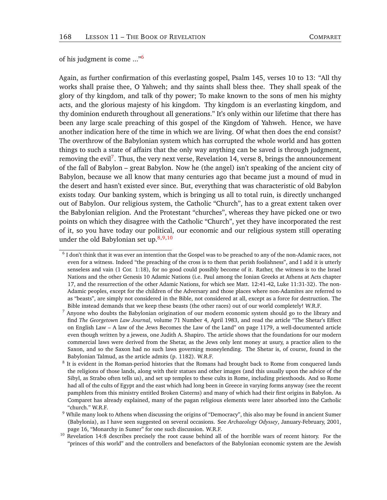of his judgment is come ..."[6](#page-167-0)

Again, as further confirmation of this everlasting gospel, Psalm 145, verses 10 to 13: "All thy works shall praise thee, O Yahweh; and thy saints shall bless thee. They shall speak of the glory of thy kingdom, and talk of thy power; To make known to the sons of men his mighty acts, and the glorious majesty of his kingdom. Thy kingdom is an everlasting kingdom, and thy dominion endureth throughout all generations." It's only within our lifetime that there has been any large scale preaching of this gospel of the Kingdom of Yahweh. Hence, we have another indication here of the time in which we are living. Of what then does the end consist? The overthrow of the Babylonian system which has corrupted the whole world and has gotten things to such a state of affairs that the only way anything can be saved is through judgment, removing the evil<sup>[7](#page-167-1)</sup>. Thus, the very next verse, Revelation 14, verse 8, brings the announcement of the fall of Babylon – great Babylon. Now he (the angel) isn't speaking of the ancient city of Babylon, because we all know that many centuries ago that became just a mound of mud in the desert and hasn't existed ever since. But, everything that was characteristic of old Babylon exists today. Our banking system, which is bringing us all to total ruin, is directly unchanged out of Babylon. Our religious system, the Catholic "Church", has to a great extent taken over the Babylonian religion. And the Protestant "churches", whereas they have picked one or two points on which they disagree with the Catholic "Church", yet they have incorporated the rest of it, so you have today our political, our economic and our religious system still operating under the old Babylonian set up. $8,9,10$  $8,9,10$  $8,9,10$ 

<span id="page-167-0"></span><sup>&</sup>lt;sup>6</sup> I don't think that it was ever an intention that the Gospel was to be preached to any of the non-Adamic races, not even for a witness. Indeed "the preaching of the cross is to them that perish foolishness", and I add it is utterly senseless and vain (1 Cor. 1:18), for no good could possibly become of it. Rather, the witness is to the Israel Nations and the other Genesis 10 Adamic Nations (i.e. Paul among the Ionian Greeks at Athens at Acts chapter 17, and the resurrection of the other Adamic Nations, for which see Matt. 12:41-42, Luke 11:31-32). The non-Adamic peoples, except for the children of the Adversary and those places where non-Adamites are referred to as "beasts", are simply not considered in the Bible, not considered at all, except as a force for destruction. The Bible instead demands that we keep these beasts (the other races) out of our world completely! W.R.F.

<span id="page-167-1"></span> $7$  Anyone who doubts the Babylonian origination of our modern economic system should go to the library and find *The Georgetown Law Journal*, volume 71 Number 4, April 1983, and read the article "The Shetar's Effect on English Law – A law of the Jews Becomes the Law of the Land" on page 1179, a well-documented article even though written by a jewess, one Judith A. Shapiro. The article shows that the foundations for our modern commercial laws were derived from the Shetar, as the Jews only lent money at usury, a practice alien to the Saxon, and so the Saxon had no such laws governing moneylending. The Shetar is, of course, found in the Babylonian Talmud, as the article admits (p. 1182). W.R.F.

<span id="page-167-2"></span><sup>8</sup> It is evident in the Roman-period histories that the Romans had brought back to Rome from conquered lands the religions of those lands, along with their statues and other images (and this usually upon the advice of the Sibyl, as Strabo often tells us), and set up temples to these cults in Rome, including priesthoods. And so Rome had all of the cults of Egypt and the east which had long been in Greece in varying forms anyway (see the recent pamphlets from this ministry entitled Broken Cisterns) and many of which had their first origins in Babylon. As Comparet has already explained, many of the pagan religious elements were later absorbed into the Catholic "church." W.R.F.

<span id="page-167-3"></span><sup>9</sup> While many look to Athens when discussing the origins of "Democracy", this also may be found in ancient Sumer (Babylonia), as I have seen suggested on several occasions. See *Archaeology Odyssey*, January-February, 2001, page 16, "Monarchy in Sumer" for one such discussion. W.R.F.

<span id="page-167-4"></span><sup>&</sup>lt;sup>10</sup> Revelation 14:8 describes precisely the root cause behind all of the horrible wars of recent history. For the "princes of this world" and the controllers and benefactors of the Babylonian economic system are the Jewish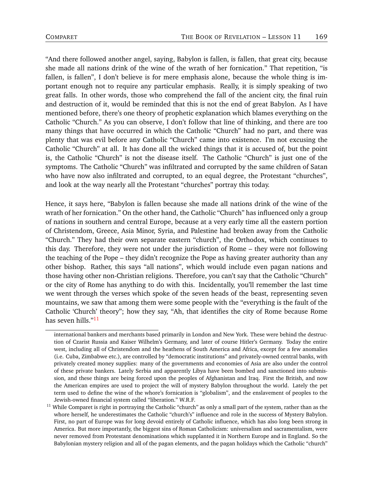"And there followed another angel, saying, Babylon is fallen, is fallen, that great city, because she made all nations drink of the wine of the wrath of her fornication." That repetition, "is fallen, is fallen", I don't believe is for mere emphasis alone, because the whole thing is important enough not to require any particular emphasis. Really, it is simply speaking of two great falls. In other words, those who comprehend the fall of the ancient city, the final ruin and destruction of it, would be reminded that this is not the end of great Babylon. As I have mentioned before, there's one theory of prophetic explanation which blames everything on the Catholic "Church." As you can observe, I don't follow that line of thinking, and there are too many things that have occurred in which the Catholic "Church" had no part, and there was plenty that was evil before any Catholic "Church" came into existence. I'm not excusing the Catholic "Church" at all. It has done all the wicked things that it is accused of, but the point is, the Catholic "Church" is not the disease itself. The Catholic "Church" is just one of the symptoms. The Catholic "Church" was infiltrated and corrupted by the same children of Satan who have now also infiltrated and corrupted, to an equal degree, the Protestant "churches", and look at the way nearly all the Protestant "churches" portray this today.

Hence, it says here, "Babylon is fallen because she made all nations drink of the wine of the wrath of her fornication." On the other hand, the Catholic "Church" has influenced only a group of nations in southern and central Europe, because at a very early time all the eastern portion of Christendom, Greece, Asia Minor, Syria, and Palestine had broken away from the Catholic "Church." They had their own separate eastern "church", the Orthodox, which continues to this day. Therefore, they were not under the jurisdiction of Rome – they were not following the teaching of the Pope – they didn't recognize the Pope as having greater authority than any other bishop. Rather, this says "all nations", which would include even pagan nations and those having other non-Christian religions. Therefore, you can't say that the Catholic "Church" or the city of Rome has anything to do with this. Incidentally, you'll remember the last time we went through the verses which spoke of the seven heads of the beast, representing seven mountains, we saw that among them were some people with the "everything is the fault of the Catholic 'Church' theory"; how they say, "Ah, that identifies the city of Rome because Rome has seven hills."[11](#page-168-0)

international bankers and merchants based primarily in London and New York. These were behind the destruction of Czarist Russia and Kaiser Wilhelm's Germany, and later of course Hitler's Germany. Today the entire west, including all of Christendom and the heathens of South America and Africa, except for a few anomalies (i.e. Cuba, Zimbabwe etc.), are controlled by "democratic institutions" and privately-owned central banks, with privately created money supplies: many of the governments and economies of Asia are also under the control of these private bankers. Lately Serbia and apparently Libya have been bombed and sanctioned into submission, and these things are being forced upon the peoples of Afghanistan and Iraq. First the British, and now the American empires are used to project the will of mystery Babylon throughout the world. Lately the pet term used to define the wine of the whore's fornication is "globalism", and the enslavement of peoples to the Jewish-owned financial system called "liberation." W.R.F.

<span id="page-168-0"></span><sup>&</sup>lt;sup>11</sup> While Comparet is right in portraying the Catholic "church" as only a small part of the system, rather than as the whore herself, he underestimates the Catholic "church's" influence and role in the success of Mystery Babylon. First, no part of Europe was for long devoid entirely of Catholic influence, which has also long been strong in America. But more importantly, the biggest sins of Roman Catholicism: universalism and sacramentalism, were never removed from Protestant denominations which supplanted it in Northern Europe and in England. So the Babylonian mystery religion and all of the pagan elements, and the pagan holidays which the Catholic "church"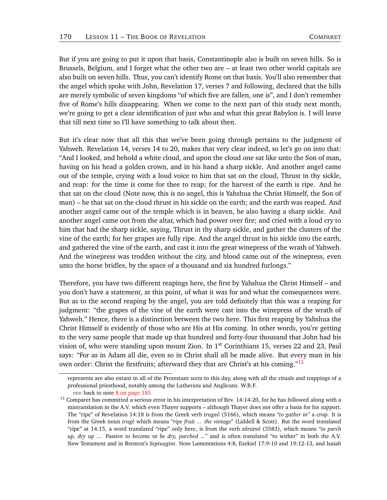But if you are going to put it upon that basis, Constantinople also is built on seven hills. So is Brussels, Belgium, and I forget what the other two are – at least two other world capitals are also built on seven hills. Thus, you can't identify Rome on that basis. You'll also remember that the angel which spoke with John, Revelation 17, verses 7 and following, declared that the hills are merely symbolic of seven kingdoms "of which five are fallen, one is", and I don't remember five of Rome's hills disappearing. When we come to the next part of this study next month, we're going to get a clear identification of just who and what this great Babylon is. I will leave that till next time so I'll have something to talk about then.

But it's clear now that all this that we've been going through pertains to the judgment of Yahweh. Revelation 14, verses 14 to 20, makes that very clear indeed, so let's go on into that: "And I looked, and behold a white cloud, and upon the cloud one sat like unto the Son of man, having on his head a golden crown, and in his hand a sharp sickle. And another angel came out of the temple, crying with a loud voice to him that sat on the cloud, Thrust in thy sickle, and reap: for the time is come for thee to reap; for the harvest of the earth is ripe. And he that sat on the cloud (Note now, this is no angel, this is Yahshua the Christ Himself, the Son of man) – he that sat on the cloud thrust in his sickle on the earth; and the earth was reaped. And another angel came out of the temple which is in heaven, he also having a sharp sickle. And another angel came out from the altar, which had power over fire; and cried with a loud cry to him that had the sharp sickle, saying, Thrust in thy sharp sickle, and gather the clusters of the vine of the earth; for her grapes are fully ripe. And the angel thrust in his sickle into the earth, and gathered the vine of the earth, and cast it into the great winepress of the wrath of Yahweh. And the winepress was trodden without the city, and blood came out of the winepress, even unto the horse bridles, by the space of a thousand and six hundred furlongs."

Therefore, you have two different reapings here, the first by Yahshua the Christ Himself – and you don't have a statement, at this point, of what it was for and what the consequences were. But as to the second reaping by the angel, you are told definitely that this was a reaping for judgment: "the grapes of the vine of the earth were cast into the winepress of the wrath of Yahweh." Hence, there is a distinction between the two here. This first reaping by Yahshua the Christ Himself is evidently of those who are His at His coming. In other words, you're getting to the very same people that made up that hundred and forty-four thousand that John had his vision of, who were standing upon mount Zion. In 1<sup>st</sup> Corinthians 15, verses 22 and 23, Paul says: "For as in Adam all die, even so in Christ shall all be made alive. But every man in his own order: Christ the firstfruits; afterward they that are Christ's at his coming."<sup>[12](#page-169-0)</sup>

represents are also extant in all of the Protestant sects to this day, along with all the rituals and trappings of a professional priesthood, notably among the Lutherans and Anglicans. W.R.F.

<span id="page-169-0"></span> $\triangleright$  back to note [8 on page 185](#page-184-0)

 $12$  Comparet has committed a serious error in his interpretation of Rev. 14:14-20, for he has followed along with a mistranslation in the A.V. which even Thayer supports – although Thayer does not offer a basis for his support. The "ripe" of Revelation 14:18 is from the Greek verb *trugaô* (5166), which means "*to gather in*" a crop. It is from the Greek noun *trugê* which means "*ripe fruit ... the vintage*" (Liddell & Scott). But the word translated "ripe" at 14:15, a word translated "ripe" only here, is from the verb *xârainô* (3583), which means "*to parch up, dry up* ... Passive *to become* or *be dry, parched* ..." and is often translated "to wither" in both the A.V. New Testament and in Brenton's *Septuagint*. Note Lamentations 4:8, Ezekiel 17:9-10 and 19:12-13, and Isaiah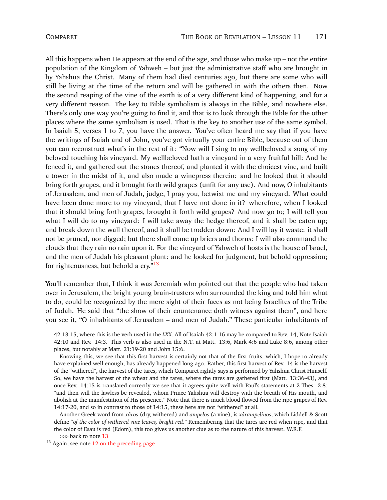All this happens when He appears at the end of the age, and those who make up – not the entire population of the Kingdom of Yahweh – but just the administrative staff who are brought in by Yahshua the Christ. Many of them had died centuries ago, but there are some who will still be living at the time of the return and will be gathered in with the others then. Now the second reaping of the vine of the earth is of a very different kind of happening, and for a very different reason. The key to Bible symbolism is always in the Bible, and nowhere else. There's only one way you're going to find it, and that is to look through the Bible for the other places where the same symbolism is used. That is the key to another use of the same symbol. In Isaiah 5, verses 1 to 7, you have the answer. You've often heard me say that if you have the writings of Isaiah and of John, you've got virtually your entire Bible, because out of them you can reconstruct what's in the rest of it: "Now will I sing to my wellbeloved a song of my beloved touching his vineyard. My wellbeloved hath a vineyard in a very fruitful hill: And he fenced it, and gathered out the stones thereof, and planted it with the choicest vine, and built a tower in the midst of it, and also made a winepress therein: and he looked that it should bring forth grapes, and it brought forth wild grapes (unfit for any use). And now, O inhabitants of Jerusalem, and men of Judah, judge, I pray you, betwixt me and my vineyard. What could have been done more to my vineyard, that I have not done in it? wherefore, when I looked that it should bring forth grapes, brought it forth wild grapes? And now go to; I will tell you what I will do to my vineyard: I will take away the hedge thereof, and it shall be eaten up; and break down the wall thereof, and it shall be trodden down: And I will lay it waste: it shall not be pruned, nor digged; but there shall come up briers and thorns: I will also command the clouds that they rain no rain upon it. For the vineyard of Yahweh of hosts is the house of Israel, and the men of Judah his pleasant plant: and he looked for judgment, but behold oppression; for righteousness, but behold a cry."[13](#page-170-0)

You'll remember that, I think it was Jeremiah who pointed out that the people who had taken over in Jerusalem, the bright young brain-trusters who surrounded the king and told him what to do, could be recognized by the mere sight of their faces as not being Israelites of the Tribe of Judah. He said that "the show of their countenance doth witness against them", and here you see it, "O inhabitants of Jerusalem – and men of Judah." These particular inhabitants of

<sup>42:13-15,</sup> where this is the verb used in the *LXX*. All of Isaiah 42:1-16 may be compared to Rev. 14; Note Isaiah 42:10 and Rev. 14:3. This verb is also used in the N.T. at Matt. 13:6, Mark 4:6 and Luke 8:6, among other places, but notably at Matt. 21:19-20 and John 15:6.

Knowing this, we see that this first harvest is certainly not that of the first fruits, which, I hope to already have explained well enough, has already happened long ago. Rather, this first harvest of Rev. 14 is the harvest of the "withered", the harvest of the tares, which Comparet rightly says is performed by Yahshua Christ Himself. So, we have the harvest of the wheat and the tares, where the tares are gathered first (Matt. 13:36-43), and once Rev. 14:15 is translated correctly we see that it agrees quite well with Paul's statements at 2 Thes. 2:8: "and then will the lawless be revealed, whom Prince Yahshua will destroy with the breath of His mouth, and abolish at the manifestation of His presence." Note that there is much blood flowed from the ripe grapes of Rev. 14:17-20, and so in contrast to those of 14:15, these here are not "withered" at all.

Another Greek word from *xâros* (dry, withered) and *ampelos* (a vine), is *xârampelinos*, which Liddell & Scott define "*of the color of withered vine leaves, bright red*." Remembering that the tares are red when ripe, and that the color of Esau is red (Edom), this too gives us another clue as to the nature of this harvest. W.R.F.

**DDD** back to note [13](#page-170-0)

<span id="page-170-0"></span> $13$  Again, see note [12 on the preceding page](#page-169-0)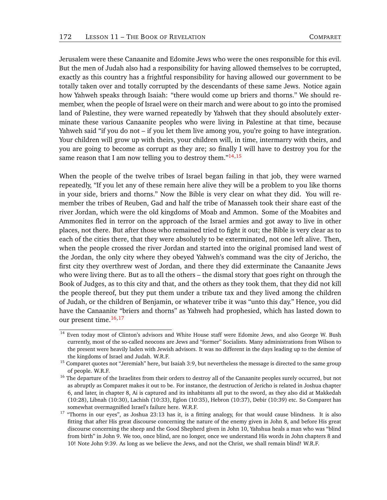Jerusalem were these Canaanite and Edomite Jews who were the ones responsible for this evil. But the men of Judah also had a responsibility for having allowed themselves to be corrupted, exactly as this country has a frightful responsibility for having allowed our government to be totally taken over and totally corrupted by the descendants of these same Jews. Notice again how Yahweh speaks through Isaiah: "there would come up briers and thorns." We should remember, when the people of Israel were on their march and were about to go into the promised land of Palestine, they were warned repeatedly by Yahweh that they should absolutely exterminate these various Canaanite peoples who were living in Palestine at that time, because Yahweh said "if you do not – if you let them live among you, you're going to have integration. Your children will grow up with theirs, your children will, in time, intermarry with theirs, and you are going to become as corrupt as they are; so finally I will have to destroy you for the same reason that I am now telling you to destroy them." $14,15$  $14,15$ 

When the people of the twelve tribes of Israel began failing in that job, they were warned repeatedly, "If you let any of these remain here alive they will be a problem to you like thorns in your side, briers and thorns." Now the Bible is very clear on what they did. You will remember the tribes of Reuben, Gad and half the tribe of Manasseh took their share east of the river Jordan, which were the old kingdoms of Moab and Ammon. Some of the Moabites and Ammonites fled in terror on the approach of the Israel armies and got away to live in other places, not there. But after those who remained tried to fight it out; the Bible is very clear as to each of the cities there, that they were absolutely to be exterminated, not one left alive. Then, when the people crossed the river Jordan and started into the original promised land west of the Jordan, the only city where they obeyed Yahweh's command was the city of Jericho, the first city they overthrew west of Jordan, and there they did exterminate the Canaanite Jews who were living there. But as to all the others – the dismal story that goes right on through the Book of Judges, as to this city and that, and the others as they took them, that they did not kill the people thereof, but they put them under a tribute tax and they lived among the children of Judah, or the children of Benjamin, or whatever tribe it was "unto this day." Hence, you did have the Canaanite "briers and thorns" as Yahweh had prophesied, which has lasted down to our present time.<sup>[16,](#page-171-2)[17](#page-171-3)</sup>

<span id="page-171-0"></span><sup>&</sup>lt;sup>14</sup> Even today most of Clinton's advisors and White House staff were Edomite Jews, and also George W. Bush currently, most of the so-called neocons are Jews and "former" Socialists. Many administrations from Wilson to the present were heavily laden with Jewish advisors. It was no different in the days leading up to the demise of the kingdoms of Israel and Judah. W.R.F.

<span id="page-171-1"></span><sup>&</sup>lt;sup>15</sup> Comparet quotes not "Jeremiah" here, but Isaiah 3:9, but nevertheless the message is directed to the same group of people. W.R.F.

<span id="page-171-2"></span><sup>&</sup>lt;sup>16</sup> The departure of the Israelites from their orders to destroy all of the Canaanite peoples surely occurred, but not as abruptly as Comparet makes it out to be. For instance, the destruction of Jericho is related in Joshua chapter 6, and later, in chapter 8, Ai is captured and its inhabitants all put to the sword, as they also did at Makkedah (10:28), Libnah (10:30), Lachish (10:33), Eglon (10:35), Hebron (10:37), Debir (10:39) etc. So Comparet has somewhat overmagnified Israel's failure here. W.R.F.

<span id="page-171-3"></span><sup>&</sup>lt;sup>17</sup> "Thorns in our eyes", as Joshua 23:13 has it, is a fitting analogy, for that would cause blindness. It is also fitting that after His great discourse concerning the nature of the enemy given in John 8, and before His great discourse concerning the sheep and the Good Shepherd given in John 10, Yahshua heals a man who was "blind from birth" in John 9. We too, once blind, are no longer, once we understand His words in John chapters 8 and 10! Note John 9:39. As long as we believe the Jews, and not the Christ, we shall remain blind! W.R.F.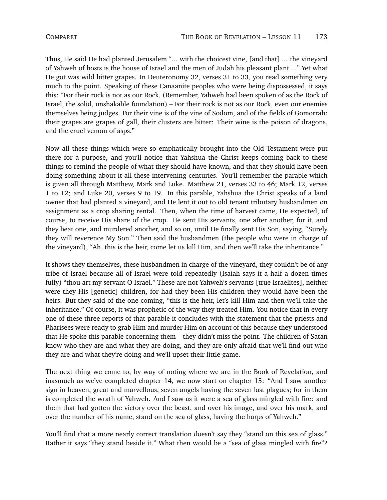Thus, He said He had planted Jerusalem "... with the choicest vine, [and that] ... the vineyard of Yahweh of hosts is the house of Israel and the men of Judah his pleasant plant ..." Yet what He got was wild bitter grapes. In Deuteronomy 32, verses 31 to 33, you read something very much to the point. Speaking of these Canaanite peoples who were being dispossessed, it says this: "For their rock is not as our Rock, (Remember, Yahweh had been spoken of as the Rock of Israel, the solid, unshakable foundation) – For their rock is not as our Rock, even our enemies themselves being judges. For their vine is of the vine of Sodom, and of the fields of Gomorrah: their grapes are grapes of gall, their clusters are bitter: Their wine is the poison of dragons, and the cruel venom of asps."

Now all these things which were so emphatically brought into the Old Testament were put there for a purpose, and you'll notice that Yahshua the Christ keeps coming back to these things to remind the people of what they should have known, and that they should have been doing something about it all these intervening centuries. You'll remember the parable which is given all through Matthew, Mark and Luke. Matthew 21, verses 33 to 46; Mark 12, verses 1 to 12; and Luke 20, verses 9 to 19. In this parable, Yahshua the Christ speaks of a land owner that had planted a vineyard, and He lent it out to old tenant tributary husbandmen on assignment as a crop sharing rental. Then, when the time of harvest came, He expected, of course, to receive His share of the crop. He sent His servants, one after another, for it, and they beat one, and murdered another, and so on, until He finally sent His Son, saying, "Surely they will reverence My Son." Then said the husbandmen (the people who were in charge of the vineyard), "Ah, this is the heir, come let us kill Him, and then we'll take the inheritance."

It shows they themselves, these husbandmen in charge of the vineyard, they couldn't be of any tribe of Israel because all of Israel were told repeatedly (Isaiah says it a half a dozen times fully) "thou art my servant O Israel." These are not Yahweh's servants [true Israelites], neither were they His [genetic] children, for had they been His children they would have been the heirs. But they said of the one coming, "this is the heir, let's kill Him and then we'll take the inheritance." Of course, it was prophetic of the way they treated Him. You notice that in every one of these three reports of that parable it concludes with the statement that the priests and Pharisees were ready to grab Him and murder Him on account of this because they understood that He spoke this parable concerning them – they didn't miss the point. The children of Satan know who they are and what they are doing, and they are only afraid that we'll find out who they are and what they're doing and we'll upset their little game.

The next thing we come to, by way of noting where we are in the Book of Revelation, and inasmuch as we've completed chapter 14, we now start on chapter 15: "And I saw another sign in heaven, great and marvellous, seven angels having the seven last plagues; for in them is completed the wrath of Yahweh. And I saw as it were a sea of glass mingled with fire: and them that had gotten the victory over the beast, and over his image, and over his mark, and over the number of his name, stand on the sea of glass, having the harps of Yahweh."

You'll find that a more nearly correct translation doesn't say they "stand on this sea of glass." Rather it says "they stand beside it." What then would be a "sea of glass mingled with fire"?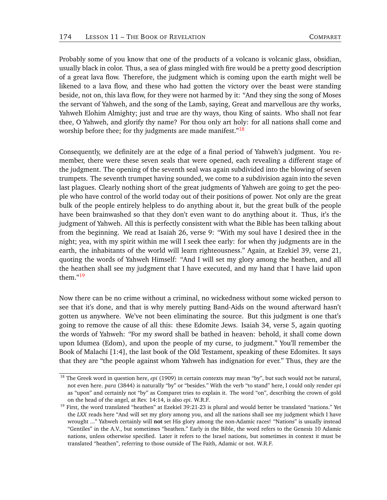Probably some of you know that one of the products of a volcano is volcanic glass, obsidian, usually black in color. Thus, a sea of glass mingled with fire would be a pretty good description of a great lava flow. Therefore, the judgment which is coming upon the earth might well be likened to a lava flow, and these who had gotten the victory over the beast were standing beside, not on, this lava flow, for they were not harmed by it: "And they sing the song of Moses the servant of Yahweh, and the song of the Lamb, saying, Great and marvellous are thy works, Yahweh Elohim Almighty; just and true are thy ways, thou King of saints. Who shall not fear thee, O Yahweh, and glorify thy name? For thou only art holy: for all nations shall come and worship before thee; for thy judgments are made manifest."<sup>[18](#page-173-0)</sup>

Consequently, we definitely are at the edge of a final period of Yahweh's judgment. You remember, there were these seven seals that were opened, each revealing a different stage of the judgment. The opening of the seventh seal was again subdivided into the blowing of seven trumpets. The seventh trumpet having sounded, we come to a subdivision again into the seven last plagues. Clearly nothing short of the great judgments of Yahweh are going to get the people who have control of the world today out of their positions of power. Not only are the great bulk of the people entirely helpless to do anything about it, but the great bulk of the people have been brainwashed so that they don't even want to do anything about it. Thus, it's the judgment of Yahweh. All this is perfectly consistent with what the Bible has been talking about from the beginning. We read at Isaiah 26, verse 9: "With my soul have I desired thee in the night; yea, with my spirit within me will I seek thee early: for when thy judgments are in the earth, the inhabitants of the world will learn righteousness." Again, at Ezekiel 39, verse 21, quoting the words of Yahweh Himself: "And I will set my glory among the heathen, and all the heathen shall see my judgment that I have executed, and my hand that I have laid upon them. $^{n19}$  $^{n19}$  $^{n19}$ 

Now there can be no crime without a criminal, no wickedness without some wicked person to see that it's done, and that is why merely putting Band-Aids on the wound afterward hasn't gotten us anywhere. We've not been eliminating the source. But this judgment is one that's going to remove the cause of all this: these Edomite Jews. Isaiah 34, verse 5, again quoting the words of Yahweh: "For my sword shall be bathed in heaven: behold, it shall come down upon Idumea (Edom), and upon the people of my curse, to judgment." You'll remember the Book of Malachi [1:4], the last book of the Old Testament, speaking of these Edomites. It says that they are "the people against whom Yahweh has indignation for ever." Thus, they are the

<span id="page-173-0"></span><sup>&</sup>lt;sup>18</sup> The Greek word in question here, *epi* (1909) in certain contexts may mean "by", but such would not be natural, not even here. *para* (3844) is naturally "by" or "besides." With the verb "to stand" here, I could only render *epi* as "upon" and certainly not "by" as Comparet tries to explain it. The word "on", describing the crown of gold on the head of the angel, at Rev. 14:14, is also *epi*. W.R.F.

<span id="page-173-1"></span><sup>&</sup>lt;sup>19</sup> First, the word translated "heathen" at Ezekiel 39:21-23 is plural and would better be translated "nations." Yet the *LXX* reads here "And will set my glory among you, and all the nations shall see my judgment which I have wrought ..." Yahweh certainly will **not** set His glory among the non-Adamic races! "Nations" is usually instead "Gentiles" in the A.V., but sometimes "heathen." Early in the Bible, the word refers to the Genesis 10 Adamic nations, unless otherwise specified. Later it refers to the Israel nations, but sometimes in context it must be translated "heathen", referring to those outside of The Faith, Adamic or not. W.R.F.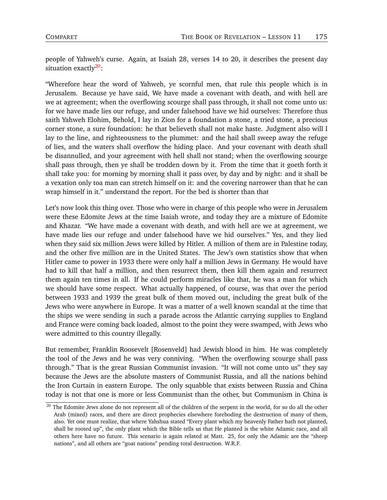people of Yahweh's curse. Again, at Isaiah 28, verses 14 to 20, it describes the present day situation exactly $20$ :

"Wherefore hear the word of Yahweh, ye scornful men, that rule this people which is in Jerusalem. Because ye have said, We have made a covenant with death, and with hell are we at agreement; when the overflowing scourge shall pass through, it shall not come unto us: for we have made lies our refuge, and under falsehood have we hid ourselves: Therefore thus saith Yahweh Elohim, Behold, I lay in Zion for a foundation a stone, a tried stone, a precious corner stone, a sure foundation: he that believeth shall not make haste. Judgment also will I lay to the line, and righteousness to the plummet: and the hail shall sweep away the refuge of lies, and the waters shall overflow the hiding place. And your covenant with death shall be disannulled, and your agreement with hell shall not stand; when the overflowing scourge shall pass through, then ye shall be trodden down by it. From the time that it goeth forth it shall take you: for morning by morning shall it pass over, by day and by night: and it shall be a vexation only toa man can stretch himself on it: and the covering narrower than that he can wrap himself in it." understand the report. For the bed is shorter than that

Let's now look this thing over. Those who were in charge of this people who were in Jerusalem were these Edomite Jews at the time Isaiah wrote, and today they are a mixture of Edomite and Khazar. "We have made a covenant with death, and with hell are we at agreement, we have made lies our refuge and under falsehood have we hid ourselves." Yes, and they lied when they said six million Jews were killed by Hitler. A million of them are in Palestine today, and the other five million are in the United States. The Jew's own statistics show that when Hitler came to power in 1933 there were only half a million Jews in Germany. He would have had to kill that half a million, and then resurrect them, then kill them again and resurrect them again ten times in all. If he could perform miracles like that, he was a man for which we should have some respect. What actually happened, of course, was that over the period between 1933 and 1939 the great bulk of them moved out, including the great bulk of the Jews who were anywhere in Europe. It was a matter of a well known scandal at the time that the ships we were sending in such a parade across the Atlantic carrying supplies to England and France were coming back loaded, almost to the point they were swamped, with Jews who were admitted to this country illegally.

But remember, Franklin Roosevelt [Rosenveld] had Jewish blood in him. He was completely the tool of the Jews and he was very conniving. "When the overflowing scourge shall pass through." That is the great Russian Communist invasion. "It will not come unto us" they say because the Jews are the absolute masters of Communist Russia, and all the nations behind the Iron Curtain in eastern Europe. The only squabble that exists between Russia and China today is not that one is more or less Communist than the other, but Communism in China is

<span id="page-174-0"></span><sup>&</sup>lt;sup>20</sup> The Edomite Jews alone do not represent all of the children of the serpent in the world, for so do all the other Arab (mixed) races, and there are direct prophecies elsewhere foreboding the destruction of many of them, also. Yet one must realize, that where Yahshua stated "Every plant which my heavenly Father hath not planted, shall be rooted up", the only plant which the Bible tells us that He planted is the white Adamic race, and all others here have no future. This scenario is again related at Matt. 25, for only the Adamic are the "sheep nations", and all others are "goat nations" pending total destruction. W.R.F.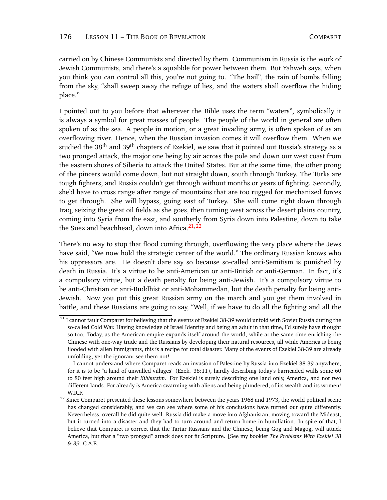carried on by Chinese Communists and directed by them. Communism in Russia is the work of Jewish Communists, and there's a squabble for power between them. But Yahweh says, when you think you can control all this, you're not going to. "The hail", the rain of bombs falling from the sky, "shall sweep away the refuge of lies, and the waters shall overflow the hiding place."

I pointed out to you before that wherever the Bible uses the term "waters", symbolically it is always a symbol for great masses of people. The people of the world in general are often spoken of as the sea. A people in motion, or a great invading army, is often spoken of as an overflowing river. Hence, when the Russian invasion comes it will overflow them. When we studied the  $38<sup>th</sup>$  and  $39<sup>th</sup>$  chapters of Ezekiel, we saw that it pointed out Russia's strategy as a two pronged attack, the major one being by air across the pole and down our west coast from the eastern shores of Siberia to attack the United States. But at the same time, the other prong of the pincers would come down, but not straight down, south through Turkey. The Turks are tough fighters, and Russia couldn't get through without months or years of fighting. Secondly, she'd have to cross range after range of mountains that are too rugged for mechanized forces to get through. She will bypass, going east of Turkey. She will come right down through Iraq, seizing the great oil fields as she goes, then turning west across the desert plains country, coming into Syria from the east, and southerly from Syria down into Palestine, down to take the Suez and beachhead, down into Africa.<sup>[21,](#page-175-0)[22](#page-175-1)</sup>

There's no way to stop that flood coming through, overflowing the very place where the Jews have said, "We now hold the strategic center of the world." The ordinary Russian knows who his oppressors are. He doesn't dare say so because so-called anti-Semitism is punished by death in Russia. It's a virtue to be anti-American or anti-British or anti-German. In fact, it's a compulsory virtue, but a death penalty for being anti-Jewish. It's a compulsory virtue to be anti-Christian or anti-Buddhist or anti-Mohammedan, but the death penalty for being anti-Jewish. Now you put this great Russian army on the march and you get them involved in battle, and these Russians are going to say, "Well, if we have to do all the fighting and all the

<span id="page-175-0"></span> $21$  I cannot fault Comparet for believing that the events of Ezekiel 38-39 would unfold with Soviet Russia during the so-called Cold War. Having knowledge of Israel Identity and being an adult in that time, I'd surely have thought so too. Today, as the American empire expands itself around the world, while at the same time enriching the Chinese with one-way trade and the Russians by developing their natural resources, all while America is being flooded with alien immigrants, this is a recipe for total disaster. Many of the events of Ezekiel 38-39 are already unfolding, yet the ignorant see them not!

I cannot understand where Comparet reads an invasion of Palestine by Russia into Ezekiel 38-39 anywhere, for it is to be "a land of unwalled villages" (Ezek. 38:11), hardly describing today's barricaded walls some 60 to 80 feet high around their *Kibbutzim*. For Ezekiel is surely describing one land only, America, and not two different lands. For already is America swarming with aliens and being plundered, of its wealth and its women! W.R.F.

<span id="page-175-1"></span><sup>&</sup>lt;sup>22</sup> Since Comparet presented these lessons somewhere between the years 1968 and 1973, the world political scene has changed considerably, and we can see where some of his conclusions have turned out quite differently. Nevertheless, overall he did quite well. Russia did make a move into Afghanistan, moving toward the Mideast, but it turned into a disaster and they had to turn around and return home in humiliation. In spite of that, I believe that Comparet is correct that the Tartar Russians and the Chinese, being Gog and Magog, will attack America, but that a "two pronged" attack does not fit Scripture. [See my booklet *The Problems With Ezekiel 38 & 39*. C.A.E.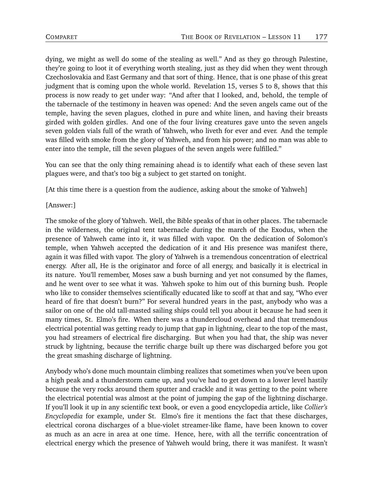dying, we might as well do some of the stealing as well." And as they go through Palestine, they're going to loot it of everything worth stealing, just as they did when they went through Czechoslovakia and East Germany and that sort of thing. Hence, that is one phase of this great judgment that is coming upon the whole world. Revelation 15, verses 5 to 8, shows that this process is now ready to get under way: "And after that I looked, and, behold, the temple of the tabernacle of the testimony in heaven was opened: And the seven angels came out of the temple, having the seven plagues, clothed in pure and white linen, and having their breasts girded with golden girdles. And one of the four living creatures gave unto the seven angels seven golden vials full of the wrath of Yahweh, who liveth for ever and ever. And the temple was filled with smoke from the glory of Yahweh, and from his power; and no man was able to enter into the temple, till the seven plagues of the seven angels were fulfilled."

You can see that the only thing remaining ahead is to identify what each of these seven last plagues were, and that's too big a subject to get started on tonight.

[At this time there is a question from the audience, asking about the smoke of Yahweh]

## [Answer:]

The smoke of the glory of Yahweh. Well, the Bible speaks of that in other places. The tabernacle in the wilderness, the original tent tabernacle during the march of the Exodus, when the presence of Yahweh came into it, it was filled with vapor. On the dedication of Solomon's temple, when Yahweh accepted the dedication of it and His presence was manifest there, again it was filled with vapor. The glory of Yahweh is a tremendous concentration of electrical energy. After all, He is the originator and force of all energy, and basically it is electrical in its nature. You'll remember, Moses saw a bush burning and yet not consumed by the flames, and he went over to see what it was. Yahweh spoke to him out of this burning bush. People who like to consider themselves scientifically educated like to scoff at that and say, "Who ever heard of fire that doesn't burn?" For several hundred years in the past, anybody who was a sailor on one of the old tall-masted sailing ships could tell you about it because he had seen it many times, St. Elmo's fire. When there was a thundercloud overhead and that tremendous electrical potential was getting ready to jump that gap in lightning, clear to the top of the mast, you had streamers of electrical fire discharging. But when you had that, the ship was never struck by lightning, because the terrific charge built up there was discharged before you got the great smashing discharge of lightning.

Anybody who's done much mountain climbing realizes that sometimes when you've been upon a high peak and a thunderstorm came up, and you've had to get down to a lower level hastily because the very rocks around them sputter and crackle and it was getting to the point where the electrical potential was almost at the point of jumping the gap of the lightning discharge. If you'll look it up in any scientific text book, or even a good encyclopedia article, like *Collier's Encyclopedia* for example, under St. Elmo's fire it mentions the fact that these discharges, electrical corona discharges of a blue-violet streamer-like flame, have been known to cover as much as an acre in area at one time. Hence, here, with all the terrific concentration of electrical energy which the presence of Yahweh would bring, there it was manifest. It wasn't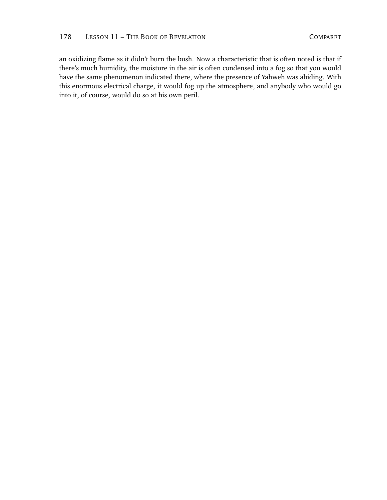an oxidizing flame as it didn't burn the bush. Now a characteristic that is often noted is that if there's much humidity, the moisture in the air is often condensed into a fog so that you would have the same phenomenon indicated there, where the presence of Yahweh was abiding. With this enormous electrical charge, it would fog up the atmosphere, and anybody who would go into it, of course, would do so at his own peril.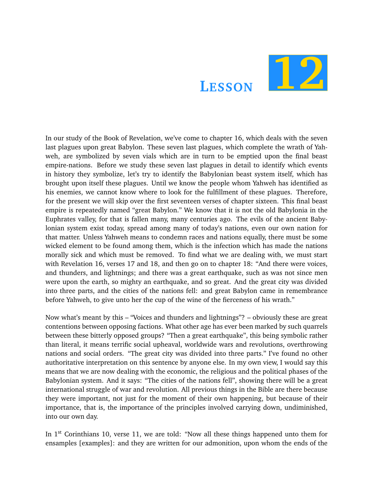

In our study of the Book of Revelation, we've come to chapter 16, which deals with the seven last plagues upon great Babylon. These seven last plagues, which complete the wrath of Yahweh, are symbolized by seven vials which are in turn to be emptied upon the final beast empire-nations. Before we study these seven last plagues in detail to identify which events in history they symbolize, let's try to identify the Babylonian beast system itself, which has brought upon itself these plagues. Until we know the people whom Yahweh has identified as his enemies, we cannot know where to look for the fulfillment of these plagues. Therefore, for the present we will skip over the first seventeen verses of chapter sixteen. This final beast empire is repeatedly named "great Babylon." We know that it is not the old Babylonia in the Euphrates valley, for that is fallen many, many centuries ago. The evils of the ancient Babylonian system exist today, spread among many of today's nations, even our own nation for that matter. Unless Yahweh means to condemn races and nations equally, there must be some wicked element to be found among them, which is the infection which has made the nations morally sick and which must be removed. To find what we are dealing with, we must start with Revelation 16, verses 17 and 18, and then go on to chapter 18: "And there were voices, and thunders, and lightnings; and there was a great earthquake, such as was not since men were upon the earth, so mighty an earthquake, and so great. And the great city was divided into three parts, and the cities of the nations fell: and great Babylon came in remembrance before Yahweh, to give unto her the cup of the wine of the fierceness of his wrath."

Now what's meant by this – "Voices and thunders and lightnings"? – obviously these are great contentions between opposing factions. What other age has ever been marked by such quarrels between these bitterly opposed groups? "Then a great earthquake", this being symbolic rather than literal, it means terrific social upheaval, worldwide wars and revolutions, overthrowing nations and social orders. "The great city was divided into three parts." I've found no other authoritative interpretation on this sentence by anyone else. In my own view, I would say this means that we are now dealing with the economic, the religious and the political phases of the Babylonian system. And it says: "The cities of the nations fell", showing there will be a great international struggle of war and revolution. All previous things in the Bible are there because they were important, not just for the moment of their own happening, but because of their importance, that is, the importance of the principles involved carrying down, undiminished, into our own day.

In  $1<sup>st</sup>$  Corinthians 10, verse 11, we are told: "Now all these things happened unto them for ensamples [examples]: and they are written for our admonition, upon whom the ends of the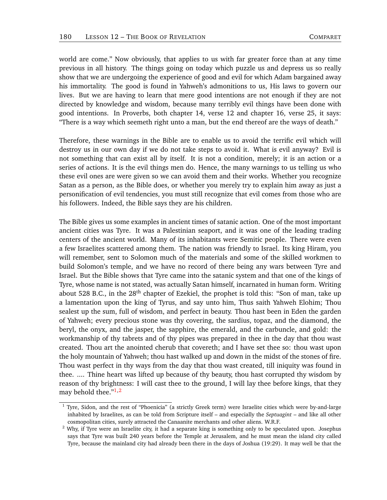world are come." Now obviously, that applies to us with far greater force than at any time previous in all history. The things going on today which puzzle us and depress us so really show that we are undergoing the experience of good and evil for which Adam bargained away his immortality. The good is found in Yahweh's admonitions to us, His laws to govern our lives. But we are having to learn that mere good intentions are not enough if they are not directed by knowledge and wisdom, because many terribly evil things have been done with good intentions. In Proverbs, both chapter 14, verse 12 and chapter 16, verse 25, it says: "There is a way which seemeth right unto a man, but the end thereof are the ways of death."

Therefore, these warnings in the Bible are to enable us to avoid the terrific evil which will destroy us in our own day if we do not take steps to avoid it. What is evil anyway? Evil is not something that can exist all by itself. It is not a condition, merely; it is an action or a series of actions. It is the evil things men do. Hence, the many warnings to us telling us who these evil ones are were given so we can avoid them and their works. Whether you recognize Satan as a person, as the Bible does, or whether you merely try to explain him away as just a personification of evil tendencies, you must still recognize that evil comes from those who are his followers. Indeed, the Bible says they are his children.

The Bible gives us some examples in ancient times of satanic action. One of the most important ancient cities was Tyre. It was a Palestinian seaport, and it was one of the leading trading centers of the ancient world. Many of its inhabitants were Semitic people. There were even a few Israelites scattered among them. The nation was friendly to Israel. Its king Hiram, you will remember, sent to Solomon much of the materials and some of the skilled workmen to build Solomon's temple, and we have no record of there being any wars between Tyre and Israel. But the Bible shows that Tyre came into the satanic system and that one of the kings of Tyre, whose name is not stated, was actually Satan himself, incarnated in human form. Writing about 528 B.C., in the  $28<sup>th</sup>$  chapter of Ezekiel, the prophet is told this: "Son of man, take up a lamentation upon the king of Tyrus, and say unto him, Thus saith Yahweh Elohim; Thou sealest up the sum, full of wisdom, and perfect in beauty. Thou hast been in Eden the garden of Yahweh; every precious stone was thy covering, the sardius, topaz, and the diamond, the beryl, the onyx, and the jasper, the sapphire, the emerald, and the carbuncle, and gold: the workmanship of thy tabrets and of thy pipes was prepared in thee in the day that thou wast created. Thou art the anointed cherub that covereth; and I have set thee so: thou wast upon the holy mountain of Yahweh; thou hast walked up and down in the midst of the stones of fire. Thou wast perfect in thy ways from the day that thou wast created, till iniquity was found in thee. .... Thine heart was lifted up because of thy beauty, thou hast corrupted thy wisdom by reason of thy brightness: I will cast thee to the ground, I will lay thee before kings, that they may behold thee."<sup>[1,](#page-179-0)[2](#page-179-1)</sup>

<span id="page-179-0"></span> $1$  Tyre, Sidon, and the rest of "Phoenicia" (a strictly Greek term) were Israelite cities which were by-and-large inhabited by Israelites, as can be told from Scripture itself – and especially the *Septuagint* – and like all other cosmopolitan cities, surely attracted the Canaanite merchants and other aliens. W.R.F.

<span id="page-179-1"></span><sup>&</sup>lt;sup>2</sup> Why, if Tyre were an Israelite city, it had a separate king is something only to be speculated upon. Josephus says that Tyre was built 240 years before the Temple at Jerusalem, and he must mean the island city called Tyre, because the mainland city had already been there in the days of Joshua (19:29). It may well be that the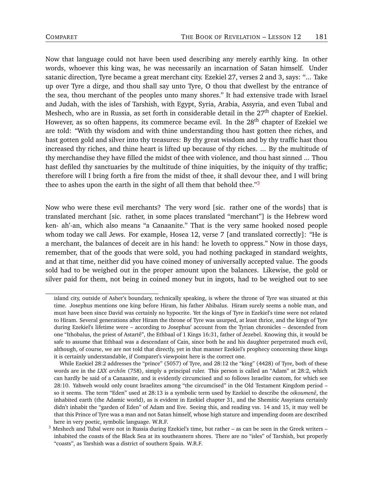Now that language could not have been used describing any merely earthly king. In other words, whoever this king was, he was necessarily an incarnation of Satan himself. Under satanic direction, Tyre became a great merchant city. Ezekiel 27, verses 2 and 3, says: "... Take up over Tyre a dirge, and thou shall say unto Tyre, O thou that dwellest by the entrance of the sea, thou merchant of the peoples unto many shores." It had extensive trade with Israel and Judah, with the isles of Tarshish, with Egypt, Syria, Arabia, Assyria, and even Tubal and Meshech, who are in Russia, as set forth in considerable detail in the 27<sup>th</sup> chapter of Ezekiel. However, as so often happens, its commerce became evil. In the 28<sup>th</sup> chapter of Ezekiel we are told: "With thy wisdom and with thine understanding thou hast gotten thee riches, and hast gotten gold and silver into thy treasures: By thy great wisdom and by thy traffic hast thou increased thy riches, and thine heart is lifted up because of thy riches. ... By the multitude of thy merchandise they have filled the midst of thee with violence, and thou hast sinned ... Thou hast defiled thy sanctuaries by the multitude of thine iniquities, by the iniquity of thy traffic; therefore will I bring forth a fire from the midst of thee, it shall devour thee, and I will bring thee to ashes upon the earth in the sight of all them that behold thee. $3<sup>3</sup>$  $3<sup>3</sup>$ 

Now who were these evil merchants? The very word [sic. rather one of the words] that is translated merchant [sic. rather, in some places translated "merchant"] is the Hebrew word ken- ah'-an, which also means "a Canaanite." That is the very same hooked nosed people whom today we call Jews. For example, Hosea 12, verse 7 [and translated correctly]: "He is a merchant, the balances of deceit are in his hand: he loveth to oppress." Now in those days, remember, that of the goods that were sold, you had nothing packaged in standard weights, and at that time, neither did you have coined money of universally accepted value. The goods sold had to be weighed out in the proper amount upon the balances. Likewise, the gold or silver paid for them, not being in coined money but in ingots, had to be weighed out to see

island city, outside of Asher's boundary, technically speaking, is where the throne of Tyre was situated at this time. Josephus mentions one king before Hiram, his father Abibalus. Hiram surely seems a noble man, and must have been since David was certainly no hypocrite. Yet the kings of Tyre in Ezekiel's time were not related to Hiram. Several generations after Hiram the throne of Tyre was usurped, at least thrice, and the kings of Tyre during Ezekiel's lifetime were – according to Josephus' account from the Tyrian chronicles – descended from one "Ithobalus, the priest of Astartê", the Ethbaal of 1 Kings 16:31, father of Jezebel. Knowing this, it would be safe to assume that Ethbaal was a descendant of Cain, since both he and his daughter perpetrated much evil, although, of course, we are not told that directly, yet in that manner Ezekiel's prophecy concerning these kings it is certainly understandable, if Comparet's viewpoint here is the correct one.

While Ezekiel 28:2 addresses the "prince" (5057) of Tyre, and 28:12 the "king" (4428) of Tyre, both of these words are in the *LXX archôn* (758), simply a principal ruler. This person is called an "Adam" at 28:2, which can hardly be said of a Canaanite, and is evidently circumcised and so follows Israelite custom, for which see 28:10. Yahweh would only count Israelites among "the circumcised" in the Old Testament Kingdom period – so it seems. The term "Eden" used at 28:13 is a symbolic term used by Ezekiel to describe the *oikoumenê*, the inhabited earth (the Adamic world), as is evident in Ezekiel chapter 31, and the Shemitic Assyrians certainly didn't inhabit the "garden of Eden" of Adam and Eve. Seeing this, and reading vss. 14 and 15, it may well be that this Prince of Tyre was a man and not Satan himself, whose high stature and impending doom are described here in very poetic, symbolic language. W.R.F.

<span id="page-180-0"></span> $3$  Meshech and Tubal were not in Russia during Ezekiel's time, but rather – as can be seen in the Greek writers – inhabited the coasts of the Black Sea at its southeastern shores. There are no "isles" of Tarshish, but properly "coasts", as Tarshish was a district of southern Spain. W.R.F.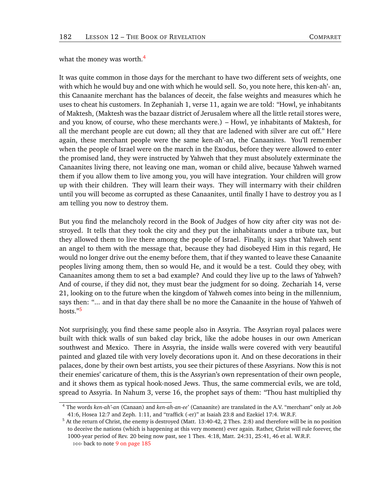what the money was worth.<sup>[4](#page-181-0)</sup>

It was quite common in those days for the merchant to have two different sets of weights, one with which he would buy and one with which he would sell. So, you note here, this ken-ah'- an, this Canaanite merchant has the balances of deceit, the false weights and measures which he uses to cheat his customers. In Zephaniah 1, verse 11, again we are told: "Howl, ye inhabitants of Maktesh, (Maktesh was the bazaar district of Jerusalem where all the little retail stores were, and you know, of course, who these merchants were.) – Howl, ye inhabitants of Maktesh, for all the merchant people are cut down; all they that are ladened with silver are cut off." Here again, these merchant people were the same ken-ah'-an, the Canaanites. You'll remember when the people of Israel were on the march in the Exodus, before they were allowed to enter the promised land, they were instructed by Yahweh that they must absolutely exterminate the Canaanites living there, not leaving one man, woman or child alive, because Yahweh warned them if you allow them to live among you, you will have integration. Your children will grow up with their children. They will learn their ways. They will intermarry with their children until you will become as corrupted as these Canaanites, until finally I have to destroy you as I am telling you now to destroy them.

But you find the melancholy record in the Book of Judges of how city after city was not destroyed. It tells that they took the city and they put the inhabitants under a tribute tax, but they allowed them to live there among the people of Israel. Finally, it says that Yahweh sent an angel to them with the message that, because they had disobeyed Him in this regard, He would no longer drive out the enemy before them, that if they wanted to leave these Canaanite peoples living among them, then so would He, and it would be a test. Could they obey, with Canaanites among them to set a bad example? And could they live up to the laws of Yahweh? And of course, if they did not, they must bear the judgment for so doing. Zechariah 14, verse 21, looking on to the future when the kingdom of Yahweh comes into being in the millennium, says then: "... and in that day there shall be no more the Canaanite in the house of Yahweh of hosts."[5](#page-181-1)

Not surprisingly, you find these same people also in Assyria. The Assyrian royal palaces were built with thick walls of sun baked clay brick, like the adobe houses in our own American southwest and Mexico. There in Assyria, the inside walls were covered with very beautiful painted and glazed tile with very lovely decorations upon it. And on these decorations in their palaces, done by their own best artists, you see their pictures of these Assyrians. Now this is not their enemies' caricature of them, this is the Assyrian's own representation of their own people, and it shows them as typical hook-nosed Jews. Thus, the same commercial evils, we are told, spread to Assyria. In Nahum 3, verse 16, the prophet says of them: "Thou hast multiplied thy

<span id="page-181-0"></span><sup>4</sup> The words *ken-ah'-an* (Canaan) and *ken-ah-an-ee'* (Canaanite) are translated in the A.V. "merchant" only at Job 41:6, Hosea 12:7 and Zeph. 1:11, and "traffick (-er)" at Isaiah 23:8 and Ezekiel 17:4. W.R.F.

<span id="page-181-1"></span><sup>5</sup> At the return of Christ, the enemy is destroyed (Matt. 13:40-42, 2 Thes. 2:8) and therefore will be in no position to deceive the nations (which is happening at this very moment) ever again. Rather, Christ will rule forever, the 1000-year period of Rev. 20 being now past, see 1 Thes. 4:18, Matt. 24:31, 25:41, 46 et al. W.R.F. **DDD** back to note [9 on page 185](#page-184-0)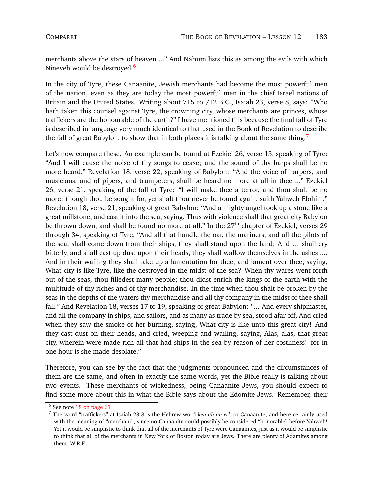merchants above the stars of heaven ..." And Nahum lists this as among the evils with which Nineveh would be destroyed.<sup>[6](#page-182-0)</sup>

In the city of Tyre, these Canaanite, Jewish merchants had become the most powerful men of the nation, even as they are today the most powerful men in the chief Israel nations of Britain and the United States. Writing about 715 to 712 B.C., Isaiah 23, verse 8, says: "Who hath taken this counsel against Tyre, the crowning city, whose merchants are princes, whose traffickers are the honourable of the earth?" I have mentioned this because the final fall of Tyre is described in language very much identical to that used in the Book of Revelation to describe the fall of great Babylon, to show that in both places it is talking about the same thing.<sup>[7](#page-182-1)</sup>

Let's now compare these. An example can be found at Ezekiel 26, verse 13, speaking of Tyre: "And I will cause the noise of thy songs to cease; and the sound of thy harps shall be no more heard." Revelation 18, verse 22, speaking of Babylon: "And the voice of harpers, and musicians, and of pipers, and trumpeters, shall be heard no more at all in thee ..." Ezekiel 26, verse 21, speaking of the fall of Tyre: "I will make thee a terror, and thou shalt be no more: though thou be sought for, yet shalt thou never be found again, saith Yahweh Elohim." Revelation 18, verse 21, speaking of great Babylon: "And a mighty angel took up a stone like a great millstone, and cast it into the sea, saying, Thus with violence shall that great city Babylon be thrown down, and shall be found no more at all." In the 27<sup>th</sup> chapter of Ezekiel, verses 29 through 34, speaking of Tyre, "And all that handle the oar, the mariners, and all the pilots of the sea, shall come down from their ships, they shall stand upon the land; And ... shall cry bitterly, and shall cast up dust upon their heads, they shall wallow themselves in the ashes .... And in their wailing they shall take up a lamentation for thee, and lament over thee, saying, What city is like Tyre, like the destroyed in the midst of the sea? When thy wares went forth out of the seas, thou filledest many people; thou didst enrich the kings of the earth with the multitude of thy riches and of thy merchandise. In the time when thou shalt be broken by the seas in the depths of the waters thy merchandise and all thy company in the midst of thee shall fall." And Revelation 18, verses 17 to 19, speaking of great Babylon: "... And every shipmaster, and all the company in ships, and sailors, and as many as trade by sea, stood afar off, And cried when they saw the smoke of her burning, saying, What city is like unto this great city! And they cast dust on their heads, and cried, weeping and wailing, saying, Alas, alas, that great city, wherein were made rich all that had ships in the sea by reason of her costliness! for in one hour is she made desolate."

Therefore, you can see by the fact that the judgments pronounced and the circumstances of them are the same, and often in exactly the same words, yet the Bible really is talking about two events. These merchants of wickedness, being Canaanite Jews, you should expect to find some more about this in what the Bible says about the Edomite Jews. Remember, their

<span id="page-182-0"></span><sup>&</sup>lt;sup>6</sup> See note [18 on page 61](#page-60-0)

<span id="page-182-1"></span><sup>7</sup> The word "traffickers" at Isaiah 23:8 is the Hebrew word *ken-ah-an-ee'*, or Canaanite, and here certainly used with the meaning of "merchant", since no Canaanite could possibly be considered "honorable" before Yahweh! Yet it would be simplistic to think that all of the merchants of Tyre were Canaanites, just as it would be simplistic to think that all of the merchants in New York or Boston today are Jews. There are plenty of Adamites among them. W.R.F.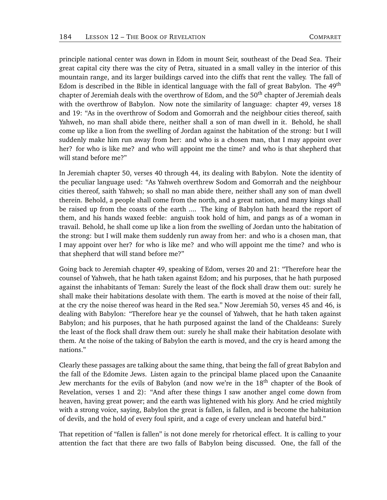principle national center was down in Edom in mount Seir, southeast of the Dead Sea. Their great capital city there was the city of Petra, situated in a small valley in the interior of this mountain range, and its larger buildings carved into the cliffs that rent the valley. The fall of Edom is described in the Bible in identical language with the fall of great Babylon. The 49<sup>th</sup> chapter of Jeremiah deals with the overthrow of Edom, and the 50<sup>th</sup> chapter of Jeremiah deals with the overthrow of Babylon. Now note the similarity of language: chapter 49, verses 18 and 19: "As in the overthrow of Sodom and Gomorrah and the neighbour cities thereof, saith Yahweh, no man shall abide there, neither shall a son of man dwell in it. Behold, he shall come up like a lion from the swelling of Jordan against the habitation of the strong: but I will suddenly make him run away from her: and who is a chosen man, that I may appoint over her? for who is like me? and who will appoint me the time? and who is that shepherd that will stand before me?"

In Jeremiah chapter 50, verses 40 through 44, its dealing with Babylon. Note the identity of the peculiar language used: "As Yahweh overthrew Sodom and Gomorrah and the neighbour cities thereof, saith Yahweh; so shall no man abide there, neither shall any son of man dwell therein. Behold, a people shall come from the north, and a great nation, and many kings shall be raised up from the coasts of the earth .... The king of Babylon hath heard the report of them, and his hands waxed feeble: anguish took hold of him, and pangs as of a woman in travail. Behold, he shall come up like a lion from the swelling of Jordan unto the habitation of the strong: but I will make them suddenly run away from her: and who is a chosen man, that I may appoint over her? for who is like me? and who will appoint me the time? and who is that shepherd that will stand before me?"

Going back to Jeremiah chapter 49, speaking of Edom, verses 20 and 21: "Therefore hear the counsel of Yahweh, that he hath taken against Edom; and his purposes, that he hath purposed against the inhabitants of Teman: Surely the least of the flock shall draw them out: surely he shall make their habitations desolate with them. The earth is moved at the noise of their fall, at the cry the noise thereof was heard in the Red sea." Now Jeremiah 50, verses 45 and 46, is dealing with Babylon: "Therefore hear ye the counsel of Yahweh, that he hath taken against Babylon; and his purposes, that he hath purposed against the land of the Chaldeans: Surely the least of the flock shall draw them out: surely he shall make their habitation desolate with them. At the noise of the taking of Babylon the earth is moved, and the cry is heard among the nations."

Clearly these passages are talking about the same thing, that being the fall of great Babylon and the fall of the Edomite Jews. Listen again to the principal blame placed upon the Canaanite Jew merchants for the evils of Babylon (and now we're in the  $18^{\text{th}}$  chapter of the Book of Revelation, verses 1 and 2): "And after these things I saw another angel come down from heaven, having great power; and the earth was lightened with his glory. And he cried mightily with a strong voice, saying, Babylon the great is fallen, is fallen, and is become the habitation of devils, and the hold of every foul spirit, and a cage of every unclean and hateful bird."

That repetition of "fallen is fallen" is not done merely for rhetorical effect. It is calling to your attention the fact that there are two falls of Babylon being discussed. One, the fall of the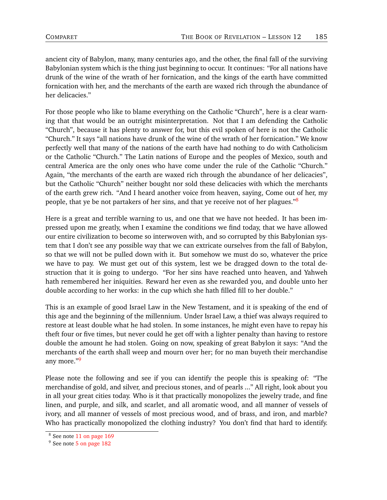ancient city of Babylon, many, many centuries ago, and the other, the final fall of the surviving Babylonian system which is the thing just beginning to occur. It continues: "For all nations have drunk of the wine of the wrath of her fornication, and the kings of the earth have committed fornication with her, and the merchants of the earth are waxed rich through the abundance of her delicacies."

For those people who like to blame everything on the Catholic "Church", here is a clear warning that that would be an outright misinterpretation. Not that I am defending the Catholic "Church", because it has plenty to answer for, but this evil spoken of here is not the Catholic "Church." It says "all nations have drunk of the wine of the wrath of her fornication." We know perfectly well that many of the nations of the earth have had nothing to do with Catholicism or the Catholic "Church." The Latin nations of Europe and the peoples of Mexico, south and central America are the only ones who have come under the rule of the Catholic "Church." Again, "the merchants of the earth are waxed rich through the abundance of her delicacies", but the Catholic "Church" neither bought nor sold these delicacies with which the merchants of the earth grew rich. "And I heard another voice from heaven, saying, Come out of her, my people, that ye be not partakers of her sins, and that ye receive not of her plagues."<sup>[8](#page-184-1)</sup>

Here is a great and terrible warning to us, and one that we have not heeded. It has been impressed upon me greatly, when I examine the conditions we find today, that we have allowed our entire civilization to become so interwoven with, and so corrupted by this Babylonian system that I don't see any possible way that we can extricate ourselves from the fall of Babylon, so that we will not be pulled down with it. But somehow we must do so, whatever the price we have to pay. We must get out of this system, lest we be dragged down to the total destruction that it is going to undergo. "For her sins have reached unto heaven, and Yahweh hath remembered her iniquities. Reward her even as she rewarded you, and double unto her double according to her works: in the cup which she hath filled fill to her double."

This is an example of good Israel Law in the New Testament, and it is speaking of the end of this age and the beginning of the millennium. Under Israel Law, a thief was always required to restore at least double what he had stolen. In some instances, he might even have to repay his theft four or five times, but never could he get off with a lighter penalty than having to restore double the amount he had stolen. Going on now, speaking of great Babylon it says: "And the merchants of the earth shall weep and mourn over her; for no man buyeth their merchandise any more."[9](#page-184-0)

Please note the following and see if you can identify the people this is speaking of: "The merchandise of gold, and silver, and precious stones, and of pearls ..." All right, look about you in all your great cities today. Who is it that practically monopolizes the jewelry trade, and fine linen, and purple, and silk, and scarlet, and all aromatic wood, and all manner of vessels of ivory, and all manner of vessels of most precious wood, and of brass, and iron, and marble? Who has practically monopolized the clothing industry? You don't find that hard to identify.

<span id="page-184-1"></span><sup>&</sup>lt;sup>8</sup> See note [11 on page 169](#page-168-0)

<span id="page-184-0"></span><sup>&</sup>lt;sup>9</sup> See note [5 on page 182](#page-181-1)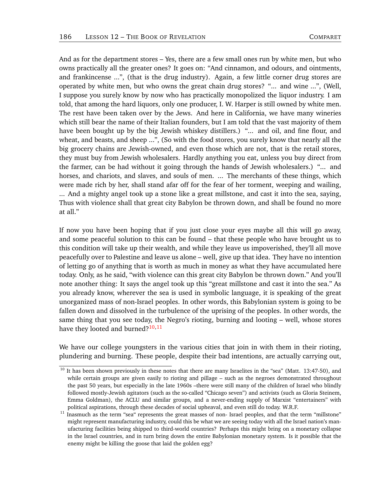And as for the department stores – Yes, there are a few small ones run by white men, but who owns practically all the greater ones? It goes on: "And cinnamon, and odours, and ointments, and frankincense ...", (that is the drug industry). Again, a few little corner drug stores are operated by white men, but who owns the great chain drug stores? "... and wine ...", (Well, I suppose you surely know by now who has practically monopolized the liquor industry. I am told, that among the hard liquors, only one producer, I. W. Harper is still owned by white men. The rest have been taken over by the Jews. And here in California, we have many wineries which still bear the name of their Italian founders, but I am told that the vast majority of them have been bought up by the big Jewish whiskey distillers.) "... and oil, and fine flour, and wheat, and beasts, and sheep ...", (So with the food stores, you surely know that nearly all the big grocery chains are Jewish-owned, and even those which are not, that is the retail stores, they must buy from Jewish wholesalers. Hardly anything you eat, unless you buy direct from the farmer, can be had without it going through the hands of Jewish wholesalers.) "... and horses, and chariots, and slaves, and souls of men. ... The merchants of these things, which were made rich by her, shall stand afar off for the fear of her torment, weeping and wailing, ... And a mighty angel took up a stone like a great millstone, and cast it into the sea, saying, Thus with violence shall that great city Babylon be thrown down, and shall be found no more at all."

If now you have been hoping that if you just close your eyes maybe all this will go away, and some peaceful solution to this can be found – that these people who have brought us to this condition will take up their wealth, and while they leave us impoverished, they'll all move peacefully over to Palestine and leave us alone – well, give up that idea. They have no intention of letting go of anything that is worth as much in money as what they have accumulated here today. Only, as he said, "with violence can this great city Babylon be thrown down." And you'll note another thing: It says the angel took up this "great millstone and cast it into the sea." As you already know, wherever the sea is used in symbolic language, it is speaking of the great unorganized mass of non-Israel peoples. In other words, this Babylonian system is going to be fallen down and dissolved in the turbulence of the uprising of the peoples. In other words, the same thing that you see today, the Negro's rioting, burning and looting – well, whose stores have they looted and burned?<sup>[10,](#page-185-0)[11](#page-185-1)</sup>

We have our college youngsters in the various cities that join in with them in their rioting, plundering and burning. These people, despite their bad intentions, are actually carrying out,

<span id="page-185-0"></span> $10$  It has been shown previously in these notes that there are many Israelites in the "sea" (Matt. 13:47-50), and while certain groups are given easily to rioting and pillage – such as the negroes demonstrated throughout the past 50 years, but especially in the late 1960s –there were still many of the children of Israel who blindly followed mostly-Jewish agitators (such as the so-called "Chicago seven") and activists (such as Gloria Steinem, Emma Goldman), the ACLU and similar groups, and a never-ending supply of Marxist "entertainers" with political aspirations, through these decades of social upheaval, and even still do today. W.R.F.

<span id="page-185-1"></span><sup>&</sup>lt;sup>11</sup> Inasmuch as the term "sea" represents the great masses of non- Israel peoples, and that the term "millstone" might represent manufacturing industry, could this be what we are seeing today with all the Israel nation's manufacturing facilities being shipped to third-world countries? Perhaps this might bring on a monetary collapse in the Israel countries, and in turn bring down the entire Babylonian monetary system. Is it possible that the enemy might be killing the goose that laid the golden egg?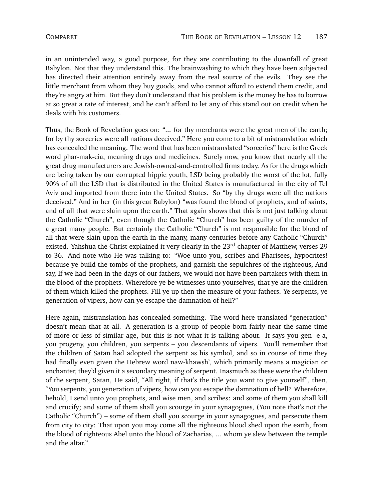in an unintended way, a good purpose, for they are contributing to the downfall of great Babylon. Not that they understand this. The brainwashing to which they have been subjected has directed their attention entirely away from the real source of the evils. They see the little merchant from whom they buy goods, and who cannot afford to extend them credit, and they're angry at him. But they don't understand that his problem is the money he has to borrow at so great a rate of interest, and he can't afford to let any of this stand out on credit when he deals with his customers.

Thus, the Book of Revelation goes on: "... for thy merchants were the great men of the earth; for by thy sorceries were all nations deceived." Here you come to a bit of mistranslation which has concealed the meaning. The word that has been mistranslated "sorceries" here is the Greek word phar-mak-eia, meaning drugs and medicines. Surely now, you know that nearly all the great drug manufacturers are Jewish-owned-and-controlled firms today. As for the drugs which are being taken by our corrupted hippie youth, LSD being probably the worst of the lot, fully 90% of all the LSD that is distributed in the United States is manufactured in the city of Tel Aviv and imported from there into the United States. So "by thy drugs were all the nations deceived." And in her (in this great Babylon) "was found the blood of prophets, and of saints, and of all that were slain upon the earth." That again shows that this is not just talking about the Catholic "Church", even though the Catholic "Church" has been guilty of the murder of a great many people. But certainly the Catholic "Church" is not responsible for the blood of all that were slain upon the earth in the many, many centuries before any Catholic "Church" existed. Yahshua the Christ explained it very clearly in the 23<sup>rd</sup> chapter of Matthew, verses 29 to 36. And note who He was talking to: "Woe unto you, scribes and Pharisees, hypocrites! because ye build the tombs of the prophets, and garnish the sepulchres of the righteous, And say, If we had been in the days of our fathers, we would not have been partakers with them in the blood of the prophets. Wherefore ye be witnesses unto yourselves, that ye are the children of them which killed the prophets. Fill ye up then the measure of your fathers. Ye serpents, ye generation of vipers, how can ye escape the damnation of hell?"

Here again, mistranslation has concealed something. The word here translated "generation" doesn't mean that at all. A generation is a group of people born fairly near the same time of more or less of similar age, but this is not what it is talking about. It says you gen- e-a, you progeny, you children, you serpents – you descendants of vipers. You'll remember that the children of Satan had adopted the serpent as his symbol, and so in course of time they had finally even given the Hebrew word naw-khawsh', which primarily means a magician or enchanter, they'd given it a secondary meaning of serpent. Inasmuch as these were the children of the serpent, Satan, He said, "All right, if that's the title you want to give yourself", then, "You serpents, you generation of vipers, how can you escape the damnation of hell? Wherefore, behold, I send unto you prophets, and wise men, and scribes: and some of them you shall kill and crucify; and some of them shall you scourge in your synagogues, (You note that's not the Catholic "Church") – some of them shall you scourge in your synagogues, and persecute them from city to city: That upon you may come all the righteous blood shed upon the earth, from the blood of righteous Abel unto the blood of Zacharias, ... whom ye slew between the temple and the altar."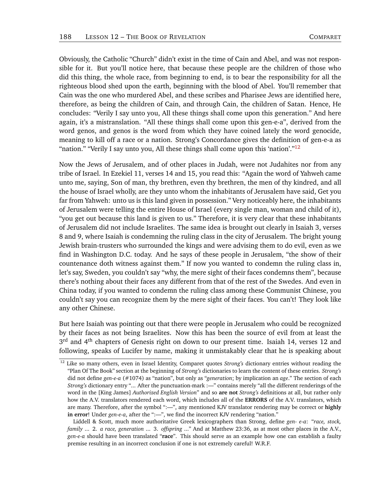Obviously, the Catholic "Church" didn't exist in the time of Cain and Abel, and was not responsible for it. But you'll notice here, that because these people are the children of those who did this thing, the whole race, from beginning to end, is to bear the responsibility for all the righteous blood shed upon the earth, beginning with the blood of Abel. You'll remember that Cain was the one who murdered Abel, and these scribes and Pharisee Jews are identified here, therefore, as being the children of Cain, and through Cain, the children of Satan. Hence, He concludes: "Verily I say unto you, All these things shall come upon this generation." And here again, it's a mistranslation. "All these things shall come upon this gen-e-a", derived from the word genos, and genos is the word from which they have coined lately the word genocide, meaning to kill off a race or a nation. Strong's Concordance gives the definition of gen-e-a as "nation." "Verily I say unto you, All these things shall come upon this 'nation'."<sup>[12](#page-187-0)</sup>

Now the Jews of Jerusalem, and of other places in Judah, were not Judahites nor from any tribe of Israel. In Ezekiel 11, verses 14 and 15, you read this: "Again the word of Yahweh came unto me, saying, Son of man, thy brethren, even thy brethren, the men of thy kindred, and all the house of Israel wholly, are they unto whom the inhabitants of Jerusalem have said, Get you far from Yahweh: unto us is this land given in possession." Very noticeably here, the inhabitants of Jerusalem were telling the entire House of Israel (every single man, woman and child of it), "you get out because this land is given to us." Therefore, it is very clear that these inhabitants of Jerusalem did not include Israelites. The same idea is brought out clearly in Isaiah 3, verses 8 and 9, where Isaiah is condemning the ruling class in the city of Jerusalem. The bright young Jewish brain-trusters who surrounded the kings and were advising them to do evil, even as we find in Washington D.C. today. And he says of these people in Jerusalem, "the show of their countenance doth witness against them." If now you wanted to condemn the ruling class in, let's say, Sweden, you couldn't say "why, the mere sight of their faces condemns them", because there's nothing about their faces any different from that of the rest of the Swedes. And even in China today, if you wanted to condemn the ruling class among these Communist Chinese, you couldn't say you can recognize them by the mere sight of their faces. You can't! They look like any other Chinese.

But here Isaiah was pointing out that there were people in Jerusalem who could be recognized by their faces as not being Israelites. Now this has been the source of evil from at least the 3<sup>rd</sup> and 4<sup>th</sup> chapters of Genesis right on down to our present time. Isaiah 14, verses 12 and following, speaks of Lucifer by name, making it unmistakably clear that he is speaking about

<span id="page-187-0"></span><sup>&</sup>lt;sup>12</sup> Like so many others, even in Israel Identity, Comparet quotes *Strong's* dictionary entries without reading the "Plan Of The Book" section at the beginning of *Strong's* dictionaries to learn the content of these entries. *Strong's* did not define *gen-e-a* (#1074) as "nation", but only as "*generation*; by implication an *age*." The section of each *Strong's* dictionary entry "... After the punctuation-mark :—" contains merely "all the different renderings of the word in the [King James] *Authorized English Version*" and so **are not** *Strong's* definitions at all, but rather only how the A.V. translators rendered each word, which includes all of the **ERRORS** of the A.V. translators, which are many. Therefore, after the symbol ":—", any mentioned KJV translator rendering may be correct or **highly in error**! Under *gen-e-a*, after the ":—", we find the incorrect KJV rendering "nation."

Liddell & Scott, much more authoritative Greek lexicographers than Strong, define *gen- e-a*: "*race, stock, family* ... 2. *a race, generation* ... 3. *offspring* ..." And at Matthew 23:36, as at most other places in the A.V., *gen-e-a* should have been translated "**race**". This should serve as an example how one can establish a faulty premise resulting in an incorrect conclusion if one is not extremely careful! W.R.F.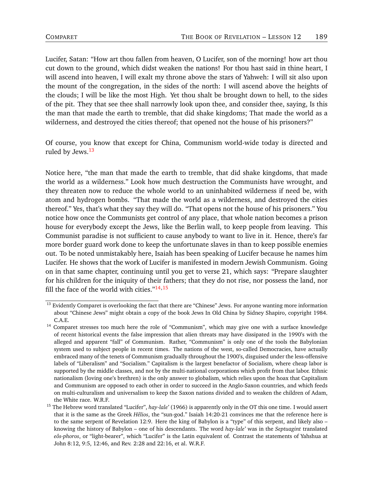Lucifer, Satan: "How art thou fallen from heaven, O Lucifer, son of the morning! how art thou cut down to the ground, which didst weaken the nations! For thou hast said in thine heart, I will ascend into heaven, I will exalt my throne above the stars of Yahweh: I will sit also upon the mount of the congregation, in the sides of the north: I will ascend above the heights of the clouds; I will be like the most High. Yet thou shalt be brought down to hell, to the sides of the pit. They that see thee shall narrowly look upon thee, and consider thee, saying, Is this the man that made the earth to tremble, that did shake kingdoms; That made the world as a wilderness, and destroyed the cities thereof; that opened not the house of his prisoners?"

Of course, you know that except for China, Communism world-wide today is directed and ruled by Jews.<sup>[13](#page-188-0)</sup>

Notice here, "the man that made the earth to tremble, that did shake kingdoms, that made the world as a wilderness." Look how much destruction the Communists have wrought, and they threaten now to reduce the whole world to an uninhabited wilderness if need be, with atom and hydrogen bombs. "That made the world as a wilderness, and destroyed the cities thereof." Yes, that's what they say they will do. "That opens not the house of his prisoners." You notice how once the Communists get control of any place, that whole nation becomes a prison house for everybody except the Jews, like the Berlin wall, to keep people from leaving. This Communist paradise is not sufficient to cause anybody to want to live in it. Hence, there's far more border guard work done to keep the unfortunate slaves in than to keep possible enemies out. To be noted unmistakably here, Isaiah has been speaking of Lucifer because he names him Lucifer. He shows that the work of Lucifer is manifested in modern Jewish Communism. Going on in that same chapter, continuing until you get to verse 21, which says: "Prepare slaughter for his children for the iniquity of their fathers; that they do not rise, nor possess the land, nor fill the face of the world with cities." $14,15$  $14,15$ 

<span id="page-188-0"></span><sup>&</sup>lt;sup>13</sup> Evidently Comparet is overlooking the fact that there are "Chinese" Jews. For anyone wanting more information about "Chinese Jews" might obtain a copy of the book Jews In Old China by Sidney Shapiro, copyright 1984. C.A.E.

<span id="page-188-1"></span><sup>&</sup>lt;sup>14</sup> Comparet stresses too much here the role of "Communism", which may give one with a surface knowledge of recent historical events the false impression that alien threats may have dissipated in the 1990's with the alleged and apparent "fall" of Communism. Rather, "Communism" is only one of the tools the Babylonian system used to subject people in recent times. The nations of the west, so-called Democracies, have actually embraced many of the tenets of Communism gradually throughout the 1900's, disguised under the less-offensive labels of "Liberalism" and "Socialism." Capitalism is the largest benefactor of Socialism, where cheap labor is supported by the middle classes, and not by the multi-national corporations which profit from that labor. Ethnic nationalism (loving one's brethren) is the only answer to globalism, which relies upon the hoax that Capitalism and Communism are opposed to each other in order to succeed in the Anglo-Saxon countries, and which feeds on multi-culturalism and universalism to keep the Saxon nations divided and to weaken the children of Adam, the White race. W.R.F.

<span id="page-188-2"></span><sup>15</sup> The Hebrew word translated "Lucifer", *hay-lale'* (1966) is apparently only in the OT this one time. I would assert that it is the same as the Greek *Hêlios*, the "sun-god." Isaiah 14:20-21 convinces me that the reference here is to the same serpent of Revelation 12:9. Here the king of Babylon is a "type" of this serpent, and likely also – knowing the history of Babylon – one of his descendants. The word *hay-lale'* was in the *Septuagint* translated *eôs-phoros*, or "light-bearer", which "Lucifer" is the Latin equivalent of. Contrast the statements of Yahshua at John 8:12, 9:5, 12:46, and Rev. 2:28 and 22:16, et al. W.R.F.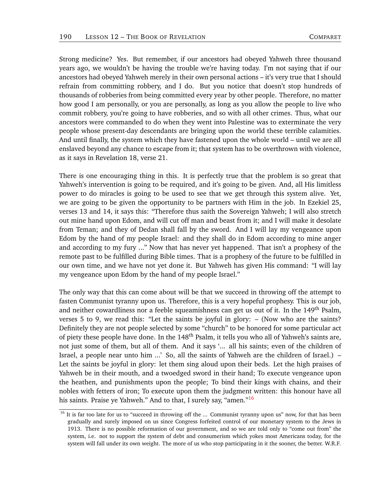Strong medicine? Yes. But remember, if our ancestors had obeyed Yahweh three thousand years ago, we wouldn't be having the trouble we're having today. I'm not saying that if our ancestors had obeyed Yahweh merely in their own personal actions – it's very true that I should refrain from committing robbery, and I do. But you notice that doesn't stop hundreds of thousands of robberies from being committed every year by other people. Therefore, no matter how good I am personally, or you are personally, as long as you allow the people to live who commit robbery, you're going to have robberies, and so with all other crimes. Thus, what our ancestors were commanded to do when they went into Palestine was to exterminate the very people whose present-day descendants are bringing upon the world these terrible calamities. And until finally, the system which they have fastened upon the whole world – until we are all enslaved beyond any chance to escape from it; that system has to be overthrown with violence, as it says in Revelation 18, verse 21.

There is one encouraging thing in this. It is perfectly true that the problem is so great that Yahweh's intervention is going to be required, and it's going to be given. And, all His limitless power to do miracles is going to be used to see that we get through this system alive. Yet, we are going to be given the opportunity to be partners with Him in the job. In Ezekiel 25, verses 13 and 14, it says this: "Therefore thus saith the Sovereign Yahweh; I will also stretch out mine hand upon Edom, and will cut off man and beast from it; and I will make it desolate from Teman; and they of Dedan shall fall by the sword. And I will lay my vengeance upon Edom by the hand of my people Israel: and they shall do in Edom according to mine anger and according to my fury ..." Now that has never yet happened. That isn't a prophesy of the remote past to be fulfilled during Bible times. That is a prophesy of the future to be fulfilled in our own time, and we have not yet done it. But Yahweh has given His command: "I will lay my vengeance upon Edom by the hand of my people Israel."

The only way that this can come about will be that we succeed in throwing off the attempt to fasten Communist tyranny upon us. Therefore, this is a very hopeful prophesy. This is our job, and neither cowardliness nor a feeble squeamishness can get us out of it. In the 149<sup>th</sup> Psalm, verses 5 to 9, we read this: "Let the saints be joyful in glory: – (Now who are the saints? Definitely they are not people selected by some "church" to be honored for some particular act of piety these people have done. In the  $148<sup>th</sup>$  Psalm, it tells you who all of Yahweh's saints are, not just some of them, but all of them. And it says '... all his saints; even of the children of Israel, a people near unto him  $\ldots$  So, all the saints of Yahweh are the children of Israel.) – Let the saints be joyful in glory: let them sing aloud upon their beds. Let the high praises of Yahweh be in their mouth, and a twoedged sword in their hand; To execute vengeance upon the heathen, and punishments upon the people; To bind their kings with chains, and their nobles with fetters of iron; To execute upon them the judgment written: this honour have all his saints. Praise ye Yahweh." And to that, I surely say, "amen."<sup>[16](#page-189-0)</sup>

<span id="page-189-0"></span><sup>&</sup>lt;sup>16</sup> It is far too late for us to "succeed in throwing off the ... Communist tyranny upon us" now, for that has been gradually and surely imposed on us since Congress forfeited control of our monetary system to the Jews in 1913. There is no possible reformation of our government, and so we are told only to "come out from" the system, i.e. not to support the system of debt and consumerism which yokes most Americans today, for the system will fall under its own weight. The more of us who stop participating in it the sooner, the better. W.R.F.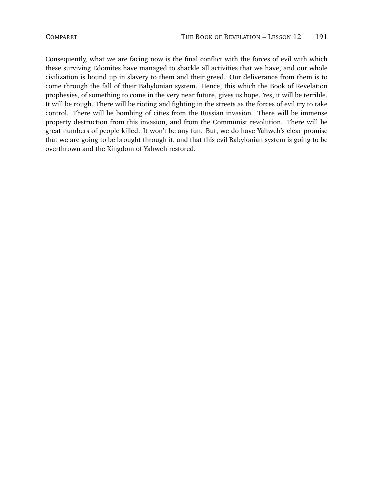Consequently, what we are facing now is the final conflict with the forces of evil with which these surviving Edomites have managed to shackle all activities that we have, and our whole civilization is bound up in slavery to them and their greed. Our deliverance from them is to come through the fall of their Babylonian system. Hence, this which the Book of Revelation prophesies, of something to come in the very near future, gives us hope. Yes, it will be terrible. It will be rough. There will be rioting and fighting in the streets as the forces of evil try to take control. There will be bombing of cities from the Russian invasion. There will be immense property destruction from this invasion, and from the Communist revolution. There will be great numbers of people killed. It won't be any fun. But, we do have Yahweh's clear promise that we are going to be brought through it, and that this evil Babylonian system is going to be overthrown and the Kingdom of Yahweh restored.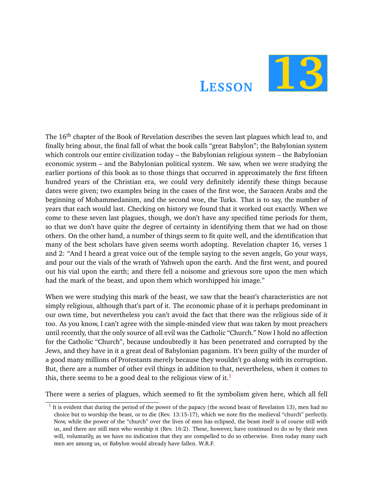

The 16<sup>th</sup> chapter of the Book of Revelation describes the seven last plagues which lead to, and finally bring about, the final fall of what the book calls "great Babylon"; the Babylonian system which controls our entire civilization today – the Babylonian religious system – the Babylonian economic system – and the Babylonian political system. We saw, when we were studying the earlier portions of this book as to those things that occurred in approximately the first fifteen hundred years of the Christian era, we could very definitely identify these things because dates were given; two examples being in the cases of the first woe, the Saracen Arabs and the beginning of Mohammedanism, and the second woe, the Turks. That is to say, the number of years that each would last. Checking on history we found that it worked out exactly. When we come to these seven last plagues, though, we don't have any specified time periods for them, so that we don't have quite the degree of certainty in identifying them that we had on those others. On the other hand, a number of things seem to fit quite well, and the identification that many of the best scholars have given seems worth adopting. Revelation chapter 16, verses 1 and 2: "And I heard a great voice out of the temple saying to the seven angels, Go your ways, and pour out the vials of the wrath of Yahweh upon the earth. And the first went, and poured out his vial upon the earth; and there fell a noisome and grievous sore upon the men which had the mark of the beast, and upon them which worshipped his image."

When we were studying this mark of the beast, we saw that the beast's characteristics are not simply religious, although that's part of it. The economic phase of it is perhaps predominant in our own time, but nevertheless you can't avoid the fact that there was the religious side of it too. As you know, I can't agree with the simple-minded view that was taken by most preachers until recently, that the only source of all evil was the Catholic "Church." Now I hold no affection for the Catholic "Church", because undoubtedly it has been penetrated and corrupted by the Jews, and they have in it a great deal of Babylonian paganism. It's been guilty of the murder of a good many millions of Protestants merely because they wouldn't go along with its corruption. But, there are a number of other evil things in addition to that, nevertheless, when it comes to this, there seems to be a good deal to the religious view of it.<sup>[1](#page-192-0)</sup>

There were a series of plagues, which seemed to fit the symbolism given here, which all fell

<span id="page-192-0"></span><sup>&</sup>lt;sup>1</sup> It is evident that during the period of the power of the papacy (the second beast of Revelation 13), men had no choice but to worship the beast, or to die (Rev. 13:15-17), which we note fits the medieval "church" perfectly. Now, while the power of the "church" over the lives of men has eclipsed, the beast itself is of course still with us, and there are still men who worship it (Rev. 16:2). These, however, have continued to do so by their own will, voluntarily, as we have no indication that they are compelled to do so otherwise. Even today many such men are among us, or Babylon would already have fallen. W.R.F.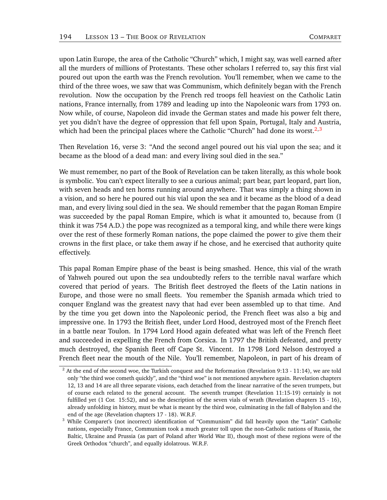upon Latin Europe, the area of the Catholic "Church" which, I might say, was well earned after all the murders of millions of Protestants. These other scholars I referred to, say this first vial poured out upon the earth was the French revolution. You'll remember, when we came to the third of the three woes, we saw that was Communism, which definitely began with the French revolution. Now the occupation by the French red troops fell heaviest on the Catholic Latin nations, France internally, from 1789 and leading up into the Napoleonic wars from 1793 on. Now while, of course, Napoleon did invade the German states and made his power felt there, yet you didn't have the degree of oppression that fell upon Spain, Portugal, Italy and Austria, which had been the principal places where the Catholic "Church" had done its worst.<sup>[2](#page-193-0)[,3](#page-193-1)</sup>

Then Revelation 16, verse 3: "And the second angel poured out his vial upon the sea; and it became as the blood of a dead man: and every living soul died in the sea."

We must remember, no part of the Book of Revelation can be taken literally, as this whole book is symbolic. You can't expect literally to see a curious animal; part bear, part leopard, part lion, with seven heads and ten horns running around anywhere. That was simply a thing shown in a vision, and so here he poured out his vial upon the sea and it became as the blood of a dead man, and every living soul died in the sea. We should remember that the pagan Roman Empire was succeeded by the papal Roman Empire, which is what it amounted to, because from (I think it was 754 A.D.) the pope was recognized as a temporal king, and while there were kings over the rest of these formerly Roman nations, the pope claimed the power to give them their crowns in the first place, or take them away if he chose, and he exercised that authority quite effectively.

This papal Roman Empire phase of the beast is being smashed. Hence, this vial of the wrath of Yahweh poured out upon the sea undoubtedly refers to the terrible naval warfare which covered that period of years. The British fleet destroyed the fleets of the Latin nations in Europe, and those were no small fleets. You remember the Spanish armada which tried to conquer England was the greatest navy that had ever been assembled up to that time. And by the time you get down into the Napoleonic period, the French fleet was also a big and impressive one. In 1793 the British fleet, under Lord Hood, destroyed most of the French fleet in a battle near Toulon. In 1794 Lord Hood again defeated what was left of the French fleet and succeeded in expelling the French from Corsica. In 1797 the British defeated, and pretty much destroyed, the Spanish fleet off Cape St. Vincent. In 1798 Lord Nelson destroyed a French fleet near the mouth of the Nile. You'll remember, Napoleon, in part of his dream of

<span id="page-193-0"></span> $2$  At the end of the second woe, the Turkish conquest and the Reformation (Revelation 9:13 - 11:14), we are told only "the third woe cometh quickly", and the "third woe" is not mentioned anywhere again. Revelation chapters 12, 13 and 14 are all three separate visions, each detached from the linear narrative of the seven trumpets, but of course each related to the general account. The seventh trumpet (Revelation 11:15-19) certainly is not fulfilled yet (1 Cor. 15:52), and so the description of the seven vials of wrath (Revelation chapters 15 - 16), already unfolding in history, must be what is meant by the third woe, culminating in the fall of Babylon and the end of the age (Revelation chapters 17 - 18). W.R.F.

<span id="page-193-1"></span><sup>3</sup> While Comparet's (not incorrect) identification of "Communism" did fall heavily upon the "Latin" Catholic nations, especially France, Communism took a much greater toll upon the non-Catholic nations of Russia, the Baltic, Ukraine and Prussia (as part of Poland after World War II), though most of these regions were of the Greek Orthodox "church", and equally idolatrous. W.R.F.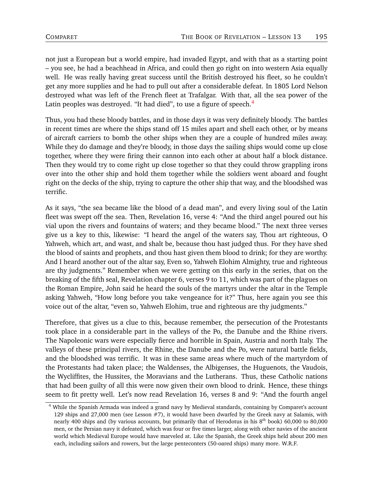not just a European but a world empire, had invaded Egypt, and with that as a starting point – you see, he had a beachhead in Africa, and could then go right on into western Asia equally well. He was really having great success until the British destroyed his fleet, so he couldn't get any more supplies and he had to pull out after a considerable defeat. In 1805 Lord Nelson destroyed what was left of the French fleet at Trafalgar. With that, all the sea power of the Latin peoples was destroyed. "It had died", to use a figure of speech.<sup>[4](#page-194-0)</sup>

Thus, you had these bloody battles, and in those days it was very definitely bloody. The battles in recent times are where the ships stand off 15 miles apart and shell each other, or by means of aircraft carriers to bomb the other ships when they are a couple of hundred miles away. While they do damage and they're bloody, in those days the sailing ships would come up close together, where they were firing their cannon into each other at about half a block distance. Then they would try to come right up close together so that they could throw grappling irons over into the other ship and hold them together while the soldiers went aboard and fought right on the decks of the ship, trying to capture the other ship that way, and the bloodshed was terrific.

As it says, "the sea became like the blood of a dead man", and every living soul of the Latin fleet was swept off the sea. Then, Revelation 16, verse 4: "And the third angel poured out his vial upon the rivers and fountains of waters; and they became blood." The next three verses give us a key to this, likewise: "I heard the angel of the waters say, Thou art righteous, O Yahweh, which art, and wast, and shalt be, because thou hast judged thus. For they have shed the blood of saints and prophets, and thou hast given them blood to drink; for they are worthy. And I heard another out of the altar say, Even so, Yahweh Elohim Almighty, true and righteous are thy judgments." Remember when we were getting on this early in the series, that on the breaking of the fifth seal, Revelation chapter 6, verses 9 to 11, which was part of the plagues on the Roman Empire, John said he heard the souls of the martyrs under the altar in the Temple asking Yahweh, "How long before you take vengeance for it?" Thus, here again you see this voice out of the altar, "even so, Yahweh Elohim, true and righteous are thy judgments."

Therefore, that gives us a clue to this, because remember, the persecution of the Protestants took place in a considerable part in the valleys of the Po, the Danube and the Rhine rivers. The Napoleonic wars were especially fierce and horrible in Spain, Austria and north Italy. The valleys of these principal rivers, the Rhine, the Danube and the Po, were natural battle fields, and the bloodshed was terrific. It was in these same areas where much of the martyrdom of the Protestants had taken place; the Waldenses, the Albigenses, the Huguenots, the Vaudois, the Wycliffites, the Hussites, the Moravians and the Lutherans. Thus, these Catholic nations that had been guilty of all this were now given their own blood to drink. Hence, these things seem to fit pretty well. Let's now read Revelation 16, verses 8 and 9: "And the fourth angel

<span id="page-194-0"></span><sup>4</sup> While the Spanish Armada was indeed a grand navy by Medieval standards, containing by Comparet's account 129 ships and 27,000 men (see Lesson #7), it would have been dwarfed by the Greek navy at Salamis, with nearly 400 ships and (by various accounts, but primarily that of Herodotus in his  $8<sup>th</sup>$  book) 60,000 to 80,000 men, or the Persian navy it defeated, which was four or five times larger, along with other navies of the ancient world which Medieval Europe would have marveled at. Like the Spanish, the Greek ships held about 200 men each, including sailors and rowers, but the large penteconters (50-oared ships) many more. W.R.F.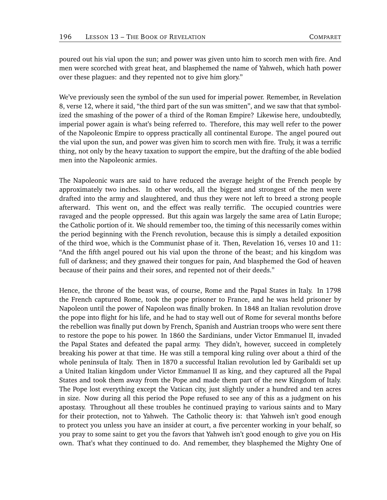poured out his vial upon the sun; and power was given unto him to scorch men with fire. And men were scorched with great heat, and blasphemed the name of Yahweh, which hath power over these plagues: and they repented not to give him glory."

We've previously seen the symbol of the sun used for imperial power. Remember, in Revelation 8, verse 12, where it said, "the third part of the sun was smitten", and we saw that that symbolized the smashing of the power of a third of the Roman Empire? Likewise here, undoubtedly, imperial power again is what's being referred to. Therefore, this may well refer to the power of the Napoleonic Empire to oppress practically all continental Europe. The angel poured out the vial upon the sun, and power was given him to scorch men with fire. Truly, it was a terrific thing, not only by the heavy taxation to support the empire, but the drafting of the able bodied men into the Napoleonic armies.

The Napoleonic wars are said to have reduced the average height of the French people by approximately two inches. In other words, all the biggest and strongest of the men were drafted into the army and slaughtered, and thus they were not left to breed a strong people afterward. This went on, and the effect was really terrific. The occupied countries were ravaged and the people oppressed. But this again was largely the same area of Latin Europe; the Catholic portion of it. We should remember too, the timing of this necessarily comes within the period beginning with the French revolution, because this is simply a detailed exposition of the third woe, which is the Communist phase of it. Then, Revelation 16, verses 10 and 11: "And the fifth angel poured out his vial upon the throne of the beast; and his kingdom was full of darkness; and they gnawed their tongues for pain, And blasphemed the God of heaven because of their pains and their sores, and repented not of their deeds."

Hence, the throne of the beast was, of course, Rome and the Papal States in Italy. In 1798 the French captured Rome, took the pope prisoner to France, and he was held prisoner by Napoleon until the power of Napoleon was finally broken. In 1848 an Italian revolution drove the pope into flight for his life, and he had to stay well out of Rome for several months before the rebellion was finally put down by French, Spanish and Austrian troops who were sent there to restore the pope to his power. In 1860 the Sardinians, under Victor Emmanuel II, invaded the Papal States and defeated the papal army. They didn't, however, succeed in completely breaking his power at that time. He was still a temporal king ruling over about a third of the whole peninsula of Italy. Then in 1870 a successful Italian revolution led by Garibaldi set up a United Italian kingdom under Victor Emmanuel II as king, and they captured all the Papal States and took them away from the Pope and made them part of the new Kingdom of Italy. The Pope lost everything except the Vatican city, just slightly under a hundred and ten acres in size. Now during all this period the Pope refused to see any of this as a judgment on his apostasy. Throughout all these troubles he continued praying to various saints and to Mary for their protection, not to Yahweh. The Catholic theory is: that Yahweh isn't good enough to protect you unless you have an insider at court, a five percenter working in your behalf, so you pray to some saint to get you the favors that Yahweh isn't good enough to give you on His own. That's what they continued to do. And remember, they blasphemed the Mighty One of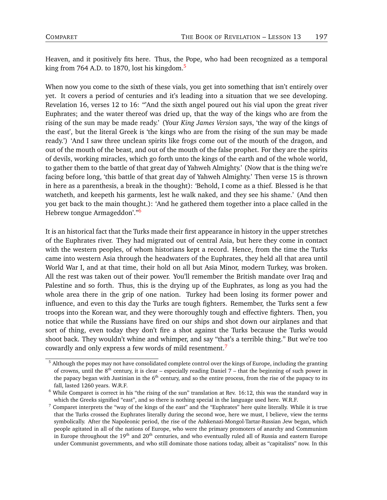Heaven, and it positively fits here. Thus, the Pope, who had been recognized as a temporal king from 764 A.D. to 1870, lost his kingdom.<sup>[5](#page-196-0)</sup>

When now you come to the sixth of these vials, you get into something that isn't entirely over yet. It covers a period of centuries and it's leading into a situation that we see developing. Revelation 16, verses 12 to 16: "'And the sixth angel poured out his vial upon the great river Euphrates; and the water thereof was dried up, that the way of the kings who are from the rising of the sun may be made ready.' (Your *King James Version* says, 'the way of the kings of the east', but the literal Greek is 'the kings who are from the rising of the sun may be made ready.') 'And I saw three unclean spirits like frogs come out of the mouth of the dragon, and out of the mouth of the beast, and out of the mouth of the false prophet. For they are the spirits of devils, working miracles, which go forth unto the kings of the earth and of the whole world, to gather them to the battle of that great day of Yahweh Almighty.' (Now that is the thing we're facing before long, 'this battle of that great day of Yahweh Almighty.' Then verse 15 is thrown in here as a parenthesis, a break in the thought): 'Behold, I come as a thief. Blessed is he that watcheth, and keepeth his garments, lest he walk naked, and they see his shame.' (And then you get back to the main thought.): 'And he gathered them together into a place called in the Hebrew tongue Armageddon'."[6](#page-196-1)

It is an historical fact that the Turks made their first appearance in history in the upper stretches of the Euphrates river. They had migrated out of central Asia, but here they come in contact with the western peoples, of whom historians kept a record. Hence, from the time the Turks came into western Asia through the headwaters of the Euphrates, they held all that area until World War I, and at that time, their hold on all but Asia Minor, modern Turkey, was broken. All the rest was taken out of their power. You'll remember the British mandate over Iraq and Palestine and so forth. Thus, this is the drying up of the Euphrates, as long as you had the whole area there in the grip of one nation. Turkey had been losing its former power and influence, and even to this day the Turks are tough fighters. Remember, the Turks sent a few troops into the Korean war, and they were thoroughly tough and effective fighters. Then, you notice that while the Russians have fired on our ships and shot down our airplanes and that sort of thing, even today they don't fire a shot against the Turks because the Turks would shoot back. They wouldn't whine and whimper, and say "that's a terrible thing." But we're too cowardly and only express a few words of mild resentment.<sup>[7](#page-196-2)</sup>

<span id="page-196-0"></span><sup>&</sup>lt;sup>5</sup> Although the popes may not have consolidated complete control over the kings of Europe, including the granting of crowns, until the  $8<sup>th</sup>$  century, it is clear – especially reading Daniel 7 – that the beginning of such power in the papacy began with Justinian in the  $6<sup>th</sup>$  century, and so the entire process, from the rise of the papacy to its fall, lasted 1260 years. W.R.F.

<span id="page-196-1"></span> $6$  While Comparet is correct in his "the rising of the sun" translation at Rev. 16:12, this was the standard way in which the Greeks signified "east", and so there is nothing special in the language used here. W.R.F.

<span id="page-196-2"></span> $7$  Comparet interprets the "way of the kings of the east" and the "Euphrates" here quite literally. While it is true that the Turks crossed the Euphrates literally during the second woe, here we must, I believe, view the terms symbolically. After the Napoleonic period, the rise of the Ashkenazi-Mongol-Tartar-Russian Jew began, which people agitated in all of the nations of Europe, who were the primary promoters of anarchy and Communism in Europe throughout the  $19<sup>th</sup>$  and  $20<sup>th</sup>$  centuries, and who eventually ruled all of Russia and eastern Europe under Communist governments, and who still dominate those nations today, albeit as "capitalists" now. In this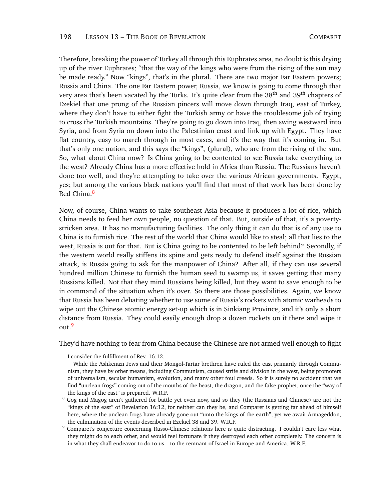Therefore, breaking the power of Turkey all through this Euphrates area, no doubt is this drying up of the river Euphrates; "that the way of the kings who were from the rising of the sun may be made ready." Now "kings", that's in the plural. There are two major Far Eastern powers; Russia and China. The one Far Eastern power, Russia, we know is going to come through that very area that's been vacated by the Turks. It's quite clear from the 38<sup>th</sup> and 39<sup>th</sup> chapters of Ezekiel that one prong of the Russian pincers will move down through Iraq, east of Turkey, where they don't have to either fight the Turkish army or have the troublesome job of trying to cross the Turkish mountains. They're going to go down into Iraq, then swing westward into Syria, and from Syria on down into the Palestinian coast and link up with Egypt. They have flat country, easy to march through in most cases, and it's the way that it's coming in. But that's only one nation, and this says the "kings", (plural), who are from the rising of the sun. So, what about China now? Is China going to be contented to see Russia take everything to the west? Already China has a more effective hold in Africa than Russia. The Russians haven't done too well, and they're attempting to take over the various African governments. Egypt, yes; but among the various black nations you'll find that most of that work has been done by Red China.<sup>[8](#page-197-0)</sup>

Now, of course, China wants to take southeast Asia because it produces a lot of rice, which China needs to feed her own people, no question of that. But, outside of that, it's a povertystricken area. It has no manufacturing facilities. The only thing it can do that is of any use to China is to furnish rice. The rest of the world that China would like to steal; all that lies to the west, Russia is out for that. But is China going to be contented to be left behind? Secondly, if the western world really stiffens its spine and gets ready to defend itself against the Russian attack, is Russia going to ask for the manpower of China? After all, if they can use several hundred million Chinese to furnish the human seed to swamp us, it saves getting that many Russians killed. Not that they mind Russians being killed, but they want to save enough to be in command of the situation when it's over. So there are those possibilities. Again, we know that Russia has been debating whether to use some of Russia's rockets with atomic warheads to wipe out the Chinese atomic energy set-up which is in Sinkiang Province, and it's only a short distance from Russia. They could easily enough drop a dozen rockets on it there and wipe it out.[9](#page-197-1)

They'd have nothing to fear from China because the Chinese are not armed well enough to fight

I consider the fulfillment of Rev. 16:12.

While the Ashkenazi Jews and their Mongol-Tartar brethren have ruled the east primarily through Communism, they have by other means, including Communism, caused strife and division in the west, being promoters of universalism, secular humanism, evolution, and many other foul creeds. So it is surely no accident that we find "unclean frogs" coming out of the mouths of the beast, the dragon, and the false prophet, once the "way of the kings of the east" is prepared. W.R.F.

<span id="page-197-0"></span><sup>&</sup>lt;sup>8</sup> Gog and Magog aren't gathered for battle yet even now, and so they (the Russians and Chinese) are not the "kings of the east" of Revelation 16:12, for neither can they be, and Comparet is getting far ahead of himself here, where the unclean frogs have already gone out "unto the kings of the earth", yet we await Armageddon, the culmination of the events described in Ezekiel 38 and 39. W.R.F.

<span id="page-197-1"></span><sup>&</sup>lt;sup>9</sup> Comparet's conjecture concerning Russo-Chinese relations here is quite distracting. I couldn't care less what they might do to each other, and would feel fortunate if they destroyed each other completely. The concern is in what they shall endeavor to do to us – to the remnant of Israel in Europe and America. W.R.F.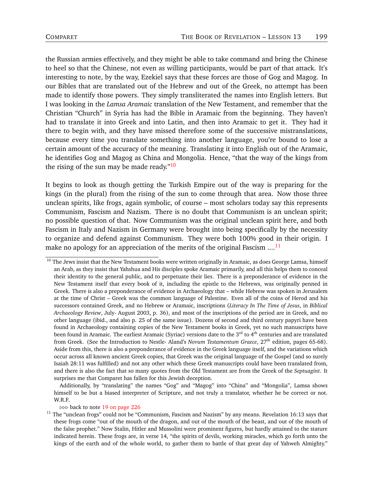the Russian armies effectively, and they might be able to take command and bring the Chinese to heel so that the Chinese, not even as willing participants, would be part of that attack. It's interesting to note, by the way, Ezekiel says that these forces are those of Gog and Magog. In our Bibles that are translated out of the Hebrew and out of the Greek, no attempt has been made to identify those powers. They simply transliterated the names into English letters. But I was looking in the *Lamsa Aramaic* translation of the New Testament, and remember that the Christian "Church" in Syria has had the Bible in Aramaic from the beginning. They haven't had to translate it into Greek and into Latin, and then into Aramaic to get it. They had it there to begin with, and they have missed therefore some of the successive mistranslations, because every time you translate something into another language, you're bound to lose a certain amount of the accuracy of the meaning. Translating it into English out of the Aramaic, he identifies Gog and Magog as China and Mongolia. Hence, "that the way of the kings from the rising of the sun may be made ready." $10$ 

It begins to look as though getting the Turkish Empire out of the way is preparing for the kings (in the plural) from the rising of the sun to come through that area. Now those three unclean spirits, like frogs, again symbolic, of course – most scholars today say this represents Communism, Fascism and Nazism. There is no doubt that Communism is an unclean spirit; no possible question of that. Now Communism was the original unclean spirit here, and both Fascism in Italy and Nazism in Germany were brought into being specifically by the necessity to organize and defend against Communism. They were both 100% good in their origin. I make no apology for an appreciation of the merits of the original Fascism  $\ldots$ <sup>[11](#page-198-1)</sup>

Additionally, by "translating" the names "Gog" and "Magog" into "China" and "Mongolia", Lamsa shows himself to be but a biased interpreter of Scripture, and not truly a translator, whether he be correct or not. W.R.F.

**DDD** back to note [19 on page 226](#page-225-0)

<span id="page-198-0"></span> $10$  The Jews insist that the New Testament books were written originally in Aramaic, as does George Lamsa, himself an Arab, as they insist that Yahshua and His disciples spoke Aramaic primarily, and all this helps them to conceal their identity to the general public, and to perpetuate their lies. There is a preponderance of evidence in the New Testament itself that every book of it, including the epistle to the Hebrews, was originally penned in Greek. There is also a preponderance of evidence in Archaeology that – while Hebrew was spoken in Jerusalem at the time of Christ – Greek was the common language of Palestine. Even all of the coins of Herod and his successors contained Greek, and no Hebrew or Aramaic, inscriptions (*Literacy In The Time of Jesus*, in *Biblical Archaeology Review*, July- August 2003, p. 36), and most of the inscriptions of the period are in Greek, and no other language (ibid., and also p. 25 of the same issue). Dozens of second and third century papyri have been found in Archaeology containing copies of the New Testament books in Greek, yet no such manuscripts have been found in Aramaic. The earliest Aramaic (Syriac) versions date to the  $3<sup>rd</sup>$  to  $4<sup>th</sup>$  centuries and are translated from Greek. (See the Introduction to Nestle- Aland's *Novum Testamentum Graece*, 27th edition, pages 65-68). Aside from this, there is also a preponderance of evidence in the Greek language itself, and the variations which occur across all known ancient Greek copies, that Greek was the original language of the Gospel (and so surely Isaiah 28:11 was fulfilled) and not any other which these Greek manuscripts could have been translated from, and there is also the fact that so many quotes from the Old Testament are from the Greek of the *Septuagint*. It surprises me that Comparet has fallen for this Jewish deception.

<span id="page-198-1"></span> $11$  The "unclean frogs" could not be "Communism, Fascism and Nazism" by any means. Revelation 16:13 says that these frogs come "out of the mouth of the dragon, and out of the mouth of the beast, and out of the mouth of the false prophet." Now Stalin, Hitler and Mussolini were prominent figures, but hardly attained to the stature indicated herein. These frogs are, in verse 14, "the spirits of devils, working miracles, which go forth unto the kings of the earth and of the whole world, to gather them to battle of that great day of Yahweh Almighty."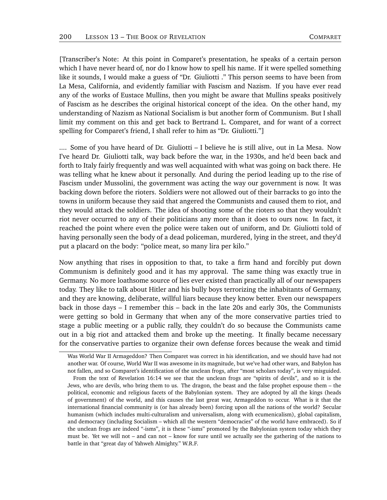[Transcriber's Note: At this point in Comparet's presentation, he speaks of a certain person which I have never heard of, nor do I know how to spell his name. If it were spelled something like it sounds, I would make a guess of "Dr. Giuliotti ." This person seems to have been from La Mesa, California, and evidently familiar with Fascism and Nazism. If you have ever read any of the works of Eustace Mullins, then you might be aware that Mullins speaks positively of Fascism as he describes the original historical concept of the idea. On the other hand, my understanding of Nazism as National Socialism is but another form of Communism. But I shall limit my comment on this and get back to Bertrand L. Comparet, and for want of a correct spelling for Comparet's friend, I shall refer to him as "Dr. Giuliotti."]

.... Some of you have heard of Dr. Giuliotti – I believe he is still alive, out in La Mesa. Now I've heard Dr. Giuliotti talk, way back before the war, in the 1930s, and he'd been back and forth to Italy fairly frequently and was well acquainted with what was going on back there. He was telling what he knew about it personally. And during the period leading up to the rise of Fascism under Mussolini, the government was acting the way our government is now. It was backing down before the rioters. Soldiers were not allowed out of their barracks to go into the towns in uniform because they said that angered the Communists and caused them to riot, and they would attack the soldiers. The idea of shooting some of the rioters so that they wouldn't riot never occurred to any of their politicians any more than it does to ours now. In fact, it reached the point where even the police were taken out of uniform, and Dr. Giuliotti told of having personally seen the body of a dead policeman, murdered, lying in the street, and they'd put a placard on the body: "police meat, so many lira per kilo."

Now anything that rises in opposition to that, to take a firm hand and forcibly put down Communism is definitely good and it has my approval. The same thing was exactly true in Germany. No more loathsome source of lies ever existed than practically all of our newspapers today. They like to talk about Hitler and his bully boys terrorizing the inhabitants of Germany, and they are knowing, deliberate, willful liars because they know better. Even our newspapers back in those days – I remember this – back in the late 20s and early 30s, the Communists were getting so bold in Germany that when any of the more conservative parties tried to stage a public meeting or a public rally, they couldn't do so because the Communists came out in a big riot and attacked them and broke up the meeting. It finally became necessary for the conservative parties to organize their own defense forces because the weak and timid

Was World War II Armageddon? Then Comparet was correct in his identification, and we should have had not another war. Of course, World War II was awesome in its magnitude, but we've had other wars, and Babylon has not fallen, and so Comparet's identification of the unclean frogs, after "most scholars today", is very misguided.

From the text of Revelation 16:14 we see that the unclean frogs are "spirits of devils", and so it is the Jews, who are devils, who bring them to us. The dragon, the beast and the false prophet espouse them – the political, economic and religious facets of the Babylonian system. They are adopted by all the kings (heads of government) of the world, and this causes the last great war, Armageddon to occur. What is it that the international financial community is (or has already been) forcing upon all the nations of the world? Secular humanism (which includes multi-culturalism and universalism, along with ecumenicalism), global capitalism, and democracy (including Socialism – which all the western "democracies" of the world have embraced). So if the unclean frogs are indeed "-isms", it is these "-isms" promoted by the Babylonian system today which they must be. Yet we will not – and can not – know for sure until we actually see the gathering of the nations to battle in that "great day of Yahweh Almighty." W.R.F.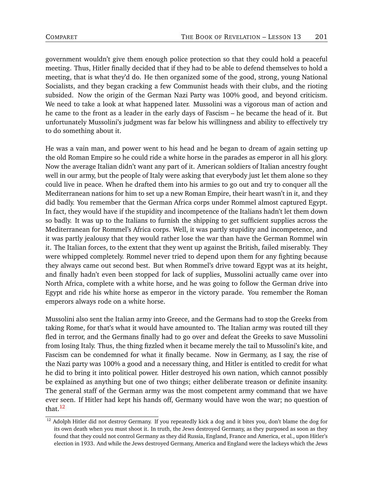government wouldn't give them enough police protection so that they could hold a peaceful meeting. Thus, Hitler finally decided that if they had to be able to defend themselves to hold a meeting, that is what they'd do. He then organized some of the good, strong, young National Socialists, and they began cracking a few Communist heads with their clubs, and the rioting subsided. Now the origin of the German Nazi Party was 100% good, and beyond criticism. We need to take a look at what happened later. Mussolini was a vigorous man of action and he came to the front as a leader in the early days of Fascism – he became the head of it. But unfortunately Mussolini's judgment was far below his willingness and ability to effectively try to do something about it.

He was a vain man, and power went to his head and he began to dream of again setting up the old Roman Empire so he could ride a white horse in the parades as emperor in all his glory. Now the average Italian didn't want any part of it. American soldiers of Italian ancestry fought well in our army, but the people of Italy were asking that everybody just let them alone so they could live in peace. When he drafted them into his armies to go out and try to conquer all the Mediterranean nations for him to set up a new Roman Empire, their heart wasn't in it, and they did badly. You remember that the German Africa corps under Rommel almost captured Egypt. In fact, they would have if the stupidity and incompetence of the Italians hadn't let them down so badly. It was up to the Italians to furnish the shipping to get sufficient supplies across the Mediterranean for Rommel's Africa corps. Well, it was partly stupidity and incompetence, and it was partly jealousy that they would rather lose the war than have the German Rommel win it. The Italian forces, to the extent that they went up against the British, failed miserably. They were whipped completely. Rommel never tried to depend upon them for any fighting because they always came out second best. But when Rommel's drive toward Egypt was at its height, and finally hadn't even been stopped for lack of supplies, Mussolini actually came over into North Africa, complete with a white horse, and he was going to follow the German drive into Egypt and ride his white horse as emperor in the victory parade. You remember the Roman emperors always rode on a white horse.

Mussolini also sent the Italian army into Greece, and the Germans had to stop the Greeks from taking Rome, for that's what it would have amounted to. The Italian army was routed till they fled in terror, and the Germans finally had to go over and defeat the Greeks to save Mussolini from losing Italy. Thus, the thing fizzled when it became merely the tail to Mussolini's kite, and Fascism can be condemned for what it finally became. Now in Germany, as I say, the rise of the Nazi party was 100% a good and a necessary thing, and Hitler is entitled to credit for what he did to bring it into political power. Hitler destroyed his own nation, which cannot possibly be explained as anything but one of two things; either deliberate treason or definite insanity. The general staff of the German army was the most competent army command that we have ever seen. If Hitler had kept his hands off, Germany would have won the war; no question of that. $12$ 

<span id="page-200-0"></span><sup>&</sup>lt;sup>12</sup> Adolph Hitler did not destroy Germany. If you repeatedly kick a dog and it bites you, don't blame the dog for its own death when you must shoot it. In truth, the Jews destroyed Germany, as they purposed as soon as they found that they could not control Germany as they did Russia, England, France and America, et al., upon Hitler's election in 1933. And while the Jews destroyed Germany, America and England were the lackeys which the Jews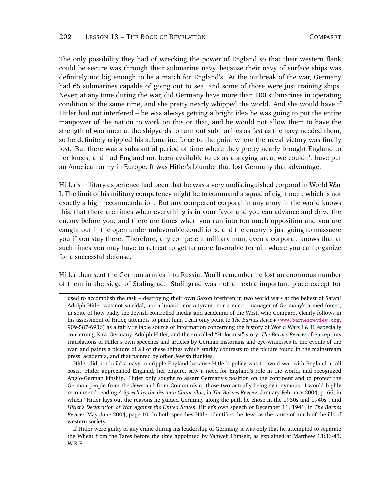The only possibility they had of wrecking the power of England so that their western flank could be secure was through their submarine navy, because their navy of surface ships was definitely not big enough to be a match for England's. At the outbreak of the war, Germany had 65 submarines capable of going out to sea, and some of those were just training ships. Never, at any time during the war, did Germany have more than 100 submarines in operating condition at the same time, and she pretty nearly whipped the world. And she would have if Hitler had not interfered – he was always getting a bright idea he was going to put the entire manpower of the nation to work on this or that, and he would not allow them to have the strength of workmen at the shipyards to turn out submarines as fast as the navy needed them, so he definitely crippled his submarine force to the point where the naval victory was finally lost. But there was a substantial period of time where they pretty nearly brought England to her knees, and had England not been available to us as a staging area, we couldn't have put an American army in Europe. It was Hitler's blunder that lost Germany that advantage.

Hitler's military experience had been that he was a very undistinguished corporal in World War I. The limit of his military competency might be to command a squad of eight men, which is not exactly a high recommendation. But any competent corporal in any army in the world knows this, that there are times when everything is in your favor and you can advance and drive the enemy before you, and there are times when you run into too much opposition and you are caught out in the open under unfavorable conditions, and the enemy is just going to massacre you if you stay there. Therefore, any competent military man, even a corporal, knows that at such times you may have to retreat to get to more favorable terrain where you can organize for a successful defense.

Hitler then sent the German armies into Russia. You'll remember he lost an enormous number of them in the siege of Stalingrad. Stalingrad was not an extra important place except for

used to accomplish the task – destroying their own Saxon brethren in two world wars at the behest of Satan! Adolph Hitler was not suicidal, nor a lunatic, nor a tyrant, nor a micro- manager of Germany's armed forces, in spite of how badly the Jewish-controlled media and academia of the West, who Comparet clearly follows in his assessment of Hitler, attempts to paint him. I can only point to *The Barnes Review* (<www.barnesreview.org>, 909-587-6936) as a fairly reliable source of information concerning the history of World Wars I & II, especially concerning Nazi Germany, Adolph Hitler, and the so-called "Holocaust" story. *The Barnes Review* often reprints translations of Hitler's own speeches and articles by German historians and eye-witnesses to the events of the war, and paints a picture of all of these things which starkly contrasts to the picture found in the mainstream press, academia, and that painted by other Jewish flunkies.

Hitler did not build a navy to cripple England because Hitler's policy was to avoid war with England at all costs. Hitler appreciated England, her empire, saw a need for England's role in the world, and recognized Anglo-German kinship. Hitler only sought to assert Germany's position on the continent and to protect the German people from the Jews and from Communism, those two actually being synonymous. I would highly recommend reading *A Speech by the German Chancellor*, in *The Barnes Review*, January-February 2004, p. 66, in which "Hitler lays out the reasons he guided Germany along the path he chose in the 1930s and 1940s", and *Hitler's Declaration of War Against the United States*, Hitler's own speech of December 11, 1941, in *The Barnes Review*, May-June 2004, page 10. In both speeches Hitler identifies the Jews as the cause of much of the ills of western society.

If Hitler were guilty of any crime during his leadership of Germany, it was only that he attempted to separate the Wheat from the Tares before the time appointed by Yahweh Himself, as explained at Matthew 13:36-43. W.R.F.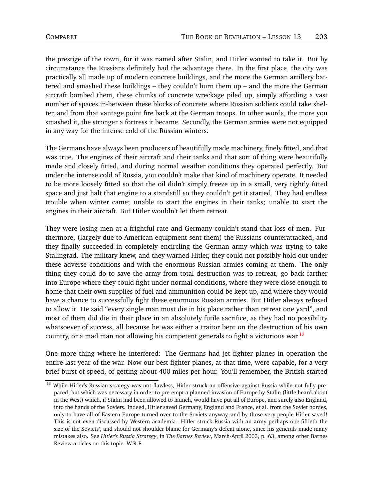the prestige of the town, for it was named after Stalin, and Hitler wanted to take it. But by circumstance the Russians definitely had the advantage there. In the first place, the city was practically all made up of modern concrete buildings, and the more the German artillery battered and smashed these buildings – they couldn't burn them up – and the more the German aircraft bombed them, these chunks of concrete wreckage piled up, simply affording a vast number of spaces in-between these blocks of concrete where Russian soldiers could take shelter, and from that vantage point fire back at the German troops. In other words, the more you smashed it, the stronger a fortress it became. Secondly, the German armies were not equipped in any way for the intense cold of the Russian winters.

The Germans have always been producers of beautifully made machinery, finely fitted, and that was true. The engines of their aircraft and their tanks and that sort of thing were beautifully made and closely fitted, and during normal weather conditions they operated perfectly. But under the intense cold of Russia, you couldn't make that kind of machinery operate. It needed to be more loosely fitted so that the oil didn't simply freeze up in a small, very tightly fitted space and just halt that engine to a standstill so they couldn't get it started. They had endless trouble when winter came; unable to start the engines in their tanks; unable to start the engines in their aircraft. But Hitler wouldn't let them retreat.

They were losing men at a frightful rate and Germany couldn't stand that loss of men. Furthermore, (largely due to American equipment sent them) the Russians counterattacked, and they finally succeeded in completely encircling the German army which was trying to take Stalingrad. The military knew, and they warned Hitler, they could not possibly hold out under these adverse conditions and with the enormous Russian armies coming at them. The only thing they could do to save the army from total destruction was to retreat, go back farther into Europe where they could fight under normal conditions, where they were close enough to home that their own supplies of fuel and ammunition could be kept up, and where they would have a chance to successfully fight these enormous Russian armies. But Hitler always refused to allow it. He said "every single man must die in his place rather than retreat one yard", and most of them did die in their place in an absolutely futile sacrifice, as they had no possibility whatsoever of success, all because he was either a traitor bent on the destruction of his own country, or a mad man not allowing his competent generals to fight a victorious war.<sup>[13](#page-202-0)</sup>

One more thing where he interfered: The Germans had jet fighter planes in operation the entire last year of the war. Now our best fighter planes, at that time, were capable, for a very brief burst of speed, of getting about 400 miles per hour. You'll remember, the British started

<span id="page-202-0"></span><sup>&</sup>lt;sup>13</sup> While Hitler's Russian strategy was not flawless, Hitler struck an offensive against Russia while not fully prepared, but which was necessary in order to pre-empt a planned invasion of Europe by Stalin (little heard about in the West) which, if Stalin had been allowed to launch, would have put all of Europe, and surely also England, into the hands of the Soviets. Indeed, Hitler saved Germany, England and France, et al. from the Soviet hordes, only to have all of Eastern Europe turned over to the Soviets anyway, and by those very people Hitler saved! This is not even discussed by Western academia. Hitler struck Russia with an army perhaps one-fiftieth the size of the Soviets', and should not shoulder blame for Germany's defeat alone, since his generals made many mistakes also. See *Hitler's Russia Strategy*, in *The Barnes Review*, March-April 2003, p. 63, among other Barnes Review articles on this topic. W.R.F.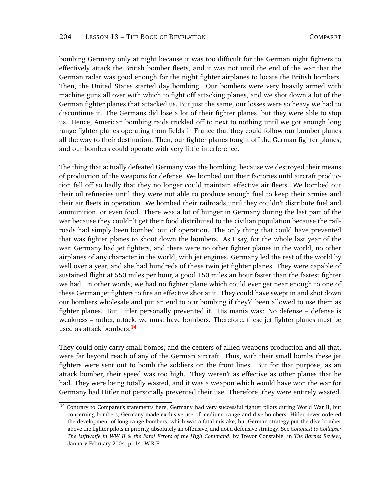bombing Germany only at night because it was too difficult for the German night fighters to effectively attack the British bomber fleets, and it was not until the end of the war that the German radar was good enough for the night fighter airplanes to locate the British bombers. Then, the United States started day bombing. Our bombers were very heavily armed with machine guns all over with which to fight off attacking planes, and we shot down a lot of the German fighter planes that attacked us. But just the same, our losses were so heavy we had to discontinue it. The Germans did lose a lot of their fighter planes, but they were able to stop us. Hence, American bombing raids trickled off to next to nothing until we got enough long range fighter planes operating from fields in France that they could follow our bomber planes all the way to their destination. Then, our fighter planes fought off the German fighter planes, and our bombers could operate with very little interference.

The thing that actually defeated Germany was the bombing, because we destroyed their means of production of the weapons for defense. We bombed out their factories until aircraft production fell off so badly that they no longer could maintain effective air fleets. We bombed out their oil refineries until they were not able to produce enough fuel to keep their armies and their air fleets in operation. We bombed their railroads until they couldn't distribute fuel and ammunition, or even food. There was a lot of hunger in Germany during the last part of the war because they couldn't get their food distributed to the civilian population because the railroads had simply been bombed out of operation. The only thing that could have prevented that was fighter planes to shoot down the bombers. As I say, for the whole last year of the war, Germany had jet fighters, and there were no other fighter planes in the world, no other airplanes of any character in the world, with jet engines. Germany led the rest of the world by well over a year, and she had hundreds of these twin jet fighter planes. They were capable of sustained flight at 550 miles per hour, a good 150 miles an hour faster than the fastest fighter we had. In other words, we had no fighter plane which could ever get near enough to one of these German jet fighters to fire an effective shot at it. They could have swept in and shot down our bombers wholesale and put an end to our bombing if they'd been allowed to use them as fighter planes. But Hitler personally prevented it. His mania was: No defense – defense is weakness – rather, attack, we must have bombers. Therefore, these jet fighter planes must be used as attack bombers.<sup>[14](#page-203-0)</sup>

They could only carry small bombs, and the centers of allied weapons production and all that, were far beyond reach of any of the German aircraft. Thus, with their small bombs these jet fighters were sent out to bomb the soldiers on the front lines. But for that purpose, as an attack bomber, their speed was too high. They weren't as effective as other planes that he had. They were being totally wasted, and it was a weapon which would have won the war for Germany had Hitler not personally prevented their use. Therefore, they were entirely wasted.

<span id="page-203-0"></span><sup>&</sup>lt;sup>14</sup> Contrary to Comparet's statements here, Germany had very successful fighter pilots during World War II, but concerning bombers, Germany made exclusive use of medium- range and dive-bombers. Hitler never ordered the development of long-range bombers, which was a fatal mistake, but German strategy put the dive-bomber above the fighter pilots in priority, absolutely an offensive, and not a defensive strategy. See *Conquest to Collapse: The Luftwaffe in WW II & the Fatal Errors of the High Command*, by Trevor Constable, in *The Barnes Review*, January-February 2004, p. 14. W.R.F.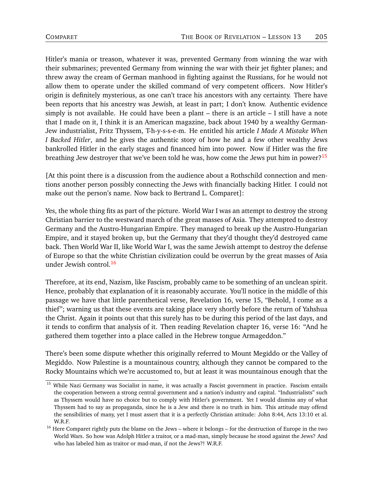Hitler's mania or treason, whatever it was, prevented Germany from winning the war with their submarines; prevented Germany from winning the war with their jet fighter planes; and threw away the cream of German manhood in fighting against the Russians, for he would not allow them to operate under the skilled command of very competent officers. Now Hitler's origin is definitely mysterious, as one can't trace his ancestors with any certainty. There have been reports that his ancestry was Jewish, at least in part; I don't know. Authentic evidence simply is not available. He could have been a plant  $-$  there is an article  $-$  I still have a note that I made on it, I think it is an American magazine, back about 1940 by a wealthy German-Jew industrialist, Fritz Thyssem, T-h-y-s-s-e-m. He entitled his article *I Made A Mistake When I Backed Hitler*, and he gives the authentic story of how he and a few other wealthy Jews bankrolled Hitler in the early stages and financed him into power. Now if Hitler was the fire breathing Jew destroyer that we've been told he was, how come the Jews put him in power?<sup>[15](#page-204-0)</sup>

[At this point there is a discussion from the audience about a Rothschild connection and mentions another person possibly connecting the Jews with financially backing Hitler. I could not make out the person's name. Now back to Bertrand L. Comparet]:

Yes, the whole thing fits as part of the picture. World War I was an attempt to destroy the strong Christian barrier to the westward march of the great masses of Asia. They attempted to destroy Germany and the Austro-Hungarian Empire. They managed to break up the Austro-Hungarian Empire, and it stayed broken up, but the Germany that they'd thought they'd destroyed came back. Then World War II, like World War I, was the same Jewish attempt to destroy the defense of Europe so that the white Christian civilization could be overrun by the great masses of Asia under Jewish control.[16](#page-204-1)

Therefore, at its end, Nazism, like Fascism, probably came to be something of an unclean spirit. Hence, probably that explanation of it is reasonably accurate. You'll notice in the middle of this passage we have that little parenthetical verse, Revelation 16, verse 15, "Behold, I come as a thief"; warning us that these events are taking place very shortly before the return of Yahshua the Christ. Again it points out that this surely has to be during this period of the last days, and it tends to confirm that analysis of it. Then reading Revelation chapter 16, verse 16: "And he gathered them together into a place called in the Hebrew tongue Armageddon."

There's been some dispute whether this originally referred to Mount Megiddo or the Valley of Megiddo. Now Palestine is a mountainous country, although they cannot be compared to the Rocky Mountains which we're accustomed to, but at least it was mountainous enough that the

<span id="page-204-0"></span><sup>&</sup>lt;sup>15</sup> While Nazi Germany was Socialist in name, it was actually a Fascist government in practice. Fascism entails the cooperation between a strong central government and a nation's industry and capital. "Industrialists" such as Thyssem would have no choice but to comply with Hitler's government. Yet I would dismiss any of what Thyssem had to say as propaganda, since he is a Jew and there is no truth in him. This attitude may offend the sensibilities of many, yet I must assert that it is a perfectly Christian attitude: John 8:44, Acts 13:10 et al. W.R.F.

<span id="page-204-1"></span><sup>&</sup>lt;sup>16</sup> Here Comparet rightly puts the blame on the Jews – where it belongs – for the destruction of Europe in the two World Wars. So how was Adolph Hitler a traitor, or a mad-man, simply because he stood against the Jews? And who has labeled him as traitor or mad-man, if not the Jews?! W.R.F.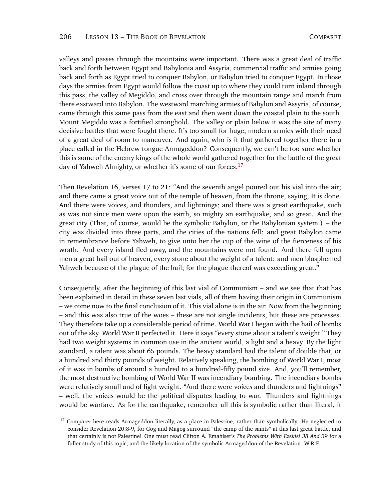valleys and passes through the mountains were important. There was a great deal of traffic back and forth between Egypt and Babylonia and Assyria, commercial traffic and armies going back and forth as Egypt tried to conquer Babylon, or Babylon tried to conquer Egypt. In those days the armies from Egypt would follow the coast up to where they could turn inland through this pass, the valley of Megiddo, and cross over through the mountain range and march from there eastward into Babylon. The westward marching armies of Babylon and Assyria, of course, came through this same pass from the east and then went down the coastal plain to the south. Mount Megiddo was a fortified stronghold. The valley or plain below it was the site of many decisive battles that were fought there. It's too small for huge, modern armies with their need of a great deal of room to maneuver. And again, who is it that gathered together there in a place called in the Hebrew tongue Armageddon? Consequently, we can't be too sure whether this is some of the enemy kings of the whole world gathered together for the battle of the great day of Yahweh Almighty, or whether it's some of our forces.<sup>[17](#page-205-0)</sup>

Then Revelation 16, verses 17 to 21: "And the seventh angel poured out his vial into the air; and there came a great voice out of the temple of heaven, from the throne, saying, It is done. And there were voices, and thunders, and lightnings; and there was a great earthquake, such as was not since men were upon the earth, so mighty an earthquake, and so great. And the great city (That, of course, would be the symbolic Babylon, or the Babylonian system.) – the city was divided into three parts, and the cities of the nations fell: and great Babylon came in remembrance before Yahweh, to give unto her the cup of the wine of the fierceness of his wrath. And every island fled away, and the mountains were not found. And there fell upon men a great hail out of heaven, every stone about the weight of a talent: and men blasphemed Yahweh because of the plague of the hail; for the plague thereof was exceeding great."

Consequently, after the beginning of this last vial of Communism – and we see that that has been explained in detail in these seven last vials, all of them having their origin in Communism – we come now to the final conclusion of it. This vial alone is in the air. Now from the beginning – and this was also true of the woes – these are not single incidents, but these are processes. They therefore take up a considerable period of time. World War I began with the hail of bombs out of the sky. World War II perfected it. Here it says "every stone about a talent's weight." They had two weight systems in common use in the ancient world, a light and a heavy. By the light standard, a talent was about 65 pounds. The heavy standard had the talent of double that, or a hundred and thirty pounds of weight. Relatively speaking, the bombing of World War I, most of it was in bombs of around a hundred to a hundred-fifty pound size. And, you'll remember, the most destructive bombing of World War II was incendiary bombing. The incendiary bombs were relatively small and of light weight. "And there were voices and thunders and lightnings" – well, the voices would be the political disputes leading to war. Thunders and lightnings would be warfare. As for the earthquake, remember all this is symbolic rather than literal, it

<span id="page-205-0"></span> $17$  Comparet here reads Armageddon literally, as a place in Palestine, rather than symbolically. He neglected to consider Revelation 20:8-9, for Gog and Magog surround "the camp of the saints" at this last great battle, and that certainly is not Palestine! One must read Clifton A. Emahiser's *The Problems With Ezekiel 38 And 39* for a fuller study of this topic, and the likely location of the symbolic Armageddon of the Revelation. W.R.F.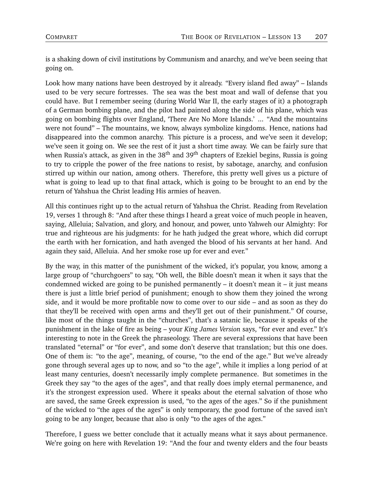is a shaking down of civil institutions by Communism and anarchy, and we've been seeing that going on.

Look how many nations have been destroyed by it already. "Every island fled away" – Islands used to be very secure fortresses. The sea was the best moat and wall of defense that you could have. But I remember seeing (during World War II, the early stages of it) a photograph of a German bombing plane, and the pilot had painted along the side of his plane, which was going on bombing flights over England, 'There Are No More Islands.' ... "And the mountains were not found" – The mountains, we know, always symbolize kingdoms. Hence, nations had disappeared into the common anarchy. This picture is a process, and we've seen it develop; we've seen it going on. We see the rest of it just a short time away. We can be fairly sure that when Russia's attack, as given in the 38<sup>th</sup> and 39<sup>th</sup> chapters of Ezekiel begins, Russia is going to try to cripple the power of the free nations to resist, by sabotage, anarchy, and confusion stirred up within our nation, among others. Therefore, this pretty well gives us a picture of what is going to lead up to that final attack, which is going to be brought to an end by the return of Yahshua the Christ leading His armies of heaven.

All this continues right up to the actual return of Yahshua the Christ. Reading from Revelation 19, verses 1 through 8: "And after these things I heard a great voice of much people in heaven, saying, Alleluia; Salvation, and glory, and honour, and power, unto Yahweh our Almighty: For true and righteous are his judgments: for he hath judged the great whore, which did corrupt the earth with her fornication, and hath avenged the blood of his servants at her hand. And again they said, Alleluia. And her smoke rose up for ever and ever."

By the way, in this matter of the punishment of the wicked, it's popular, you know, among a large group of "churchgoers" to say, "Oh well, the Bible doesn't mean it when it says that the condemned wicked are going to be punished permanently  $-$  it doesn't mean it  $-$  it just means there is just a little brief period of punishment; enough to show them they joined the wrong side, and it would be more profitable now to come over to our side – and as soon as they do that they'll be received with open arms and they'll get out of their punishment." Of course, like most of the things taught in the "churches", that's a satanic lie, because it speaks of the punishment in the lake of fire as being – your *King James Version* says, "for ever and ever." It's interesting to note in the Greek the phraseology. There are several expressions that have been translated "eternal" or "for ever", and some don't deserve that translation; but this one does. One of them is: "to the age", meaning, of course, "to the end of the age." But we've already gone through several ages up to now, and so "to the age", while it implies a long period of at least many centuries, doesn't necessarily imply complete permanence. But sometimes in the Greek they say "to the ages of the ages", and that really does imply eternal permanence, and it's the strongest expression used. Where it speaks about the eternal salvation of those who are saved, the same Greek expression is used, "to the ages of the ages." So if the punishment of the wicked to "the ages of the ages" is only temporary, the good fortune of the saved isn't going to be any longer, because that also is only "to the ages of the ages."

Therefore, I guess we better conclude that it actually means what it says about permanence. We're going on here with Revelation 19: "And the four and twenty elders and the four beasts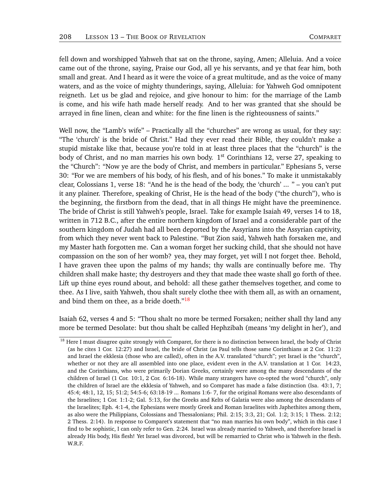fell down and worshipped Yahweh that sat on the throne, saying, Amen; Alleluia. And a voice came out of the throne, saying, Praise our God, all ye his servants, and ye that fear him, both small and great. And I heard as it were the voice of a great multitude, and as the voice of many waters, and as the voice of mighty thunderings, saying, Alleluia: for Yahweh God omnipotent reigneth. Let us be glad and rejoice, and give honour to him: for the marriage of the Lamb is come, and his wife hath made herself ready. And to her was granted that she should be arrayed in fine linen, clean and white: for the fine linen is the righteousness of saints."

Well now, the "Lamb's wife" – Practically all the "churches" are wrong as usual, for they say: "The 'church' is the bride of Christ." Had they ever read their Bible, they couldn't make a stupid mistake like that, because you're told in at least three places that the "church" is the body of Christ, and no man marries his own body.  $1<sup>st</sup>$  Corinthians 12, verse 27, speaking to the "Church": "Now ye are the body of Christ, and members in particular." Ephesians 5, verse 30: "For we are members of his body, of his flesh, and of his bones." To make it unmistakably clear, Colossians 1, verse 18: "And he is the head of the body, the 'church' ... " – you can't put it any plainer. Therefore, speaking of Christ, He is the head of the body ("the church"), who is the beginning, the firstborn from the dead, that in all things He might have the preeminence. The bride of Christ is still Yahweh's people, Israel. Take for example Isaiah 49, verses 14 to 18, written in 712 B.C., after the entire northern kingdom of Israel and a considerable part of the southern kingdom of Judah had all been deported by the Assyrians into the Assyrian captivity, from which they never went back to Palestine. "But Zion said, Yahweh hath forsaken me, and my Master hath forgotten me. Can a woman forget her sucking child, that she should not have compassion on the son of her womb? yea, they may forget, yet will I not forget thee. Behold, I have graven thee upon the palms of my hands; thy walls are continually before me. Thy children shall make haste; thy destroyers and they that made thee waste shall go forth of thee. Lift up thine eyes round about, and behold: all these gather themselves together, and come to thee. As I live, saith Yahweh, thou shalt surely clothe thee with them all, as with an ornament, and bind them on thee, as a bride doeth." $18$ 

Isaiah 62, verses 4 and 5: "Thou shalt no more be termed Forsaken; neither shall thy land any more be termed Desolate: but thou shalt be called Hephzibah (means 'my delight in her'), and

<span id="page-207-0"></span><sup>&</sup>lt;sup>18</sup> Here I must disagree quite strongly with Comparet, for there is no distinction between Israel, the body of Christ (as he cites 1 Cor. 12:27) and Israel, the bride of Christ (as Paul tells those same Corinthians at 2 Cor. 11:2) and Israel the ekklesia (those who are called), often in the A.V. translated "church"; yet Israel is the "church", whether or not they are all assembled into one place, evident even in the A.V. translation at 1 Cor. 14:23, and the Corinthians, who were primarily Dorian Greeks, certainly were among the many descendants of the children of Israel (1 Cor. 10:1, 2 Cor. 6:16-18). While many strangers have co-opted the word "church", only the children of Israel are the ekklesia of Yahweh, and so Comparet has made a false distinction (Isa. 43:1, 7; 45:4; 48:1, 12, 15; 51:2; 54:5-6; 63:18-19 ... Romans 1:6- 7, for the original Romans were also descendants of the Israelites; 1 Cor. 1:1-2; Gal. 5:13, for the Greeks and Kelts of Galatia were also among the descendants of the Israelites; Eph. 4:1-4, the Ephesians were mostly Greek and Roman Israelites with Japhethites among them, as also were the Philippians, Colossians and Thessalonians; Phil. 2:15; 3:3, 21; Col. 1:2; 3:15; 1 Thess. 2:12; 2 Thess. 2:14). In response to Comparet's statement that "no man marries his own body", which in this case I find to be sophistic, I can only refer to Gen. 2:24. Israel was already married to Yahweh, and therefore Israel is already His body, His flesh! Yet Israel was divorced, but will be remarried to Christ who is Yahweh in the flesh. W.R.F.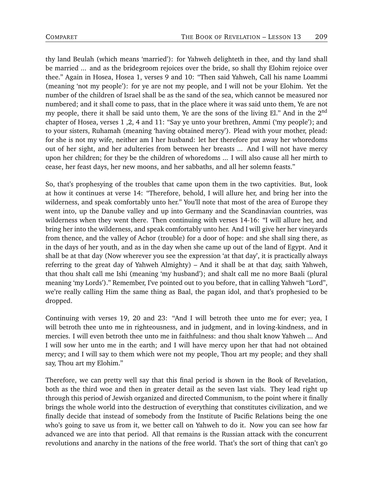thy land Beulah (which means 'married'): for Yahweh delighteth in thee, and thy land shall be married ... and as the bridegroom rejoices over the bride, so shall thy Elohim rejoice over thee." Again in Hosea, Hosea 1, verses 9 and 10: "Then said Yahweh, Call his name Loammi (meaning 'not my people'): for ye are not my people, and I will not be your Elohim. Yet the number of the children of Israel shall be as the sand of the sea, which cannot be measured nor numbered; and it shall come to pass, that in the place where it was said unto them, Ye are not my people, there it shall be said unto them, Ye are the sons of the living El." And in the 2<sup>nd</sup> chapter of Hosea, verses 1 ,2, 4 and 11: "Say ye unto your brethren, Ammi ('my people'); and to your sisters, Ruhamah (meaning 'having obtained mercy'). Plead with your mother, plead: for she is not my wife, neither am I her husband: let her therefore put away her whoredoms out of her sight, and her adulteries from between her breasts ... And I will not have mercy upon her children; for they be the children of whoredoms ... I will also cause all her mirth to cease, her feast days, her new moons, and her sabbaths, and all her solemn feasts."

So, that's prophesying of the troubles that came upon them in the two captivities. But, look at how it continues at verse 14: "Therefore, behold, I will allure her, and bring her into the wilderness, and speak comfortably unto her." You'll note that most of the area of Europe they went into, up the Danube valley and up into Germany and the Scandinavian countries, was wilderness when they went there. Then continuing with verses 14-16: "I will allure her, and bring her into the wilderness, and speak comfortably unto her. And I will give her her vineyards from thence, and the valley of Achor (trouble) for a door of hope: and she shall sing there, as in the days of her youth, and as in the day when she came up out of the land of Egypt. And it shall be at that day (Now wherever you see the expression 'at that day', it is practically always referring to the great day of Yahweh Almighty) – And it shall be at that day, saith Yahweh, that thou shalt call me Ishi (meaning 'my husband'); and shalt call me no more Baali (plural meaning 'my Lords')." Remember, I've pointed out to you before, that in calling Yahweh "Lord", we're really calling Him the same thing as Baal, the pagan idol, and that's prophesied to be dropped.

Continuing with verses 19, 20 and 23: "And I will betroth thee unto me for ever; yea, I will betroth thee unto me in righteousness, and in judgment, and in loving-kindness, and in mercies. I will even betroth thee unto me in faithfulness: and thou shalt know Yahweh ... And I will sow her unto me in the earth; and I will have mercy upon her that had not obtained mercy; and I will say to them which were not my people, Thou art my people; and they shall say, Thou art my Elohim."

Therefore, we can pretty well say that this final period is shown in the Book of Revelation, both as the third woe and then in greater detail as the seven last vials. They lead right up through this period of Jewish organized and directed Communism, to the point where it finally brings the whole world into the destruction of everything that constitutes civilization, and we finally decide that instead of somebody from the Institute of Pacific Relations being the one who's going to save us from it, we better call on Yahweh to do it. Now you can see how far advanced we are into that period. All that remains is the Russian attack with the concurrent revolutions and anarchy in the nations of the free world. That's the sort of thing that can't go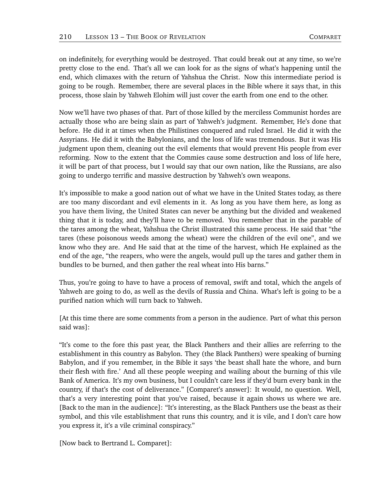on indefinitely, for everything would be destroyed. That could break out at any time, so we're pretty close to the end. That's all we can look for as the signs of what's happening until the end, which climaxes with the return of Yahshua the Christ. Now this intermediate period is going to be rough. Remember, there are several places in the Bible where it says that, in this process, those slain by Yahweh Elohim will just cover the earth from one end to the other.

Now we'll have two phases of that. Part of those killed by the merciless Communist hordes are actually those who are being slain as part of Yahweh's judgment. Remember, He's done that before. He did it at times when the Philistines conquered and ruled Israel. He did it with the Assyrians. He did it with the Babylonians, and the loss of life was tremendous. But it was His judgment upon them, cleaning out the evil elements that would prevent His people from ever reforming. Now to the extent that the Commies cause some destruction and loss of life here, it will be part of that process, but I would say that our own nation, like the Russians, are also going to undergo terrific and massive destruction by Yahweh's own weapons.

It's impossible to make a good nation out of what we have in the United States today, as there are too many discordant and evil elements in it. As long as you have them here, as long as you have them living, the United States can never be anything but the divided and weakened thing that it is today, and they'll have to be removed. You remember that in the parable of the tares among the wheat, Yahshua the Christ illustrated this same process. He said that "the tares (these poisonous weeds among the wheat) were the children of the evil one", and we know who they are. And He said that at the time of the harvest, which He explained as the end of the age, "the reapers, who were the angels, would pull up the tares and gather them in bundles to be burned, and then gather the real wheat into His barns."

Thus, you're going to have to have a process of removal, swift and total, which the angels of Yahweh are going to do, as well as the devils of Russia and China. What's left is going to be a purified nation which will turn back to Yahweh.

[At this time there are some comments from a person in the audience. Part of what this person said was]:

"It's come to the fore this past year, the Black Panthers and their allies are referring to the establishment in this country as Babylon. They (the Black Panthers) were speaking of burning Babylon, and if you remember, in the Bible it says 'the beast shall hate the whore, and burn their flesh with fire.' And all these people weeping and wailing about the burning of this vile Bank of America. It's my own business, but I couldn't care less if they'd burn every bank in the country, if that's the cost of deliverance." [Comparet's answer]: It would, no question. Well, that's a very interesting point that you've raised, because it again shows us where we are. [Back to the man in the audience]: "It's interesting, as the Black Panthers use the beast as their symbol, and this vile establishment that runs this country, and it is vile, and I don't care how you express it, it's a vile criminal conspiracy."

[Now back to Bertrand L. Comparet]: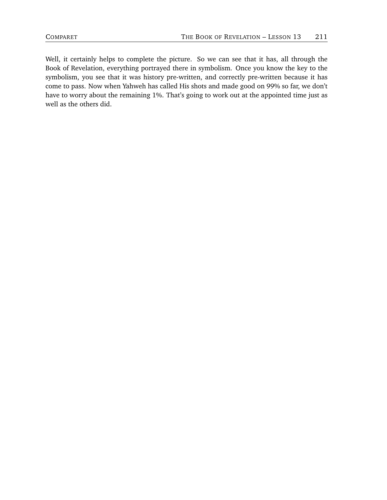Well, it certainly helps to complete the picture. So we can see that it has, all through the Book of Revelation, everything portrayed there in symbolism. Once you know the key to the symbolism, you see that it was history pre-written, and correctly pre-written because it has come to pass. Now when Yahweh has called His shots and made good on 99% so far, we don't have to worry about the remaining 1%. That's going to work out at the appointed time just as well as the others did.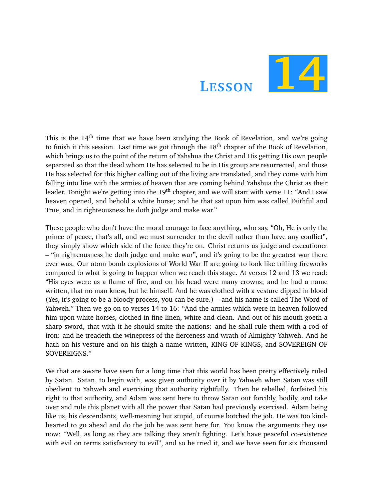

This is the  $14<sup>th</sup>$  time that we have been studying the Book of Revelation, and we're going to finish it this session. Last time we got through the  $18<sup>th</sup>$  chapter of the Book of Revelation, which brings us to the point of the return of Yahshua the Christ and His getting His own people separated so that the dead whom He has selected to be in His group are resurrected, and those He has selected for this higher calling out of the living are translated, and they come with him falling into line with the armies of heaven that are coming behind Yahshua the Christ as their leader. Tonight we're getting into the 19<sup>th</sup> chapter, and we will start with verse 11: "And I saw heaven opened, and behold a white horse; and he that sat upon him was called Faithful and True, and in righteousness he doth judge and make war."

These people who don't have the moral courage to face anything, who say, "Oh, He is only the prince of peace, that's all, and we must surrender to the devil rather than have any conflict", they simply show which side of the fence they're on. Christ returns as judge and executioner – "in righteousness he doth judge and make war", and it's going to be the greatest war there ever was. Our atom bomb explosions of World War II are going to look like trifling fireworks compared to what is going to happen when we reach this stage. At verses 12 and 13 we read: "His eyes were as a flame of fire, and on his head were many crowns; and he had a name written, that no man knew, but he himself. And he was clothed with a vesture dipped in blood (Yes, it's going to be a bloody process, you can be sure.) – and his name is called The Word of Yahweh." Then we go on to verses 14 to 16: "And the armies which were in heaven followed him upon white horses, clothed in fine linen, white and clean. And out of his mouth goeth a sharp sword, that with it he should smite the nations: and he shall rule them with a rod of iron: and he treadeth the winepress of the fierceness and wrath of Almighty Yahweh. And he hath on his vesture and on his thigh a name written, KING OF KINGS, and SOVEREIGN OF SOVEREIGNS."

We that are aware have seen for a long time that this world has been pretty effectively ruled by Satan. Satan, to begin with, was given authority over it by Yahweh when Satan was still obedient to Yahweh and exercising that authority rightfully. Then he rebelled, forfeited his right to that authority, and Adam was sent here to throw Satan out forcibly, bodily, and take over and rule this planet with all the power that Satan had previously exercised. Adam being like us, his descendants, well-meaning but stupid, of course botched the job. He was too kindhearted to go ahead and do the job he was sent here for. You know the arguments they use now: "Well, as long as they are talking they aren't fighting. Let's have peaceful co-existence with evil on terms satisfactory to evil", and so he tried it, and we have seen for six thousand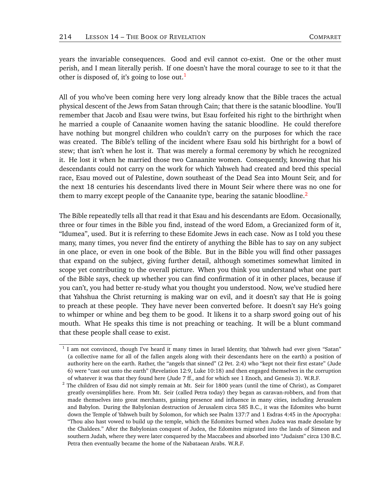years the invariable consequences. Good and evil cannot co-exist. One or the other must perish, and I mean literally perish. If one doesn't have the moral courage to see to it that the other is disposed of, it's going to lose out.<sup>[1](#page-213-0)</sup>

All of you who've been coming here very long already know that the Bible traces the actual physical descent of the Jews from Satan through Cain; that there is the satanic bloodline. You'll remember that Jacob and Esau were twins, but Esau forfeited his right to the birthright when he married a couple of Canaanite women having the satanic bloodline. He could therefore have nothing but mongrel children who couldn't carry on the purposes for which the race was created. The Bible's telling of the incident where Esau sold his birthright for a bowl of stew; that isn't when he lost it. That was merely a formal ceremony by which he recognized it. He lost it when he married those two Canaanite women. Consequently, knowing that his descendants could not carry on the work for which Yahweh had created and bred this special race, Esau moved out of Palestine, down southeast of the Dead Sea into Mount Seir, and for the next 18 centuries his descendants lived there in Mount Seir where there was no one for them to marry except people of the Canaanite type, bearing the satanic bloodline.<sup>[2](#page-213-1)</sup>

The Bible repeatedly tells all that read it that Esau and his descendants are Edom. Occasionally, three or four times in the Bible you find, instead of the word Edom, a Grecianized form of it, "Idumea", used. But it is referring to these Edomite Jews in each case. Now as I told you these many, many times, you never find the entirety of anything the Bible has to say on any subject in one place, or even in one book of the Bible. But in the Bible you will find other passages that expand on the subject, giving further detail, although sometimes somewhat limited in scope yet contributing to the overall picture. When you think you understand what one part of the Bible says, check up whether you can find confirmation of it in other places, because if you can't, you had better re-study what you thought you understood. Now, we've studied here that Yahshua the Christ returning is making war on evil, and it doesn't say that He is going to preach at these people. They have never been converted before. It doesn't say He's going to whimper or whine and beg them to be good. It likens it to a sharp sword going out of his mouth. What He speaks this time is not preaching or teaching. It will be a blunt command that these people shall cease to exist.

<span id="page-213-0"></span><sup>&</sup>lt;sup>1</sup> I am not convinced, though I've heard it many times in Israel Identity, that Yahweh had ever given "Satan" (a collective name for all of the fallen angels along with their descendants here on the earth) a position of authority here on the earth. Rather, the "angels that sinned" (2 Pet. 2:4) who "kept not their first estate" (Jude 6) were "cast out unto the earth" (Revelation 12:9, Luke 10:18) and then engaged themselves in the corruption of whatever it was that they found here (Jude 7 ff., and for which see 1 Enoch, and Genesis 3). W.R.F.

<span id="page-213-1"></span><sup>&</sup>lt;sup>2</sup> The children of Esau did not simply remain at Mt. Seir for 1800 years (until the time of Christ), as Comparet greatly oversimplifies here. From Mt. Seir (called Petra today) they began as caravan-robbers, and from that made themselves into great merchants, gaining presence and influence in many cities, including Jerusalem and Babylon. During the Babylonian destruction of Jerusalem circa 585 B.C., it was the Edomites who burnt down the Temple of Yahweh built by Solomon, for which see Psalm 137:7 and 1 Esdras 4:45 in the Apocrypha: "Thou also hast vowed to build up the temple, which the Edomites burned when Judea was made desolate by the Chaldees." After the Babylonian conquest of Judea, the Edomites migrated into the lands of Simeon and southern Judah, where they were later conquered by the Maccabees and absorbed into "Judaism" circa 130 B.C. Petra then eventually became the home of the Nabataean Arabs. W.R.F.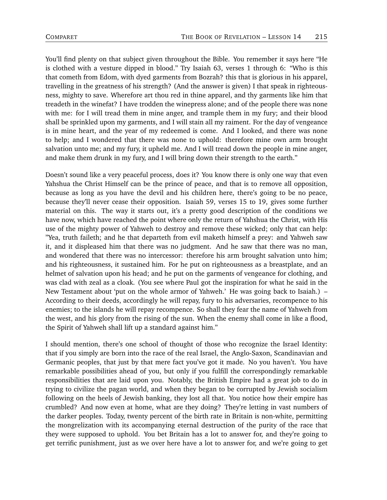You'll find plenty on that subject given throughout the Bible. You remember it says here "He is clothed with a vesture dipped in blood." Try Isaiah 63, verses 1 through 6: "Who is this that cometh from Edom, with dyed garments from Bozrah? this that is glorious in his apparel, travelling in the greatness of his strength? (And the answer is given) I that speak in righteousness, mighty to save. Wherefore art thou red in thine apparel, and thy garments like him that treadeth in the winefat? I have trodden the winepress alone; and of the people there was none with me: for I will tread them in mine anger, and trample them in my fury; and their blood shall be sprinkled upon my garments, and I will stain all my raiment. For the day of vengeance is in mine heart, and the year of my redeemed is come. And I looked, and there was none to help; and I wondered that there was none to uphold: therefore mine own arm brought salvation unto me; and my fury, it upheld me. And I will tread down the people in mine anger, and make them drunk in my fury, and I will bring down their strength to the earth."

Doesn't sound like a very peaceful process, does it? You know there is only one way that even Yahshua the Christ Himself can be the prince of peace, and that is to remove all opposition, because as long as you have the devil and his children here, there's going to be no peace, because they'll never cease their opposition. Isaiah 59, verses 15 to 19, gives some further material on this. The way it starts out, it's a pretty good description of the conditions we have now, which have reached the point where only the return of Yahshua the Christ, with His use of the mighty power of Yahweh to destroy and remove these wicked; only that can help: "Yea, truth faileth; and he that departeth from evil maketh himself a prey: and Yahweh saw it, and it displeased him that there was no judgment. And he saw that there was no man, and wondered that there was no intercessor: therefore his arm brought salvation unto him; and his righteousness, it sustained him. For he put on righteousness as a breastplate, and an helmet of salvation upon his head; and he put on the garments of vengeance for clothing, and was clad with zeal as a cloak. (You see where Paul got the inspiration for what he said in the New Testament about 'put on the whole armor of Yahweh.' He was going back to Isaiah.) – According to their deeds, accordingly he will repay, fury to his adversaries, recompence to his enemies; to the islands he will repay recompence. So shall they fear the name of Yahweh from the west, and his glory from the rising of the sun. When the enemy shall come in like a flood, the Spirit of Yahweh shall lift up a standard against him."

I should mention, there's one school of thought of those who recognize the Israel Identity: that if you simply are born into the race of the real Israel, the Anglo-Saxon, Scandinavian and Germanic peoples, that just by that mere fact you've got it made. No you haven't. You have remarkable possibilities ahead of you, but only if you fulfill the correspondingly remarkable responsibilities that are laid upon you. Notably, the British Empire had a great job to do in trying to civilize the pagan world, and when they began to be corrupted by Jewish socialism following on the heels of Jewish banking, they lost all that. You notice how their empire has crumbled? And now even at home, what are they doing? They're letting in vast numbers of the darker peoples. Today, twenty percent of the birth rate in Britain is non-white, permitting the mongrelization with its accompanying eternal destruction of the purity of the race that they were supposed to uphold. You bet Britain has a lot to answer for, and they're going to get terrific punishment, just as we over here have a lot to answer for, and we're going to get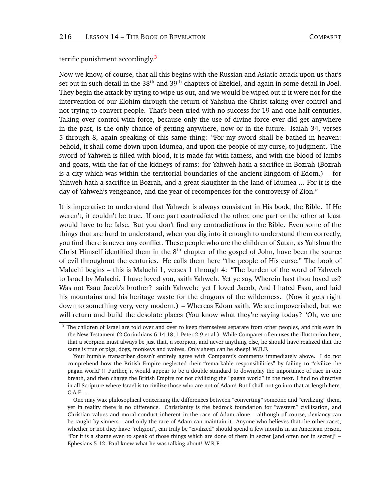## terrific punishment accordingly.<sup>[3](#page-215-0)</sup>

Now we know, of course, that all this begins with the Russian and Asiatic attack upon us that's set out in such detail in the 38<sup>th</sup> and 39<sup>th</sup> chapters of Ezekiel, and again in some detail in Joel. They begin the attack by trying to wipe us out, and we would be wiped out if it were not for the intervention of our Elohim through the return of Yahshua the Christ taking over control and not trying to convert people. That's been tried with no success for 19 and one half centuries. Taking over control with force, because only the use of divine force ever did get anywhere in the past, is the only chance of getting anywhere, now or in the future. Isaiah 34, verses 5 through 8, again speaking of this same thing: "For my sword shall be bathed in heaven: behold, it shall come down upon Idumea, and upon the people of my curse, to judgment. The sword of Yahweh is filled with blood, it is made fat with fatness, and with the blood of lambs and goats, with the fat of the kidneys of rams: for Yahweh hath a sacrifice in Bozrah (Bozrah is a city which was within the territorial boundaries of the ancient kingdom of Edom.) – for Yahweh hath a sacrifice in Bozrah, and a great slaughter in the land of Idumea ... For it is the day of Yahweh's vengeance, and the year of recompences for the controversy of Zion."

It is imperative to understand that Yahweh is always consistent in His book, the Bible. If He weren't, it couldn't be true. If one part contradicted the other, one part or the other at least would have to be false. But you don't find any contradictions in the Bible. Even some of the things that are hard to understand, when you dig into it enough to understand them correctly, you find there is never any conflict. These people who are the children of Satan, as Yahshua the Christ Himself identified them in the  $8<sup>th</sup>$  chapter of the gospel of John, have been the source of evil throughout the centuries. He calls them here "the people of His curse." The book of Malachi begins – this is Malachi 1, verses 1 through 4: "The burden of the word of Yahweh to Israel by Malachi. I have loved you, saith Yahweh. Yet ye say, Wherein hast thou loved us? Was not Esau Jacob's brother? saith Yahweh: yet I loved Jacob, And I hated Esau, and laid his mountains and his heritage waste for the dragons of the wilderness. (Now it gets right down to something very, very modern.) – Whereas Edom saith, We are impoverished, but we will return and build the desolate places (You know what they're saying today? 'Oh, we are

<span id="page-215-0"></span><sup>&</sup>lt;sup>3</sup> The children of Israel are told over and over to keep themselves separate from other peoples, and this even in the New Testament (2 Corinthians 6:14-18, 1 Peter 2:9 et al.). While Comparet often uses the illustration here, that a scorpion must always be just that, a scorpion, and never anything else, he should have realized that the same is true of pigs, dogs, monkeys and wolves. Only sheep can be sheep! W.R.F.

Your humble transcriber doesn't entirely agree with Comparet's comments immediately above. I do not comprehend how the British Empire neglected their "remarkable responsibilities" by failing to "civilize the pagan world"!! Further, it would appear to be a double standard to downplay the importance of race in one breath, and then charge the British Empire for not civilizing the "pagan world" in the next. I find no directive in all Scripture where Israel is to civilize those who are not of Adam! But I shall not go into that at length here. C.A.E. ...

One may wax philosophical concerning the differences between "converting" someone and "civilizing" them, yet in reality there is no difference. Christianity is the bedrock foundation for "western" civilization, and Christian values and moral conduct inherent in the race of Adam alone – although of course, deviancy can be taught by sinners – and only the race of Adam can maintain it. Anyone who believes that the other races, whether or not they have "religion", can truly be "civilized" should spend a few months in an American prison. "For it is a shame even to speak of those things which are done of them in secret [and often not in secret]" – Ephesians 5:12. Paul knew what he was talking about! W.R.F.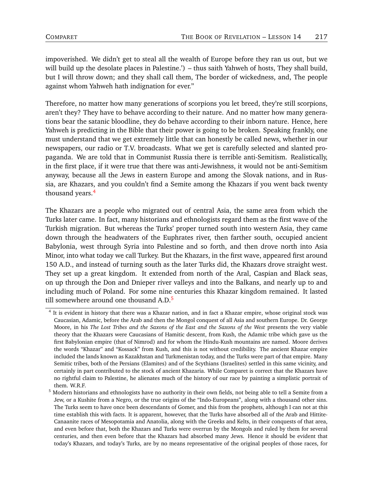impoverished. We didn't get to steal all the wealth of Europe before they ran us out, but we will build up the desolate places in Palestine.') – thus saith Yahweh of hosts, They shall build, but I will throw down; and they shall call them, The border of wickedness, and, The people against whom Yahweh hath indignation for ever."

Therefore, no matter how many generations of scorpions you let breed, they're still scorpions, aren't they? They have to behave according to their nature. And no matter how many generations bear the satanic bloodline, they do behave according to their inborn nature. Hence, here Yahweh is predicting in the Bible that their power is going to be broken. Speaking frankly, one must understand that we get extremely little that can honestly be called news, whether in our newspapers, our radio or T.V. broadcasts. What we get is carefully selected and slanted propaganda. We are told that in Communist Russia there is terrible anti-Semitism. Realistically, in the first place, if it were true that there was anti-Jewishness, it would not be anti-Semitism anyway, because all the Jews in eastern Europe and among the Slovak nations, and in Russia, are Khazars, and you couldn't find a Semite among the Khazars if you went back twenty thousand years.<sup>[4](#page-216-0)</sup>

The Khazars are a people who migrated out of central Asia, the same area from which the Turks later came. In fact, many historians and ethnologists regard them as the first wave of the Turkish migration. But whereas the Turks' proper turned south into western Asia, they came down through the headwaters of the Euphrates river, then farther south, occupied ancient Babylonia, west through Syria into Palestine and so forth, and then drove north into Asia Minor, into what today we call Turkey. But the Khazars, in the first wave, appeared first around 150 A.D., and instead of turning south as the later Turks did, the Khazars drove straight west. They set up a great kingdom. It extended from north of the Aral, Caspian and Black seas, on up through the Don and Dnieper river valleys and into the Balkans, and nearly up to and including much of Poland. For some nine centuries this Khazar kingdom remained. It lasted till somewhere around one thousand A.D.<sup>[5](#page-216-1)</sup>

<span id="page-216-0"></span><sup>4</sup> It is evident in history that there was a Khazar nation, and in fact a Khazar empire, whose original stock was Caucasian, Adamic, before the Arab and then the Mongol conquest of all Asia and southern Europe. Dr. George Moore, in his *The Lost Tribes and the Saxons of the East and the Saxons of the West* presents the very viable theory that the Khazars were Caucasians of Hamitic descent, from Kush, the Adamic tribe which gave us the first Babylonian empire (that of Nimrod) and for whom the Hindu-Kush mountains are named. Moore derives the words "Khazar" and "Kossack" from Kush, and this is not without credibility. The ancient Khazar empire included the lands known as Kazakhstan and Turkmenistan today, and the Turks were part of that empire. Many Semitic tribes, both of the Persians (Elamites) and of the Scythians (Israelites) settled in this same vicinity, and certainly in part contributed to the stock of ancient Khazaria. While Comparet is correct that the Khazars have no rightful claim to Palestine, he alienates much of the history of our race by painting a simplistic portrait of them. W.R.F.

<span id="page-216-1"></span><sup>&</sup>lt;sup>5</sup> Modern historians and ethnologists have no authority in their own fields, not being able to tell a Semite from a Jew, or a Kushite from a Negro, or the true origins of the "Indo-Europeans", along with a thousand other sins. The Turks seem to have once been descendants of Gomer, and this from the prophets, although I can not at this time establish this with facts. It is apparent, however, that the Turks have absorbed all of the Arab and Hittite-Canaanite races of Mesopotamia and Anatolia, along with the Greeks and Kelts, in their conquests of that area, and even before that, both the Khazars and Turks were overrun by the Mongols and ruled by them for several centuries, and then even before that the Khazars had absorbed many Jews. Hence it should be evident that today's Khazars, and today's Turks, are by no means representative of the original peoples of those races, for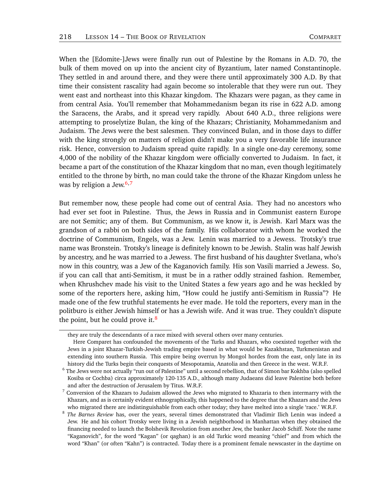When the [Edomite-]Jews were finally run out of Palestine by the Romans in A.D. 70, the bulk of them moved on up into the ancient city of Byzantium, later named Constantinople. They settled in and around there, and they were there until approximately 300 A.D. By that time their consistent rascality had again become so intolerable that they were run out. They went east and northeast into this Khazar kingdom. The Khazars were pagan, as they came in from central Asia. You'll remember that Mohammedanism began its rise in 622 A.D. among the Saracens, the Arabs, and it spread very rapidly. About 640 A.D., three religions were attempting to proselytize Bulan, the king of the Khazars; Christianity, Mohammedanism and Judaism. The Jews were the best salesmen. They convinced Bulan, and in those days to differ with the king strongly on matters of religion didn't make you a very favorable life insurance risk. Hence, conversion to Judaism spread quite rapidly. In a single one-day ceremony, some 4,000 of the nobility of the Khazar kingdom were officially converted to Judaism. In fact, it became a part of the constitution of the Khazar kingdom that no man, even though legitimately entitled to the throne by birth, no man could take the throne of the Khazar Kingdom unless he was by religion a Jew.<sup>[6,](#page-217-0)[7](#page-217-1)</sup>

But remember now, these people had come out of central Asia. They had no ancestors who had ever set foot in Palestine. Thus, the Jews in Russia and in Communist eastern Europe are not Semitic; any of them. But Communism, as we know it, is Jewish. Karl Marx was the grandson of a rabbi on both sides of the family. His collaborator with whom he worked the doctrine of Communism, Engels, was a Jew. Lenin was married to a Jewess. Trotsky's true name was Bronstein. Trotsky's lineage is definitely known to be Jewish. Stalin was half Jewish by ancestry, and he was married to a Jewess. The first husband of his daughter Svetlana, who's now in this country, was a Jew of the Kaganovich family. His son Vasili married a Jewess. So, if you can call that anti-Semitism, it must be in a rather oddly strained fashion. Remember, when Khrushchev made his visit to the United States a few years ago and he was heckled by some of the reporters here, asking him, "How could he justify anti-Semitism in Russia"? He made one of the few truthful statements he ever made. He told the reporters, every man in the politburo is either Jewish himself or has a Jewish wife. And it was true. They couldn't dispute the point, but he could prove it.<sup>[8](#page-217-2)</sup>

they are truly the descendants of a race mixed with several others over many centuries.

Here Comparet has confounded the movements of the Turks and Khazars, who coexisted together with the Jews in a joint Khazar-Turkish-Jewish trading empire based in what would be Kazakhstan, Turkmenistan and extending into southern Russia. This empire being overrun by Mongol hordes from the east, only late in its history did the Turks begin their conquests of Mesopotamia, Anatolia and then Greece in the west. W.R.F.

<span id="page-217-0"></span><sup>6</sup> The Jews were not actually "run out of Palestine" until a second rebellion, that of Simon bar Kokhba (also spelled Kosiba or Cochba) circa approximately 120-135 A.D., although many Judaeans did leave Palestine both before and after the destruction of Jerusalem by Titus. W.R.F.

<span id="page-217-1"></span> $^7$  Conversion of the Khazars to Judaism allowed the Jews who migrated to Khazaria to then intermarry with the Khazars, and as is certainly evident ethnographically, this happened to the degree that the Khazars and the Jews who migrated there are indistinguishable from each other today; they have melted into a single 'race.' W.R.F.

<span id="page-217-2"></span><sup>8</sup> *The Barnes Review* has, over the years, several times demonstrated that Vladimir Ilich Lenin was indeed a Jew. He and his cohort Trotsky were living in a Jewish neighborhood in Manhattan when they obtained the financing needed to launch the Bolshevik Revolution from another Jew, the banker Jacob Schiff. Note the name "Kaganovich", for the word "Kagan" (or qaghan) is an old Turkic word meaning "chief" and from which the word "Khan" (or often "Kahn") is contracted. Today there is a prominent female newscaster in the daytime on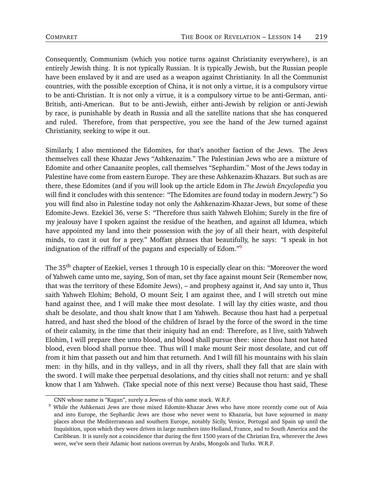Consequently, Communism (which you notice turns against Christianity everywhere), is an entirely Jewish thing. It is not typically Russian. It is typically Jewish, but the Russian people have been enslaved by it and are used as a weapon against Christianity. In all the Communist countries, with the possible exception of China, it is not only a virtue, it is a compulsory virtue to be anti-Christian. It is not only a virtue, it is a compulsory virtue to be anti-German, anti-British, anti-American. But to be anti-Jewish, either anti-Jewish by religion or anti-Jewish by race, is punishable by death in Russia and all the satellite nations that she has conquered and ruled. Therefore, from that perspective, you see the hand of the Jew turned against Christianity, seeking to wipe it out.

Similarly, I also mentioned the Edomites, for that's another faction of the Jews. The Jews themselves call these Khazar Jews "Ashkenazim." The Palestinian Jews who are a mixture of Edomite and other Canaanite peoples, call themselves "Sephardim." Most of the Jews today in Palestine have come from eastern Europe. They are these Ashkenazim-Khazars. But such as are there, these Edomites (and if you will look up the article Edom in *The Jewish Encyclopedia* you will find it concludes with this sentence: "The Edomites are found today in modern Jewry.") So you will find also in Palestine today not only the Ashkenazim-Khazar-Jews, but some of these Edomite-Jews. Ezekiel 36, verse 5: "Therefore thus saith Yahweh Elohim; Surely in the fire of my jealousy have I spoken against the residue of the heathen, and against all Idumea, which have appointed my land into their possession with the joy of all their heart, with despiteful minds, to cast it out for a prey." Moffatt phrases that beautifully, he says: "I speak in hot indignation of the riffraff of the pagans and especially of Edom."<sup>[9](#page-218-0)</sup>

The 35<sup>th</sup> chapter of Ezekiel, verses 1 through 10 is especially clear on this: "Moreover the word of Yahweh came unto me, saying, Son of man, set thy face against mount Seir (Remember now, that was the territory of these Edomite Jews), – and prophesy against it, And say unto it, Thus saith Yahweh Elohim; Behold, O mount Seir, I am against thee, and I will stretch out mine hand against thee, and I will make thee most desolate. I will lay thy cities waste, and thou shalt be desolate, and thou shalt know that I am Yahweh. Because thou hast had a perpetual hatred, and hast shed the blood of the children of Israel by the force of the sword in the time of their calamity, in the time that their iniquity had an end: Therefore, as I live, saith Yahweh Elohim, I will prepare thee unto blood, and blood shall pursue thee: since thou hast not hated blood, even blood shall pursue thee. Thus will I make mount Seir most desolate, and cut off from it him that passeth out and him that returneth. And I will fill his mountains with his slain men: in thy hills, and in thy valleys, and in all thy rivers, shall they fall that are slain with the sword. I will make thee perpetual desolations, and thy cities shall not return: and ye shall know that I am Yahweh. (Take special note of this next verse) Because thou hast said, These

CNN whose name is "Kagan", surely a Jewess of this same stock. W.R.F.

<span id="page-218-0"></span><sup>&</sup>lt;sup>9</sup> While the Ashkenazi Jews are those mixed Edomite-Khazar Jews who have more recently come out of Asia and into Europe, the Sephardic Jews are those who never went to Khazaria, but have sojourned in many places about the Mediterranean and southern Europe, notably Sicily, Venice, Portugal and Spain up until the Inquisition, upon which they were driven in large numbers into Holland, France, and to South America and the Caribbean. It is surely not a coincidence that during the first 1500 years of the Christian Era, wherever the Jews were, we've seen their Adamic host nations overrun by Arabs, Mongols and Turks. W.R.F.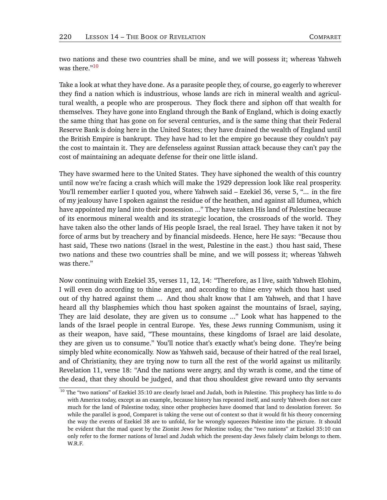two nations and these two countries shall be mine, and we will possess it; whereas Yahweh was there."<sup>[10](#page-219-0)</sup>

Take a look at what they have done. As a parasite people they, of course, go eagerly to wherever they find a nation which is industrious, whose lands are rich in mineral wealth and agricultural wealth, a people who are prosperous. They flock there and siphon off that wealth for themselves. They have gone into England through the Bank of England, which is doing exactly the same thing that has gone on for several centuries, and is the same thing that their Federal Reserve Bank is doing here in the United States; they have drained the wealth of England until the British Empire is bankrupt. They have had to let the empire go because they couldn't pay the cost to maintain it. They are defenseless against Russian attack because they can't pay the cost of maintaining an adequate defense for their one little island.

They have swarmed here to the United States. They have siphoned the wealth of this country until now we're facing a crash which will make the 1929 depression look like real prosperity. You'll remember earlier I quoted you, where Yahweh said – Ezekiel 36, verse 5, "... in the fire of my jealousy have I spoken against the residue of the heathen, and against all Idumea, which have appointed my land into their possession ..." They have taken His land of Palestine because of its enormous mineral wealth and its strategic location, the crossroads of the world. They have taken also the other lands of His people Israel, the real Israel. They have taken it not by force of arms but by treachery and by financial misdeeds. Hence, here He says: "Because thou hast said, These two nations (Israel in the west, Palestine in the east.) thou hast said, These two nations and these two countries shall be mine, and we will possess it; whereas Yahweh was there."

Now continuing with Ezekiel 35, verses 11, 12, 14: "Therefore, as I live, saith Yahweh Elohim, I will even do according to thine anger, and according to thine envy which thou hast used out of thy hatred against them ... And thou shalt know that I am Yahweh, and that I have heard all thy blasphemies which thou hast spoken against the mountains of Israel, saying, They are laid desolate, they are given us to consume ..." Look what has happened to the lands of the Israel people in central Europe. Yes, these Jews running Communism, using it as their weapon, have said, "These mountains, these kingdoms of Israel are laid desolate, they are given us to consume." You'll notice that's exactly what's being done. They're being simply bled white economically. Now as Yahweh said, because of their hatred of the real Israel, and of Christianity, they are trying now to turn all the rest of the world against us militarily. Revelation 11, verse 18: "And the nations were angry, and thy wrath is come, and the time of the dead, that they should be judged, and that thou shouldest give reward unto thy servants

<span id="page-219-0"></span><sup>&</sup>lt;sup>10</sup> The "two nations" of Ezekiel 35:10 are clearly Israel and Judah, both in Palestine. This prophecy has little to do with America today, except as an example, because history has repeated itself, and surely Yahweh does not care much for the land of Palestine today, since other prophecies have doomed that land to desolation forever. So while the parallel is good, Comparet is taking the verse out of context so that it would fit his theory concerning the way the events of Ezekiel 38 are to unfold, for he wrongly squeezes Palestine into the picture. It should be evident that the mad quest by the Zionist Jews for Palestine today, the "two nations" at Ezekiel 35:10 can only refer to the former nations of Israel and Judah which the present-day Jews falsely claim belongs to them. W.R.F.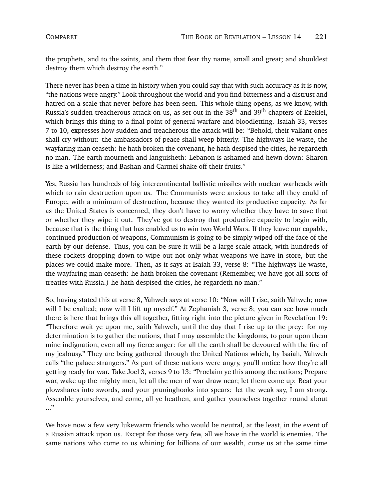the prophets, and to the saints, and them that fear thy name, small and great; and shouldest destroy them which destroy the earth."

There never has been a time in history when you could say that with such accuracy as it is now, "the nations were angry." Look throughout the world and you find bitterness and a distrust and hatred on a scale that never before has been seen. This whole thing opens, as we know, with Russia's sudden treacherous attack on us, as set out in the 38<sup>th</sup> and 39<sup>th</sup> chapters of Ezekiel, which brings this thing to a final point of general warfare and bloodletting. Isaiah 33, verses 7 to 10, expresses how sudden and treacherous the attack will be: "Behold, their valiant ones shall cry without: the ambassadors of peace shall weep bitterly. The highways lie waste, the wayfaring man ceaseth: he hath broken the covenant, he hath despised the cities, he regardeth no man. The earth mourneth and languisheth: Lebanon is ashamed and hewn down: Sharon is like a wilderness; and Bashan and Carmel shake off their fruits."

Yes, Russia has hundreds of big intercontinental ballistic missiles with nuclear warheads with which to rain destruction upon us. The Communists were anxious to take all they could of Europe, with a minimum of destruction, because they wanted its productive capacity. As far as the United States is concerned, they don't have to worry whether they have to save that or whether they wipe it out. They've got to destroy that productive capacity to begin with, because that is the thing that has enabled us to win two World Wars. If they leave our capable, continued production of weapons, Communism is going to be simply wiped off the face of the earth by our defense. Thus, you can be sure it will be a large scale attack, with hundreds of these rockets dropping down to wipe out not only what weapons we have in store, but the places we could make more. Then, as it says at Isaiah 33, verse 8: "The highways lie waste, the wayfaring man ceaseth: he hath broken the covenant (Remember, we have got all sorts of treaties with Russia.) he hath despised the cities, he regardeth no man."

So, having stated this at verse 8, Yahweh says at verse 10: "Now will I rise, saith Yahweh; now will I be exalted; now will I lift up myself." At Zephaniah 3, verse 8; you can see how much there is here that brings this all together, fitting right into the picture given in Revelation 19: "Therefore wait ye upon me, saith Yahweh, until the day that I rise up to the prey: for my determination is to gather the nations, that I may assemble the kingdoms, to pour upon them mine indignation, even all my fierce anger: for all the earth shall be devoured with the fire of my jealousy." They are being gathered through the United Nations which, by Isaiah, Yahweh calls "the palace strangers." As part of these nations were angry, you'll notice how they're all getting ready for war. Take Joel 3, verses 9 to 13: "Proclaim ye this among the nations; Prepare war, wake up the mighty men, let all the men of war draw near; let them come up: Beat your plowshares into swords, and your pruninghooks into spears: let the weak say, I am strong. Assemble yourselves, and come, all ye heathen, and gather yourselves together round about ..."

We have now a few very lukewarm friends who would be neutral, at the least, in the event of a Russian attack upon us. Except for those very few, all we have in the world is enemies. The same nations who come to us whining for billions of our wealth, curse us at the same time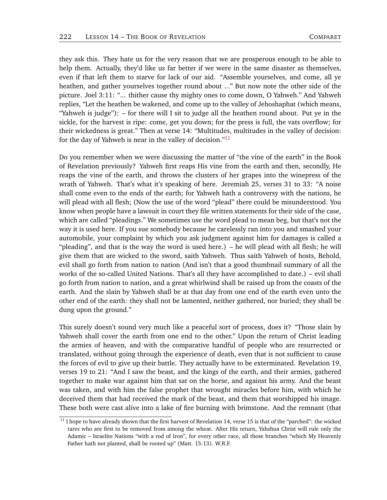they ask this. They hate us for the very reason that we are prosperous enough to be able to help them. Actually, they'd like us far better if we were in the same disaster as themselves, even if that left them to starve for lack of our aid. "Assemble yourselves, and come, all ye heathen, and gather yourselves together round about ..." But now note the other side of the picture. Joel 3:11: "... thither cause thy mighty ones to come down, O Yahweh." And Yahweh replies, "Let the heathen be wakened, and come up to the valley of Jehoshaphat (which means, "Yahweh is judge"): – for there will I sit to judge all the heathen round about. Put ye in the sickle, for the harvest is ripe: come, get you down; for the press is full, the vats overflow; for their wickedness is great." Then at verse 14: "Multitudes, multitudes in the valley of decision: for the day of Yahweh is near in the valley of decision."<sup>[11](#page-221-0)</sup>

Do you remember when we were discussing the matter of "the vine of the earth" in the Book of Revelation previously? Yahweh first reaps His vine from the earth and then, secondly, He reaps the vine of the earth, and throws the clusters of her grapes into the winepress of the wrath of Yahweh. That's what it's speaking of here. Jeremiah 25, verses 31 to 33: "A noise shall come even to the ends of the earth; for Yahweh hath a controversy with the nations, he will plead with all flesh; (Now the use of the word "plead" there could be misunderstood. You know when people have a lawsuit in court they file written statements for their side of the case, which are called "pleadings." We sometimes use the word plead to mean beg, but that's not the way it is used here. If you sue somebody because he carelessly ran into you and smashed your automobile, your complaint by which you ask judgment against him for damages is called a "pleading", and that is the way the word is used here.) – he will plead with all flesh; he will give them that are wicked to the sword, saith Yahweh. Thus saith Yahweh of hosts, Behold, evil shall go forth from nation to nation (And isn't that a good thumbnail summary of all the works of the so-called United Nations. That's all they have accomplished to date.) – evil shall go forth from nation to nation, and a great whirlwind shall be raised up from the coasts of the earth. And the slain by Yahweh shall be at that day from one end of the earth even unto the other end of the earth: they shall not be lamented, neither gathered, nor buried; they shall be dung upon the ground."

This surely doesn't sound very much like a peaceful sort of process, does it? "Those slain by Yahweh shall cover the earth from one end to the other." Upon the return of Christ leading the armies of heaven, and with the comparative handful of people who are resurrected or translated, without going through the experience of death, even that is not sufficient to cause the forces of evil to give up their battle. They actually have to be exterminated. Revelation 19, verses 19 to 21: "And I saw the beast, and the kings of the earth, and their armies, gathered together to make war against him that sat on the horse, and against his army. And the beast was taken, and with him the false prophet that wrought miracles before him, with which he deceived them that had received the mark of the beast, and them that worshipped his image. These both were cast alive into a lake of fire burning with brimstone. And the remnant (that

<span id="page-221-0"></span> $11$  I hope to have already shown that the first harvest of Revelation 14, verse 15 is that of the "parched": the wicked tares who are first to be removed from among the wheat. After His return, Yahshua Christ will rule only the Adamic – Israelite Nations "with a rod of Iron", for every other race, all those branches "which My Heavenly Father hath not planted, shall be rooted up" (Matt. 15:13). W.R.F.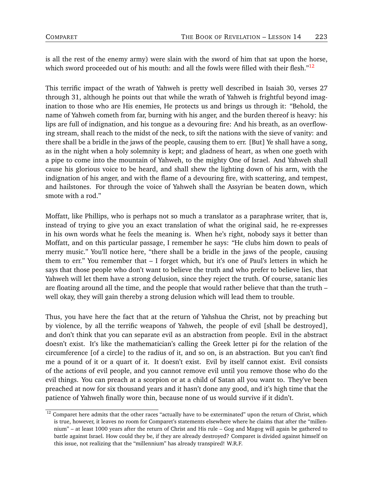is all the rest of the enemy army) were slain with the sword of him that sat upon the horse, which sword proceeded out of his mouth: and all the fowls were filled with their flesh."<sup>[12](#page-222-0)</sup>

This terrific impact of the wrath of Yahweh is pretty well described in Isaiah 30, verses 27 through 31, although he points out that while the wrath of Yahweh is frightful beyond imagination to those who are His enemies, He protects us and brings us through it: "Behold, the name of Yahweh cometh from far, burning with his anger, and the burden thereof is heavy: his lips are full of indignation, and his tongue as a devouring fire: And his breath, as an overflowing stream, shall reach to the midst of the neck, to sift the nations with the sieve of vanity: and there shall be a bridle in the jaws of the people, causing them to err. [But] Ye shall have a song, as in the night when a holy solemnity is kept; and gladness of heart, as when one goeth with a pipe to come into the mountain of Yahweh, to the mighty One of Israel. And Yahweh shall cause his glorious voice to be heard, and shall shew the lighting down of his arm, with the indignation of his anger, and with the flame of a devouring fire, with scattering, and tempest, and hailstones. For through the voice of Yahweh shall the Assyrian be beaten down, which smote with a rod."

Moffatt, like Phillips, who is perhaps not so much a translator as a paraphrase writer, that is, instead of trying to give you an exact translation of what the original said, he re-expresses in his own words what he feels the meaning is. When he's right, nobody says it better than Moffatt, and on this particular passage, I remember he says: "He clubs him down to peals of merry music." You'll notice here, "there shall be a bridle in the jaws of the people, causing them to err." You remember that – I forget which, but it's one of Paul's letters in which he says that those people who don't want to believe the truth and who prefer to believe lies, that Yahweh will let them have a strong delusion, since they reject the truth. Of course, satanic lies are floating around all the time, and the people that would rather believe that than the truth – well okay, they will gain thereby a strong delusion which will lead them to trouble.

Thus, you have here the fact that at the return of Yahshua the Christ, not by preaching but by violence, by all the terrific weapons of Yahweh, the people of evil [shall be destroyed], and don't think that you can separate evil as an abstraction from people. Evil in the abstract doesn't exist. It's like the mathematician's calling the Greek letter pi for the relation of the circumference [of a circle] to the radius of it, and so on, is an abstraction. But you can't find me a pound of it or a quart of it. It doesn't exist. Evil by itself cannot exist. Evil consists of the actions of evil people, and you cannot remove evil until you remove those who do the evil things. You can preach at a scorpion or at a child of Satan all you want to. They've been preached at now for six thousand years and it hasn't done any good, and it's high time that the patience of Yahweh finally wore thin, because none of us would survive if it didn't.

<span id="page-222-0"></span><sup>&</sup>lt;sup>12</sup> Comparet here admits that the other races "actually have to be exterminated" upon the return of Christ, which is true, however, it leaves no room for Comparet's statements elsewhere where he claims that after the "millennium" – at least 1000 years after the return of Christ and His rule – Gog and Magog will again be gathered to battle against Israel. How could they be, if they are already destroyed? Comparet is divided against himself on this issue, not realizing that the "millennium" has already transpired! W.R.F.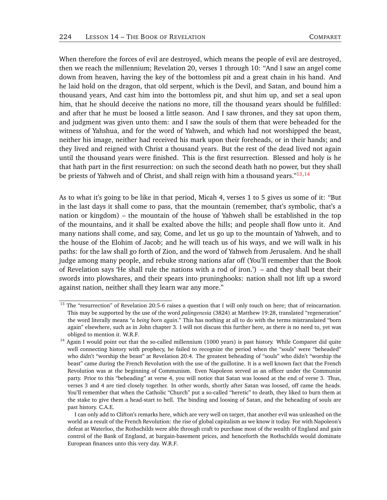When therefore the forces of evil are destroyed, which means the people of evil are destroyed, then we reach the millennium; Revelation 20, verses 1 through 10: "And I saw an angel come down from heaven, having the key of the bottomless pit and a great chain in his hand. And he laid hold on the dragon, that old serpent, which is the Devil, and Satan, and bound him a thousand years, And cast him into the bottomless pit, and shut him up, and set a seal upon him, that he should deceive the nations no more, till the thousand years should be fulfilled: and after that he must be loosed a little season. And I saw thrones, and they sat upon them, and judgment was given unto them: and I saw the souls of them that were beheaded for the witness of Yahshua, and for the word of Yahweh, and which had not worshipped the beast, neither his image, neither had received his mark upon their foreheads, or in their hands; and they lived and reigned with Christ a thousand years. But the rest of the dead lived not again until the thousand years were finished. This is the first resurrection. Blessed and holy is he that hath part in the first resurrection: on such the second death hath no power, but they shall be priests of Yahweh and of Christ, and shall reign with him a thousand years."<sup>[13,](#page-223-0)[14](#page-223-1)</sup>

As to what it's going to be like in that period, Micah 4, verses 1 to 5 gives us some of it: "But in the last days it shall come to pass, that the mountain (remember, that's symbolic, that's a nation or kingdom) – the mountain of the house of Yahweh shall be established in the top of the mountains, and it shall be exalted above the hills; and people shall flow unto it. And many nations shall come, and say, Come, and let us go up to the mountain of Yahweh, and to the house of the Elohim of Jacob; and he will teach us of his ways, and we will walk in his paths: for the law shall go forth of Zion, and the word of Yahweh from Jerusalem. And he shall judge among many people, and rebuke strong nations afar off (You'll remember that the Book of Revelation says 'He shall rule the nations with a rod of iron.') – and they shall beat their swords into plowshares, and their spears into pruninghooks: nation shall not lift up a sword against nation, neither shall they learn war any more."

<span id="page-223-0"></span><sup>&</sup>lt;sup>13</sup> The "resurrection" of Revelation 20:5-6 raises a question that I will only touch on here; that of reincarnation. This may be supported by the use of the word *palingenesia* (3824) at Matthew 19:28, translated "regeneration" the word literally means "*a being born again*." This has nothing at all to do with the terms mistranslated "born again" elsewhere, such as in John chapter 3. I will not discuss this further here, as there is no need to, yet was obliged to mention it. W.R.F.

<span id="page-223-1"></span><sup>&</sup>lt;sup>14</sup> Again I would point out that the so-called millennium (1000 years) is past history. While Comparet did quite well connecting history with prophecy, he failed to recognize the period when the "souls" were "beheaded" who didn't "worship the beast" at Revelation 20:4. The greatest beheading of "souls" who didn't "worship the beast" came during the French Revolution with the use of the guillotine. It is a well known fact that the French Revolution was at the beginning of Communism. Even Napoleon served as an officer under the Communist party. Prior to this "beheading" at verse 4, you will notice that Satan was loosed at the end of verse 3. Thus, verses 3 and 4 are tied closely together. In other words, shortly after Satan was loosed, off came the heads. You'll remember that when the Catholic "Church" put a so-called "heretic" to death, they liked to burn them at the stake to give them a head-start to hell. The binding and loosing of Satan, and the beheading of souls are past history. C.A.E.

I can only add to Clifton's remarks here, which are very well on target, that another evil was unleashed on the world as a result of the French Revolution: the rise of global capitalism as we know it today. For with Napoleon's defeat at Waterloo, the Rothschilds were able through craft to purchase most of the wealth of England and gain control of the Bank of England, at bargain-basement prices, and henceforth the Rothschilds would dominate European finances unto this very day. W.R.F.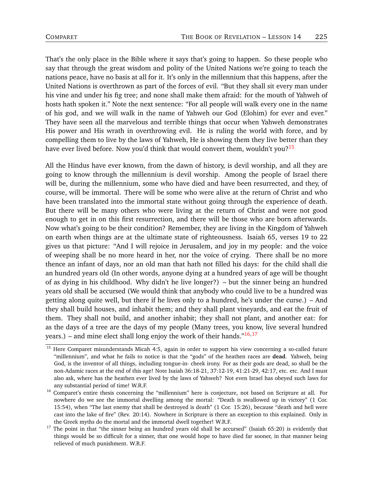That's the only place in the Bible where it says that's going to happen. So these people who say that through the great wisdom and polity of the United Nations we're going to teach the nations peace, have no basis at all for it. It's only in the millennium that this happens, after the United Nations is overthrown as part of the forces of evil. "But they shall sit every man under his vine and under his fig tree; and none shall make them afraid: for the mouth of Yahweh of hosts hath spoken it." Note the next sentence: "For all people will walk every one in the name of his god, and we will walk in the name of Yahweh our God (Elohim) for ever and ever." They have seen all the marvelous and terrible things that occur when Yahweh demonstrates His power and His wrath in overthrowing evil. He is ruling the world with force, and by compelling them to live by the laws of Yahweh, He is showing them they live better than they have ever lived before. Now you'd think that would convert them, wouldn't you?<sup>[15](#page-224-0)</sup>

All the Hindus have ever known, from the dawn of history, is devil worship, and all they are going to know through the millennium is devil worship. Among the people of Israel there will be, during the millennium, some who have died and have been resurrected, and they, of course, will be immortal. There will be some who were alive at the return of Christ and who have been translated into the immortal state without going through the experience of death. But there will be many others who were living at the return of Christ and were not good enough to get in on this first resurrection, and there will be those who are born afterwards. Now what's going to be their condition? Remember, they are living in the Kingdom of Yahweh on earth when things are at the ultimate state of righteousness. Isaiah 65, verses 19 to 22 gives us that picture: "And I will rejoice in Jerusalem, and joy in my people: and the voice of weeping shall be no more heard in her, nor the voice of crying. There shall be no more thence an infant of days, nor an old man that hath not filled his days: for the child shall die an hundred years old (In other words, anyone dying at a hundred years of age will be thought of as dying in his childhood. Why didn't he live longer?) – but the sinner being an hundred years old shall be accursed (We would think that anybody who could live to be a hundred was getting along quite well, but there if he lives only to a hundred, he's under the curse.) – And they shall build houses, and inhabit them; and they shall plant vineyards, and eat the fruit of them. They shall not build, and another inhabit; they shall not plant, and another eat: for as the days of a tree are the days of my people (Many trees, you know, live several hundred years.) – and mine elect shall long enjoy the work of their hands." $16,17$  $16,17$ 

<span id="page-224-0"></span><sup>&</sup>lt;sup>15</sup> Here Comparet misunderstands Micah 4:5, again in order to support his view concerning a so-called future "millennium", and what he fails to notice is that the "gods" of the heathen races are **dead**. Yahweh, being God, is the inventor of all things, including tongue-in- cheek irony. For as their gods are dead, so shall be the non-Adamic races at the end of this age! Note Isaiah 36:18-21, 37:12-19, 41:21-29, 42:17, etc. etc. And I must also ask, where has the heathen ever lived by the laws of Yahweh? Not even Israel has obeyed such laws for any substantial period of time! W.R.F.

<span id="page-224-1"></span><sup>&</sup>lt;sup>16</sup> Comparet's entire thesis concerning the "millennium" here is conjecture, not based on Scripture at all. For nowhere do we see the immortal dwelling among the mortal: "Death is swallowed up in victory" (1 Cor. 15:54), when "The last enemy that shall be destroyed is death" (1 Cor. 15:26), because "death and hell were cast into the lake of fire" (Rev. 20:14). Nowhere in Scripture is there an exception to this explained. Only in the Greek myths do the mortal and the immortal dwell together! W.R.F.

<span id="page-224-2"></span><sup>&</sup>lt;sup>17</sup> The point in that "the sinner being an hundred years old shall be accursed" (Isaiah 65:20) is evidently that things would be so difficult for a sinner, that one would hope to have died far sooner, in that manner being relieved of much punishment. W.R.F.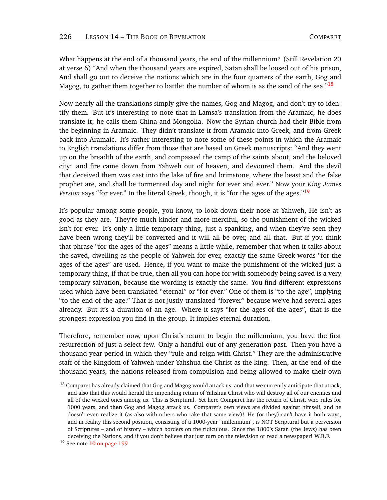What happens at the end of a thousand years, the end of the millennium? (Still Revelation 20 at verse 6) "And when the thousand years are expired, Satan shall be loosed out of his prison, And shall go out to deceive the nations which are in the four quarters of the earth, Gog and Magog, to gather them together to battle: the number of whom is as the sand of the sea." $^{18}$  $^{18}$  $^{18}$ 

Now nearly all the translations simply give the names, Gog and Magog, and don't try to identify them. But it's interesting to note that in Lamsa's translation from the Aramaic, he does translate it; he calls them China and Mongolia. Now the Syrian church had their Bible from the beginning in Aramaic. They didn't translate it from Aramaic into Greek, and from Greek back into Aramaic. It's rather interesting to note some of these points in which the Aramaic to English translations differ from those that are based on Greek manuscripts: "And they went up on the breadth of the earth, and compassed the camp of the saints about, and the beloved city: and fire came down from Yahweh out of heaven, and devoured them. And the devil that deceived them was cast into the lake of fire and brimstone, where the beast and the false prophet are, and shall be tormented day and night for ever and ever." Now your *King James Version* says "for ever." In the literal Greek, though, it is "for the ages of the ages."[19](#page-225-1)

It's popular among some people, you know, to look down their nose at Yahweh, He isn't as good as they are. They're much kinder and more merciful, so the punishment of the wicked isn't for ever. It's only a little temporary thing, just a spanking, and when they've seen they have been wrong they'll be converted and it will all be over, and all that. But if you think that phrase "for the ages of the ages" means a little while, remember that when it talks about the saved, dwelling as the people of Yahweh for ever, exactly the same Greek words "for the ages of the ages" are used. Hence, if you want to make the punishment of the wicked just a temporary thing, if that be true, then all you can hope for with somebody being saved is a very temporary salvation, because the wording is exactly the same. You find different expressions used which have been translated "eternal" or "for ever." One of them is "to the age", implying "to the end of the age." That is not justly translated "forever" because we've had several ages already. But it's a duration of an age. Where it says "for the ages of the ages", that is the strongest expression you find in the group. It implies eternal duration.

Therefore, remember now, upon Christ's return to begin the millennium, you have the first resurrection of just a select few. Only a handful out of any generation past. Then you have a thousand year period in which they "rule and reign with Christ." They are the administrative staff of the Kingdom of Yahweh under Yahshua the Christ as the king. Then, at the end of the thousand years, the nations released from compulsion and being allowed to make their own

<span id="page-225-0"></span> $18$  Comparet has already claimed that Gog and Magog would attack us, and that we currently anticipate that attack, and also that this would herald the impending return of Yahshua Christ who will destroy all of our enemies and all of the wicked ones among us. This is Scriptural. Yet here Comparet has the return of Christ, who rules for 1000 years, and **then** Gog and Magog attack us. Comparet's own views are divided against himself, and he doesn't even realize it (as also with others who take that same view)! He (or they) can't have it both ways, and in reality this second position, consisting of a 1000-year "millennium", is NOT Scriptural but a perversion of Scriptures – and of history – which borders on the ridiculous. Since the 1800's Satan (the Jews) has been deceiving the Nations, and if you don't believe that just turn on the television or read a newspaper! W.R.F.

<span id="page-225-1"></span><sup>&</sup>lt;sup>19</sup> See note [10 on page 199](#page-198-0)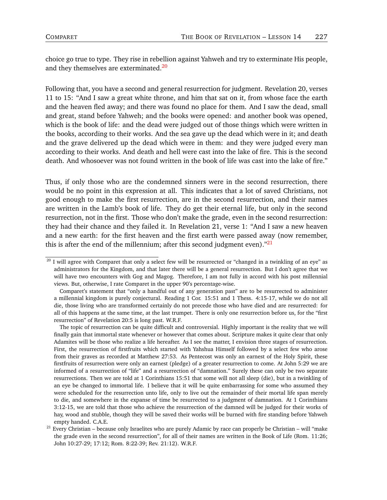choice go true to type. They rise in rebellion against Yahweh and try to exterminate His people, and they themselves are exterminated.<sup>[20](#page-226-0)</sup>

Following that, you have a second and general resurrection for judgment. Revelation 20, verses 11 to 15: "And I saw a great white throne, and him that sat on it, from whose face the earth and the heaven fled away; and there was found no place for them. And I saw the dead, small and great, stand before Yahweh; and the books were opened: and another book was opened, which is the book of life: and the dead were judged out of those things which were written in the books, according to their works. And the sea gave up the dead which were in it; and death and the grave delivered up the dead which were in them: and they were judged every man according to their works. And death and hell were cast into the lake of fire. This is the second death. And whosoever was not found written in the book of life was cast into the lake of fire."

Thus, if only those who are the condemned sinners were in the second resurrection, there would be no point in this expression at all. This indicates that a lot of saved Christians, not good enough to make the first resurrection, are in the second resurrection, and their names are written in the Lamb's book of life. They do get their eternal life, but only in the second resurrection, not in the first. Those who don't make the grade, even in the second resurrection: they had their chance and they failed it. In Revelation 21, verse 1: "And I saw a new heaven and a new earth: for the first heaven and the first earth were passed away (now remember, this is after the end of the millennium; after this second judgment even). $^{21}$  $^{21}$  $^{21}$ 

<span id="page-226-0"></span><sup>&</sup>lt;sup>20</sup> I will agree with Comparet that only a select few will be resurrected or "changed in a twinkling of an eye" as administrators for the Kingdom, and that later there will be a general resurrection. But I don't agree that we will have two encounters with Gog and Magog. Therefore, I am not fully in accord with his post millennial views. But, otherwise, I rate Comparet in the upper 90's percentage-wise.

Comparet's statement that "only a handful out of any generation past" are to be resurrected to administer a millennial kingdom is purely conjectural. Reading 1 Cor. 15:51 and 1 Thess. 4:15-17, while we do not all die, those living who are transformed certainly do not precede those who have died and are resurrected: for all of this happens at the same time, at the last trumpet. There is only one resurrection before us, for the "first resurrection" of Revelation 20:5 is long past. W.R.F.

The topic of resurrection can be quite difficult and controversial. Highly important is the reality that we will finally gain that immortal state whenever or however that comes about. Scripture makes it quite clear that only Adamites will be those who realize a life hereafter. As I see the matter, I envision three stages of resurrection. First, the resurrection of firstfruits which started with Yahshua Himself followed by a select few who arose from their graves as recorded at Matthew 27:53. As Pentecost was only an earnest of the Holy Spirit, these firstfruits of resurrection were only an earnest (pledge) of a greater resurrection to come. At John 5:29 we are informed of a resurrection of "life" and a resurrection of "damnation." Surely these can only be two separate resurrections. Then we are told at 1 Corinthians 15:51 that some will not all sleep (die), but in a twinkling of an eye be changed to immortal life. I believe that it will be quite embarrassing for some who assumed they were scheduled for the resurrection unto life, only to live out the remainder of their mortal life span merely to die, and somewhere in the expanse of time be resurrected to a judgment of damnation. At 1 Corinthians 3:12-15, we are told that those who achieve the resurrection of the damned will be judged for their works of hay, wood and stubble, though they will be saved their works will be burned with fire standing before Yahweh empty handed. C.A.E.

<span id="page-226-1"></span> $21$  Every Christian – because only Israelites who are purely Adamic by race can properly be Christian – will "make the grade even in the second resurrection", for all of their names are written in the Book of Life (Rom. 11:26; John 10:27-29; 17:12; Rom. 8:22-39; Rev. 21:12). W.R.F.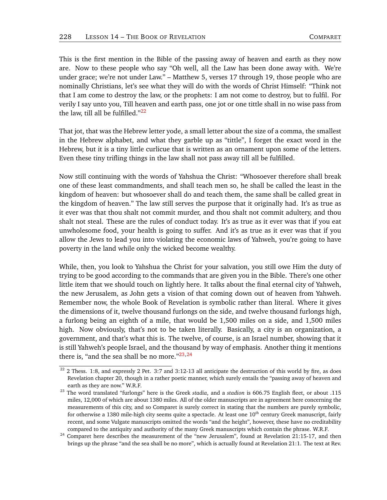This is the first mention in the Bible of the passing away of heaven and earth as they now are. Now to these people who say "Oh well, all the Law has been done away with. We're under grace; we're not under Law." – Matthew 5, verses 17 through 19, those people who are nominally Christians, let's see what they will do with the words of Christ Himself: "Think not that I am come to destroy the law, or the prophets: I am not come to destroy, but to fulfil. For verily I say unto you, Till heaven and earth pass, one jot or one tittle shall in no wise pass from the law, till all be fulfilled."<sup>[22](#page-227-0)</sup>

That jot, that was the Hebrew letter yode, a small letter about the size of a comma, the smallest in the Hebrew alphabet, and what they garble up as "tittle", I forget the exact word in the Hebrew, but it is a tiny little curlicue that is written as an ornament upon some of the letters. Even these tiny trifling things in the law shall not pass away till all be fulfilled.

Now still continuing with the words of Yahshua the Christ: "Whosoever therefore shall break one of these least commandments, and shall teach men so, he shall be called the least in the kingdom of heaven: but whosoever shall do and teach them, the same shall be called great in the kingdom of heaven." The law still serves the purpose that it originally had. It's as true as it ever was that thou shalt not commit murder, and thou shalt not commit adultery, and thou shalt not steal. These are the rules of conduct today. It's as true as it ever was that if you eat unwholesome food, your health is going to suffer. And it's as true as it ever was that if you allow the Jews to lead you into violating the economic laws of Yahweh, you're going to have poverty in the land while only the wicked become wealthy.

While, then, you look to Yahshua the Christ for your salvation, you still owe Him the duty of trying to be good according to the commands that are given you in the Bible. There's one other little item that we should touch on lightly here. It talks about the final eternal city of Yahweh, the new Jerusalem, as John gets a vision of that coming down out of heaven from Yahweh. Remember now, the whole Book of Revelation is symbolic rather than literal. Where it gives the dimensions of it, twelve thousand furlongs on the side, and twelve thousand furlongs high, a furlong being an eighth of a mile, that would be 1,500 miles on a side, and 1,500 miles high. Now obviously, that's not to be taken literally. Basically, a city is an organization, a government, and that's what this is. The twelve, of course, is an Israel number, showing that it is still Yahweh's people Israel, and the thousand by way of emphasis. Another thing it mentions there is, "and the sea shall be no more." $23,24$  $23,24$ 

<span id="page-227-0"></span> $22$  2 Thess. 1:8, and expressly 2 Pet. 3:7 and 3:12-13 all anticipate the destruction of this world by fire, as does Revelation chapter 20, though in a rather poetic manner, which surely entails the "passing away of heaven and earth as they are now." W.R.F.

<span id="page-227-1"></span><sup>23</sup> The word translated "furlongs" here is the Greek *stadia*, and a *stadion* is 606.75 English fleet, or about .115 miles, 12,000 of which are about 1380 miles. All of the older manuscripts are in agreement here concerning the measurements of this city, and so Comparet is surely correct in stating that the numbers are purely symbolic, for otherwise a 1380 mile-high city seems quite a spectacle. At least one  $10<sup>th</sup>$  century Greek manuscript, fairly recent, and some Vulgate manuscripts omitted the words "and the height", however, these have no creditability compared to the antiquity and authority of the many Greek manuscripts which contain the phrase. W.R.F.

<span id="page-227-2"></span><sup>&</sup>lt;sup>24</sup> Comparet here describes the measurement of the "new Jerusalem", found at Revelation 21:15-17, and then brings up the phrase "and the sea shall be no more", which is actually found at Revelation 21:1. The text at Rev.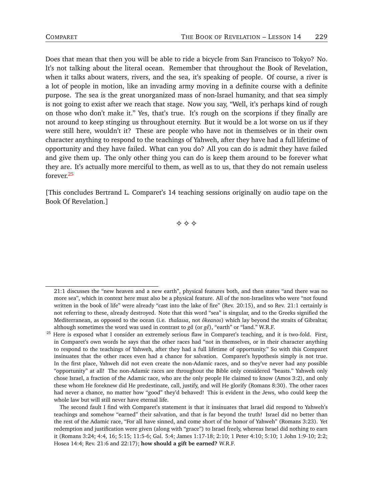Does that mean that then you will be able to ride a bicycle from San Francisco to Tokyo? No. It's not talking about the literal ocean. Remember that throughout the Book of Revelation, when it talks about waters, rivers, and the sea, it's speaking of people. Of course, a river is a lot of people in motion, like an invading army moving in a definite course with a definite purpose. The sea is the great unorganized mass of non-Israel humanity, and that sea simply is not going to exist after we reach that stage. Now you say, "Well, it's perhaps kind of rough on those who don't make it." Yes, that's true. It's rough on the scorpions if they finally are not around to keep stinging us throughout eternity. But it would be a lot worse on us if they were still here, wouldn't it? These are people who have not in themselves or in their own character anything to respond to the teachings of Yahweh, after they have had a full lifetime of opportunity and they have failed. What can you do? All you can do is admit they have failed and give them up. The only other thing you can do is keep them around to be forever what they are. It's actually more merciful to them, as well as to us, that they do not remain useless forever.[25](#page-228-0)

[This concludes Bertrand L. Comparet's 14 teaching sessions originally on audio tape on the Book Of Revelation.]

✧ ✧ ✧

<sup>21:1</sup> discusses the "new heaven and a new earth", physical features both, and then states "and there was no more sea", which in context here must also be a physical feature. All of the non-Israelites who were "not found written in the book of life" were already "cast into the lake of fire" (Rev. 20:15), and so Rev. 21:1 certainly is not referring to these, already destroyed. Note that this word "sea" is singular, and to the Greeks signified the Mediterranean, as opposed to the ocean (i.e. *thalassa*, not *ôkeanos*) which lay beyond the straits of Gibraltar, although sometimes the word was used in contrast to *gâ* (or *gê*), "earth" or "land." W.R.F.

<span id="page-228-0"></span><sup>&</sup>lt;sup>25</sup> Here is exposed what I consider an extremely serious flaw in Comparet's teaching, and it is two-fold. First, in Comparet's own words he says that the other races had "not in themselves, or in their character anything to respond to the teachings of Yahweh, after they had a full lifetime of opportunity." So with this Comparet insinuates that the other races even had a chance for salvation. Comparet's hypothesis simply is not true. In the first place, Yahweh did not even create the non-Adamic races, and so they've never had any possible "opportunity" at all! The non-Adamic races are throughout the Bible only considered "beasts." Yahweh only chose Israel, a fraction of the Adamic race, who are the only people He claimed to know (Amos 3:2), and only these whom He foreknew did He predestinate, call, justify, and will He glorify (Romans 8:30). The other races had never a chance, no matter how "good" they'd behaved! This is evident in the Jews, who could keep the whole law but will still never have eternal life.

The second fault I find with Comparet's statement is that it insinuates that Israel did respond to Yahweh's teachings and somehow "earned" their salvation, and that is far beyond the truth! Israel did no better than the rest of the Adamic race, "For all have sinned, and come short of the honor of Yahweh" (Romans 3:23). Yet redemption and justification were given (along with "grace") to Israel freely, whereas Israel did nothing to earn it (Romans 3:24; 4:4, 16; 5:15; 11:5-6; Gal. 5:4; James 1:17-18; 2:10; 1 Peter 4:10; 5:10; 1 John 1:9-10; 2:2; Hosea 14:4; Rev. 21:6 and 22:17); **how should a gift be earned?** W.R.F.